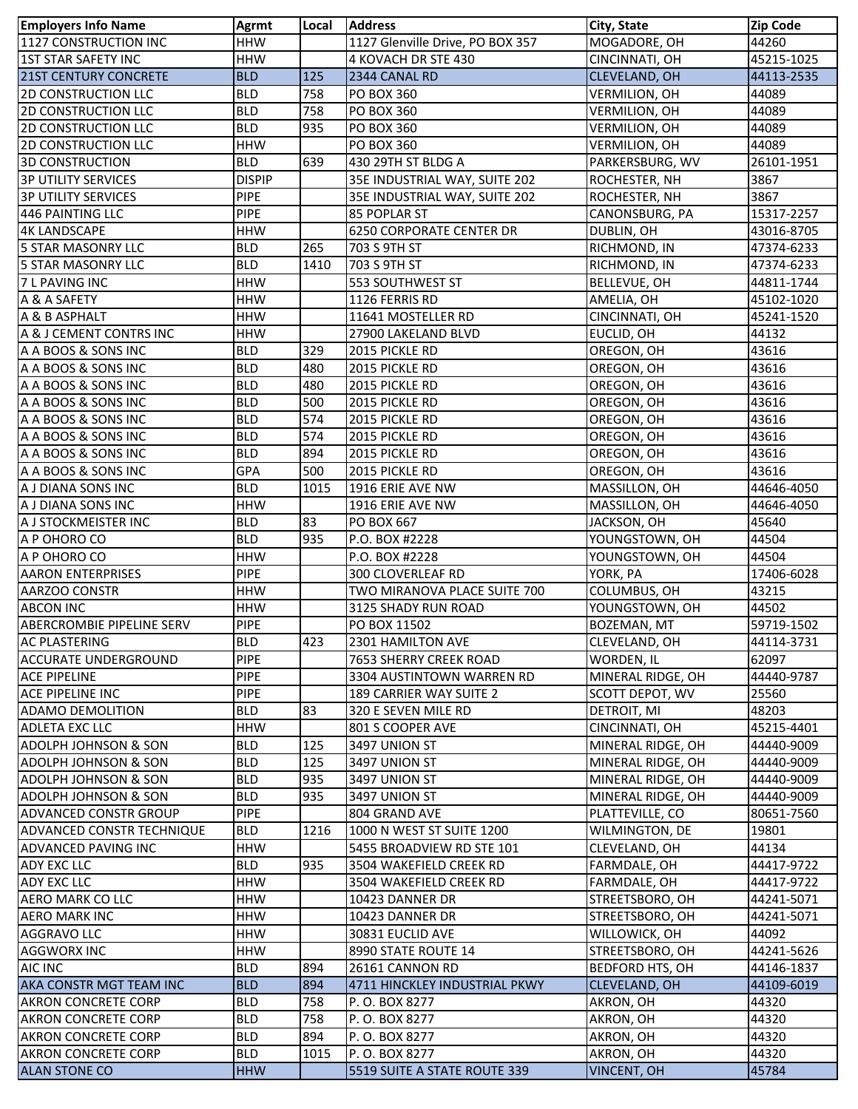| <b>Employers Info Name</b>       | <b>Agrmt</b>  | Local | <b>Address</b>                   | City, State          | <b>Zip Code</b> |
|----------------------------------|---------------|-------|----------------------------------|----------------------|-----------------|
| 1127 CONSTRUCTION INC            | <b>HHW</b>    |       | 1127 Glenville Drive, PO BOX 357 | MOGADORE, OH         | 44260           |
| <b>1ST STAR SAFETY INC</b>       | <b>HHW</b>    |       | 4 KOVACH DR STE 430              | CINCINNATI, OH       | 45215-1025      |
| <b>21ST CENTURY CONCRETE</b>     | <b>BLD</b>    | 125   | 2344 CANAL RD                    | CLEVELAND, OH        | 44113-2535      |
| <b>2D CONSTRUCTION LLC</b>       | <b>BLD</b>    | 758   | <b>PO BOX 360</b>                | <b>VERMILION, OH</b> | 44089           |
| <b>2D CONSTRUCTION LLC</b>       | <b>BLD</b>    | 758   | PO BOX 360                       | <b>VERMILION, OH</b> | 44089           |
| <b>2D CONSTRUCTION LLC</b>       | <b>BLD</b>    | 935   | <b>PO BOX 360</b>                | VERMILION, OH        | 44089           |
| <b>2D CONSTRUCTION LLC</b>       | <b>HHW</b>    |       | <b>PO BOX 360</b>                | VERMILION, OH        | 44089           |
| <b>3D CONSTRUCTION</b>           | <b>BLD</b>    | 639   | 430 29TH ST BLDG A               | PARKERSBURG, WV      | 26101-1951      |
| <b>3P UTILITY SERVICES</b>       | <b>DISPIP</b> |       | 35E INDUSTRIAL WAY, SUITE 202    | ROCHESTER, NH        | 3867            |
| <b>3P UTILITY SERVICES</b>       | <b>PIPE</b>   |       | 35E INDUSTRIAL WAY, SUITE 202    | ROCHESTER, NH        | 3867            |
| 446 PAINTING LLC                 | <b>PIPE</b>   |       | 85 POPLAR ST                     | CANONSBURG, PA       | 15317-2257      |
| <b>4K LANDSCAPE</b>              | <b>HHW</b>    |       | <b>6250 CORPORATE CENTER DR</b>  | DUBLIN, OH           | 43016-8705      |
| <b>5 STAR MASONRY LLC</b>        | <b>BLD</b>    | 265   | 703 S 9TH ST                     | RICHMOND, IN         | 47374-6233      |
| <b>5 STAR MASONRY LLC</b>        | <b>BLD</b>    | 1410  | 703 S 9TH ST                     | RICHMOND, IN         | 47374-6233      |
| 7 L PAVING INC                   | <b>HHW</b>    |       | 553 SOUTHWEST ST                 | <b>BELLEVUE, OH</b>  | 44811-1744      |
| A & A SAFETY                     | <b>HHW</b>    |       | 1126 FERRIS RD                   | AMELIA, OH           | 45102-1020      |
| A & B ASPHALT                    | <b>HHW</b>    |       | 11641 MOSTELLER RD               | CINCINNATI, OH       | 45241-1520      |
| A & J CEMENT CONTRS INC          | <b>HHW</b>    |       | 27900 LAKELAND BLVD              | EUCLID, OH           | 44132           |
| A A BOOS & SONS INC              | <b>BLD</b>    | 329   | 2015 PICKLE RD                   | OREGON, OH           | 43616           |
| A A BOOS & SONS INC              | <b>BLD</b>    | 480   | 2015 PICKLE RD                   | OREGON, OH           | 43616           |
| A A BOOS & SONS INC              | <b>BLD</b>    | 480   | 2015 PICKLE RD                   | OREGON, OH           | 43616           |
| A A BOOS & SONS INC              | <b>BLD</b>    | 500   | 2015 PICKLE RD                   | OREGON, OH           | 43616           |
| A A BOOS & SONS INC              | <b>BLD</b>    | 574   | 2015 PICKLE RD                   | OREGON, OH           | 43616           |
| A A BOOS & SONS INC              | <b>BLD</b>    | 574   | 2015 PICKLE RD                   | OREGON, OH           | 43616           |
| A A BOOS & SONS INC              | <b>BLD</b>    | 894   | 2015 PICKLE RD                   | OREGON, OH           | 43616           |
| A A BOOS & SONS INC              | GPA           | 500   | 2015 PICKLE RD                   | OREGON, OH           | 43616           |
| A J DIANA SONS INC               | <b>BLD</b>    | 1015  | 1916 ERIE AVE NW                 | MASSILLON, OH        | 44646-4050      |
| A J DIANA SONS INC               | <b>HHW</b>    |       | 1916 ERIE AVE NW                 | MASSILLON, OH        | 44646-4050      |
| A J STOCKMEISTER INC             | <b>BLD</b>    | 83    | PO BOX 667                       | JACKSON, OH          | 45640           |
| A P OHORO CO                     | <b>BLD</b>    | 935   | P.O. BOX #2228                   | YOUNGSTOWN, OH       | 44504           |
| A P OHORO CO                     | <b>HHW</b>    |       | P.O. BOX #2228                   | YOUNGSTOWN, OH       | 44504           |
| <b>AARON ENTERPRISES</b>         | <b>PIPE</b>   |       | <b>300 CLOVERLEAF RD</b>         | YORK, PA             | 17406-6028      |
| AARZOO CONSTR                    | <b>HHW</b>    |       | TWO MIRANOVA PLACE SUITE 700     | COLUMBUS, OH         | 43215           |
| <b>ABCON INC</b>                 | <b>HHW</b>    |       | 3125 SHADY RUN ROAD              | YOUNGSTOWN, OH       | 44502           |
| <b>ABERCROMBIE PIPELINE SERV</b> | <b>PIPE</b>   |       | PO BOX 11502                     | <b>BOZEMAN, MT</b>   | 59719-1502      |
| <b>AC PLASTERING</b>             | <b>BLD</b>    | 423   | 2301 HAMILTON AVE                | CLEVELAND, OH        | 44114-3731      |
| <b>ACCURATE UNDERGROUND</b>      | <b>PIPE</b>   |       | 7653 SHERRY CREEK ROAD           | WORDEN, IL           | 62097           |
| <b>ACE PIPELINE</b>              | <b>PIPE</b>   |       | 3304 AUSTINTOWN WARREN RD        | MINERAL RIDGE, OH    | 44440-9787      |
| <b>ACE PIPELINE INC</b>          | <b>PIPE</b>   |       | 189 CARRIER WAY SUITE 2          | SCOTT DEPOT, WV      | 25560           |
| <b>ADAMO DEMOLITION</b>          | <b>BLD</b>    | 83    | 320 E SEVEN MILE RD              | DETROIT, MI          | 48203           |
| ADLETA EXC LLC                   | <b>HHW</b>    |       | 801 S COOPER AVE                 | CINCINNATI, OH       | 45215-4401      |
| ADOLPH JOHNSON & SON             | <b>BLD</b>    | 125   | 3497 UNION ST                    | MINERAL RIDGE, OH    | 44440-9009      |
| <b>ADOLPH JOHNSON &amp; SON</b>  | <b>BLD</b>    | 125   | 3497 UNION ST                    | MINERAL RIDGE, OH    | 44440-9009      |
| <b>ADOLPH JOHNSON &amp; SON</b>  | <b>BLD</b>    | 935   | 3497 UNION ST                    | MINERAL RIDGE, OH    | 44440-9009      |
| ADOLPH JOHNSON & SON             | <b>BLD</b>    | 935   | 3497 UNION ST                    | MINERAL RIDGE, OH    | 44440-9009      |
| <b>ADVANCED CONSTR GROUP</b>     | <b>PIPE</b>   |       | 804 GRAND AVE                    | PLATTEVILLE, CO      | 80651-7560      |
| <b>ADVANCED CONSTR TECHNIQUE</b> | <b>BLD</b>    | 1216  | 1000 N WEST ST SUITE 1200        | WILMINGTON, DE       | 19801           |
| <b>ADVANCED PAVING INC</b>       | <b>HHW</b>    |       | 5455 BROADVIEW RD STE 101        | CLEVELAND, OH        | 44134           |
| ADY EXC LLC                      | <b>BLD</b>    | 935   | 3504 WAKEFIELD CREEK RD          | FARMDALE, OH         | 44417-9722      |
| ADY EXC LLC                      | <b>HHW</b>    |       | 3504 WAKEFIELD CREEK RD          | FARMDALE, OH         | 44417-9722      |
| AERO MARK CO LLC                 | HHW           |       | 10423 DANNER DR                  | STREETSBORO, OH      | 44241-5071      |
| <b>AERO MARK INC</b>             | <b>HHW</b>    |       | 10423 DANNER DR                  | STREETSBORO, OH      | 44241-5071      |
| <b>AGGRAVO LLC</b>               | <b>HHW</b>    |       | 30831 EUCLID AVE                 | WILLOWICK, OH        | 44092           |
| <b>AGGWORX INC</b>               | <b>HHW</b>    |       | 8990 STATE ROUTE 14              | STREETSBORO, OH      | 44241-5626      |
| AIC INC                          | <b>BLD</b>    | 894   | 26161 CANNON RD                  | BEDFORD HTS, OH      | 44146-1837      |
| AKA CONSTR MGT TEAM INC          | <b>BLD</b>    | 894   | 4711 HINCKLEY INDUSTRIAL PKWY    | CLEVELAND, OH        | 44109-6019      |
| <b>AKRON CONCRETE CORP</b>       | <b>BLD</b>    | 758   | P.O. BOX 8277                    | AKRON, OH            | 44320           |
| AKRON CONCRETE CORP              | <b>BLD</b>    | 758   | P.O. BOX 8277                    | AKRON, OH            | 44320           |
| <b>AKRON CONCRETE CORP</b>       | <b>BLD</b>    | 894   | P.O. BOX 8277                    | AKRON, OH            | 44320           |
| AKRON CONCRETE CORP              | <b>BLD</b>    | 1015  | P.O. BOX 8277                    | AKRON, OH            | 44320           |
| <b>ALAN STONE CO</b>             | <b>HHW</b>    |       | 5519 SUITE A STATE ROUTE 339     | <b>VINCENT, OH</b>   | 45784           |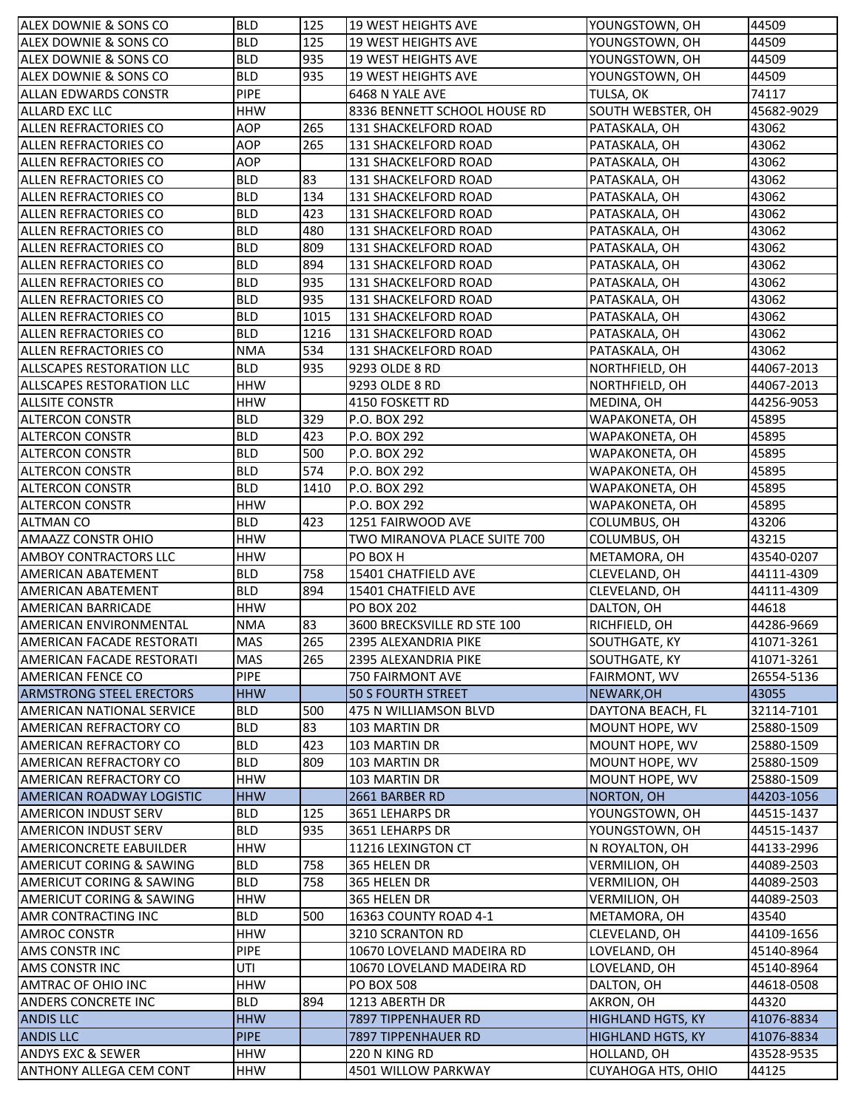| ALEX DOWNIE & SONS CO               | <b>BLD</b>  | 125  | <b>19 WEST HEIGHTS AVE</b>   | YOUNGSTOWN, OH           | 44509      |
|-------------------------------------|-------------|------|------------------------------|--------------------------|------------|
| ALEX DOWNIE & SONS CO               | <b>BLD</b>  | 125  | <b>19 WEST HEIGHTS AVE</b>   | YOUNGSTOWN, OH           | 44509      |
| ALEX DOWNIE & SONS CO               | <b>BLD</b>  | 935  | <b>19 WEST HEIGHTS AVE</b>   | YOUNGSTOWN, OH           | 44509      |
| ALEX DOWNIE & SONS CO               | <b>BLD</b>  | 935  | <b>19 WEST HEIGHTS AVE</b>   | YOUNGSTOWN, OH           | 44509      |
| <b>ALLAN EDWARDS CONSTR</b>         | <b>PIPE</b> |      | 6468 N YALE AVE              | TULSA, OK                | 74117      |
| <b>ALLARD EXC LLC</b>               | <b>HHW</b>  |      | 8336 BENNETT SCHOOL HOUSE RD | SOUTH WEBSTER, OH        | 45682-9029 |
| <b>ALLEN REFRACTORIES CO</b>        | <b>AOP</b>  | 265  | 131 SHACKELFORD ROAD         | PATASKALA, OH            | 43062      |
| ALLEN REFRACTORIES CO               | <b>AOP</b>  | 265  | 131 SHACKELFORD ROAD         | PATASKALA, OH            | 43062      |
| ALLEN REFRACTORIES CO               | <b>AOP</b>  |      | 131 SHACKELFORD ROAD         | PATASKALA, OH            | 43062      |
| ALLEN REFRACTORIES CO               | <b>BLD</b>  | 83   | 131 SHACKELFORD ROAD         | PATASKALA, OH            | 43062      |
| <b>ALLEN REFRACTORIES CO</b>        | <b>BLD</b>  | 134  | 131 SHACKELFORD ROAD         | PATASKALA, OH            | 43062      |
| ALLEN REFRACTORIES CO               | <b>BLD</b>  | 423  | 131 SHACKELFORD ROAD         | PATASKALA, OH            | 43062      |
| ALLEN REFRACTORIES CO               | <b>BLD</b>  | 480  | 131 SHACKELFORD ROAD         | PATASKALA, OH            | 43062      |
| ALLEN REFRACTORIES CO               | <b>BLD</b>  | 809  | 131 SHACKELFORD ROAD         | PATASKALA, OH            | 43062      |
| ALLEN REFRACTORIES CO               | <b>BLD</b>  | 894  | 131 SHACKELFORD ROAD         | PATASKALA, OH            | 43062      |
| ALLEN REFRACTORIES CO               | <b>BLD</b>  | 935  | 131 SHACKELFORD ROAD         | PATASKALA, OH            | 43062      |
| ALLEN REFRACTORIES CO               | <b>BLD</b>  | 935  | 131 SHACKELFORD ROAD         | PATASKALA, OH            | 43062      |
| ALLEN REFRACTORIES CO               | <b>BLD</b>  | 1015 | 131 SHACKELFORD ROAD         | PATASKALA, OH            | 43062      |
| ALLEN REFRACTORIES CO               | <b>BLD</b>  | 1216 | 131 SHACKELFORD ROAD         | PATASKALA, OH            | 43062      |
| ALLEN REFRACTORIES CO               | <b>NMA</b>  | 534  | 131 SHACKELFORD ROAD         | PATASKALA, OH            | 43062      |
| <b>ALLSCAPES RESTORATION LLC</b>    | <b>BLD</b>  | 935  | 9293 OLDE 8 RD               | NORTHFIELD, OH           | 44067-2013 |
| <b>ALLSCAPES RESTORATION LLC</b>    | <b>HHW</b>  |      | 9293 OLDE 8 RD               | NORTHFIELD, OH           | 44067-2013 |
| <b>ALLSITE CONSTR</b>               | <b>HHW</b>  |      | 4150 FOSKETT RD              | MEDINA, OH               | 44256-9053 |
| <b>ALTERCON CONSTR</b>              | <b>BLD</b>  | 329  | P.O. BOX 292                 | WAPAKONETA, OH           | 45895      |
| <b>ALTERCON CONSTR</b>              | <b>BLD</b>  | 423  | P.O. BOX 292                 | WAPAKONETA, OH           | 45895      |
| <b>ALTERCON CONSTR</b>              | <b>BLD</b>  | 500  | P.O. BOX 292                 | WAPAKONETA, OH           | 45895      |
| <b>ALTERCON CONSTR</b>              | <b>BLD</b>  | 574  | P.O. BOX 292                 | WAPAKONETA, OH           | 45895      |
| <b>ALTERCON CONSTR</b>              | <b>BLD</b>  | 1410 | P.O. BOX 292                 | WAPAKONETA, OH           | 45895      |
| <b>ALTERCON CONSTR</b>              | <b>HHW</b>  |      | P.O. BOX 292                 | WAPAKONETA, OH           | 45895      |
| <b>ALTMAN CO</b>                    | <b>BLD</b>  | 423  | 1251 FAIRWOOD AVE            | COLUMBUS, OH             | 43206      |
| <b>AMAAZZ CONSTR OHIO</b>           | <b>HHW</b>  |      | TWO MIRANOVA PLACE SUITE 700 | COLUMBUS, OH             | 43215      |
| <b>AMBOY CONTRACTORS LLC</b>        | <b>HHW</b>  |      | PO BOX H                     | METAMORA, OH             | 43540-0207 |
| <b>AMERICAN ABATEMENT</b>           | <b>BLD</b>  | 758  | 15401 CHATFIELD AVE          | CLEVELAND, OH            | 44111-4309 |
| <b>AMERICAN ABATEMENT</b>           | <b>BLD</b>  | 894  | 15401 CHATFIELD AVE          | CLEVELAND, OH            | 44111-4309 |
|                                     |             |      | <b>PO BOX 202</b>            | DALTON, OH               | 44618      |
| <b>AMERICAN BARRICADE</b>           | <b>HHW</b>  |      |                              |                          |            |
| AMERICAN ENVIRONMENTAL              | <b>NMA</b>  | 83   | 3600 BRECKSVILLE RD STE 100  | RICHFIELD, OH            | 44286-9669 |
| AMERICAN FACADE RESTORATI           | <b>MAS</b>  | 265  | 2395 ALEXANDRIA PIKE         | SOUTHGATE, KY            | 41071-3261 |
| AMERICAN FACADE RESTORATI           | <b>MAS</b>  | 265  | 2395 ALEXANDRIA PIKE         | SOUTHGATE, KY            | 41071-3261 |
| <b>AMERICAN FENCE CO</b>            | <b>PIPE</b> |      | 750 FAIRMONT AVE             | FAIRMONT, WV             | 26554-5136 |
| <b>ARMSTRONG STEEL ERECTORS</b>     | <b>HHW</b>  |      | <b>50 S FOURTH STREET</b>    | NEWARK, OH               | 43055      |
| AMERICAN NATIONAL SERVICE           | <b>BLD</b>  | 500  | 475 N WILLIAMSON BLVD        | DAYTONA BEACH, FL        | 32114-7101 |
| AMERICAN REFRACTORY CO              | <b>BLD</b>  | 83   | 103 MARTIN DR                | MOUNT HOPE, WV           | 25880-1509 |
| AMERICAN REFRACTORY CO              | <b>BLD</b>  | 423  | 103 MARTIN DR                | MOUNT HOPE, WV           | 25880-1509 |
| AMERICAN REFRACTORY CO              | <b>BLD</b>  | 809  | 103 MARTIN DR                | MOUNT HOPE, WV           | 25880-1509 |
| <b>AMERICAN REFRACTORY CO</b>       | <b>HHW</b>  |      | 103 MARTIN DR                | MOUNT HOPE, WV           | 25880-1509 |
| AMERICAN ROADWAY LOGISTIC           | <b>HHW</b>  |      | 2661 BARBER RD               | NORTON, OH               | 44203-1056 |
| <b>AMERICON INDUST SERV</b>         | <b>BLD</b>  | 125  | 3651 LEHARPS DR              | YOUNGSTOWN, OH           | 44515-1437 |
| <b>AMERICON INDUST SERV</b>         | <b>BLD</b>  | 935  | 3651 LEHARPS DR              | YOUNGSTOWN, OH           | 44515-1437 |
| <b>AMERICONCRETE EABUILDER</b>      | <b>HHW</b>  |      | 11216 LEXINGTON CT           | N ROYALTON, OH           | 44133-2996 |
| <b>AMERICUT CORING &amp; SAWING</b> | <b>BLD</b>  | 758  | 365 HELEN DR                 | <b>VERMILION, OH</b>     | 44089-2503 |
| AMERICUT CORING & SAWING            | <b>BLD</b>  | 758  | 365 HELEN DR                 | VERMILION, OH            | 44089-2503 |
| AMERICUT CORING & SAWING            | <b>HHW</b>  |      | 365 HELEN DR                 | VERMILION, OH            | 44089-2503 |
| <b>AMR CONTRACTING INC</b>          | <b>BLD</b>  | 500  | 16363 COUNTY ROAD 4-1        | METAMORA, OH             | 43540      |
| AMROC CONSTR                        | <b>HHW</b>  |      | 3210 SCRANTON RD             | CLEVELAND, OH            | 44109-1656 |
| AMS CONSTR INC                      | <b>PIPE</b> |      | 10670 LOVELAND MADEIRA RD    | LOVELAND, OH             | 45140-8964 |
| <b>AMS CONSTR INC</b>               | UTI         |      | 10670 LOVELAND MADEIRA RD    | LOVELAND, OH             | 45140-8964 |
| AMTRAC OF OHIO INC                  | <b>HHW</b>  |      | <b>PO BOX 508</b>            | DALTON, OH               | 44618-0508 |
| <b>ANDERS CONCRETE INC</b>          | <b>BLD</b>  | 894  | 1213 ABERTH DR               | AKRON, OH                | 44320      |
| <b>ANDIS LLC</b>                    | <b>HHW</b>  |      | 7897 TIPPENHAUER RD          | <b>HIGHLAND HGTS, KY</b> | 41076-8834 |
| <b>ANDIS LLC</b>                    | <b>PIPE</b> |      | 7897 TIPPENHAUER RD          | <b>HIGHLAND HGTS, KY</b> | 41076-8834 |
| <b>ANDYS EXC &amp; SEWER</b>        | <b>HHW</b>  |      | 220 N KING RD                | HOLLAND, OH              | 43528-9535 |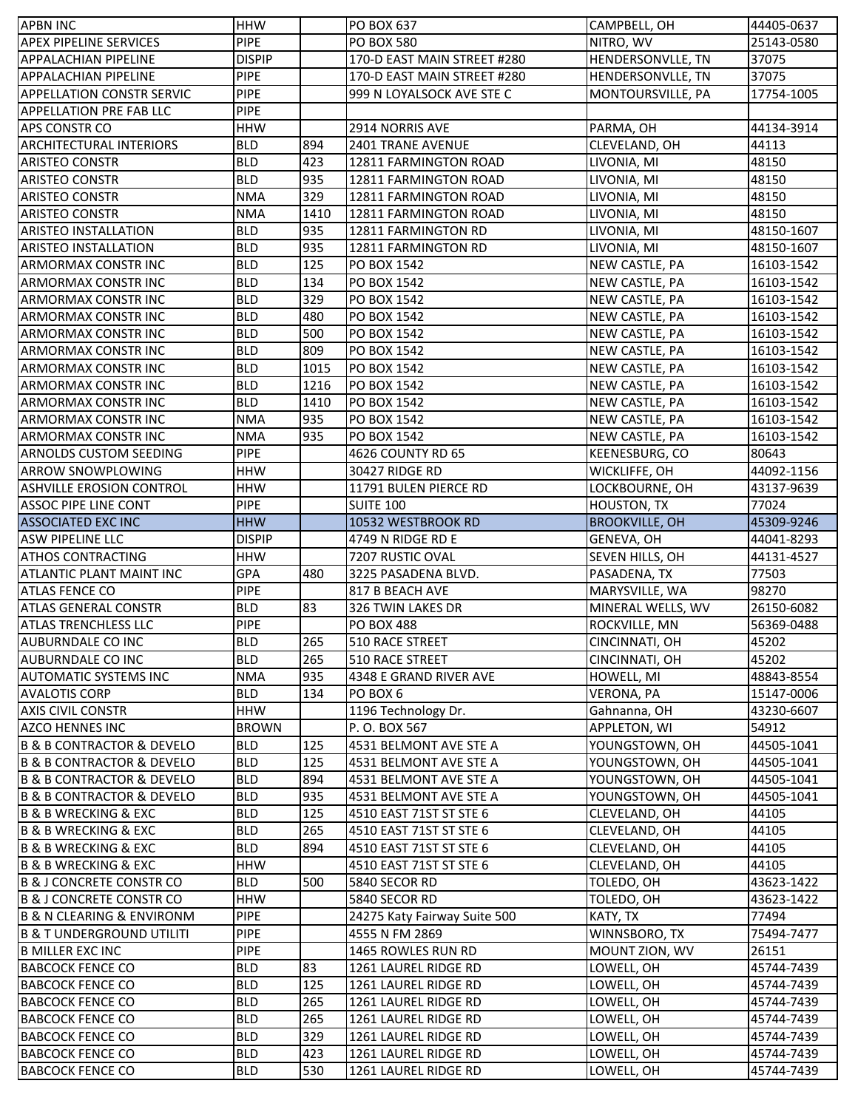| <b>APBN INC</b>                          | <b>HHW</b>    |      | <b>PO BOX 637</b>            | CAMPBELL, OH          | 44405-0637 |
|------------------------------------------|---------------|------|------------------------------|-----------------------|------------|
| <b>APEX PIPELINE SERVICES</b>            | <b>PIPE</b>   |      | <b>PO BOX 580</b>            | NITRO, WV             | 25143-0580 |
| <b>APPALACHIAN PIPELINE</b>              | <b>DISPIP</b> |      | 170-D EAST MAIN STREET #280  | HENDERSONVLLE, TN     | 37075      |
| <b>APPALACHIAN PIPELINE</b>              | <b>PIPE</b>   |      | 170-D EAST MAIN STREET #280  | HENDERSONVLLE, TN     | 37075      |
| <b>APPELLATION CONSTR SERVIC</b>         | <b>PIPE</b>   |      | 999 N LOYALSOCK AVE STE C    | MONTOURSVILLE, PA     | 17754-1005 |
| <b>APPELLATION PRE FAB LLC</b>           | <b>PIPE</b>   |      |                              |                       |            |
| <b>APS CONSTR CO</b>                     | <b>HHW</b>    |      | 2914 NORRIS AVE              | PARMA, OH             | 44134-3914 |
| <b>ARCHITECTURAL INTERIORS</b>           | <b>BLD</b>    | 894  | <b>2401 TRANE AVENUE</b>     | CLEVELAND, OH         | 44113      |
| <b>ARISTEO CONSTR</b>                    | <b>BLD</b>    | 423  | 12811 FARMINGTON ROAD        | LIVONIA, MI           | 48150      |
| <b>ARISTEO CONSTR</b>                    | <b>BLD</b>    | 935  | 12811 FARMINGTON ROAD        | LIVONIA, MI           | 48150      |
| <b>ARISTEO CONSTR</b>                    | <b>NMA</b>    | 329  | 12811 FARMINGTON ROAD        | LIVONIA, MI           | 48150      |
| <b>ARISTEO CONSTR</b>                    | <b>NMA</b>    | 1410 | 12811 FARMINGTON ROAD        | LIVONIA, MI           | 48150      |
| <b>ARISTEO INSTALLATION</b>              | <b>BLD</b>    | 935  | 12811 FARMINGTON RD          | LIVONIA, MI           | 48150-1607 |
| <b>ARISTEO INSTALLATION</b>              | <b>BLD</b>    | 935  | 12811 FARMINGTON RD          | LIVONIA, MI           | 48150-1607 |
| <b>ARMORMAX CONSTR INC</b>               | <b>BLD</b>    | 125  | PO BOX 1542                  | NEW CASTLE, PA        | 16103-1542 |
| <b>ARMORMAX CONSTR INC</b>               | <b>BLD</b>    | 134  | <b>PO BOX 1542</b>           | NEW CASTLE, PA        | 16103-1542 |
| <b>ARMORMAX CONSTR INC</b>               | <b>BLD</b>    | 329  | PO BOX 1542                  | NEW CASTLE, PA        | 16103-1542 |
| <b>ARMORMAX CONSTR INC</b>               | <b>BLD</b>    | 480  | <b>PO BOX 1542</b>           | NEW CASTLE, PA        | 16103-1542 |
| <b>ARMORMAX CONSTRINC</b>                | <b>BLD</b>    | 500  | PO BOX 1542                  | NEW CASTLE, PA        | 16103-1542 |
| <b>ARMORMAX CONSTR INC</b>               | <b>BLD</b>    | 809  | PO BOX 1542                  | NEW CASTLE, PA        | 16103-1542 |
| <b>ARMORMAX CONSTR INC</b>               | <b>BLD</b>    | 1015 | <b>PO BOX 1542</b>           | NEW CASTLE, PA        | 16103-1542 |
| ARMORMAX CONSTR INC                      | <b>BLD</b>    | 1216 | PO BOX 1542                  | NEW CASTLE, PA        | 16103-1542 |
| <b>ARMORMAX CONSTR INC</b>               | <b>BLD</b>    | 1410 | <b>PO BOX 1542</b>           | NEW CASTLE, PA        | 16103-1542 |
| <b>ARMORMAX CONSTRINC</b>                | <b>NMA</b>    | 935  | PO BOX 1542                  | NEW CASTLE, PA        | 16103-1542 |
| <b>ARMORMAX CONSTR INC</b>               | <b>NMA</b>    | 935  | PO BOX 1542                  | NEW CASTLE, PA        | 16103-1542 |
| <b>ARNOLDS CUSTOM SEEDING</b>            | <b>PIPE</b>   |      | 4626 COUNTY RD 65            | KEENESBURG, CO        | 80643      |
| <b>ARROW SNOWPLOWING</b>                 | <b>HHW</b>    |      | <b>30427 RIDGE RD</b>        | WICKLIFFE, OH         | 44092-1156 |
| <b>ASHVILLE EROSION CONTROL</b>          | <b>HHW</b>    |      | 11791 BULEN PIERCE RD        | LOCKBOURNE, OH        | 43137-9639 |
| <b>ASSOC PIPE LINE CONT</b>              | <b>PIPE</b>   |      | <b>SUITE 100</b>             | <b>HOUSTON, TX</b>    | 77024      |
| <b>ASSOCIATED EXC INC</b>                | <b>HHW</b>    |      | 10532 WESTBROOK RD           | <b>BROOKVILLE, OH</b> | 45309-9246 |
| <b>ASW PIPELINE LLC</b>                  | <b>DISPIP</b> |      | 4749 N RIDGE RD E            | GENEVA, OH            | 44041-8293 |
| <b>ATHOS CONTRACTING</b>                 | <b>HHW</b>    |      | 7207 RUSTIC OVAL             | SEVEN HILLS, OH       | 44131-4527 |
| <b>ATLANTIC PLANT MAINT INC</b>          | <b>GPA</b>    | 480  | 3225 PASADENA BLVD.          | PASADENA, TX          | 77503      |
| <b>ATLAS FENCE CO</b>                    | <b>PIPE</b>   |      | 817 B BEACH AVE              | MARYSVILLE, WA        | 98270      |
| <b>ATLAS GENERAL CONSTR</b>              | <b>BLD</b>    | 83   | 326 TWIN LAKES DR            | MINERAL WELLS, WV     | 26150-6082 |
| <b>ATLAS TRENCHLESS LLC</b>              | PIPE          |      | <b>PO BOX 488</b>            | ROCKVILLE, MN         | 56369-0488 |
| AUBURNDALE CO INC                        | <b>BLD</b>    | 265  | 510 RACE STREET              | CINCINNATI, OH        | 45202      |
| AUBURNDALE CO INC                        | <b>BLD</b>    | 265  | 510 RACE STREET              | CINCINNATI, OH        | 45202      |
| <b>AUTOMATIC SYSTEMS INC</b>             | <b>NMA</b>    | 935  | 4348 E GRAND RIVER AVE       | <b>HOWELL, MI</b>     | 48843-8554 |
| <b>AVALOTIS CORP</b>                     | <b>BLD</b>    | 134  | PO BOX 6                     | VERONA, PA            | 15147-0006 |
| <b>AXIS CIVIL CONSTR</b>                 | HHW           |      | 1196 Technology Dr.          | Gahnanna, OH          | 43230-6607 |
| <b>AZCO HENNES INC</b>                   | <b>BROWN</b>  |      | P.O. BOX 567                 | APPLETON, WI          | 54912      |
| <b>B &amp; B CONTRACTOR &amp; DEVELO</b> | <b>BLD</b>    | 125  | 4531 BELMONT AVE STE A       | YOUNGSTOWN, OH        | 44505-1041 |
| <b>B &amp; B CONTRACTOR &amp; DEVELO</b> | <b>BLD</b>    | 125  | 4531 BELMONT AVE STE A       | YOUNGSTOWN, OH        | 44505-1041 |
| <b>B &amp; B CONTRACTOR &amp; DEVELO</b> | <b>BLD</b>    | 894  | 4531 BELMONT AVE STE A       | YOUNGSTOWN, OH        | 44505-1041 |
| <b>B &amp; B CONTRACTOR &amp; DEVELO</b> | <b>BLD</b>    | 935  | 4531 BELMONT AVE STE A       | YOUNGSTOWN, OH        | 44505-1041 |
| <b>B &amp; B WRECKING &amp; EXC</b>      | <b>BLD</b>    | 125  | 4510 EAST 71ST ST STE 6      | CLEVELAND, OH         | 44105      |
| B & B WRECKING & EXC                     | <b>BLD</b>    | 265  | 4510 EAST 71ST ST STE 6      | CLEVELAND, OH         | 44105      |
| B & B WRECKING & EXC                     | <b>BLD</b>    | 894  | 4510 EAST 71ST ST STE 6      | CLEVELAND, OH         | 44105      |
| B & B WRECKING & EXC                     | <b>HHW</b>    |      | 4510 EAST 71ST ST STE 6      | CLEVELAND, OH         | 44105      |
| B & J CONCRETE CONSTR CO                 | <b>BLD</b>    | 500  | 5840 SECOR RD                | TOLEDO, OH            | 43623-1422 |
| <b>B &amp; J CONCRETE CONSTR CO</b>      | <b>HHW</b>    |      | 5840 SECOR RD                | TOLEDO, OH            | 43623-1422 |
| <b>B &amp; N CLEARING &amp; ENVIRONM</b> | <b>PIPE</b>   |      | 24275 Katy Fairway Suite 500 | KATY, TX              | 77494      |
| <b>B &amp; T UNDERGROUND UTILITI</b>     | <b>PIPE</b>   |      | 4555 N FM 2869               | WINNSBORO, TX         | 75494-7477 |
| <b>B MILLER EXC INC</b>                  | <b>PIPE</b>   |      | 1465 ROWLES RUN RD           | MOUNT ZION, WV        | 26151      |
| <b>BABCOCK FENCE CO</b>                  | <b>BLD</b>    | 83   | 1261 LAUREL RIDGE RD         | LOWELL, OH            | 45744-7439 |
| <b>BABCOCK FENCE CO</b>                  | <b>BLD</b>    | 125  | 1261 LAUREL RIDGE RD         | LOWELL, OH            | 45744-7439 |
| <b>BABCOCK FENCE CO</b>                  | <b>BLD</b>    | 265  | 1261 LAUREL RIDGE RD         | LOWELL, OH            | 45744-7439 |
| <b>BABCOCK FENCE CO</b>                  | <b>BLD</b>    | 265  | 1261 LAUREL RIDGE RD         | LOWELL, OH            | 45744-7439 |
| <b>BABCOCK FENCE CO</b>                  | <b>BLD</b>    | 329  | 1261 LAUREL RIDGE RD         | LOWELL, OH            | 45744-7439 |
| <b>BABCOCK FENCE CO</b>                  | <b>BLD</b>    | 423  | 1261 LAUREL RIDGE RD         | LOWELL, OH            | 45744-7439 |
| <b>BABCOCK FENCE CO</b>                  | <b>BLD</b>    | 530  | 1261 LAUREL RIDGE RD         | LOWELL, OH            | 45744-7439 |
|                                          |               |      |                              |                       |            |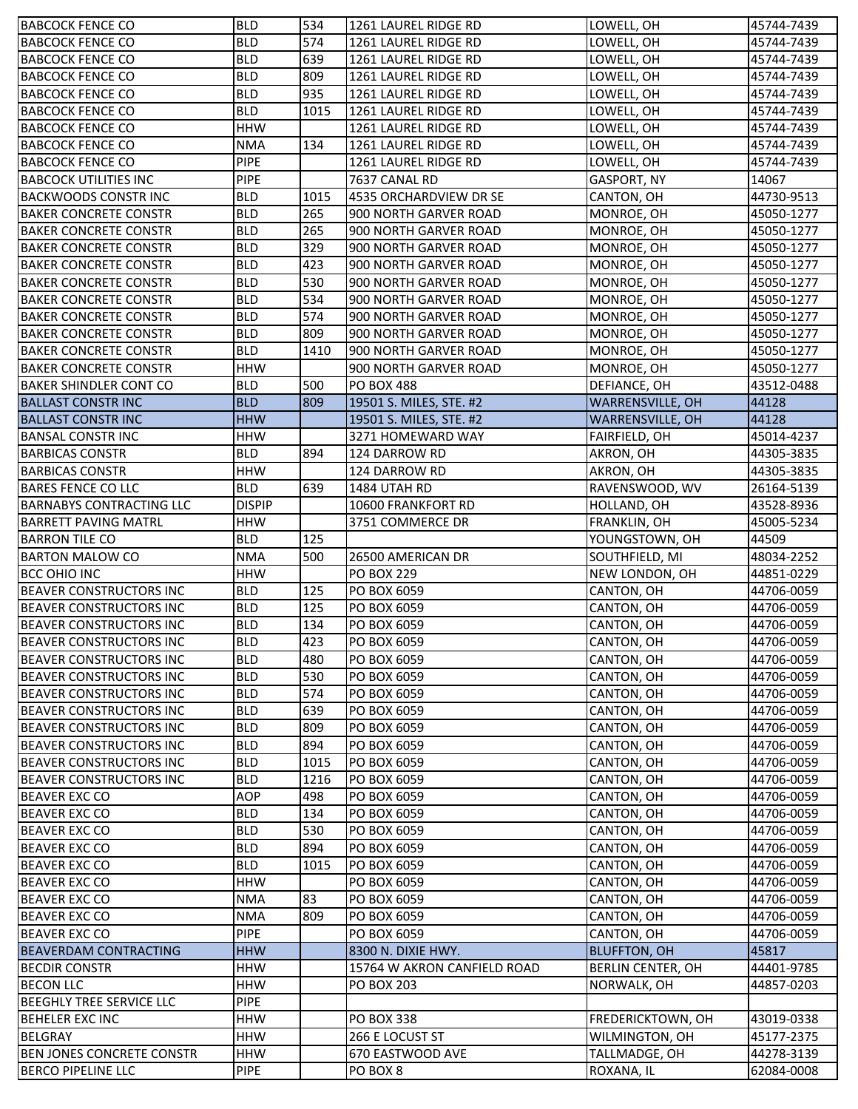| <b>BABCOCK FENCE CO</b>          | <b>BLD</b>    | 534  | 1261 LAUREL RIDGE RD        | LOWELL, OH              | 45744-7439 |
|----------------------------------|---------------|------|-----------------------------|-------------------------|------------|
| <b>BABCOCK FENCE CO</b>          | <b>BLD</b>    | 574  | 1261 LAUREL RIDGE RD        | LOWELL, OH              | 45744-7439 |
| <b>BABCOCK FENCE CO</b>          | <b>BLD</b>    | 639  | 1261 LAUREL RIDGE RD        | LOWELL, OH              | 45744-7439 |
| <b>BABCOCK FENCE CO</b>          | <b>BLD</b>    | 809  | 1261 LAUREL RIDGE RD        | LOWELL, OH              | 45744-7439 |
| <b>BABCOCK FENCE CO</b>          | <b>BLD</b>    | 935  | 1261 LAUREL RIDGE RD        | LOWELL, OH              | 45744-7439 |
| <b>BABCOCK FENCE CO</b>          | <b>BLD</b>    | 1015 | 1261 LAUREL RIDGE RD        | LOWELL, OH              | 45744-7439 |
| <b>BABCOCK FENCE CO</b>          | <b>HHW</b>    |      | 1261 LAUREL RIDGE RD        | LOWELL, OH              | 45744-7439 |
| <b>BABCOCK FENCE CO</b>          | <b>NMA</b>    | 134  | 1261 LAUREL RIDGE RD        | LOWELL, OH              | 45744-7439 |
| <b>BABCOCK FENCE CO</b>          | <b>PIPE</b>   |      | 1261 LAUREL RIDGE RD        | LOWELL, OH              | 45744-7439 |
| <b>BABCOCK UTILITIES INC</b>     | <b>PIPE</b>   |      | 7637 CANAL RD               | <b>GASPORT, NY</b>      | 14067      |
| <b>BACKWOODS CONSTRINC</b>       | <b>BLD</b>    | 1015 | 4535 ORCHARDVIEW DR SE      | CANTON, OH              | 44730-9513 |
| <b>BAKER CONCRETE CONSTR</b>     | <b>BLD</b>    | 265  | 900 NORTH GARVER ROAD       | MONROE, OH              | 45050-1277 |
| <b>BAKER CONCRETE CONSTR</b>     | <b>BLD</b>    | 265  | 900 NORTH GARVER ROAD       | MONROE, OH              | 45050-1277 |
| <b>BAKER CONCRETE CONSTR</b>     | <b>BLD</b>    | 329  | 900 NORTH GARVER ROAD       | MONROE, OH              | 45050-1277 |
| <b>BAKER CONCRETE CONSTR</b>     | <b>BLD</b>    | 423  | 900 NORTH GARVER ROAD       | MONROE, OH              | 45050-1277 |
| <b>BAKER CONCRETE CONSTR</b>     | <b>BLD</b>    | 530  | 900 NORTH GARVER ROAD       | MONROE, OH              | 45050-1277 |
| <b>BAKER CONCRETE CONSTR</b>     | <b>BLD</b>    | 534  | 900 NORTH GARVER ROAD       | MONROE, OH              | 45050-1277 |
| <b>BAKER CONCRETE CONSTR</b>     | <b>BLD</b>    | 574  | 900 NORTH GARVER ROAD       | MONROE, OH              | 45050-1277 |
| <b>BAKER CONCRETE CONSTR</b>     | <b>BLD</b>    | 809  | 900 NORTH GARVER ROAD       | MONROE, OH              | 45050-1277 |
| <b>BAKER CONCRETE CONSTR</b>     | <b>BLD</b>    | 1410 | 900 NORTH GARVER ROAD       | MONROE, OH              | 45050-1277 |
| <b>BAKER CONCRETE CONSTR</b>     | <b>HHW</b>    |      | 900 NORTH GARVER ROAD       | MONROE, OH              | 45050-1277 |
| <b>BAKER SHINDLER CONT CO</b>    | <b>BLD</b>    | 500  | <b>PO BOX 488</b>           | DEFIANCE, OH            | 43512-0488 |
| <b>BALLAST CONSTRING</b>         | <b>BLD</b>    | 809  | 19501 S. MILES, STE. #2     | <b>WARRENSVILLE, OH</b> | 44128      |
| <b>BALLAST CONSTRINC</b>         | <b>HHW</b>    |      | 19501 S. MILES, STE. #2     | WARRENSVILLE, OH        | 44128      |
| <b>BANSAL CONSTR INC</b>         | <b>HHW</b>    |      | 3271 HOMEWARD WAY           | <b>FAIRFIELD, OH</b>    | 45014-4237 |
| <b>BARBICAS CONSTR</b>           | <b>BLD</b>    | 894  | 124 DARROW RD               | AKRON, OH               | 44305-3835 |
| <b>BARBICAS CONSTR</b>           | <b>HHW</b>    |      | 124 DARROW RD               | AKRON, OH               | 44305-3835 |
| <b>BARES FENCE CO LLC</b>        | <b>BLD</b>    | 639  | 1484 UTAH RD                | RAVENSWOOD, WV          | 26164-5139 |
| <b>BARNABYS CONTRACTING LLC</b>  | <b>DISPIP</b> |      | <b>10600 FRANKFORT RD</b>   | HOLLAND, OH             | 43528-8936 |
| <b>BARRETT PAVING MATRL</b>      | <b>HHW</b>    |      | 3751 COMMERCE DR            | FRANKLIN, OH            | 45005-5234 |
| <b>BARRON TILE CO</b>            | <b>BLD</b>    | 125  |                             | YOUNGSTOWN, OH          | 44509      |
| <b>BARTON MALOW CO</b>           | <b>NMA</b>    | 500  | 26500 AMERICAN DR           | SOUTHFIELD, MI          | 48034-2252 |
| <b>BCC OHIO INC</b>              | <b>HHW</b>    |      | <b>PO BOX 229</b>           | NEW LONDON, OH          | 44851-0229 |
| <b>BEAVER CONSTRUCTORS INC</b>   | <b>BLD</b>    | 125  | PO BOX 6059                 | CANTON, OH              | 44706-0059 |
| <b>BEAVER CONSTRUCTORS INC</b>   | <b>BLD</b>    | 125  | PO BOX 6059                 | CANTON, OH              | 44706-0059 |
| <b>BEAVER CONSTRUCTORS INC</b>   | <b>BLD</b>    | 134  | PO BOX 6059                 | CANTON, OH              | 44706-0059 |
| <b>BEAVER CONSTRUCTORS INC</b>   | <b>BLD</b>    | 423  | PO BOX 6059                 | CANTON, OH              | 44706-0059 |
| <b>BEAVER CONSTRUCTORS INC</b>   | <b>BLD</b>    | 480  | PO BOX 6059                 | CANTON, OH              | 44706-0059 |
| <b>BEAVER CONSTRUCTORS INC</b>   | <b>BLD</b>    | 530  | PO BOX 6059                 | CANTON, OH              | 44706-0059 |
| <b>BEAVER CONSTRUCTORS INC</b>   | <b>BLD</b>    | 574  | PO BOX 6059                 | CANTON, OH              | 44706-0059 |
| <b>BEAVER CONSTRUCTORS INC</b>   | <b>BLD</b>    | 639  | PO BOX 6059                 | CANTON, OH              | 44706-0059 |
| BEAVER CONSTRUCTORS INC          | <b>BLD</b>    | 809  | PO BOX 6059                 | CANTON, OH              | 44706-0059 |
| BEAVER CONSTRUCTORS INC          | <b>BLD</b>    | 894  | PO BOX 6059                 | CANTON, OH              | 44706-0059 |
| <b>BEAVER CONSTRUCTORS INC</b>   | <b>BLD</b>    | 1015 | <b>PO BOX 6059</b>          | CANTON, OH              | 44706-0059 |
| BEAVER CONSTRUCTORS INC          | <b>BLD</b>    | 1216 | PO BOX 6059                 | CANTON, OH              | 44706-0059 |
| <b>BEAVER EXC CO</b>             | <b>AOP</b>    | 498  | PO BOX 6059                 | CANTON, OH              | 44706-0059 |
| <b>BEAVER EXC CO</b>             | <b>BLD</b>    | 134  | PO BOX 6059                 | CANTON, OH              | 44706-0059 |
| <b>BEAVER EXC CO</b>             | <b>BLD</b>    | 530  | PO BOX 6059                 | CANTON, OH              | 44706-0059 |
| <b>BEAVER EXC CO</b>             | <b>BLD</b>    | 894  | PO BOX 6059                 | CANTON, OH              | 44706-0059 |
| <b>BEAVER EXC CO</b>             | <b>BLD</b>    | 1015 | PO BOX 6059                 | CANTON, OH              | 44706-0059 |
| <b>BEAVER EXC CO</b>             | <b>HHW</b>    |      | PO BOX 6059                 | CANTON, OH              | 44706-0059 |
| <b>BEAVER EXC CO</b>             | <b>NMA</b>    | 83   | PO BOX 6059                 | CANTON, OH              | 44706-0059 |
| <b>BEAVER EXC CO</b>             | <b>NMA</b>    | 809  | PO BOX 6059                 | CANTON, OH              | 44706-0059 |
| <b>BEAVER EXC CO</b>             | <b>PIPE</b>   |      | PO BOX 6059                 | CANTON, OH              | 44706-0059 |
| <b>BEAVERDAM CONTRACTING</b>     | <b>HHW</b>    |      | 8300 N. DIXIE HWY.          | <b>BLUFFTON, OH</b>     | 45817      |
| <b>BECDIR CONSTR</b>             | <b>HHW</b>    |      | 15764 W AKRON CANFIELD ROAD | BERLIN CENTER, OH       | 44401-9785 |
| <b>BECON LLC</b>                 | <b>HHW</b>    |      | <b>PO BOX 203</b>           | NORWALK, OH             | 44857-0203 |
| <b>BEEGHLY TREE SERVICE LLC</b>  | <b>PIPE</b>   |      |                             |                         |            |
| <b>BEHELER EXC INC</b>           | <b>HHW</b>    |      | <b>PO BOX 338</b>           | FREDERICKTOWN, OH       | 43019-0338 |
| <b>BELGRAY</b>                   | <b>HHW</b>    |      | 266 E LOCUST ST             | WILMINGTON, OH          | 45177-2375 |
| <b>BEN JONES CONCRETE CONSTR</b> | <b>HHW</b>    |      | 670 EASTWOOD AVE            | TALLMADGE, OH           | 44278-3139 |
| <b>BERCO PIPELINE LLC</b>        | <b>PIPE</b>   |      | PO BOX 8                    | ROXANA, IL              | 62084-0008 |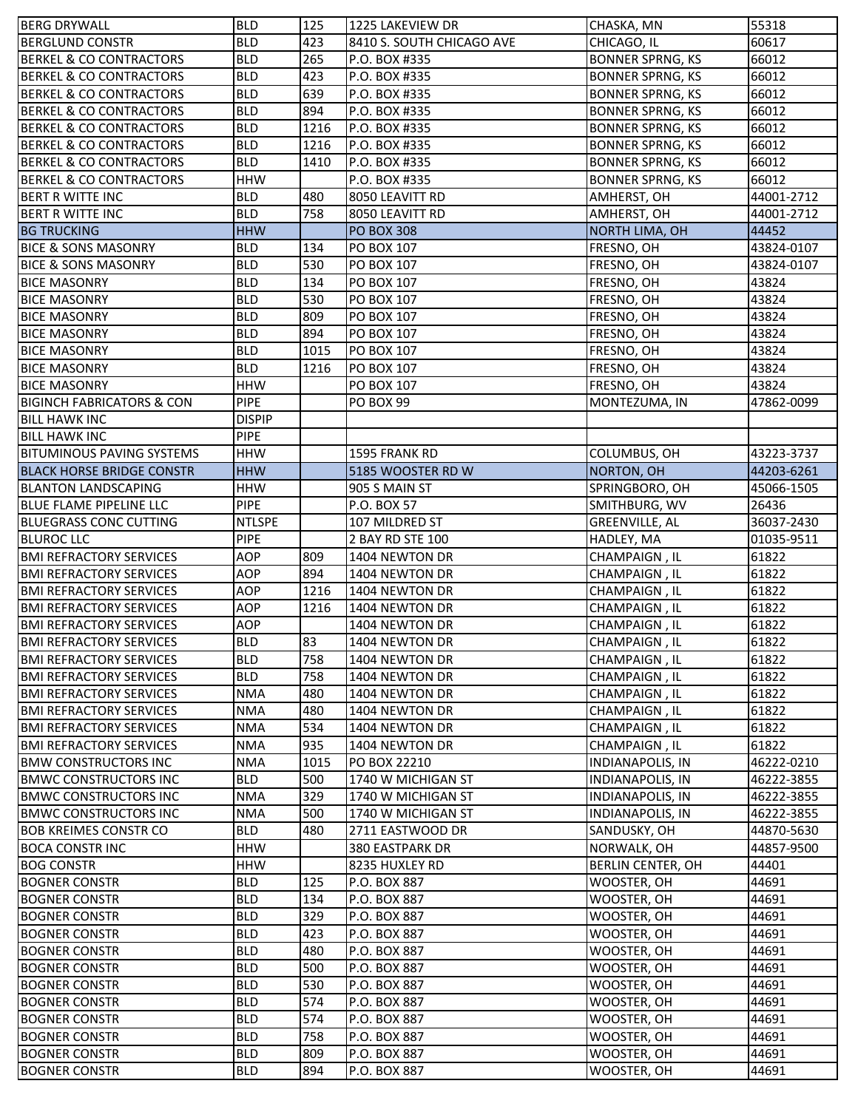| <b>BERG DRYWALL</b>                                          | <b>BLD</b>               | 125         | 1225 LAKEVIEW DR                         | CHASKA, MN                  | 55318                    |
|--------------------------------------------------------------|--------------------------|-------------|------------------------------------------|-----------------------------|--------------------------|
| <b>BERGLUND CONSTR</b>                                       | <b>BLD</b>               | 423         | 8410 S. SOUTH CHICAGO AVE                | CHICAGO, IL                 | 60617                    |
| <b>BERKEL &amp; CO CONTRACTORS</b>                           | <b>BLD</b>               | 265         | P.O. BOX #335                            | <b>BONNER SPRNG, KS</b>     | 66012                    |
| <b>BERKEL &amp; CO CONTRACTORS</b>                           | <b>BLD</b>               | 423         | P.O. BOX #335                            | <b>BONNER SPRNG, KS</b>     | 66012                    |
| <b>BERKEL &amp; CO CONTRACTORS</b>                           | <b>BLD</b>               | 639         | P.O. BOX #335                            | <b>BONNER SPRNG, KS</b>     | 66012                    |
| <b>BERKEL &amp; CO CONTRACTORS</b>                           | <b>BLD</b>               | 894         | P.O. BOX #335                            | <b>BONNER SPRNG, KS</b>     | 66012                    |
| <b>BERKEL &amp; CO CONTRACTORS</b>                           | <b>BLD</b>               | 1216        | P.O. BOX #335                            | <b>BONNER SPRNG, KS</b>     | 66012                    |
| <b>BERKEL &amp; CO CONTRACTORS</b>                           | <b>BLD</b>               | 1216        | P.O. BOX #335                            | <b>BONNER SPRNG, KS</b>     | 66012                    |
| <b>BERKEL &amp; CO CONTRACTORS</b>                           | <b>BLD</b>               | 1410        | P.O. BOX #335                            | <b>BONNER SPRNG, KS</b>     | 66012                    |
| <b>BERKEL &amp; CO CONTRACTORS</b>                           | <b>HHW</b>               |             | P.O. BOX #335                            | <b>BONNER SPRNG, KS</b>     | 66012                    |
| <b>BERT R WITTE INC</b>                                      | <b>BLD</b>               | 480         | 8050 LEAVITT RD                          | AMHERST, OH                 | 44001-2712               |
| <b>BERT R WITTE INC</b>                                      | <b>BLD</b>               | 758         | 8050 LEAVITT RD                          | AMHERST, OH                 | 44001-2712               |
| <b>BG TRUCKING</b>                                           | <b>HHW</b>               |             | <b>PO BOX 308</b>                        | <b>NORTH LIMA, OH</b>       | 44452                    |
| <b>BICE &amp; SONS MASONRY</b>                               | <b>BLD</b>               | 134         | PO BOX 107                               | FRESNO, OH                  | 43824-0107               |
| <b>BICE &amp; SONS MASONRY</b>                               | <b>BLD</b>               | 530         | PO BOX 107                               | FRESNO, OH                  | 43824-0107               |
| <b>BICE MASONRY</b>                                          | <b>BLD</b>               | 134         | PO BOX 107                               | FRESNO, OH                  | 43824                    |
| <b>BICE MASONRY</b>                                          | <b>BLD</b>               | 530         | PO BOX 107                               | FRESNO, OH                  | 43824                    |
| <b>BICE MASONRY</b>                                          | <b>BLD</b>               | 809         | PO BOX 107                               | FRESNO, OH                  | 43824                    |
| <b>BICE MASONRY</b>                                          | <b>BLD</b>               | 894         | PO BOX 107                               | FRESNO, OH                  | 43824                    |
| <b>BICE MASONRY</b>                                          | <b>BLD</b>               | 1015        | PO BOX 107                               | FRESNO, OH                  | 43824                    |
| <b>BICE MASONRY</b>                                          | <b>BLD</b>               | 1216        | PO BOX 107                               | FRESNO, OH                  | 43824                    |
| <b>BICE MASONRY</b>                                          | <b>HHW</b>               |             | PO BOX 107                               | FRESNO, OH                  | 43824                    |
| <b>BIGINCH FABRICATORS &amp; CON</b>                         | <b>PIPE</b>              |             | <b>PO BOX 99</b>                         | MONTEZUMA, IN               | 47862-0099               |
| <b>BILL HAWK INC</b>                                         | <b>DISPIP</b>            |             |                                          |                             |                          |
| <b>BILL HAWK INC</b>                                         | <b>PIPE</b>              |             |                                          |                             |                          |
| <b>BITUMINOUS PAVING SYSTEMS</b>                             | <b>HHW</b>               |             | 1595 FRANK RD                            | COLUMBUS, OH                | 43223-3737               |
| <b>BLACK HORSE BRIDGE CONSTR</b>                             | <b>HHW</b>               |             | 5185 WOOSTER RD W                        | <b>NORTON, OH</b>           | 44203-6261               |
| <b>BLANTON LANDSCAPING</b>                                   | <b>HHW</b>               |             | 905 S MAIN ST                            | SPRINGBORO, OH              | 45066-1505               |
| <b>BLUE FLAME PIPELINE LLC</b>                               | <b>PIPE</b>              |             | P.O. BOX 57                              | SMITHBURG, WV               | 26436                    |
| <b>BLUEGRASS CONC CUTTING</b>                                | <b>NTLSPE</b>            |             | 107 MILDRED ST                           | <b>GREENVILLE, AL</b>       | 36037-2430               |
| <b>BLUROC LLC</b>                                            | PIPE                     |             | 2 BAY RD STE 100                         | HADLEY, MA                  | 01035-9511               |
| <b>BMI REFRACTORY SERVICES</b>                               | AOP                      | 809         | 1404 NEWTON DR                           | CHAMPAIGN, IL               | 61822                    |
| <b>BMI REFRACTORY SERVICES</b>                               | AOP                      | 894         | 1404 NEWTON DR                           | CHAMPAIGN, IL               | 61822                    |
| <b>BMI REFRACTORY SERVICES</b>                               | AOP                      | 1216        | 1404 NEWTON DR                           | CHAMPAIGN, IL               | 61822                    |
| <b>BMI REFRACTORY SERVICES</b>                               | <b>AOP</b>               | 1216        | 1404 NEWTON DR                           | CHAMPAIGN, IL               | 61822                    |
| <b>BMI REFRACTORY SERVICES</b>                               | <b>AOP</b>               |             | 1404 NEWTON DR                           | CHAMPAIGN, IL               | 61822                    |
| <b>BMI REFRACTORY SERVICES</b>                               | <b>BLD</b>               | 83          | 1404 NEWTON DR                           | CHAMPAIGN, IL               | 61822                    |
| <b>BMI REFRACTORY SERVICES</b>                               | <b>BLD</b>               | 758         | 1404 NEWTON DR                           | CHAMPAIGN, IL               | 61822                    |
| <b>BMI REFRACTORY SERVICES</b>                               | <b>BLD</b>               | 758         | 1404 NEWTON DR                           | CHAMPAIGN, IL               | 61822                    |
| <b>BMI REFRACTORY SERVICES</b>                               | <b>NMA</b>               | 480         | 1404 NEWTON DR                           | CHAMPAIGN, IL               | 61822                    |
| <b>BMI REFRACTORY SERVICES</b>                               | <b>NMA</b>               | 480         | 1404 NEWTON DR                           | CHAMPAIGN, IL               | 61822                    |
| <b>BMI REFRACTORY SERVICES</b>                               | <b>NMA</b>               | 534         | 1404 NEWTON DR                           | CHAMPAIGN, IL               | 61822                    |
| <b>BMI REFRACTORY SERVICES</b>                               | <b>NMA</b>               | 935         | 1404 NEWTON DR                           | CHAMPAIGN, IL               | 61822                    |
| <b>BMW CONSTRUCTORS INC</b><br><b>BMWC CONSTRUCTORS INC</b>  | <b>NMA</b><br><b>BLD</b> | 1015<br>500 | PO BOX 22210<br>1740 W MICHIGAN ST       | <b>INDIANAPOLIS, IN</b>     | 46222-0210               |
|                                                              |                          |             |                                          | <b>INDIANAPOLIS, IN</b>     | 46222-3855               |
| <b>BMWC CONSTRUCTORS INC</b>                                 | NMA<br><b>NMA</b>        | 329<br>500  | 1740 W MICHIGAN ST<br>1740 W MICHIGAN ST | INDIANAPOLIS, IN            | 46222-3855               |
| <b>BMWC CONSTRUCTORS INC</b><br><b>BOB KREIMES CONSTR CO</b> | <b>BLD</b>               | 480         | 2711 EASTWOOD DR                         | <b>INDIANAPOLIS, IN</b>     | 46222-3855<br>44870-5630 |
| <b>BOCA CONSTRINC</b>                                        | <b>HHW</b>               |             | 380 EASTPARK DR                          | SANDUSKY, OH<br>NORWALK, OH | 44857-9500               |
| <b>BOG CONSTR</b>                                            | <b>HHW</b>               |             | 8235 HUXLEY RD                           | BERLIN CENTER, OH           | 44401                    |
| <b>BOGNER CONSTR</b>                                         | <b>BLD</b>               | 125         | P.O. BOX 887                             | WOOSTER, OH                 | 44691                    |
| <b>BOGNER CONSTR</b>                                         | <b>BLD</b>               | 134         | P.O. BOX 887                             | WOOSTER, OH                 | 44691                    |
| <b>BOGNER CONSTR</b>                                         | <b>BLD</b>               | 329         | P.O. BOX 887                             | WOOSTER, OH                 | 44691                    |
| <b>BOGNER CONSTR</b>                                         | <b>BLD</b>               | 423         | P.O. BOX 887                             | WOOSTER, OH                 | 44691                    |
| <b>BOGNER CONSTR</b>                                         | <b>BLD</b>               | 480         | P.O. BOX 887                             | WOOSTER, OH                 | 44691                    |
| <b>BOGNER CONSTR</b>                                         | <b>BLD</b>               | 500         | P.O. BOX 887                             | WOOSTER, OH                 | 44691                    |
| <b>BOGNER CONSTR</b>                                         | <b>BLD</b>               | 530         | P.O. BOX 887                             | WOOSTER, OH                 | 44691                    |
| <b>BOGNER CONSTR</b>                                         | <b>BLD</b>               | 574         | P.O. BOX 887                             | WOOSTER, OH                 | 44691                    |
| <b>BOGNER CONSTR</b>                                         | <b>BLD</b>               | 574         | P.O. BOX 887                             | WOOSTER, OH                 | 44691                    |
| <b>BOGNER CONSTR</b>                                         | <b>BLD</b>               | 758         | P.O. BOX 887                             | WOOSTER, OH                 | 44691                    |
| <b>BOGNER CONSTR</b>                                         | <b>BLD</b>               | 809         | P.O. BOX 887                             | WOOSTER, OH                 | 44691                    |
| <b>BOGNER CONSTR</b>                                         | <b>BLD</b>               | 894         | P.O. BOX 887                             | WOOSTER, OH                 | 44691                    |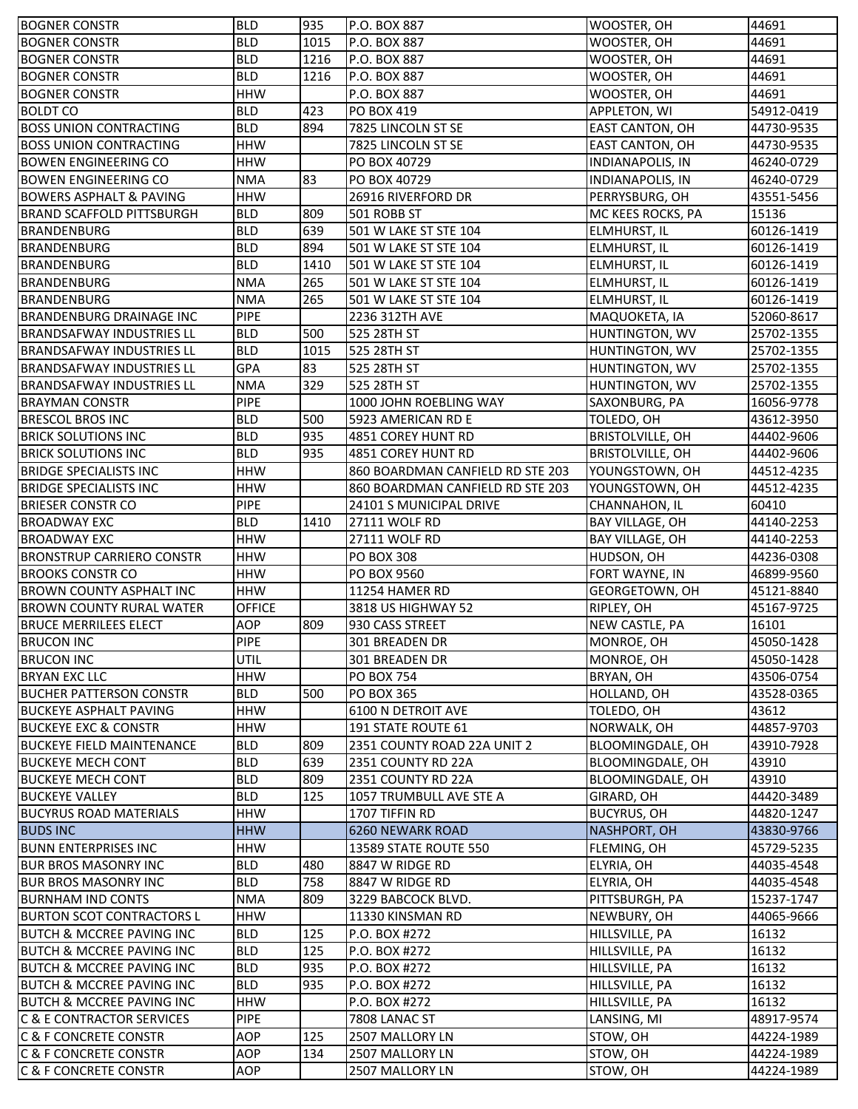| <b>BOGNER CONSTR</b>                                                 | <b>BLD</b>    | 935  | P.O. BOX 887                       | WOOSTER, OH             | 44691                    |
|----------------------------------------------------------------------|---------------|------|------------------------------------|-------------------------|--------------------------|
| <b>BOGNER CONSTR</b>                                                 | <b>BLD</b>    | 1015 | P.O. BOX 887                       | WOOSTER, OH             | 44691                    |
| <b>BOGNER CONSTR</b>                                                 | <b>BLD</b>    | 1216 | P.O. BOX 887                       | WOOSTER, OH             | 44691                    |
| <b>BOGNER CONSTR</b>                                                 | <b>BLD</b>    | 1216 | P.O. BOX 887                       | WOOSTER, OH             | 44691                    |
| <b>BOGNER CONSTR</b>                                                 | <b>HHW</b>    |      | P.O. BOX 887                       | WOOSTER, OH             | 44691                    |
| <b>BOLDT CO</b>                                                      | <b>BLD</b>    | 423  | PO BOX 419                         | APPLETON, WI            | 54912-0419               |
| <b>BOSS UNION CONTRACTING</b>                                        | <b>BLD</b>    | 894  | 7825 LINCOLN ST SE                 | <b>EAST CANTON, OH</b>  | 44730-9535               |
| <b>BOSS UNION CONTRACTING</b>                                        | <b>HHW</b>    |      | 7825 LINCOLN ST SE                 | EAST CANTON, OH         | 44730-9535               |
| <b>BOWEN ENGINEERING CO</b>                                          | <b>HHW</b>    |      | PO BOX 40729                       | <b>INDIANAPOLIS, IN</b> | 46240-0729               |
| <b>BOWEN ENGINEERING CO</b>                                          | <b>NMA</b>    | 83   | PO BOX 40729                       | <b>INDIANAPOLIS, IN</b> | 46240-0729               |
| <b>BOWERS ASPHALT &amp; PAVING</b>                                   | <b>HHW</b>    |      | 26916 RIVERFORD DR                 | PERRYSBURG, OH          | 43551-5456               |
| <b>BRAND SCAFFOLD PITTSBURGH</b>                                     | <b>BLD</b>    | 809  | 501 ROBB ST                        | MC KEES ROCKS, PA       | 15136                    |
| <b>BRANDENBURG</b>                                                   | <b>BLD</b>    | 639  | 501 W LAKE ST STE 104              | <b>ELMHURST, IL</b>     | 60126-1419               |
| <b>BRANDENBURG</b>                                                   | <b>BLD</b>    | 894  | 501 W LAKE ST STE 104              | <b>ELMHURST, IL</b>     | 60126-1419               |
| <b>BRANDENBURG</b>                                                   | <b>BLD</b>    | 1410 | 501 W LAKE ST STE 104              | <b>ELMHURST, IL</b>     | 60126-1419               |
| <b>BRANDENBURG</b>                                                   | <b>NMA</b>    | 265  | 501 W LAKE ST STE 104              | <b>ELMHURST, IL</b>     | 60126-1419               |
| <b>BRANDENBURG</b>                                                   | <b>NMA</b>    | 265  | 501 W LAKE ST STE 104              | <b>ELMHURST, IL</b>     | 60126-1419               |
| <b>BRANDENBURG DRAINAGE INC</b>                                      | <b>PIPE</b>   |      | 2236 312TH AVE                     | MAQUOKETA, IA           | 52060-8617               |
| <b>BRANDSAFWAY INDUSTRIES LL</b>                                     | <b>BLD</b>    | 500  | 525 28TH ST                        | HUNTINGTON, WV          | 25702-1355               |
| <b>BRANDSAFWAY INDUSTRIES LL</b>                                     | <b>BLD</b>    | 1015 | 525 28TH ST                        | HUNTINGTON, WV          | 25702-1355               |
| <b>BRANDSAFWAY INDUSTRIES LL</b>                                     | GPA           | 83   | 525 28TH ST                        | HUNTINGTON, WV          | 25702-1355               |
| <b>BRANDSAFWAY INDUSTRIES LL</b>                                     | <b>NMA</b>    | 329  | 525 28TH ST                        | HUNTINGTON, WV          | 25702-1355               |
| <b>BRAYMAN CONSTR</b>                                                | PIPE          |      | 1000 JOHN ROEBLING WAY             | SAXONBURG, PA           | 16056-9778               |
| <b>BRESCOL BROS INC</b>                                              | <b>BLD</b>    | 500  | 5923 AMERICAN RD E                 | TOLEDO, OH              | 43612-3950               |
| <b>BRICK SOLUTIONS INC</b>                                           | <b>BLD</b>    | 935  | 4851 COREY HUNT RD                 | <b>BRISTOLVILLE, OH</b> | 44402-9606               |
| <b>BRICK SOLUTIONS INC</b>                                           | <b>BLD</b>    | 935  | 4851 COREY HUNT RD                 | <b>BRISTOLVILLE, OH</b> | 44402-9606               |
| <b>BRIDGE SPECIALISTS INC</b>                                        | <b>HHW</b>    |      | 860 BOARDMAN CANFIELD RD STE 203   | YOUNGSTOWN, OH          | 44512-4235               |
| <b>BRIDGE SPECIALISTS INC</b>                                        | <b>HHW</b>    |      | 860 BOARDMAN CANFIELD RD STE 203   | YOUNGSTOWN, OH          | 44512-4235               |
| <b>BRIESER CONSTR CO</b>                                             | <b>PIPE</b>   |      | 24101 S MUNICIPAL DRIVE            | CHANNAHON, IL           | 60410                    |
| <b>BROADWAY EXC</b>                                                  | <b>BLD</b>    | 1410 | 27111 WOLF RD                      | BAY VILLAGE, OH         | 44140-2253               |
| <b>BROADWAY EXC</b>                                                  | <b>HHW</b>    |      | 27111 WOLF RD                      | BAY VILLAGE, OH         | 44140-2253               |
| <b>BRONSTRUP CARRIERO CONSTR</b>                                     | <b>HHW</b>    |      | <b>PO BOX 308</b>                  | HUDSON, OH              | 44236-0308               |
| <b>BROOKS CONSTR CO</b>                                              | <b>HHW</b>    |      | PO BOX 9560                        | FORT WAYNE, IN          | 46899-9560               |
| BROWN COUNTY ASPHALT INC                                             | <b>HHW</b>    |      | 11254 HAMER RD                     | GEORGETOWN, OH          | 45121-8840               |
| <b>BROWN COUNTY RURAL WATER</b>                                      | <b>OFFICE</b> |      | 3818 US HIGHWAY 52                 | RIPLEY, OH              | 45167-9725               |
| <b>BRUCE MERRILEES ELECT</b>                                         | AOP           | 809  | 930 CASS STREET                    | NEW CASTLE, PA          | 16101                    |
| <b>BRUCON INC</b>                                                    | PIPE          |      | 301 BREADEN DR                     | MONROE, OH              | 45050-1428               |
| <b>BRUCON INC</b>                                                    | <b>UTIL</b>   |      | 301 BREADEN DR                     | MONROE, OH              | 45050-1428               |
| <b>BRYAN EXC LLC</b>                                                 | <b>HHW</b>    |      | <b>PO BOX 754</b>                  | BRYAN, OH               | 43506-0754               |
| <b>BUCHER PATTERSON CONSTR</b>                                       | <b>BLD</b>    | 500  | <b>PO BOX 365</b>                  | HOLLAND, OH             | 43528-0365               |
| <b>BUCKEYE ASPHALT PAVING</b>                                        | <b>HHW</b>    |      | 6100 N DETROIT AVE                 | TOLEDO, OH              | 43612                    |
| <b>BUCKEYE EXC &amp; CONSTR</b>                                      | <b>HHW</b>    |      | 191 STATE ROUTE 61                 | NORWALK, OH             | 44857-9703               |
| <b>BUCKEYE FIELD MAINTENANCE</b>                                     | <b>BLD</b>    | 809  | 2351 COUNTY ROAD 22A UNIT 2        | BLOOMINGDALE, OH        | 43910-7928               |
| <b>BUCKEYE MECH CONT</b>                                             | <b>BLD</b>    | 639  | 2351 COUNTY RD 22A                 | BLOOMINGDALE, OH        | 43910                    |
| <b>BUCKEYE MECH CONT</b>                                             | <b>BLD</b>    | 809  | 2351 COUNTY RD 22A                 | BLOOMINGDALE, OH        | 43910                    |
| <b>BUCKEYE VALLEY</b>                                                | <b>BLD</b>    | 125  | 1057 TRUMBULL AVE STE A            | GIRARD, OH              | 44420-3489               |
| <b>BUCYRUS ROAD MATERIALS</b>                                        | <b>HHW</b>    |      | 1707 TIFFIN RD                     | <b>BUCYRUS, OH</b>      | 44820-1247               |
| <b>BUDS INC</b>                                                      | <b>HHW</b>    |      | 6260 NEWARK ROAD                   | NASHPORT, OH            | 43830-9766               |
| <b>BUNN ENTERPRISES INC</b>                                          | <b>HHW</b>    |      | 13589 STATE ROUTE 550              | FLEMING, OH             | 45729-5235               |
| <b>BUR BROS MASONRY INC</b>                                          | <b>BLD</b>    | 480  | 8847 W RIDGE RD                    | ELYRIA, OH              | 44035-4548               |
| <b>BUR BROS MASONRY INC</b>                                          | <b>BLD</b>    | 758  | 8847 W RIDGE RD                    | ELYRIA, OH              | 44035-4548               |
| <b>BURNHAM IND CONTS</b>                                             | <b>NMA</b>    | 809  | 3229 BABCOCK BLVD.                 | PITTSBURGH, PA          | 15237-1747               |
| <b>BURTON SCOT CONTRACTORS L</b>                                     | <b>HHW</b>    |      | 11330 KINSMAN RD                   | NEWBURY, OH             | 44065-9666               |
| <b>BUTCH &amp; MCCREE PAVING INC</b>                                 | <b>BLD</b>    | 125  | P.O. BOX #272                      | HILLSVILLE, PA          | 16132                    |
| BUTCH & MCCREE PAVING INC                                            | <b>BLD</b>    | 125  | P.O. BOX #272                      | HILLSVILLE, PA          | 16132                    |
| BUTCH & MCCREE PAVING INC                                            | <b>BLD</b>    | 935  | P.O. BOX #272                      | HILLSVILLE, PA          | 16132                    |
| <b>BUTCH &amp; MCCREE PAVING INC</b>                                 | <b>BLD</b>    | 935  | P.O. BOX #272                      | HILLSVILLE, PA          | 16132                    |
| <b>BUTCH &amp; MCCREE PAVING INC</b>                                 | <b>HHW</b>    |      | P.O. BOX #272                      | HILLSVILLE, PA          | 16132                    |
| <b>C &amp; E CONTRACTOR SERVICES</b>                                 | <b>PIPE</b>   |      | 7808 LANAC ST                      | LANSING, MI             | 48917-9574               |
| <b>C &amp; F CONCRETE CONSTR</b>                                     |               |      |                                    |                         |                          |
|                                                                      |               |      |                                    |                         |                          |
|                                                                      | AOP           | 125  | 2507 MALLORY LN                    | STOW, OH                | 44224-1989               |
| <b>C &amp; F CONCRETE CONSTR</b><br><b>C &amp; F CONCRETE CONSTR</b> | AOP<br>AOP    | 134  | 2507 MALLORY LN<br>2507 MALLORY LN | STOW, OH<br>STOW, OH    | 44224-1989<br>44224-1989 |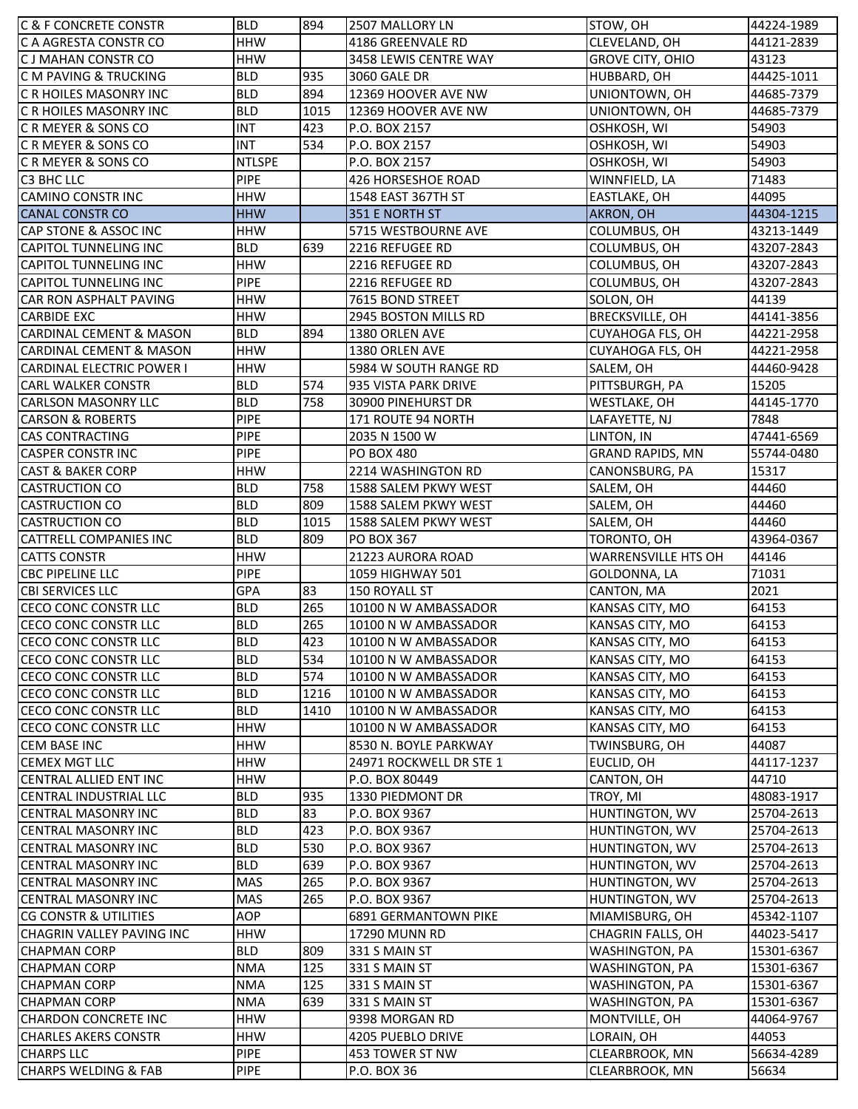| <b>C &amp; F CONCRETE CONSTR</b>                     | <b>BLD</b>          | 894  | 2507 MALLORY LN                | STOW, OH                         | 44224-1989          |
|------------------------------------------------------|---------------------|------|--------------------------------|----------------------------------|---------------------|
| C A AGRESTA CONSTR CO                                | <b>HHW</b>          |      | 4186 GREENVALE RD              | CLEVELAND, OH                    | 44121-2839          |
| <b>CJ MAHAN CONSTR CO</b>                            | <b>HHW</b>          |      | 3458 LEWIS CENTRE WAY          | <b>GROVE CITY, OHIO</b>          | 43123               |
| <b>CM PAVING &amp; TRUCKING</b>                      | <b>BLD</b>          | 935  | 3060 GALE DR                   | HUBBARD, OH                      | 44425-1011          |
| C R HOILES MASONRY INC                               | <b>BLD</b>          | 894  | 12369 HOOVER AVE NW            | UNIONTOWN, OH                    | 44685-7379          |
| C R HOILES MASONRY INC                               | <b>BLD</b>          | 1015 | 12369 HOOVER AVE NW            | UNIONTOWN, OH                    | 44685-7379          |
| C R MEYER & SONS CO                                  | <b>INT</b>          | 423  | P.O. BOX 2157                  | OSHKOSH, WI                      | 54903               |
| C R MEYER & SONS CO                                  | <b>INT</b>          | 534  | P.O. BOX 2157                  | OSHKOSH, WI                      | 54903               |
| CRMEYER & SONS CO                                    | <b>NTLSPE</b>       |      | P.O. BOX 2157                  | OSHKOSH, WI                      | 54903               |
| C3 BHC LLC                                           | <b>PIPE</b>         |      | 426 HORSESHOE ROAD             | WINNFIELD, LA                    | 71483               |
| <b>CAMINO CONSTR INC</b>                             | <b>HHW</b>          |      | 1548 EAST 367TH ST             | EASTLAKE, OH                     | 44095               |
| <b>CANAL CONSTR CO</b>                               | <b>HHW</b>          |      | 351 E NORTH ST                 | AKRON, OH                        | 44304-1215          |
| CAP STONE & ASSOC INC                                | <b>HHW</b>          |      | 5715 WESTBOURNE AVE            | COLUMBUS, OH                     | 43213-1449          |
| <b>CAPITOL TUNNELING INC</b>                         | <b>BLD</b>          | 639  | 2216 REFUGEE RD                | COLUMBUS, OH                     | 43207-2843          |
| <b>CAPITOL TUNNELING INC</b>                         | <b>HHW</b>          |      | 2216 REFUGEE RD                | COLUMBUS, OH                     | 43207-2843          |
| <b>CAPITOL TUNNELING INC</b>                         | <b>PIPE</b>         |      | 2216 REFUGEE RD                | COLUMBUS, OH                     | 43207-2843          |
| CAR RON ASPHALT PAVING                               | <b>HHW</b>          |      | 7615 BOND STREET               | SOLON, OH                        | 44139               |
| <b>CARBIDE EXC</b>                                   | <b>HHW</b>          |      | 2945 BOSTON MILLS RD           | <b>BRECKSVILLE, OH</b>           | 44141-3856          |
| <b>CARDINAL CEMENT &amp; MASON</b>                   | <b>BLD</b>          | 894  | 1380 ORLEN AVE                 | CUYAHOGA FLS, OH                 | 44221-2958          |
| <b>CARDINAL CEMENT &amp; MASON</b>                   | <b>HHW</b>          |      | 1380 ORLEN AVE                 | CUYAHOGA FLS, OH                 | 44221-2958          |
| <b>CARDINAL ELECTRIC POWER I</b>                     | <b>HHW</b>          |      | 5984 W SOUTH RANGE RD          | SALEM, OH                        | 44460-9428          |
| <b>CARL WALKER CONSTR</b>                            | <b>BLD</b>          | 574  | 935 VISTA PARK DRIVE           | PITTSBURGH, PA                   | 15205               |
| <b>CARLSON MASONRY LLC</b>                           | <b>BLD</b>          | 758  | 30900 PINEHURST DR             | WESTLAKE, OH                     | 44145-1770          |
| <b>CARSON &amp; ROBERTS</b>                          | <b>PIPE</b>         |      | 171 ROUTE 94 NORTH             | LAFAYETTE, NJ                    | 7848                |
| <b>CAS CONTRACTING</b>                               | <b>PIPE</b>         |      | 2035 N 1500 W                  | LINTON, IN                       | 47441-6569          |
| <b>CASPER CONSTRING</b>                              | <b>PIPE</b>         |      | <b>PO BOX 480</b>              | <b>GRAND RAPIDS, MN</b>          | 55744-0480          |
| <b>CAST &amp; BAKER CORP</b>                         | <b>HHW</b>          |      | 2214 WASHINGTON RD             | CANONSBURG, PA                   | 15317               |
| <b>CASTRUCTION CO</b>                                | <b>BLD</b>          | 758  | 1588 SALEM PKWY WEST           | SALEM, OH                        | 44460               |
| <b>CASTRUCTION CO</b>                                | <b>BLD</b>          | 809  | 1588 SALEM PKWY WEST           | SALEM, OH                        | 44460               |
| <b>CASTRUCTION CO</b>                                | <b>BLD</b>          | 1015 | 1588 SALEM PKWY WEST           | SALEM, OH                        | 44460               |
| <b>CATTRELL COMPANIES INC</b>                        | <b>BLD</b>          | 809  | PO BOX 367                     | TORONTO, OH                      | 43964-0367          |
|                                                      |                     |      |                                |                                  |                     |
|                                                      |                     |      |                                |                                  |                     |
| <b>CATTS CONSTR</b>                                  | <b>HHW</b>          |      | 21223 AURORA ROAD              | <b>WARRENSVILLE HTS OH</b>       | 44146               |
| <b>CBC PIPELINE LLC</b>                              | <b>PIPE</b>         |      | 1059 HIGHWAY 501               | GOLDONNA, LA                     | 71031               |
| <b>CBI SERVICES LLC</b>                              | GPA                 | 83   | 150 ROYALL ST                  | CANTON, MA                       | 2021                |
| CECO CONC CONSTR LLC                                 | <b>BLD</b>          | 265  | 10100 N W AMBASSADOR           | KANSAS CITY, MO                  | 64153               |
| CECO CONC CONSTR LLC                                 | <b>BLD</b>          | 265  | 10100 N W AMBASSADOR           | KANSAS CITY, MO                  | 64153               |
| CECO CONC CONSTR LLC                                 | <b>BLD</b>          | 423  | 10100 N W AMBASSADOR           | KANSAS CITY, MO                  | 64153               |
| CECO CONC CONSTR LLC                                 | <b>BLD</b>          | 534  | 10100 N W AMBASSADOR           | KANSAS CITY, MO                  | 64153               |
| ICECO CONC CONSTR LLC                                | <b>BLD</b>          | 574  | 10100 N W AMBASSADOR           | KANSAS CITY, MO                  | 64153               |
| CECO CONC CONSTR LLC                                 | <b>BLD</b>          | 1216 | 10100 N W AMBASSADOR           | KANSAS CITY, MO                  | 64153               |
| CECO CONC CONSTR LLC                                 | <b>BLD</b>          | 1410 | 10100 N W AMBASSADOR           | KANSAS CITY, MO                  | 64153               |
| CECO CONC CONSTR LLC                                 | <b>HHW</b>          |      | 10100 N W AMBASSADOR           | KANSAS CITY, MO                  | 64153               |
| <b>CEM BASE INC</b>                                  | <b>HHW</b>          |      | 8530 N. BOYLE PARKWAY          | TWINSBURG, OH                    | 44087               |
| <b>CEMEX MGT LLC</b>                                 | <b>HHW</b>          |      | 24971 ROCKWELL DR STE 1        | EUCLID, OH                       | 44117-1237          |
| CENTRAL ALLIED ENT INC                               | <b>HHW</b>          |      | P.O. BOX 80449                 | CANTON, OH                       | 44710               |
| CENTRAL INDUSTRIAL LLC                               | <b>BLD</b>          | 935  | 1330 PIEDMONT DR               | TROY, MI                         | 48083-1917          |
| <b>CENTRAL MASONRY INC</b>                           | <b>BLD</b>          | 83   | P.O. BOX 9367                  | HUNTINGTON, WV                   | 25704-2613          |
| <b>CENTRAL MASONRY INC</b>                           | <b>BLD</b>          | 423  | P.O. BOX 9367                  | HUNTINGTON, WV                   | 25704-2613          |
| <b>CENTRAL MASONRY INC</b>                           | <b>BLD</b>          | 530  | P.O. BOX 9367                  | HUNTINGTON, WV                   | 25704-2613          |
| <b>CENTRAL MASONRY INC</b>                           | <b>BLD</b>          | 639  | P.O. BOX 9367                  | HUNTINGTON, WV                   | 25704-2613          |
| <b>CENTRAL MASONRY INC</b>                           | <b>MAS</b>          | 265  | P.O. BOX 9367                  | HUNTINGTON, WV                   | 25704-2613          |
| <b>CENTRAL MASONRY INC</b>                           | MAS                 | 265  | P.O. BOX 9367                  | HUNTINGTON, WV                   | 25704-2613          |
| CG CONSTR & UTILITIES                                | AOP                 |      | 6891 GERMANTOWN PIKE           | MIAMISBURG, OH                   | 45342-1107          |
| CHAGRIN VALLEY PAVING INC                            | <b>HHW</b>          |      | 17290 MUNN RD                  | CHAGRIN FALLS, OH                | 44023-5417          |
| <b>CHAPMAN CORP</b>                                  | <b>BLD</b>          | 809  | 331 S MAIN ST                  | WASHINGTON, PA                   | 15301-6367          |
| <b>CHAPMAN CORP</b>                                  | <b>NMA</b>          | 125  | 331 S MAIN ST                  | WASHINGTON, PA                   | 15301-6367          |
| <b>CHAPMAN CORP</b>                                  | <b>NMA</b>          | 125  | 331 S MAIN ST                  | WASHINGTON, PA                   | 15301-6367          |
| <b>CHAPMAN CORP</b>                                  | <b>NMA</b>          | 639  | 331 S MAIN ST                  | WASHINGTON, PA                   | 15301-6367          |
| <b>CHARDON CONCRETE INC</b>                          | <b>HHW</b>          |      | 9398 MORGAN RD                 | MONTVILLE, OH                    | 44064-9767          |
| <b>CHARLES AKERS CONSTR</b>                          | <b>HHW</b>          |      | 4205 PUEBLO DRIVE              | LORAIN, OH                       | 44053               |
| <b>CHARPS LLC</b><br><b>CHARPS WELDING &amp; FAB</b> | <b>PIPE</b><br>PIPE |      | 453 TOWER ST NW<br>P.O. BOX 36 | CLEARBROOK, MN<br>CLEARBROOK, MN | 56634-4289<br>56634 |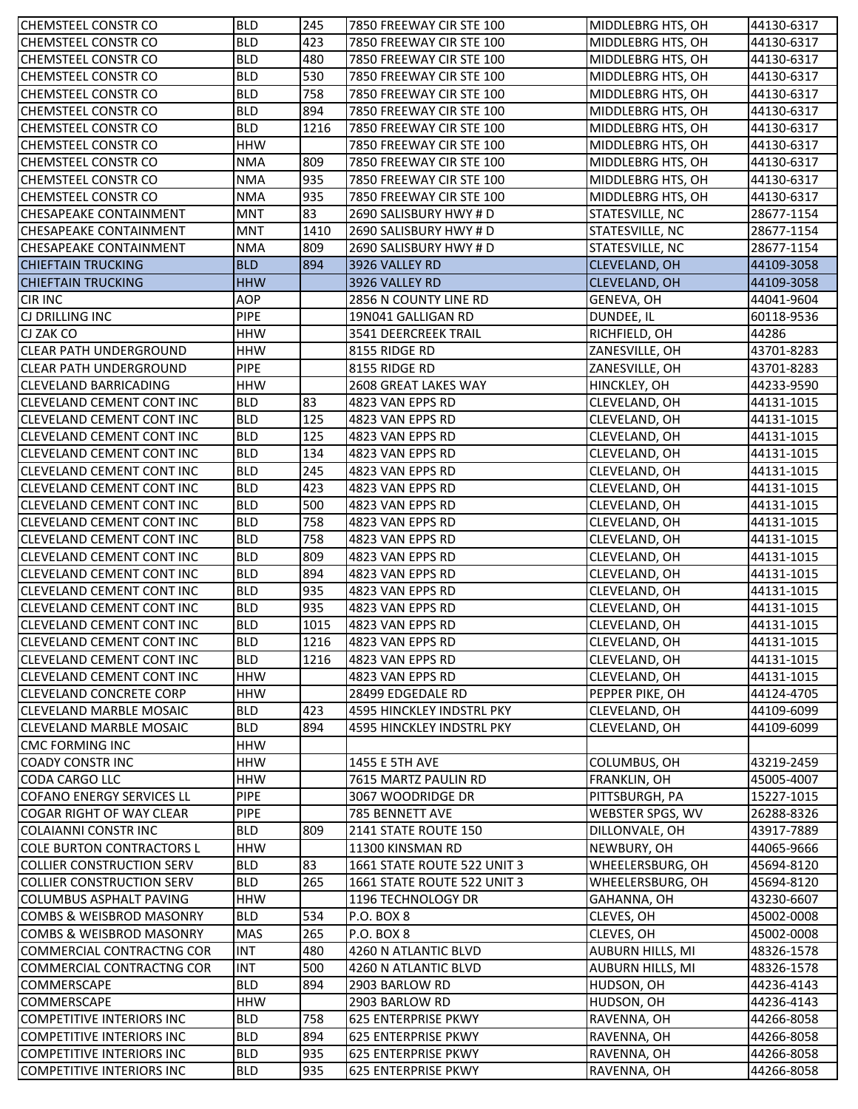| <b>CHEMSTEEL CONSTR CO</b>       | <b>BLD</b>  | 245  | 7850 FREEWAY CIR STE 100    | MIDDLEBRG HTS, OH       | 44130-6317 |
|----------------------------------|-------------|------|-----------------------------|-------------------------|------------|
| CHEMSTEEL CONSTR CO              | <b>BLD</b>  | 423  | 7850 FREEWAY CIR STE 100    | MIDDLEBRG HTS, OH       | 44130-6317 |
| CHEMSTEEL CONSTR CO              | <b>BLD</b>  | 480  | 7850 FREEWAY CIR STE 100    | MIDDLEBRG HTS, OH       | 44130-6317 |
| <b>CHEMSTEEL CONSTR CO</b>       | <b>BLD</b>  | 530  | 7850 FREEWAY CIR STE 100    | MIDDLEBRG HTS, OH       | 44130-6317 |
| <b>CHEMSTEEL CONSTR CO</b>       | <b>BLD</b>  | 758  | 7850 FREEWAY CIR STE 100    | MIDDLEBRG HTS, OH       | 44130-6317 |
| <b>CHEMSTEEL CONSTR CO</b>       | <b>BLD</b>  | 894  | 7850 FREEWAY CIR STE 100    | MIDDLEBRG HTS, OH       | 44130-6317 |
| <b>CHEMSTEEL CONSTR CO</b>       | <b>BLD</b>  | 1216 | 7850 FREEWAY CIR STE 100    | MIDDLEBRG HTS, OH       | 44130-6317 |
| <b>CHEMSTEEL CONSTR CO</b>       | <b>HHW</b>  |      | 7850 FREEWAY CIR STE 100    | MIDDLEBRG HTS, OH       | 44130-6317 |
| <b>CHEMSTEEL CONSTR CO</b>       | <b>NMA</b>  | 809  | 7850 FREEWAY CIR STE 100    | MIDDLEBRG HTS, OH       | 44130-6317 |
| <b>CHEMSTEEL CONSTR CO</b>       | <b>NMA</b>  | 935  | 7850 FREEWAY CIR STE 100    | MIDDLEBRG HTS, OH       | 44130-6317 |
| CHEMSTEEL CONSTR CO              | <b>NMA</b>  | 935  | 7850 FREEWAY CIR STE 100    | MIDDLEBRG HTS, OH       | 44130-6317 |
| <b>CHESAPEAKE CONTAINMENT</b>    | <b>MNT</b>  | 83   | 2690 SALISBURY HWY # D      | STATESVILLE, NC         | 28677-1154 |
| <b>CHESAPEAKE CONTAINMENT</b>    | <b>MNT</b>  | 1410 | 2690 SALISBURY HWY # D      | STATESVILLE, NC         | 28677-1154 |
| <b>CHESAPEAKE CONTAINMENT</b>    | <b>NMA</b>  | 809  | 2690 SALISBURY HWY # D      | STATESVILLE, NC         | 28677-1154 |
| <b>CHIEFTAIN TRUCKING</b>        | <b>BLD</b>  | 894  | 3926 VALLEY RD              | <b>CLEVELAND, OH</b>    | 44109-3058 |
| <b>CHIEFTAIN TRUCKING</b>        | <b>HHW</b>  |      | 3926 VALLEY RD              | <b>CLEVELAND, OH</b>    | 44109-3058 |
| <b>CIR INC</b>                   | AOP         |      | 2856 N COUNTY LINE RD       | GENEVA, OH              | 44041-9604 |
| CJ DRILLING INC                  | <b>PIPE</b> |      | 19N041 GALLIGAN RD          | DUNDEE, IL              | 60118-9536 |
| CJ ZAK CO                        | <b>HHW</b>  |      | 3541 DEERCREEK TRAIL        | RICHFIELD, OH           | 44286      |
| ICLEAR PATH UNDERGROUND          | <b>HHW</b>  |      | 8155 RIDGE RD               | ZANESVILLE, OH          | 43701-8283 |
| ICLEAR PATH UNDERGROUND          | <b>PIPE</b> |      | 8155 RIDGE RD               | ZANESVILLE, OH          | 43701-8283 |
| <b>CLEVELAND BARRICADING</b>     | <b>HHW</b>  |      | 2608 GREAT LAKES WAY        | HINCKLEY, OH            | 44233-9590 |
| <b>CLEVELAND CEMENT CONT INC</b> | <b>BLD</b>  | 83   | 4823 VAN EPPS RD            | CLEVELAND, OH           | 44131-1015 |
| <b>CLEVELAND CEMENT CONT INC</b> | <b>BLD</b>  | 125  | 4823 VAN EPPS RD            | CLEVELAND, OH           | 44131-1015 |
| <b>CLEVELAND CEMENT CONT INC</b> | <b>BLD</b>  | 125  | 4823 VAN EPPS RD            | CLEVELAND, OH           | 44131-1015 |
| CLEVELAND CEMENT CONT INC        | <b>BLD</b>  | 134  | 4823 VAN EPPS RD            | CLEVELAND, OH           | 44131-1015 |
| <b>CLEVELAND CEMENT CONT INC</b> | <b>BLD</b>  | 245  | 4823 VAN EPPS RD            | CLEVELAND, OH           | 44131-1015 |
| <b>CLEVELAND CEMENT CONT INC</b> | <b>BLD</b>  | 423  | 4823 VAN EPPS RD            | CLEVELAND, OH           | 44131-1015 |
| <b>CLEVELAND CEMENT CONT INC</b> | <b>BLD</b>  | 500  | 4823 VAN EPPS RD            | CLEVELAND, OH           | 44131-1015 |
| <b>CLEVELAND CEMENT CONT INC</b> | <b>BLD</b>  | 758  | 4823 VAN EPPS RD            | CLEVELAND, OH           | 44131-1015 |
| <b>CLEVELAND CEMENT CONT INC</b> | <b>BLD</b>  | 758  | 4823 VAN EPPS RD            | CLEVELAND, OH           | 44131-1015 |
| <b>CLEVELAND CEMENT CONT INC</b> | <b>BLD</b>  | 809  | 4823 VAN EPPS RD            | CLEVELAND, OH           | 44131-1015 |
| <b>CLEVELAND CEMENT CONT INC</b> | <b>BLD</b>  | 894  | 4823 VAN EPPS RD            | CLEVELAND, OH           | 44131-1015 |
| <b>CLEVELAND CEMENT CONT INC</b> | <b>BLD</b>  | 935  | 4823 VAN EPPS RD            | CLEVELAND, OH           | 44131-1015 |
| <b>CLEVELAND CEMENT CONT INC</b> | <b>BLD</b>  | 935  | 4823 VAN EPPS RD            | <b>CLEVELAND, OH</b>    | 44131-1015 |
| <b>CLEVELAND CEMENT CONT INC</b> | <b>BLD</b>  | 1015 | 4823 VAN EPPS RD            | CLEVELAND, OH           | 44131-1015 |
| <b>CLEVELAND CEMENT CONT INC</b> | <b>BLD</b>  | 1216 | 4823 VAN EPPS RD            | CLEVELAND, OH           | 44131-1015 |
| CLEVELAND CEMENT CONT INC        | <b>BLD</b>  | 1216 | 4823 VAN EPPS RD            | CLEVELAND, OH           | 44131-1015 |
| <b>CLEVELAND CEMENT CONT INC</b> | <b>HHW</b>  |      | 4823 VAN EPPS RD            | CLEVELAND, OH           | 44131-1015 |
| <b>CLEVELAND CONCRETE CORP</b>   | <b>HHW</b>  |      | 28499 EDGEDALE RD           | PEPPER PIKE, OH         | 44124-4705 |
| <b>CLEVELAND MARBLE MOSAIC</b>   | <b>BLD</b>  | 423  | 4595 HINCKLEY INDSTRL PKY   | CLEVELAND, OH           | 44109-6099 |
| <b>CLEVELAND MARBLE MOSAIC</b>   | <b>BLD</b>  | 894  | 4595 HINCKLEY INDSTRL PKY   | CLEVELAND, OH           | 44109-6099 |
| <b>CMC FORMING INC</b>           | <b>HHW</b>  |      |                             |                         |            |
| <b>COADY CONSTR INC</b>          | <b>HHW</b>  |      | 1455 E 5TH AVE              | COLUMBUS, OH            | 43219-2459 |
| <b>CODA CARGO LLC</b>            | <b>HHW</b>  |      | 7615 MARTZ PAULIN RD        | FRANKLIN, OH            | 45005-4007 |
| <b>COFANO ENERGY SERVICES LL</b> | <b>PIPE</b> |      | 3067 WOODRIDGE DR           | PITTSBURGH, PA          | 15227-1015 |
| <b>COGAR RIGHT OF WAY CLEAR</b>  | <b>PIPE</b> |      | 785 BENNETT AVE             | WEBSTER SPGS, WV        | 26288-8326 |
| <b>COLAIANNI CONSTR INC</b>      | <b>BLD</b>  | 809  | 2141 STATE ROUTE 150        | DILLONVALE, OH          | 43917-7889 |
| <b>COLE BURTON CONTRACTORS L</b> | <b>HHW</b>  |      | 11300 KINSMAN RD            | NEWBURY, OH             | 44065-9666 |
| COLLIER CONSTRUCTION SERV        | <b>BLD</b>  | 83   | 1661 STATE ROUTE 522 UNIT 3 | WHEELERSBURG, OH        | 45694-8120 |
| <b>COLLIER CONSTRUCTION SERV</b> | <b>BLD</b>  | 265  | 1661 STATE ROUTE 522 UNIT 3 | WHEELERSBURG, OH        | 45694-8120 |
| <b>COLUMBUS ASPHALT PAVING</b>   | <b>HHW</b>  |      | 1196 TECHNOLOGY DR          | GAHANNA, OH             | 43230-6607 |
| COMBS & WEISBROD MASONRY         | <b>BLD</b>  | 534  | <b>P.O. BOX 8</b>           | CLEVES, OH              | 45002-0008 |
| COMBS & WEISBROD MASONRY         | <b>MAS</b>  | 265  | <b>P.O. BOX 8</b>           | CLEVES, OH              | 45002-0008 |
| COMMERCIAL CONTRACTNG COR        | <b>INT</b>  | 480  | 4260 N ATLANTIC BLVD        | <b>AUBURN HILLS, MI</b> | 48326-1578 |
| <b>COMMERCIAL CONTRACTNG COR</b> | <b>INT</b>  | 500  | 4260 N ATLANTIC BLVD        | AUBURN HILLS, MI        | 48326-1578 |
| <b>COMMERSCAPE</b>               | <b>BLD</b>  | 894  | 2903 BARLOW RD              | HUDSON, OH              | 44236-4143 |
| COMMERSCAPE                      | <b>HHW</b>  |      | 2903 BARLOW RD              | HUDSON, OH              | 44236-4143 |
| <b>COMPETITIVE INTERIORS INC</b> | <b>BLD</b>  | 758  | 625 ENTERPRISE PKWY         | RAVENNA, OH             | 44266-8058 |
| <b>COMPETITIVE INTERIORS INC</b> | <b>BLD</b>  | 894  | 625 ENTERPRISE PKWY         | RAVENNA, OH             | 44266-8058 |
| <b>COMPETITIVE INTERIORS INC</b> | <b>BLD</b>  | 935  | 625 ENTERPRISE PKWY         | RAVENNA, OH             | 44266-8058 |
| COMPETITIVE INTERIORS INC        | <b>BLD</b>  | 935  | 625 ENTERPRISE PKWY         | RAVENNA, OH             | 44266-8058 |
|                                  |             |      |                             |                         |            |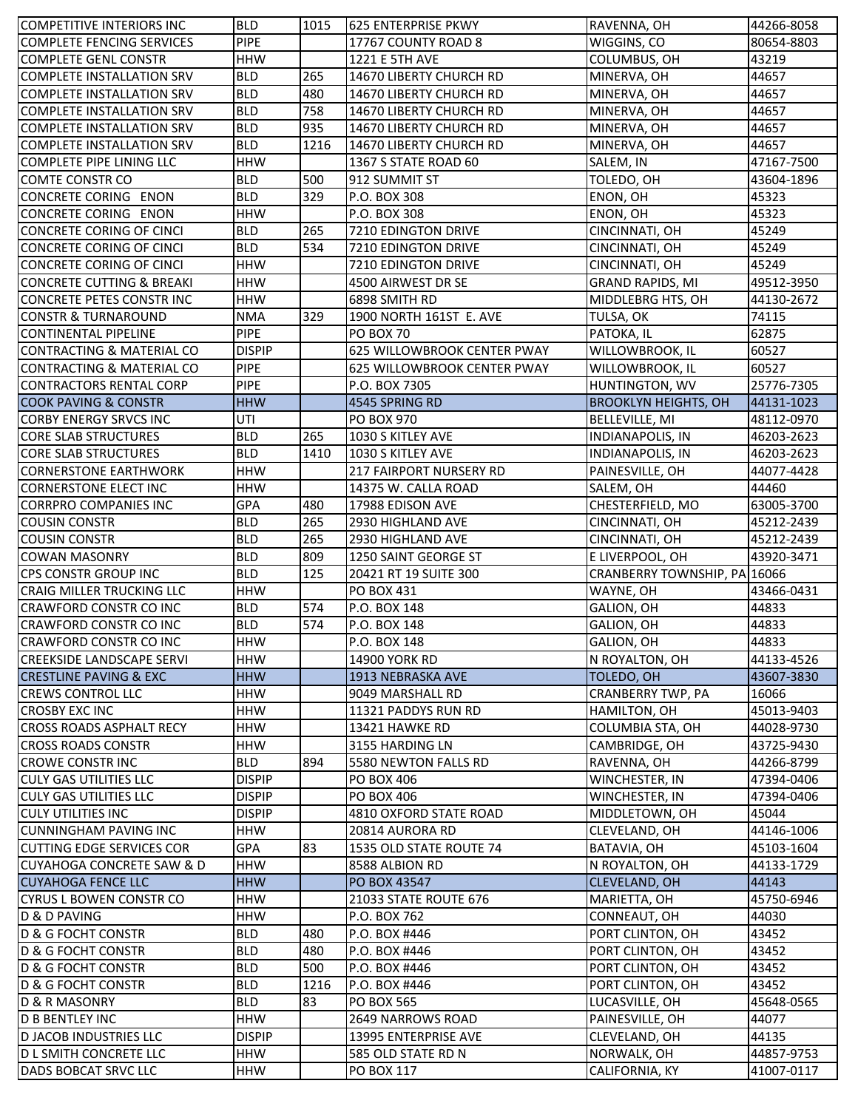| <b>COMPETITIVE INTERIORS INC</b>                     | <b>BLD</b>               | 1015 | 625 ENTERPRISE PKWY                     | RAVENNA, OH                   | 44266-8058               |
|------------------------------------------------------|--------------------------|------|-----------------------------------------|-------------------------------|--------------------------|
| <b>COMPLETE FENCING SERVICES</b>                     | <b>PIPE</b>              |      | 17767 COUNTY ROAD 8                     | WIGGINS, CO                   | 80654-8803               |
| <b>COMPLETE GENL CONSTR</b>                          | <b>HHW</b>               |      | 1221 E 5TH AVE                          | COLUMBUS, OH                  | 43219                    |
| <b>COMPLETE INSTALLATION SRV</b>                     | <b>BLD</b>               | 265  | 14670 LIBERTY CHURCH RD                 | MINERVA, OH                   | 44657                    |
| <b>COMPLETE INSTALLATION SRV</b>                     | <b>BLD</b>               | 480  | 14670 LIBERTY CHURCH RD                 | MINERVA, OH                   | 44657                    |
| <b>COMPLETE INSTALLATION SRV</b>                     | <b>BLD</b>               | 758  | 14670 LIBERTY CHURCH RD                 | MINERVA, OH                   | 44657                    |
| <b>COMPLETE INSTALLATION SRV</b>                     | <b>BLD</b>               | 935  | 14670 LIBERTY CHURCH RD                 | MINERVA, OH                   | 44657                    |
| <b>COMPLETE INSTALLATION SRV</b>                     | <b>BLD</b>               | 1216 | 14670 LIBERTY CHURCH RD                 | MINERVA, OH                   | 44657                    |
| COMPLETE PIPE LINING LLC                             | <b>HHW</b>               |      | 1367 S STATE ROAD 60                    | SALEM, IN                     | 47167-7500               |
| <b>COMTE CONSTR CO</b>                               | <b>BLD</b>               | 500  | 912 SUMMIT ST                           | TOLEDO, OH                    | 43604-1896               |
| <b>CONCRETE CORING ENON</b>                          | <b>BLD</b>               | 329  | P.O. BOX 308                            | ENON, OH                      | 45323                    |
| CONCRETE CORING ENON                                 | <b>HHW</b>               |      | P.O. BOX 308                            | ENON, OH                      | 45323                    |
| CONCRETE CORING OF CINCI                             | <b>BLD</b>               | 265  | 7210 EDINGTON DRIVE                     | CINCINNATI, OH                | 45249                    |
| CONCRETE CORING OF CINCI                             | <b>BLD</b>               | 534  | 7210 EDINGTON DRIVE                     | CINCINNATI, OH                | 45249                    |
| <b>CONCRETE CORING OF CINCI</b>                      | <b>HHW</b>               |      | 7210 EDINGTON DRIVE                     | CINCINNATI, OH                | 45249                    |
| <b>CONCRETE CUTTING &amp; BREAKI</b>                 | <b>HHW</b>               |      | 4500 AIRWEST DR SE                      | <b>GRAND RAPIDS, MI</b>       | 49512-3950               |
| CONCRETE PETES CONSTR INC                            | <b>HHW</b>               |      | 6898 SMITH RD                           | MIDDLEBRG HTS, OH             | 44130-2672               |
| <b>CONSTR &amp; TURNAROUND</b>                       | <b>NMA</b>               | 329  | 1900 NORTH 161ST E. AVE                 | TULSA, OK                     | 74115                    |
| <b>CONTINENTAL PIPELINE</b>                          | <b>PIPE</b>              |      | <b>PO BOX 70</b>                        | PATOKA, IL                    | 62875                    |
| <b>CONTRACTING &amp; MATERIAL CO</b>                 | <b>DISPIP</b>            |      | 625 WILLOWBROOK CENTER PWAY             | WILLOWBROOK, IL               | 60527                    |
| CONTRACTING & MATERIAL CO                            | <b>PIPE</b>              |      | 625 WILLOWBROOK CENTER PWAY             | WILLOWBROOK, IL               | 60527                    |
| <b>CONTRACTORS RENTAL CORP</b>                       | <b>PIPE</b>              |      | P.O. BOX 7305                           | HUNTINGTON, WV                | 25776-7305               |
| <b>COOK PAVING &amp; CONSTR</b>                      | <b>HHW</b>               |      | 4545 SPRING RD                          | <b>BROOKLYN HEIGHTS, OH</b>   | 44131-1023               |
| <b>CORBY ENERGY SRVCS INC</b>                        | UTI                      |      | <b>PO BOX 970</b>                       | <b>BELLEVILLE, MI</b>         | 48112-0970               |
| <b>CORE SLAB STRUCTURES</b>                          | <b>BLD</b>               | 265  | 1030 S KITLEY AVE                       | <b>INDIANAPOLIS, IN</b>       | 46203-2623               |
| <b>CORE SLAB STRUCTURES</b>                          | <b>BLD</b>               | 1410 | 1030 S KITLEY AVE                       | <b>INDIANAPOLIS, IN</b>       | 46203-2623               |
| <b>CORNERSTONE EARTHWORK</b>                         | <b>HHW</b>               |      | 217 FAIRPORT NURSERY RD                 | PAINESVILLE, OH               | 44077-4428               |
| <b>CORNERSTONE ELECT INC</b>                         | <b>HHW</b>               |      | 14375 W. CALLA ROAD                     | SALEM, OH                     | 44460                    |
| <b>CORRPRO COMPANIES INC</b>                         | <b>GPA</b>               | 480  | 17988 EDISON AVE                        | CHESTERFIELD, MO              | 63005-3700               |
| <b>COUSIN CONSTR</b>                                 | <b>BLD</b>               | 265  | 2930 HIGHLAND AVE                       | CINCINNATI, OH                | 45212-2439               |
| <b>COUSIN CONSTR</b>                                 | <b>BLD</b>               | 265  | 2930 HIGHLAND AVE                       | CINCINNATI, OH                | 45212-2439               |
| <b>COWAN MASONRY</b>                                 | <b>BLD</b>               | 809  | 1250 SAINT GEORGE ST                    | E LIVERPOOL, OH               | 43920-3471               |
| CPS CONSTR GROUP INC                                 | <b>BLD</b>               | 125  | 20421 RT 19 SUITE 300                   | CRANBERRY TOWNSHIP, PA 16066  |                          |
| <b>CRAIG MILLER TRUCKING LLC</b>                     | <b>HHW</b>               |      | PO BOX 431                              | WAYNE, OH                     | 43466-0431               |
| <b>CRAWFORD CONSTR CO INC</b>                        | <b>BLD</b>               | 574  | P.O. BOX 148                            | GALION, OH                    | 44833                    |
| <b>CRAWFORD CONSTR CO INC</b>                        | <b>BLD</b>               | 574  | P.O. BOX 148                            | GALION, OH                    | 44833                    |
| <b>CRAWFORD CONSTR CO INC</b>                        | <b>HHW</b>               |      | P.O. BOX 148                            | GALION, OH                    | 44833                    |
| <b>CREEKSIDE LANDSCAPE SERVI</b>                     | <b>HHW</b>               |      | 14900 YORK RD                           | N ROYALTON, OH                | 44133-4526               |
| <b>CRESTLINE PAVING &amp; EXC</b>                    | <b>HHW</b>               |      | 1913 NEBRASKA AVE                       | TOLEDO, OH                    | 43607-3830               |
| <b>CREWS CONTROL LLC</b>                             | <b>HHW</b>               |      | 9049 MARSHALL RD                        | <b>CRANBERRY TWP, PA</b>      | 16066                    |
| <b>CROSBY EXC INC</b>                                | <b>HHW</b>               |      | 11321 PADDYS RUN RD                     | HAMILTON, OH                  | 45013-9403               |
| <b>CROSS ROADS ASPHALT RECY</b>                      | <b>HHW</b>               |      | 13421 HAWKE RD                          | COLUMBIA STA, OH              | 44028-9730               |
| <b>CROSS ROADS CONSTR</b>                            | <b>HHW</b>               |      | 3155 HARDING LN                         | CAMBRIDGE, OH                 | 43725-9430               |
| <b>CROWE CONSTR INC</b>                              | <b>BLD</b>               | 894  | 5580 NEWTON FALLS RD                    | RAVENNA, OH                   | 44266-8799               |
| <b>CULY GAS UTILITIES LLC</b>                        | <b>DISPIP</b>            |      | <b>PO BOX 406</b>                       | WINCHESTER, IN                | 47394-0406               |
| <b>CULY GAS UTILITIES LLC</b>                        | <b>DISPIP</b>            |      | PO BOX 406                              | <b>WINCHESTER, IN</b>         | 47394-0406               |
| <b>CULY UTILITIES INC</b>                            | <b>DISPIP</b>            |      | 4810 OXFORD STATE ROAD                  | MIDDLETOWN, OH                | 45044                    |
| <b>CUNNINGHAM PAVING INC</b>                         | <b>HHW</b>               |      | 20814 AURORA RD                         | CLEVELAND, OH                 | 44146-1006               |
| <b>CUTTING EDGE SERVICES COR</b>                     | <b>GPA</b>               | 83   | 1535 OLD STATE ROUTE 74                 | BATAVIA, OH                   | 45103-1604               |
| <b>CUYAHOGA CONCRETE SAW &amp; D</b>                 | <b>HHW</b>               |      | 8588 ALBION RD                          | N ROYALTON, OH                | 44133-1729               |
| <b>CUYAHOGA FENCE LLC</b>                            | <b>HHW</b>               |      | PO BOX 43547                            | <b>CLEVELAND, OH</b>          | 44143                    |
| <b>CYRUS L BOWEN CONSTR CO</b>                       | <b>HHW</b>               |      | 21033 STATE ROUTE 676                   | MARIETTA, OH                  | 45750-6946               |
| D & D PAVING                                         | <b>HHW</b>               |      | P.O. BOX 762                            | CONNEAUT, OH                  | 44030                    |
| <b>D &amp; G FOCHT CONSTR</b>                        | <b>BLD</b>               | 480  | P.O. BOX #446                           | PORT CLINTON, OH              | 43452                    |
| D & G FOCHT CONSTR                                   | <b>BLD</b>               | 480  | P.O. BOX #446                           | PORT CLINTON, OH              | 43452                    |
| D & G FOCHT CONSTR                                   | <b>BLD</b>               | 500  | P.O. BOX #446                           | PORT CLINTON, OH              | 43452                    |
| <b>D &amp; G FOCHT CONSTR</b>                        | <b>BLD</b>               | 1216 | P.O. BOX #446                           | PORT CLINTON, OH              | 43452                    |
| D & R MASONRY                                        | <b>BLD</b>               | 83   | PO BOX 565                              | LUCASVILLE, OH                | 45648-0565               |
| <b>D B BENTLEY INC</b>                               | <b>HHW</b>               |      | 2649 NARROWS ROAD                       | PAINESVILLE, OH               | 44077                    |
| <b>D JACOB INDUSTRIES LLC</b>                        | <b>DISPIP</b>            |      | 13995 ENTERPRISE AVE                    | <b>CLEVELAND, OH</b>          | 44135                    |
|                                                      |                          |      |                                         |                               |                          |
|                                                      |                          |      |                                         |                               |                          |
| <b>DL SMITH CONCRETE LLC</b><br>DADS BOBCAT SRVC LLC | <b>HHW</b><br><b>HHW</b> |      | 585 OLD STATE RD N<br><b>PO BOX 117</b> | NORWALK, OH<br>CALIFORNIA, KY | 44857-9753<br>41007-0117 |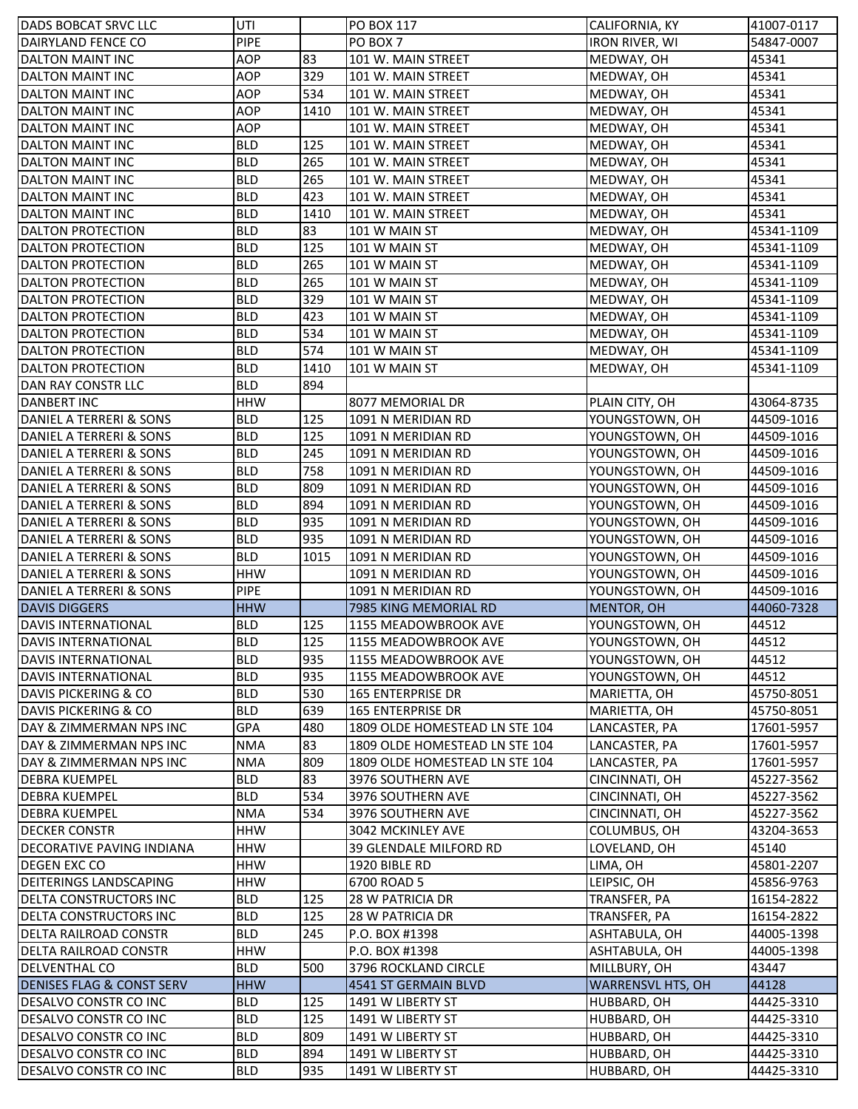| DADS BOBCAT SRVC LLC                 | UTI         |      | <b>PO BOX 117</b>              | CALIFORNIA, KY           | 41007-0117 |
|--------------------------------------|-------------|------|--------------------------------|--------------------------|------------|
| <b>DAIRYLAND FENCE CO</b>            | PIPE        |      | PO BOX 7                       | <b>IRON RIVER, WI</b>    | 54847-0007 |
| <b>DALTON MAINT INC</b>              | AOP         | 83   | 101 W. MAIN STREET             | MEDWAY, OH               | 45341      |
| <b>DALTON MAINT INC</b>              | AOP         | 329  | 101 W. MAIN STREET             | MEDWAY, OH               | 45341      |
| <b>DALTON MAINT INC</b>              | AOP         | 534  | 101 W. MAIN STREET             | MEDWAY, OH               | 45341      |
| <b>DALTON MAINT INC</b>              | AOP         | 1410 | 101 W. MAIN STREET             | MEDWAY, OH               | 45341      |
| DALTON MAINT INC                     | <b>AOP</b>  |      | 101 W. MAIN STREET             | MEDWAY, OH               | 45341      |
| <b>DALTON MAINT INC</b>              | <b>BLD</b>  | 125  | 101 W. MAIN STREET             | MEDWAY, OH               | 45341      |
| <b>DALTON MAINT INC</b>              | <b>BLD</b>  | 265  | 101 W. MAIN STREET             | MEDWAY, OH               | 45341      |
| <b>DALTON MAINT INC</b>              | <b>BLD</b>  | 265  | 101 W. MAIN STREET             | MEDWAY, OH               | 45341      |
| <b>DALTON MAINT INC</b>              | <b>BLD</b>  | 423  | 101 W. MAIN STREET             | MEDWAY, OH               | 45341      |
| <b>DALTON MAINT INC</b>              | <b>BLD</b>  | 1410 | 101 W. MAIN STREET             | MEDWAY, OH               | 45341      |
| <b>DALTON PROTECTION</b>             | <b>BLD</b>  | 83   | 101 W MAIN ST                  | MEDWAY, OH               | 45341-1109 |
| <b>DALTON PROTECTION</b>             | <b>BLD</b>  | 125  | 101 W MAIN ST                  | MEDWAY, OH               | 45341-1109 |
| <b>DALTON PROTECTION</b>             | <b>BLD</b>  | 265  | 101 W MAIN ST                  | MEDWAY, OH               | 45341-1109 |
| <b>DALTON PROTECTION</b>             | <b>BLD</b>  | 265  | 101 W MAIN ST                  | MEDWAY, OH               | 45341-1109 |
| <b>DALTON PROTECTION</b>             | <b>BLD</b>  | 329  | 101 W MAIN ST                  | MEDWAY, OH               | 45341-1109 |
| <b>DALTON PROTECTION</b>             | <b>BLD</b>  | 423  | 101 W MAIN ST                  | MEDWAY, OH               | 45341-1109 |
| <b>DALTON PROTECTION</b>             | <b>BLD</b>  | 534  | 101 W MAIN ST                  | MEDWAY, OH               | 45341-1109 |
| <b>DALTON PROTECTION</b>             | <b>BLD</b>  | 574  | 101 W MAIN ST                  | MEDWAY, OH               | 45341-1109 |
| <b>DALTON PROTECTION</b>             | <b>BLD</b>  | 1410 | 101 W MAIN ST                  | MEDWAY, OH               | 45341-1109 |
| DAN RAY CONSTR LLC                   | <b>BLD</b>  | 894  |                                |                          |            |
| <b>DANBERT INC</b>                   | <b>HHW</b>  |      | 8077 MEMORIAL DR               | PLAIN CITY, OH           | 43064-8735 |
| DANIEL A TERRERI & SONS              | <b>BLD</b>  | 125  | 1091 N MERIDIAN RD             | YOUNGSTOWN, OH           | 44509-1016 |
| DANIEL A TERRERI & SONS              | <b>BLD</b>  | 125  | 1091 N MERIDIAN RD             | YOUNGSTOWN, OH           | 44509-1016 |
| DANIEL A TERRERI & SONS              | <b>BLD</b>  | 245  | 1091 N MERIDIAN RD             | YOUNGSTOWN, OH           | 44509-1016 |
| DANIEL A TERRERI & SONS              | <b>BLD</b>  | 758  | 1091 N MERIDIAN RD             | YOUNGSTOWN, OH           | 44509-1016 |
| DANIEL A TERRERI & SONS              | <b>BLD</b>  | 809  | 1091 N MERIDIAN RD             | YOUNGSTOWN, OH           | 44509-1016 |
| DANIEL A TERRERI & SONS              | <b>BLD</b>  | 894  | 1091 N MERIDIAN RD             | YOUNGSTOWN, OH           | 44509-1016 |
| DANIEL A TERRERI & SONS              | <b>BLD</b>  | 935  | 1091 N MERIDIAN RD             | YOUNGSTOWN, OH           | 44509-1016 |
| DANIEL A TERRERI & SONS              | <b>BLD</b>  | 935  | 1091 N MERIDIAN RD             | YOUNGSTOWN, OH           | 44509-1016 |
| DANIEL A TERRERI & SONS              | <b>BLD</b>  | 1015 | 1091 N MERIDIAN RD             | YOUNGSTOWN, OH           | 44509-1016 |
| DANIEL A TERRERI & SONS              | <b>HHW</b>  |      | 1091 N MERIDIAN RD             | YOUNGSTOWN, OH           | 44509-1016 |
| DANIEL A TERRERI & SONS              | <b>PIPE</b> |      | 1091 N MERIDIAN RD             | YOUNGSTOWN, OH           | 44509-1016 |
| <b>DAVIS DIGGERS</b>                 | <b>HHW</b>  |      | 7985 KING MEMORIAL RD          | <b>MENTOR, OH</b>        | 44060-7328 |
| <b>DAVIS INTERNATIONAL</b>           | <b>BLD</b>  | 125  | 1155 MEADOWBROOK AVE           | YOUNGSTOWN, OH           | 44512      |
| <b>DAVIS INTERNATIONAL</b>           | <b>BLD</b>  | 125  | 1155 MEADOWBROOK AVE           | YOUNGSTOWN, OH           | 44512      |
| <b>DAVIS INTERNATIONAL</b>           | <b>BLD</b>  | 935  | 1155 MEADOWBROOK AVE           | YOUNGSTOWN, OH           | 44512      |
| <b>DAVIS INTERNATIONAL</b>           | <b>BLD</b>  | 935  | 1155 MEADOWBROOK AVE           | YOUNGSTOWN, OH           | 44512      |
| DAVIS PICKERING & CO                 | <b>BLD</b>  | 530  | 165 ENTERPRISE DR              | MARIETTA, OH             | 45750-8051 |
| DAVIS PICKERING & CO                 | <b>BLD</b>  | 639  | 165 ENTERPRISE DR              | MARIETTA, OH             | 45750-8051 |
| DAY & ZIMMERMAN NPS INC              | GPA         | 480  | 1809 OLDE HOMESTEAD LN STE 104 | LANCASTER, PA            | 17601-5957 |
| DAY & ZIMMERMAN NPS INC              | <b>NMA</b>  | 83   | 1809 OLDE HOMESTEAD LN STE 104 | LANCASTER, PA            | 17601-5957 |
| DAY & ZIMMERMAN NPS INC              | <b>NMA</b>  | 809  | 1809 OLDE HOMESTEAD LN STE 104 | LANCASTER, PA            | 17601-5957 |
| <b>DEBRA KUEMPEL</b>                 | <b>BLD</b>  | 83   | 3976 SOUTHERN AVE              | CINCINNATI, OH           | 45227-3562 |
| <b>DEBRA KUEMPEL</b>                 | <b>BLD</b>  | 534  | 3976 SOUTHERN AVE              | CINCINNATI, OH           | 45227-3562 |
| <b>DEBRA KUEMPEL</b>                 | <b>NMA</b>  | 534  | 3976 SOUTHERN AVE              | CINCINNATI, OH           | 45227-3562 |
| <b>DECKER CONSTR</b>                 | <b>HHW</b>  |      | 3042 MCKINLEY AVE              | COLUMBUS, OH             | 43204-3653 |
| DECORATIVE PAVING INDIANA            | <b>HHW</b>  |      | <b>39 GLENDALE MILFORD RD</b>  | LOVELAND, OH             | 45140      |
| <b>DEGEN EXC CO</b>                  | <b>HHW</b>  |      | 1920 BIBLE RD                  | LIMA, OH                 | 45801-2207 |
| DEITERINGS LANDSCAPING               | <b>HHW</b>  |      | 6700 ROAD 5                    | LEIPSIC, OH              | 45856-9763 |
| DELTA CONSTRUCTORS INC               | <b>BLD</b>  | 125  | 28 W PATRICIA DR               | TRANSFER, PA             | 16154-2822 |
| DELTA CONSTRUCTORS INC               | <b>BLD</b>  | 125  | 28 W PATRICIA DR               | TRANSFER, PA             | 16154-2822 |
| <b>DELTA RAILROAD CONSTR</b>         | <b>BLD</b>  | 245  | P.O. BOX #1398                 | ASHTABULA, OH            | 44005-1398 |
| DELTA RAILROAD CONSTR                | <b>HHW</b>  |      | P.O. BOX #1398                 | ASHTABULA, OH            | 44005-1398 |
| <b>DELVENTHAL CO</b>                 | <b>BLD</b>  | 500  | 3796 ROCKLAND CIRCLE           | MILLBURY, OH             | 43447      |
| <b>DENISES FLAG &amp; CONST SERV</b> | <b>HHW</b>  |      | <b>4541 ST GERMAIN BLVD</b>    | <b>WARRENSVL HTS, OH</b> | 44128      |
| DESALVO CONSTR CO INC                | <b>BLD</b>  | 125  | 1491 W LIBERTY ST              | HUBBARD, OH              | 44425-3310 |
| DESALVO CONSTR CO INC                | <b>BLD</b>  | 125  |                                |                          | 44425-3310 |
|                                      |             |      | 1491 W LIBERTY ST              | HUBBARD, OH              |            |
| <b>DESALVO CONSTR CO INC</b>         | <b>BLD</b>  | 809  | 1491 W LIBERTY ST              | HUBBARD, OH              | 44425-3310 |
| DESALVO CONSTR CO INC                | <b>BLD</b>  | 894  | 1491 W LIBERTY ST              | HUBBARD, OH              | 44425-3310 |
| DESALVO CONSTR CO INC                | <b>BLD</b>  | 935  | 1491 W LIBERTY ST              | HUBBARD, OH              | 44425-3310 |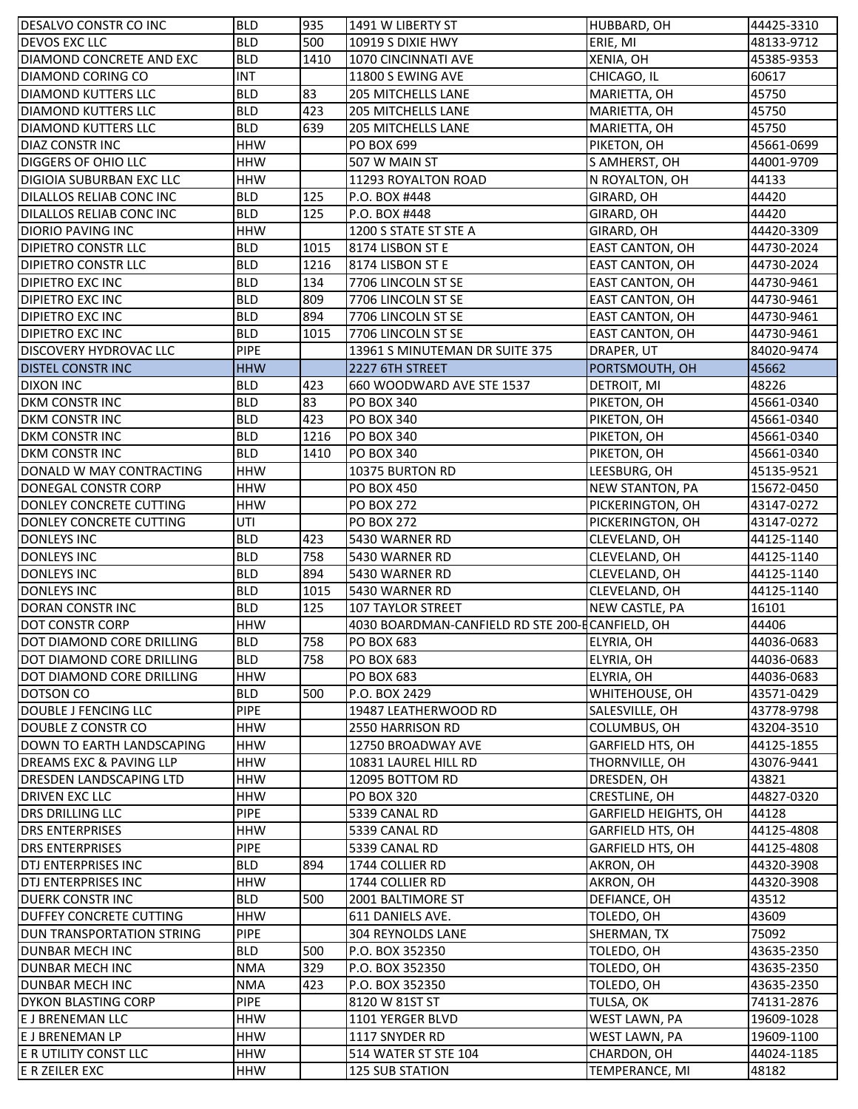| DESALVO CONSTR CO INC                                  | <b>BLD</b>               | 935        | 1491 W LIBERTY ST                               | HUBBARD, OH                   | 44425-3310               |
|--------------------------------------------------------|--------------------------|------------|-------------------------------------------------|-------------------------------|--------------------------|
| <b>DEVOS EXC LLC</b>                                   | <b>BLD</b>               | 500        | 10919 S DIXIE HWY                               | ERIE, MI                      | 48133-9712               |
| DIAMOND CONCRETE AND EXC                               | <b>BLD</b>               | 1410       | 1070 CINCINNATI AVE                             | XENIA, OH                     | 45385-9353               |
| DIAMOND CORING CO                                      | <b>INT</b>               |            | 11800 S EWING AVE                               | CHICAGO, IL                   | 60617                    |
| <b>DIAMOND KUTTERS LLC</b>                             | <b>BLD</b>               | 83         | <b>205 MITCHELLS LANE</b>                       | MARIETTA, OH                  | 45750                    |
| <b>DIAMOND KUTTERS LLC</b>                             | <b>BLD</b>               | 423        | <b>205 MITCHELLS LANE</b>                       | MARIETTA, OH                  | 45750                    |
| <b>DIAMOND KUTTERS LLC</b>                             | <b>BLD</b>               | 639        | 205 MITCHELLS LANE                              | MARIETTA, OH                  | 45750                    |
| <b>DIAZ CONSTR INC</b>                                 | <b>HHW</b>               |            | PO BOX 699                                      | PIKETON, OH                   | 45661-0699               |
| <b>DIGGERS OF OHIO LLC</b>                             | <b>HHW</b>               |            | 507 W MAIN ST                                   | S AMHERST, OH                 | 44001-9709               |
| <b>DIGIOIA SUBURBAN EXC LLC</b>                        | <b>HHW</b>               |            | 11293 ROYALTON ROAD                             | N ROYALTON, OH                | 44133                    |
| DILALLOS RELIAB CONC INC                               | <b>BLD</b>               | 125        | P.O. BOX #448                                   | GIRARD, OH                    | 44420                    |
| DILALLOS RELIAB CONC INC                               | <b>BLD</b>               | 125        | P.O. BOX #448                                   | GIRARD, OH                    | 44420                    |
| <b>DIORIO PAVING INC</b>                               | <b>HHW</b>               |            | 1200 S STATE ST STE A                           | GIRARD, OH                    | 44420-3309               |
| <b>DIPIETRO CONSTR LLC</b>                             | <b>BLD</b>               | 1015       | 8174 LISBON ST E                                | EAST CANTON, OH               | 44730-2024               |
|                                                        |                          |            |                                                 |                               |                          |
| <b>DIPIETRO CONSTR LLC</b>                             | <b>BLD</b>               | 1216       | 8174 LISBON ST E                                | EAST CANTON, OH               | 44730-2024               |
| <b>DIPIETRO EXC INC</b>                                | <b>BLD</b>               | 134        | 7706 LINCOLN ST SE                              | <b>EAST CANTON, OH</b>        | 44730-9461               |
| <b>DIPIETRO EXC INC</b>                                | <b>BLD</b>               | 809        | 7706 LINCOLN ST SE                              | <b>EAST CANTON, OH</b>        | 44730-9461               |
| <b>DIPIETRO EXC INC</b>                                | <b>BLD</b>               | 894        | 7706 LINCOLN ST SE                              | <b>EAST CANTON, OH</b>        | 44730-9461               |
| <b>DIPIETRO EXC INC</b>                                | <b>BLD</b>               | 1015       | 7706 LINCOLN ST SE                              | EAST CANTON, OH               | 44730-9461               |
| <b>DISCOVERY HYDROVAC LLC</b>                          | <b>PIPE</b>              |            | 13961 S MINUTEMAN DR SUITE 375                  | DRAPER, UT                    | 84020-9474               |
| <b>DISTEL CONSTRING</b>                                | <b>HHW</b>               |            | 2227 6TH STREET                                 | PORTSMOUTH, OH                | 45662                    |
| <b>DIXON INC</b>                                       | <b>BLD</b>               | 423        | 660 WOODWARD AVE STE 1537                       | DETROIT, MI                   | 48226                    |
| <b>DKM CONSTR INC</b>                                  | <b>BLD</b>               | 83         | <b>PO BOX 340</b>                               | PIKETON, OH                   | 45661-0340               |
| <b>DKM CONSTR INC</b>                                  | <b>BLD</b>               | 423        | <b>PO BOX 340</b>                               | PIKETON, OH                   | 45661-0340               |
| DKM CONSTR INC                                         | <b>BLD</b>               | 1216       | PO BOX 340                                      | PIKETON, OH                   | 45661-0340               |
| <b>DKM CONSTR INC</b>                                  | <b>BLD</b>               | 1410       | <b>PO BOX 340</b>                               | PIKETON, OH                   | 45661-0340               |
| DONALD W MAY CONTRACTING                               | <b>HHW</b>               |            | 10375 BURTON RD                                 | LEESBURG, OH                  | 45135-9521               |
| DONEGAL CONSTR CORP                                    | <b>HHW</b>               |            | <b>PO BOX 450</b>                               | NEW STANTON, PA               | 15672-0450               |
| DONLEY CONCRETE CUTTING                                | <b>HHW</b>               |            | <b>PO BOX 272</b>                               | PICKERINGTON, OH              | 43147-0272               |
| DONLEY CONCRETE CUTTING                                | UTI                      |            | <b>PO BOX 272</b>                               | PICKERINGTON, OH              | 43147-0272               |
| <b>DONLEYS INC</b>                                     | <b>BLD</b>               | 423        | 5430 WARNER RD                                  | CLEVELAND, OH                 | 44125-1140               |
| DONLEYS INC                                            | <b>BLD</b>               | 758        | 5430 WARNER RD                                  | CLEVELAND, OH                 | 44125-1140               |
| <b>DONLEYS INC</b>                                     | <b>BLD</b>               | 894        | 5430 WARNER RD                                  | CLEVELAND, OH                 | 44125-1140               |
| <b>DONLEYS INC</b>                                     | <b>BLD</b>               | 1015       | 5430 WARNER RD                                  | CLEVELAND, OH                 | 44125-1140               |
|                                                        | <b>BLD</b>               | 125        | <b>107 TAYLOR STREET</b>                        | NEW CASTLE, PA                | 16101                    |
| DORAN CONSTRINC                                        |                          |            |                                                 |                               |                          |
| <b>DOT CONSTR CORP</b>                                 | <b>HHW</b>               |            | 4030 BOARDMAN-CANFIELD RD STE 200-ECANFIELD, OH |                               | 44406                    |
|                                                        |                          |            |                                                 |                               |                          |
| DOT DIAMOND CORE DRILLING<br>DOT DIAMOND CORE DRILLING | <b>BLD</b><br><b>BLD</b> | 758<br>758 | PO BOX 683<br>PO BOX 683                        | ELYRIA, OH<br>ELYRIA, OH      | 44036-0683<br>44036-0683 |
| DOT DIAMOND CORE DRILLING                              | <b>HHW</b>               |            |                                                 |                               |                          |
|                                                        |                          |            | PO BOX 683                                      | ELYRIA, OH                    | 44036-0683               |
| <b>DOTSON CO</b>                                       | <b>BLD</b>               | 500        | P.O. BOX 2429                                   | WHITEHOUSE, OH                | 43571-0429               |
| DOUBLE J FENCING LLC                                   | <b>PIPE</b>              |            | 19487 LEATHERWOOD RD                            | SALESVILLE, OH                | 43778-9798               |
| DOUBLE Z CONSTR CO                                     | HHW                      |            | 2550 HARRISON RD                                | COLUMBUS, OH                  | 43204-3510               |
| DOWN TO EARTH LANDSCAPING                              | <b>HHW</b>               |            | 12750 BROADWAY AVE                              | GARFIELD HTS, OH              | 44125-1855               |
| <b>DREAMS EXC &amp; PAVING LLP</b>                     | <b>HHW</b>               |            | 10831 LAUREL HILL RD                            | THORNVILLE, OH                | 43076-9441               |
| DRESDEN LANDSCAPING LTD                                | <b>HHW</b>               |            | 12095 BOTTOM RD                                 | DRESDEN, OH                   | 43821                    |
| <b>DRIVEN EXC LLC</b>                                  | <b>HHW</b>               |            | PO BOX 320                                      | CRESTLINE, OH                 | 44827-0320               |
| <b>DRS DRILLING LLC</b>                                | <b>PIPE</b>              |            | 5339 CANAL RD                                   | <b>GARFIELD HEIGHTS, OH</b>   | 44128                    |
| <b>DRS ENTERPRISES</b>                                 | <b>HHW</b>               |            | 5339 CANAL RD                                   | <b>GARFIELD HTS, OH</b>       | 44125-4808               |
| <b>DRS ENTERPRISES</b>                                 | <b>PIPE</b>              |            | 5339 CANAL RD                                   | GARFIELD HTS, OH              | 44125-4808               |
| DTJ ENTERPRISES INC                                    | <b>BLD</b>               | 894        | 1744 COLLIER RD                                 | AKRON, OH                     | 44320-3908               |
| DTJ ENTERPRISES INC                                    | <b>HHW</b>               |            | 1744 COLLIER RD                                 | AKRON, OH                     | 44320-3908               |
| <b>DUERK CONSTR INC</b>                                | <b>BLD</b>               | 500        | 2001 BALTIMORE ST                               | DEFIANCE, OH                  | 43512                    |
| DUFFEY CONCRETE CUTTING                                | <b>HHW</b>               |            | 611 DANIELS AVE.                                | TOLEDO, OH                    | 43609                    |
| <b>DUN TRANSPORTATION STRING</b>                       | <b>PIPE</b>              |            | 304 REYNOLDS LANE                               | SHERMAN, TX                   | 75092                    |
| DUNBAR MECH INC                                        | <b>BLD</b>               | 500        | P.O. BOX 352350                                 | TOLEDO, OH                    | 43635-2350               |
| DUNBAR MECH INC                                        | <b>NMA</b>               | 329        | P.O. BOX 352350                                 | TOLEDO, OH                    | 43635-2350               |
| DUNBAR MECH INC                                        | <b>NMA</b>               | 423        | P.O. BOX 352350                                 | TOLEDO, OH                    | 43635-2350               |
| <b>DYKON BLASTING CORP</b>                             | <b>PIPE</b>              |            | 8120 W 81ST ST                                  | TULSA, OK                     | 74131-2876               |
| E J BRENEMAN LLC                                       | <b>HHW</b>               |            | 1101 YERGER BLVD                                | WEST LAWN, PA                 | 19609-1028               |
| <b>E J BRENEMAN LP</b>                                 | <b>HHW</b>               |            | 1117 SNYDER RD                                  | WEST LAWN, PA                 | 19609-1100               |
| E R UTILITY CONST LLC<br>E R ZEILER EXC                | <b>HHW</b><br><b>HHW</b> |            | 514 WATER ST STE 104<br><b>125 SUB STATION</b>  | CHARDON, OH<br>TEMPERANCE, MI | 44024-1185<br>48182      |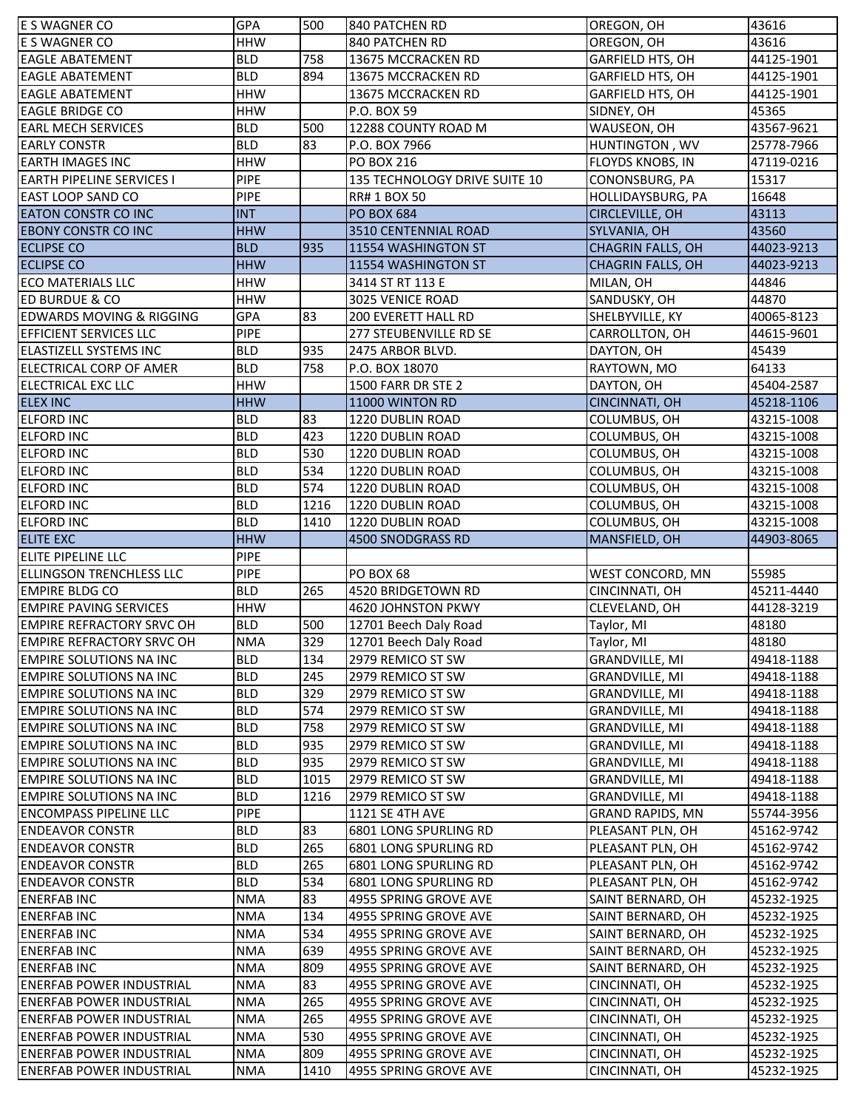| E S WAGNER CO                                                      | <b>GPA</b>               | 500         | 840 PATCHEN RD                                 | OREGON, OH                       | 43616                    |
|--------------------------------------------------------------------|--------------------------|-------------|------------------------------------------------|----------------------------------|--------------------------|
| <b>E S WAGNER CO</b>                                               | <b>HHW</b>               |             | 840 PATCHEN RD                                 | OREGON, OH                       | 43616                    |
| <b>EAGLE ABATEMENT</b>                                             | <b>BLD</b>               | 758         | 13675 MCCRACKEN RD                             | GARFIELD HTS, OH                 | 44125-1901               |
| <b>EAGLE ABATEMENT</b>                                             | <b>BLD</b>               | 894         | 13675 MCCRACKEN RD                             | <b>GARFIELD HTS, OH</b>          | 44125-1901               |
| <b>EAGLE ABATEMENT</b>                                             | <b>HHW</b>               |             | 13675 MCCRACKEN RD                             | <b>GARFIELD HTS, OH</b>          | 44125-1901               |
| <b>EAGLE BRIDGE CO</b>                                             | <b>HHW</b>               |             | P.O. BOX 59                                    | SIDNEY, OH                       | 45365                    |
| <b>EARL MECH SERVICES</b>                                          | <b>BLD</b>               | 500         | 12288 COUNTY ROAD M                            | WAUSEON, OH                      | 43567-9621               |
| <b>EARLY CONSTR</b>                                                | <b>BLD</b>               | 83          | P.O. BOX 7966                                  | HUNTINGTON, WV                   | 25778-7966               |
| <b>EARTH IMAGES INC</b>                                            | <b>HHW</b>               |             | PO BOX 216                                     | FLOYDS KNOBS, IN                 | 47119-0216               |
| <b>EARTH PIPELINE SERVICES I</b>                                   | <b>PIPE</b>              |             | 135 TECHNOLOGY DRIVE SUITE 10                  | CONONSBURG, PA                   | 15317                    |
| <b>EAST LOOP SAND CO</b>                                           | <b>PIPE</b>              |             | <b>RR# 1 BOX 50</b>                            | <b>HOLLIDAYSBURG, PA</b>         | 16648                    |
| <b>EATON CONSTR CO INC</b>                                         | <b>INT</b>               |             | <b>PO BOX 684</b>                              | <b>CIRCLEVILLE, OH</b>           | 43113                    |
| <b>EBONY CONSTR CO INC</b>                                         | <b>HHW</b>               |             | 3510 CENTENNIAL ROAD                           | SYLVANIA, OH                     | 43560                    |
| <b>ECLIPSE CO</b>                                                  | <b>BLD</b>               | 935         | 11554 WASHINGTON ST                            | <b>CHAGRIN FALLS, OH</b>         | 44023-9213               |
| <b>ECLIPSE CO</b>                                                  | <b>HHW</b>               |             | 11554 WASHINGTON ST                            | <b>CHAGRIN FALLS, OH</b>         | 44023-9213               |
| <b>ECO MATERIALS LLC</b>                                           | <b>HHW</b>               |             | 3414 ST RT 113 E                               | MILAN, OH                        | 44846                    |
| <b>ED BURDUE &amp; CO</b>                                          | <b>HHW</b>               |             | 3025 VENICE ROAD                               | SANDUSKY, OH                     | 44870                    |
| <b>EDWARDS MOVING &amp; RIGGING</b>                                | <b>GPA</b>               | 83          | <b>200 EVERETT HALL RD</b>                     | SHELBYVILLE, KY                  | 40065-8123               |
| <b>EFFICIENT SERVICES LLC</b>                                      | <b>PIPE</b>              |             | <b>277 STEUBENVILLE RD SE</b>                  | CARROLLTON, OH                   | 44615-9601               |
| <b>ELASTIZELL SYSTEMS INC</b>                                      | <b>BLD</b>               | 935         | 2475 ARBOR BLVD.                               | DAYTON, OH                       | 45439                    |
| ELECTRICAL CORP OF AMER                                            | <b>BLD</b>               | 758         | P.O. BOX 18070                                 | RAYTOWN, MO                      | 64133                    |
| <b>ELECTRICAL EXC LLC</b>                                          | <b>HHW</b>               |             | 1500 FARR DR STE 2                             | DAYTON, OH                       | 45404-2587               |
| <b>ELEX INC</b>                                                    | <b>HHW</b>               |             | 11000 WINTON RD                                | <b>CINCINNATI, OH</b>            | 45218-1106               |
| <b>ELFORD INC</b>                                                  | <b>BLD</b>               | 83          | 1220 DUBLIN ROAD                               | COLUMBUS, OH                     | 43215-1008               |
| <b>ELFORD INC</b>                                                  | <b>BLD</b>               | 423         | 1220 DUBLIN ROAD                               | COLUMBUS, OH                     | 43215-1008               |
| <b>ELFORD INC</b>                                                  | <b>BLD</b>               | 530         | 1220 DUBLIN ROAD                               | COLUMBUS, OH                     | 43215-1008               |
| <b>ELFORD INC</b>                                                  | <b>BLD</b>               | 534         | 1220 DUBLIN ROAD                               | COLUMBUS, OH                     | 43215-1008               |
| <b>ELFORD INC</b>                                                  | <b>BLD</b>               | 574         | 1220 DUBLIN ROAD                               | COLUMBUS, OH                     | 43215-1008               |
| <b>ELFORD INC</b>                                                  | <b>BLD</b>               | 1216        | 1220 DUBLIN ROAD                               | COLUMBUS, OH                     | 43215-1008               |
| <b>ELFORD INC</b>                                                  | <b>BLD</b>               | 1410        | 1220 DUBLIN ROAD                               | COLUMBUS, OH                     | 43215-1008               |
| <b>ELITE EXC</b>                                                   | <b>HHW</b>               |             | 4500 SNODGRASS RD                              | MANSFIELD, OH                    | 44903-8065               |
|                                                                    |                          |             |                                                |                                  |                          |
|                                                                    |                          |             |                                                |                                  |                          |
| ELITE PIPELINE LLC                                                 | <b>PIPE</b>              |             |                                                |                                  |                          |
| <b>ELLINGSON TRENCHLESS LLC</b>                                    | <b>PIPE</b>              |             | PO BOX 68                                      | WEST CONCORD, MN                 | 55985                    |
| <b>EMPIRE BLDG CO</b>                                              | <b>BLD</b>               | 265         | 4520 BRIDGETOWN RD                             | CINCINNATI, OH                   | 45211-4440               |
| <b>EMPIRE PAVING SERVICES</b>                                      | <b>HHW</b>               |             | 4620 JOHNSTON PKWY                             | CLEVELAND, OH                    | 44128-3219               |
| <b>EMPIRE REFRACTORY SRVC OH</b>                                   | <b>BLD</b>               | 500         | 12701 Beech Daly Road                          | Taylor, MI                       | 48180                    |
| <b>EMPIRE REFRACTORY SRVC OH</b>                                   | <b>NMA</b>               | 329         | 12701 Beech Daly Road                          | Taylor, MI                       | 48180                    |
| <b>EMPIRE SOLUTIONS NA INC</b>                                     | <b>BLD</b>               | 134         | 2979 REMICO ST SW                              | <b>GRANDVILLE, MI</b>            | 49418-1188               |
| <b>EMPIRE SOLUTIONS NA INC</b>                                     | <b>BLD</b>               | 245         | 2979 REMICO ST SW                              | <b>GRANDVILLE, MI</b>            | 49418-1188               |
| <b>EMPIRE SOLUTIONS NA INC</b>                                     | <b>BLD</b>               | 329         | 2979 REMICO ST SW                              | <b>GRANDVILLE, MI</b>            | 49418-1188               |
| <b>EMPIRE SOLUTIONS NA INC</b>                                     | <b>BLD</b>               | 574         | 2979 REMICO ST SW                              | <b>GRANDVILLE, MI</b>            | 49418-1188               |
| <b>EMPIRE SOLUTIONS NA INC</b>                                     | <b>BLD</b>               | 758         | 2979 REMICO ST SW                              | <b>GRANDVILLE, MI</b>            | 49418-1188               |
| <b>EMPIRE SOLUTIONS NA INC</b>                                     | <b>BLD</b>               | 935         | 2979 REMICO ST SW                              | <b>GRANDVILLE, MI</b>            | 49418-1188               |
| <b>EMPIRE SOLUTIONS NA INC</b>                                     | <b>BLD</b>               | 935         | 2979 REMICO ST SW                              | <b>GRANDVILLE, MI</b>            | 49418-1188               |
| <b>EMPIRE SOLUTIONS NA INC</b>                                     | <b>BLD</b>               | 1015        | 2979 REMICO ST SW                              | <b>GRANDVILLE, MI</b>            | 49418-1188               |
| <b>EMPIRE SOLUTIONS NA INC</b><br><b>ENCOMPASS PIPELINE LLC</b>    | <b>BLD</b>               | 1216        | 2979 REMICO ST SW                              | GRANDVILLE, MI                   | 49418-1188               |
|                                                                    | <b>PIPE</b>              |             | 1121 SE 4TH AVE                                | <b>GRAND RAPIDS, MN</b>          | 55744-3956               |
| <b>ENDEAVOR CONSTR</b>                                             | <b>BLD</b>               | 83          | 6801 LONG SPURLING RD                          | PLEASANT PLN, OH                 | 45162-9742               |
| <b>ENDEAVOR CONSTR</b>                                             | <b>BLD</b>               | 265         | 6801 LONG SPURLING RD                          | PLEASANT PLN, OH                 | 45162-9742               |
| <b>ENDEAVOR CONSTR</b>                                             | <b>BLD</b>               | 265         | 6801 LONG SPURLING RD                          | PLEASANT PLN, OH                 | 45162-9742               |
| <b>ENDEAVOR CONSTR</b>                                             | <b>BLD</b>               | 534         | 6801 LONG SPURLING RD                          | PLEASANT PLN, OH                 | 45162-9742               |
| <b>ENERFAB INC</b>                                                 | <b>NMA</b>               | 83          | 4955 SPRING GROVE AVE                          | SAINT BERNARD, OH                | 45232-1925               |
| <b>ENERFAB INC</b>                                                 | <b>NMA</b>               | 134         | 4955 SPRING GROVE AVE                          | SAINT BERNARD, OH                | 45232-1925               |
| <b>ENERFAB INC</b>                                                 | <b>NMA</b>               | 534         | 4955 SPRING GROVE AVE                          | SAINT BERNARD, OH                | 45232-1925               |
| <b>ENERFAB INC</b>                                                 | <b>NMA</b>               | 639         | 4955 SPRING GROVE AVE                          | SAINT BERNARD, OH                | 45232-1925               |
| <b>ENERFABINC</b>                                                  | <b>NMA</b>               | 809         | 4955 SPRING GROVE AVE                          | SAINT BERNARD, OH                | 45232-1925               |
| <b>ENERFAB POWER INDUSTRIAL</b>                                    | <b>NMA</b>               | 83          | 4955 SPRING GROVE AVE                          | CINCINNATI, OH                   | 45232-1925               |
| <b>ENERFAB POWER INDUSTRIAL</b>                                    | <b>NMA</b>               | 265         | 4955 SPRING GROVE AVE                          | CINCINNATI, OH                   | 45232-1925               |
| <b>ENERFAB POWER INDUSTRIAL</b>                                    | <b>NMA</b>               | 265         | 4955 SPRING GROVE AVE                          | CINCINNATI, OH                   | 45232-1925               |
| <b>ENERFAB POWER INDUSTRIAL</b>                                    | <b>NMA</b>               | 530         | 4955 SPRING GROVE AVE                          | CINCINNATI, OH                   | 45232-1925               |
| <b>ENERFAB POWER INDUSTRIAL</b><br><b>ENERFAB POWER INDUSTRIAL</b> | <b>NMA</b><br><b>NMA</b> | 809<br>1410 | 4955 SPRING GROVE AVE<br>4955 SPRING GROVE AVE | CINCINNATI, OH<br>CINCINNATI, OH | 45232-1925<br>45232-1925 |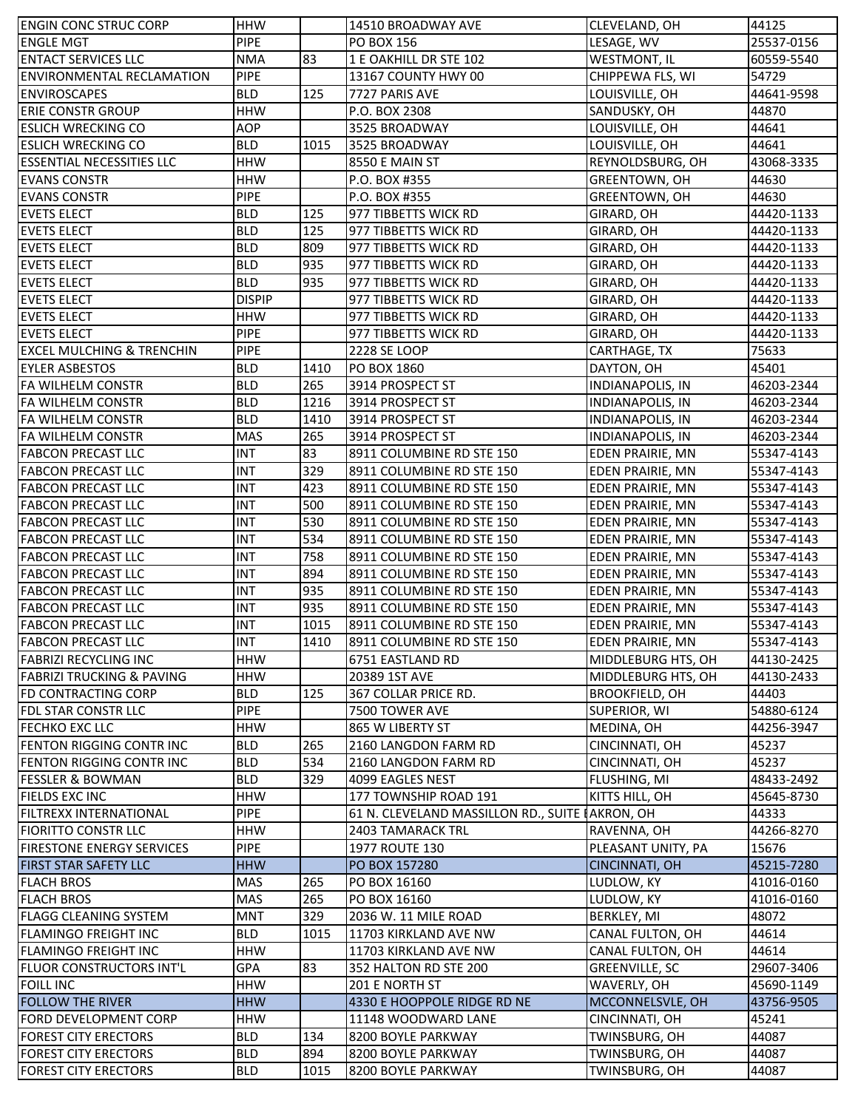| <b>ENGIN CONC STRUC CORP</b>         | <b>HHW</b>    |      | 14510 BROADWAY AVE                              | CLEVELAND, OH           | 44125      |
|--------------------------------------|---------------|------|-------------------------------------------------|-------------------------|------------|
| <b>ENGLE MGT</b>                     | <b>PIPE</b>   |      | <b>PO BOX 156</b>                               | LESAGE, WV              | 25537-0156 |
| <b>ENTACT SERVICES LLC</b>           | <b>NMA</b>    | 83   | 1 E OAKHILL DR STE 102                          | <b>WESTMONT, IL</b>     | 60559-5540 |
| <b>ENVIRONMENTAL RECLAMATION</b>     | <b>PIPE</b>   |      | 13167 COUNTY HWY 00                             | CHIPPEWA FLS, WI        | 54729      |
| <b>ENVIROSCAPES</b>                  | <b>BLD</b>    | 125  | 7727 PARIS AVE                                  | LOUISVILLE, OH          | 44641-9598 |
| <b>ERIE CONSTR GROUP</b>             | <b>HHW</b>    |      | P.O. BOX 2308                                   | SANDUSKY, OH            | 44870      |
| <b>ESLICH WRECKING CO</b>            | AOP           |      | 3525 BROADWAY                                   | LOUISVILLE, OH          | 44641      |
| <b>ESLICH WRECKING CO</b>            | <b>BLD</b>    | 1015 | 3525 BROADWAY                                   | LOUISVILLE, OH          | 44641      |
| <b>ESSENTIAL NECESSITIES LLC</b>     | <b>HHW</b>    |      | 8550 E MAIN ST                                  | REYNOLDSBURG, OH        | 43068-3335 |
| <b>EVANS CONSTR</b>                  | <b>HHW</b>    |      | P.O. BOX #355                                   | GREENTOWN, OH           | 44630      |
| <b>EVANS CONSTR</b>                  | <b>PIPE</b>   |      | P.O. BOX #355                                   | GREENTOWN, OH           | 44630      |
| <b>EVETS ELECT</b>                   | <b>BLD</b>    | 125  | 977 TIBBETTS WICK RD                            | GIRARD, OH              | 44420-1133 |
| <b>EVETS ELECT</b>                   | <b>BLD</b>    | 125  | 977 TIBBETTS WICK RD                            | GIRARD, OH              | 44420-1133 |
| <b>EVETS ELECT</b>                   | <b>BLD</b>    | 809  | 977 TIBBETTS WICK RD                            | GIRARD, OH              | 44420-1133 |
| <b>EVETS ELECT</b>                   | <b>BLD</b>    | 935  | 977 TIBBETTS WICK RD                            | GIRARD, OH              | 44420-1133 |
| <b>EVETS ELECT</b>                   | <b>BLD</b>    | 935  | 977 TIBBETTS WICK RD                            | GIRARD, OH              | 44420-1133 |
| <b>EVETS ELECT</b>                   | <b>DISPIP</b> |      | 977 TIBBETTS WICK RD                            | GIRARD, OH              | 44420-1133 |
| <b>EVETS ELECT</b>                   | <b>HHW</b>    |      | 977 TIBBETTS WICK RD                            | GIRARD, OH              | 44420-1133 |
| <b>EVETS ELECT</b>                   | <b>PIPE</b>   |      | 977 TIBBETTS WICK RD                            | GIRARD, OH              | 44420-1133 |
| <b>EXCEL MULCHING &amp; TRENCHIN</b> | <b>PIPE</b>   |      | 2228 SE LOOP                                    | CARTHAGE, TX            | 75633      |
| <b>EYLER ASBESTOS</b>                | <b>BLD</b>    | 1410 | PO BOX 1860                                     | DAYTON, OH              | 45401      |
| <b>FA WILHELM CONSTR</b>             | <b>BLD</b>    | 265  | 3914 PROSPECT ST                                | <b>INDIANAPOLIS, IN</b> | 46203-2344 |
| <b>FA WILHELM CONSTR</b>             | <b>BLD</b>    | 1216 | 3914 PROSPECT ST                                | <b>INDIANAPOLIS, IN</b> | 46203-2344 |
|                                      |               |      |                                                 |                         |            |
| <b>FA WILHELM CONSTR</b>             | <b>BLD</b>    | 1410 | 3914 PROSPECT ST                                | <b>INDIANAPOLIS, IN</b> | 46203-2344 |
| <b>FA WILHELM CONSTR</b>             | MAS           | 265  | 3914 PROSPECT ST                                | <b>INDIANAPOLIS, IN</b> | 46203-2344 |
| <b>FABCON PRECAST LLC</b>            | <b>INT</b>    | 83   | 8911 COLUMBINE RD STE 150                       | EDEN PRAIRIE, MN        | 55347-4143 |
| <b>FABCON PRECAST LLC</b>            | <b>INT</b>    | 329  | 8911 COLUMBINE RD STE 150                       | EDEN PRAIRIE, MN        | 55347-4143 |
| <b>FABCON PRECAST LLC</b>            | <b>INT</b>    | 423  | 8911 COLUMBINE RD STE 150                       | EDEN PRAIRIE, MN        | 55347-4143 |
| <b>FABCON PRECAST LLC</b>            | <b>INT</b>    | 500  | 8911 COLUMBINE RD STE 150                       | <b>EDEN PRAIRIE, MN</b> | 55347-4143 |
| <b>FABCON PRECAST LLC</b>            | <b>INT</b>    | 530  | 8911 COLUMBINE RD STE 150                       | <b>EDEN PRAIRIE, MN</b> | 55347-4143 |
| <b>FABCON PRECAST LLC</b>            | <b>INT</b>    | 534  | 8911 COLUMBINE RD STE 150                       | EDEN PRAIRIE, MN        | 55347-4143 |
| <b>FABCON PRECAST LLC</b>            | <b>INT</b>    | 758  | 8911 COLUMBINE RD STE 150                       | <b>EDEN PRAIRIE, MN</b> | 55347-4143 |
| <b>FABCON PRECAST LLC</b>            | <b>INT</b>    | 894  | 8911 COLUMBINE RD STE 150                       | <b>EDEN PRAIRIE, MN</b> | 55347-4143 |
| <b>FABCON PRECAST LLC</b>            | <b>INT</b>    | 935  | 8911 COLUMBINE RD STE 150                       | <b>EDEN PRAIRIE, MN</b> | 55347-4143 |
| <b>FABCON PRECAST LLC</b>            | <b>INT</b>    | 935  | 8911 COLUMBINE RD STE 150                       | <b>EDEN PRAIRIE, MN</b> | 55347-4143 |
| <b>FABCON PRECAST LLC</b>            | <b>INT</b>    | 1015 | 8911 COLUMBINE RD STE 150                       | <b>EDEN PRAIRIE, MN</b> | 55347-4143 |
| <b>FABCON PRECAST LLC</b>            | <b>INT</b>    | 1410 | 8911 COLUMBINE RD STE 150                       | <b>EDEN PRAIRIE. MN</b> | 55347-4143 |
| <b>FABRIZI RECYCLING INC</b>         | <b>HHW</b>    |      | 6751 EASTLAND RD                                | MIDDLEBURG HTS, OH      | 44130-2425 |
| <b>FABRIZI TRUCKING &amp; PAVING</b> | <b>HHW</b>    |      | 20389 1ST AVE                                   | MIDDLEBURG HTS, OH      | 44130-2433 |
| FD CONTRACTING CORP                  | <b>BLD</b>    | 125  | 367 COLLAR PRICE RD.                            | <b>BROOKFIELD, OH</b>   | 44403      |
| FDL STAR CONSTR LLC                  | <b>PIPE</b>   |      | 7500 TOWER AVE                                  | SUPERIOR, WI            | 54880-6124 |
| FECHKO EXC LLC                       | <b>HHW</b>    |      | 865 W LIBERTY ST                                | MEDINA, OH              | 44256-3947 |
| FENTON RIGGING CONTR INC             | <b>BLD</b>    | 265  | 2160 LANGDON FARM RD                            | CINCINNATI, OH          | 45237      |
| FENTON RIGGING CONTR INC             | <b>BLD</b>    | 534  | 2160 LANGDON FARM RD                            | CINCINNATI, OH          | 45237      |
| <b>FESSLER &amp; BOWMAN</b>          | <b>BLD</b>    | 329  | 4099 EAGLES NEST                                | <b>FLUSHING, MI</b>     | 48433-2492 |
| <b>FIELDS EXC INC</b>                | <b>HHW</b>    |      | 177 TOWNSHIP ROAD 191                           | KITTS HILL, OH          | 45645-8730 |
| <b>FILTREXX INTERNATIONAL</b>        | <b>PIPE</b>   |      | 61 N. CLEVELAND MASSILLON RD., SUITE (AKRON, OH |                         | 44333      |
| <b>FIORITTO CONSTR LLC</b>           | <b>HHW</b>    |      | <b>2403 TAMARACK TRL</b>                        | RAVENNA, OH             | 44266-8270 |
| <b>FIRESTONE ENERGY SERVICES</b>     | <b>PIPE</b>   |      | 1977 ROUTE 130                                  | PLEASANT UNITY, PA      | 15676      |
| <b>FIRST STAR SAFETY LLC</b>         | <b>HHW</b>    |      | PO BOX 157280                                   | CINCINNATI, OH          | 45215-7280 |
| <b>FLACH BROS</b>                    | <b>MAS</b>    | 265  | PO BOX 16160                                    | LUDLOW, KY              | 41016-0160 |
| <b>FLACH BROS</b>                    | <b>MAS</b>    | 265  | PO BOX 16160                                    | LUDLOW, KY              | 41016-0160 |
| <b>FLAGG CLEANING SYSTEM</b>         | <b>MNT</b>    | 329  | 2036 W. 11 MILE ROAD                            | BERKLEY, MI             | 48072      |
| <b>FLAMINGO FREIGHT INC</b>          | <b>BLD</b>    | 1015 | 11703 KIRKLAND AVE NW                           | CANAL FULTON, OH        | 44614      |
| <b>FLAMINGO FREIGHT INC</b>          | <b>HHW</b>    |      | 11703 KIRKLAND AVE NW                           | CANAL FULTON, OH        | 44614      |
| FLUOR CONSTRUCTORS INT'L             | GPA           | 83   | 352 HALTON RD STE 200                           | GREENVILLE, SC          | 29607-3406 |
| <b>FOILL INC</b>                     | <b>HHW</b>    |      | 201 E NORTH ST                                  | WAVERLY, OH             | 45690-1149 |
| <b>FOLLOW THE RIVER</b>              | <b>HHW</b>    |      | 4330 E HOOPPOLE RIDGE RD NE                     | MCCONNELSVLE, OH        | 43756-9505 |
|                                      |               |      |                                                 |                         |            |
| FORD DEVELOPMENT CORP                | <b>HHW</b>    |      | 11148 WOODWARD LANE                             | CINCINNATI, OH          | 45241      |
| <b>FOREST CITY ERECTORS</b>          | <b>BLD</b>    | 134  | 8200 BOYLE PARKWAY                              | TWINSBURG, OH           | 44087      |
| <b>FOREST CITY ERECTORS</b>          | <b>BLD</b>    | 894  | 8200 BOYLE PARKWAY                              | TWINSBURG, OH           | 44087      |
| <b>FOREST CITY ERECTORS</b>          | <b>BLD</b>    | 1015 | 8200 BOYLE PARKWAY                              | TWINSBURG, OH           | 44087      |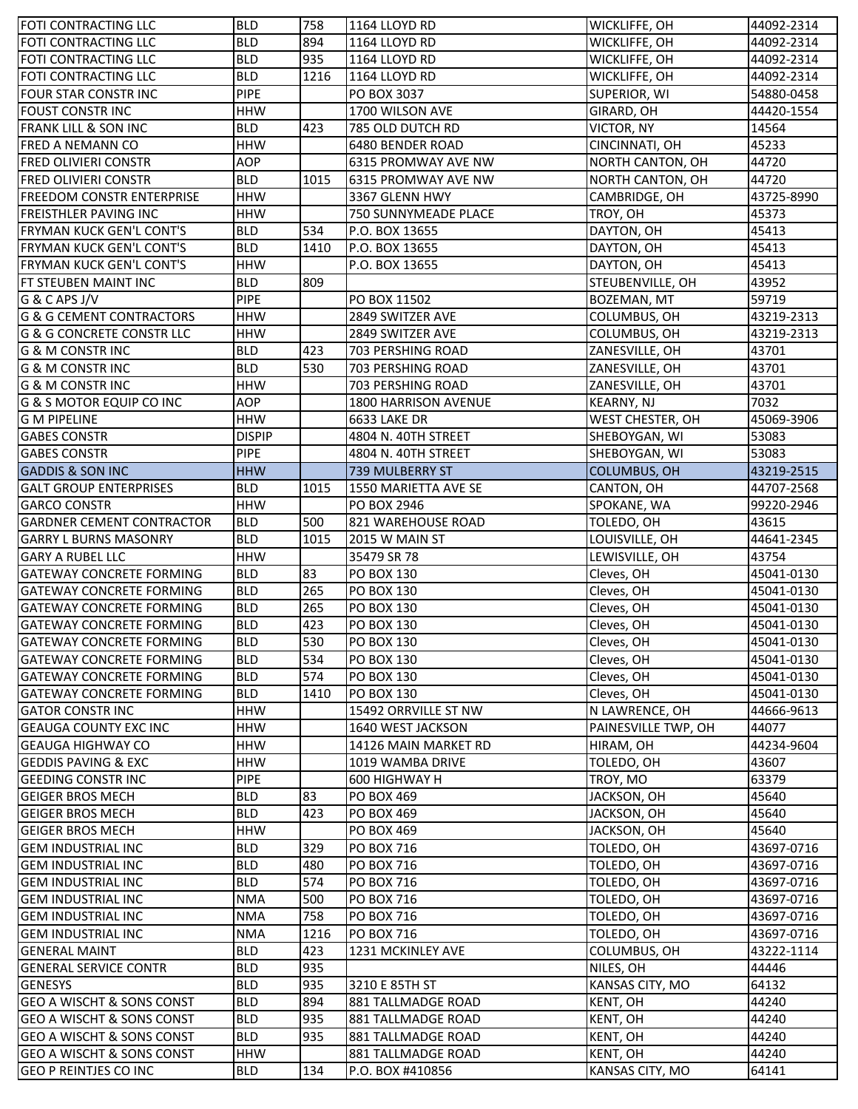| lfoti contracting llc                | <b>BLD</b>    | 758  | 1164 LLOYD RD               | WICKLIFFE, OH               | 44092-2314 |
|--------------------------------------|---------------|------|-----------------------------|-----------------------------|------------|
| FOTI CONTRACTING LLC                 | <b>BLD</b>    | 894  | 1164 LLOYD RD               | WICKLIFFE, OH               | 44092-2314 |
| FOTI CONTRACTING LLC                 | <b>BLD</b>    | 935  | 1164 LLOYD RD               | WICKLIFFE, OH               | 44092-2314 |
| FOTI CONTRACTING LLC                 | <b>BLD</b>    | 1216 | 1164 LLOYD RD               | WICKLIFFE, OH               | 44092-2314 |
| <b>FOUR STAR CONSTR INC</b>          | PIPE          |      | PO BOX 3037                 | SUPERIOR, WI                | 54880-0458 |
| <b>FOUST CONSTRINC</b>               | <b>HHW</b>    |      | 1700 WILSON AVE             | GIRARD, OH                  | 44420-1554 |
| <b>FRANK LILL &amp; SON INC</b>      | <b>BLD</b>    | 423  | 785 OLD DUTCH RD            | VICTOR, NY                  | 14564      |
| <b>FRED A NEMANN CO</b>              | <b>HHW</b>    |      | 6480 BENDER ROAD            | CINCINNATI, OH              | 45233      |
| <b>FRED OLIVIERI CONSTR</b>          | <b>AOP</b>    |      | 6315 PROMWAY AVE NW         | NORTH CANTON, OH            | 44720      |
| <b>FRED OLIVIERI CONSTR</b>          | <b>BLD</b>    | 1015 | 6315 PROMWAY AVE NW         | NORTH CANTON, OH            | 44720      |
| <b>FREEDOM CONSTR ENTERPRISE</b>     | <b>HHW</b>    |      | 3367 GLENN HWY              | CAMBRIDGE, OH               | 43725-8990 |
| <b>FREISTHLER PAVING INC</b>         | <b>HHW</b>    |      | 750 SUNNYMEADE PLACE        | TROY, OH                    | 45373      |
| <b>FRYMAN KUCK GEN'L CONT'S</b>      | <b>BLD</b>    | 534  | P.O. BOX 13655              | DAYTON, OH                  | 45413      |
| FRYMAN KUCK GEN'L CONT'S             | <b>BLD</b>    | 1410 | P.O. BOX 13655              | DAYTON, OH                  | 45413      |
| FRYMAN KUCK GEN'L CONT'S             | <b>HHW</b>    |      | P.O. BOX 13655              | DAYTON, OH                  | 45413      |
| FT STEUBEN MAINT INC                 | <b>BLD</b>    | 809  |                             | STEUBENVILLE, OH            | 43952      |
| G & C APS J/V                        | <b>PIPE</b>   |      | PO BOX 11502                | BOZEMAN, MT                 | 59719      |
| <b>G &amp; G CEMENT CONTRACTORS</b>  | <b>HHW</b>    |      | 2849 SWITZER AVE            | COLUMBUS, OH                | 43219-2313 |
| <b>G &amp; G CONCRETE CONSTR LLC</b> | <b>HHW</b>    |      | 2849 SWITZER AVE            | COLUMBUS, OH                | 43219-2313 |
| <b>G &amp; M CONSTR INC</b>          | <b>BLD</b>    | 423  | 703 PERSHING ROAD           | ZANESVILLE, OH              | 43701      |
|                                      | <b>BLD</b>    | 530  |                             |                             |            |
| G & M CONSTR INC                     |               |      | 703 PERSHING ROAD           | ZANESVILLE, OH              | 43701      |
| <b>G &amp; M CONSTR INC</b>          | <b>HHW</b>    |      | 703 PERSHING ROAD           | ZANESVILLE, OH              | 43701      |
| <b>G &amp; S MOTOR EQUIP CO INC</b>  | <b>AOP</b>    |      | <b>1800 HARRISON AVENUE</b> | <b>KEARNY, NJ</b>           | 7032       |
| <b>G M PIPELINE</b>                  | <b>HHW</b>    |      | 6633 LAKE DR                | WEST CHESTER, OH            | 45069-3906 |
| <b>GABES CONSTR</b>                  | <b>DISPIP</b> |      | 4804 N. 40TH STREET         | SHEBOYGAN, WI               | 53083      |
| <b>GABES CONSTR</b>                  | <b>PIPE</b>   |      | 4804 N. 40TH STREET         | SHEBOYGAN, WI               | 53083      |
| <b>GADDIS &amp; SON INC</b>          | <b>HHW</b>    |      | 739 MULBERRY ST             | <b>COLUMBUS, OH</b>         | 43219-2515 |
| <b>GALT GROUP ENTERPRISES</b>        | <b>BLD</b>    | 1015 | 1550 MARIETTA AVE SE        | CANTON, OH                  | 44707-2568 |
| <b>GARCO CONSTR</b>                  | <b>HHW</b>    |      | PO BOX 2946                 | SPOKANE, WA                 | 99220-2946 |
| <b>GARDNER CEMENT CONTRACTOR</b>     | <b>BLD</b>    | 500  | 821 WAREHOUSE ROAD          | TOLEDO, OH                  | 43615      |
| <b>GARRY L BURNS MASONRY</b>         | <b>BLD</b>    | 1015 | 2015 W MAIN ST              | LOUISVILLE, OH              | 44641-2345 |
| <b>GARY A RUBEL LLC</b>              | <b>HHW</b>    |      | 35479 SR 78                 | LEWISVILLE, OH              | 43754      |
| <b>GATEWAY CONCRETE FORMING</b>      | <b>BLD</b>    | 83   | <b>PO BOX 130</b>           | Cleves, OH                  | 45041-0130 |
| <b>GATEWAY CONCRETE FORMING</b>      | <b>BLD</b>    | 265  | PO BOX 130                  | Cleves, OH                  | 45041-0130 |
| <b>GATEWAY CONCRETE FORMING</b>      | <b>BLD</b>    | 265  | PO BOX 130                  | Cleves, OH                  | 45041-0130 |
| <b>GATEWAY CONCRETE FORMING</b>      | <b>BLD</b>    | 423  | PO BOX 130                  | Cleves, OH                  | 45041-0130 |
| <b>GATEWAY CONCRETE FORMING</b>      | <b>BLD</b>    | 530  | PO BOX 130                  | Cleves, OH                  | 45041-0130 |
| <b>GATEWAY CONCRETE FORMING</b>      | <b>BLD</b>    | 534  | <b>PO BOX 130</b>           | Cleves, OH                  | 45041-0130 |
| <b>GATEWAY CONCRETE FORMING</b>      | <b>BLD</b>    | 574  | PO BOX 130                  | Cleves, OH                  | 45041-0130 |
| <b>GATEWAY CONCRETE FORMING</b>      | <b>BLD</b>    | 1410 | PO BOX 130                  | Cleves, OH                  | 45041-0130 |
| <b>GATOR CONSTR INC</b>              | <b>HHW</b>    |      | 15492 ORRVILLE ST NW        | N LAWRENCE, OH              | 44666-9613 |
| <b>GEAUGA COUNTY EXC INC</b>         | <b>HHW</b>    |      | 1640 WEST JACKSON           | PAINESVILLE TWP, OH         | 44077      |
| <b>GEAUGA HIGHWAY CO</b>             | <b>HHW</b>    |      | 14126 MAIN MARKET RD        | HIRAM, OH                   | 44234-9604 |
| <b>GEDDIS PAVING &amp; EXC</b>       | <b>HHW</b>    |      | 1019 WAMBA DRIVE            | TOLEDO, OH                  | 43607      |
| <b>GEEDING CONSTR INC</b>            | <b>PIPE</b>   |      | 600 HIGHWAY H               | TROY, MO                    | 63379      |
| <b>GEIGER BROS MECH</b>              | <b>BLD</b>    | 83   | PO BOX 469                  | JACKSON, OH                 | 45640      |
| <b>GEIGER BROS MECH</b>              | <b>BLD</b>    | 423  | PO BOX 469                  | JACKSON, OH                 | 45640      |
| <b>GEIGER BROS MECH</b>              | <b>HHW</b>    |      | PO BOX 469                  | JACKSON, OH                 | 45640      |
| <b>GEM INDUSTRIAL INC</b>            | <b>BLD</b>    | 329  | PO BOX 716                  | TOLEDO, OH                  | 43697-0716 |
| <b>GEM INDUSTRIAL INC</b>            | <b>BLD</b>    | 480  | PO BOX 716                  | TOLEDO, OH                  | 43697-0716 |
| <b>GEM INDUSTRIAL INC</b>            | <b>BLD</b>    | 574  | PO BOX 716                  | TOLEDO, OH                  | 43697-0716 |
| <b>GEM INDUSTRIAL INC</b>            | <b>NMA</b>    | 500  | PO BOX 716                  | TOLEDO, OH                  | 43697-0716 |
| <b>GEM INDUSTRIAL INC</b>            | <b>NMA</b>    | 758  | PO BOX 716                  | TOLEDO, OH                  | 43697-0716 |
| <b>GEM INDUSTRIAL INC</b>            | <b>NMA</b>    | 1216 | PO BOX 716                  | TOLEDO, OH                  | 43697-0716 |
| <b>GENERAL MAINT</b>                 | <b>BLD</b>    | 423  | 1231 MCKINLEY AVE           | COLUMBUS, OH                | 43222-1114 |
| <b>GENERAL SERVICE CONTR</b>         | <b>BLD</b>    | 935  |                             | NILES, OH                   | 44446      |
| <b>GENESYS</b>                       | <b>BLD</b>    | 935  | 3210 E 85TH ST              |                             | 64132      |
|                                      | <b>BLD</b>    | 894  | 881 TALLMADGE ROAD          | KANSAS CITY, MO<br>KENT, OH | 44240      |
| <b>GEO A WISCHT &amp; SONS CONST</b> |               |      |                             |                             |            |
| <b>GEO A WISCHT &amp; SONS CONST</b> | <b>BLD</b>    | 935  | 881 TALLMADGE ROAD          | KENT, OH                    | 44240      |
| <b>GEO A WISCHT &amp; SONS CONST</b> | <b>BLD</b>    | 935  | 881 TALLMADGE ROAD          | KENT, OH                    | 44240      |
| <b>GEO A WISCHT &amp; SONS CONST</b> | <b>HHW</b>    |      | 881 TALLMADGE ROAD          | KENT, OH                    | 44240      |
| <b>GEO P REINTJES CO INC</b>         | <b>BLD</b>    | 134  | P.O. BOX #410856            | KANSAS CITY, MO             | 64141      |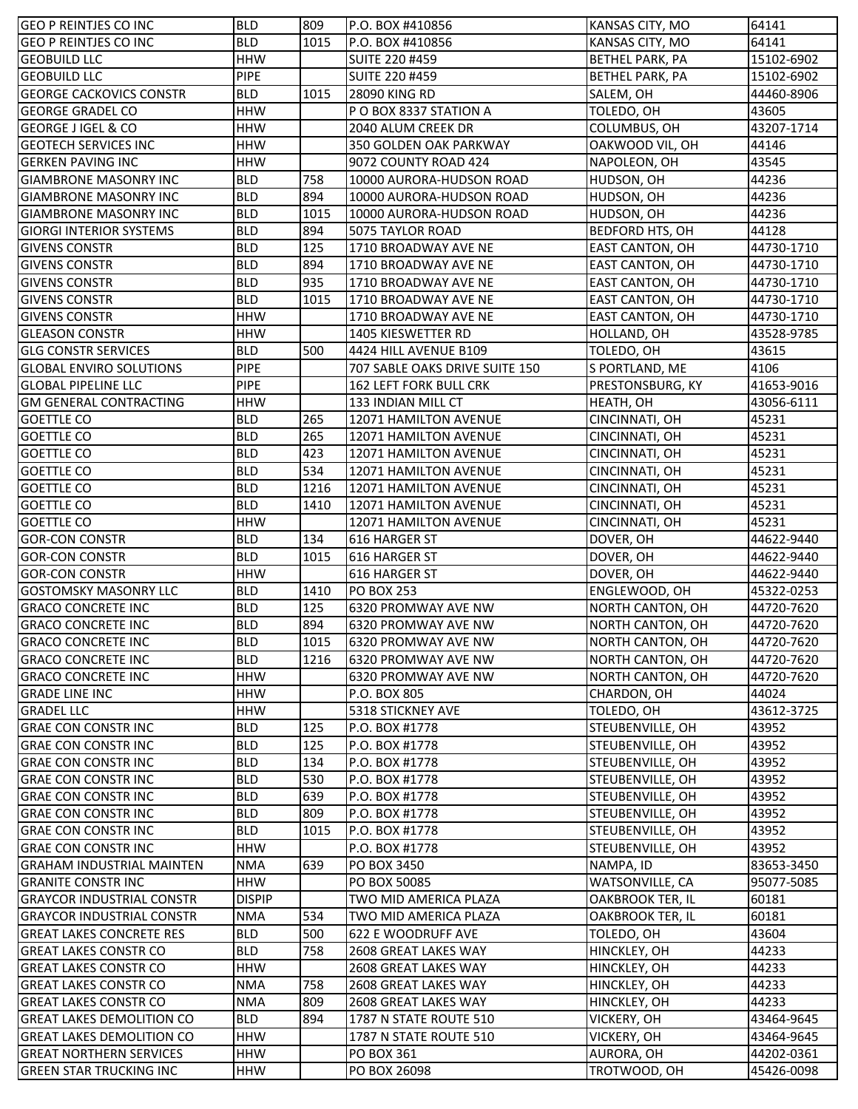| <b>GEO P REINTJES CO INC</b>     | <b>BLD</b>    | 809  | P.O. BOX #410856               | KANSAS CITY, MO         | 64141      |
|----------------------------------|---------------|------|--------------------------------|-------------------------|------------|
| <b>GEO P REINTJES CO INC</b>     | <b>BLD</b>    | 1015 | P.O. BOX #410856               | KANSAS CITY, MO         | 64141      |
| <b>GEOBUILD LLC</b>              | <b>HHW</b>    |      | SUITE 220 #459                 | <b>BETHEL PARK, PA</b>  | 15102-6902 |
| <b>GEOBUILD LLC</b>              | <b>PIPE</b>   |      | SUITE 220 #459                 | <b>BETHEL PARK, PA</b>  | 15102-6902 |
| <b>GEORGE CACKOVICS CONSTR</b>   | <b>BLD</b>    | 1015 | 28090 KING RD                  | SALEM, OH               | 44460-8906 |
| <b>GEORGE GRADEL CO</b>          | <b>HHW</b>    |      | P O BOX 8337 STATION A         | TOLEDO, OH              | 43605      |
| <b>GEORGE J IGEL &amp; CO</b>    | <b>HHW</b>    |      | 2040 ALUM CREEK DR             | COLUMBUS, OH            | 43207-1714 |
| <b>GEOTECH SERVICES INC</b>      | <b>HHW</b>    |      | 350 GOLDEN OAK PARKWAY         | OAKWOOD VIL, OH         | 44146      |
| <b>GERKEN PAVING INC</b>         | <b>HHW</b>    |      | 9072 COUNTY ROAD 424           | NAPOLEON, OH            | 43545      |
| <b>GIAMBRONE MASONRY INC</b>     | <b>BLD</b>    | 758  | 10000 AURORA-HUDSON ROAD       | HUDSON, OH              | 44236      |
| <b>GIAMBRONE MASONRY INC</b>     | <b>BLD</b>    | 894  | 10000 AURORA-HUDSON ROAD       | HUDSON, OH              | 44236      |
| <b>GIAMBRONE MASONRY INC</b>     | <b>BLD</b>    | 1015 | 10000 AURORA-HUDSON ROAD       | HUDSON, OH              | 44236      |
| <b>GIORGI INTERIOR SYSTEMS</b>   | <b>BLD</b>    | 894  | 5075 TAYLOR ROAD               | <b>BEDFORD HTS, OH</b>  | 44128      |
| <b>GIVENS CONSTR</b>             | <b>BLD</b>    | 125  | 1710 BROADWAY AVE NE           | <b>EAST CANTON, OH</b>  | 44730-1710 |
| <b>GIVENS CONSTR</b>             | <b>BLD</b>    | 894  | 1710 BROADWAY AVE NE           | <b>EAST CANTON, OH</b>  | 44730-1710 |
| <b>GIVENS CONSTR</b>             | <b>BLD</b>    | 935  | 1710 BROADWAY AVE NE           | <b>EAST CANTON, OH</b>  | 44730-1710 |
| <b>GIVENS CONSTR</b>             | <b>BLD</b>    | 1015 | 1710 BROADWAY AVE NE           | <b>EAST CANTON, OH</b>  | 44730-1710 |
| <b>GIVENS CONSTR</b>             | <b>HHW</b>    |      | 1710 BROADWAY AVE NE           | <b>EAST CANTON, OH</b>  | 44730-1710 |
| <b>GLEASON CONSTR</b>            | <b>HHW</b>    |      | 1405 KIESWETTER RD             | HOLLAND, OH             | 43528-9785 |
| <b>GLG CONSTR SERVICES</b>       | <b>BLD</b>    | 500  | 4424 HILL AVENUE B109          | TOLEDO, OH              | 43615      |
| <b>GLOBAL ENVIRO SOLUTIONS</b>   | <b>PIPE</b>   |      | 707 SABLE OAKS DRIVE SUITE 150 | S PORTLAND, ME          | 4106       |
| <b>GLOBAL PIPELINE LLC</b>       | <b>PIPE</b>   |      | <b>162 LEFT FORK BULL CRK</b>  | PRESTONSBURG, KY        | 41653-9016 |
| <b>GM GENERAL CONTRACTING</b>    | <b>HHW</b>    |      | 133 INDIAN MILL CT             | HEATH, OH               | 43056-6111 |
| <b>GOETTLE CO</b>                | <b>BLD</b>    | 265  | 12071 HAMILTON AVENUE          | CINCINNATI, OH          | 45231      |
|                                  |               |      |                                |                         |            |
| <b>GOETTLE CO</b>                | <b>BLD</b>    | 265  | 12071 HAMILTON AVENUE          | CINCINNATI, OH          | 45231      |
| <b>GOETTLE CO</b>                | <b>BLD</b>    | 423  | 12071 HAMILTON AVENUE          | CINCINNATI, OH          | 45231      |
| <b>GOETTLE CO</b>                | <b>BLD</b>    | 534  | 12071 HAMILTON AVENUE          | CINCINNATI, OH          | 45231      |
| <b>GOETTLE CO</b>                | <b>BLD</b>    | 1216 | 12071 HAMILTON AVENUE          | CINCINNATI, OH          | 45231      |
| <b>GOETTLE CO</b>                | <b>BLD</b>    | 1410 | 12071 HAMILTON AVENUE          | CINCINNATI, OH          | 45231      |
| <b>GOETTLE CO</b>                | <b>HHW</b>    |      | 12071 HAMILTON AVENUE          | CINCINNATI, OH          | 45231      |
| <b>GOR-CON CONSTR</b>            | <b>BLD</b>    | 134  | 616 HARGER ST                  | DOVER, OH               | 44622-9440 |
| <b>GOR-CON CONSTR</b>            | <b>BLD</b>    | 1015 | 616 HARGER ST                  | DOVER, OH               | 44622-9440 |
| <b>GOR-CON CONSTR</b>            | <b>HHW</b>    |      | 616 HARGER ST                  | DOVER, OH               | 44622-9440 |
| <b>GOSTOMSKY MASONRY LLC</b>     | <b>BLD</b>    | 1410 | <b>PO BOX 253</b>              | ENGLEWOOD, OH           | 45322-0253 |
| <b>GRACO CONCRETE INC</b>        | <b>BLD</b>    | 125  | 6320 PROMWAY AVE NW            | NORTH CANTON, OH        | 44720-7620 |
| <b>GRACO CONCRETE INC</b>        | <b>BLD</b>    | 894  | 6320 PROMWAY AVE NW            | NORTH CANTON, OH        | 44720-7620 |
| <b>GRACO CONCRETE INC</b>        | <b>BLD</b>    | 1015 | 6320 PROMWAY AVE NW            | NORTH CANTON, OH        | 44720-7620 |
| <b>GRACO CONCRETE INC</b>        | <b>BLD</b>    | 1216 | 6320 PROMWAY AVE NW            | <b>NORTH CANTON, OH</b> | 44720-7620 |
| <b>GRACO CONCRETE INC</b>        | <b>HHW</b>    |      | 6320 PROMWAY AVE NW            | <b>NORTH CANTON, OH</b> | 44720-7620 |
| <b>GRADE LINE INC</b>            | <b>HHW</b>    |      | P.O. BOX 805                   | CHARDON, OH             | 44024      |
| <b>GRADEL LLC</b>                | <b>HHW</b>    |      | 5318 STICKNEY AVE              | TOLEDO, OH              | 43612-3725 |
| <b>GRAE CON CONSTR INC</b>       | <b>BLD</b>    | 125  | P.O. BOX #1778                 | STEUBENVILLE, OH        | 43952      |
| <b>GRAE CON CONSTR INC</b>       | <b>BLD</b>    | 125  | P.O. BOX #1778                 | STEUBENVILLE, OH        | 43952      |
| <b>GRAE CON CONSTR INC</b>       | <b>BLD</b>    | 134  | P.O. BOX #1778                 | STEUBENVILLE, OH        | 43952      |
| <b>GRAE CON CONSTR INC</b>       | <b>BLD</b>    | 530  | P.O. BOX #1778                 | STEUBENVILLE, OH        | 43952      |
| <b>GRAE CON CONSTR INC</b>       | <b>BLD</b>    | 639  | P.O. BOX #1778                 | STEUBENVILLE, OH        | 43952      |
| <b>GRAE CON CONSTR INC</b>       | <b>BLD</b>    | 809  | P.O. BOX #1778                 | STEUBENVILLE, OH        | 43952      |
| <b>GRAE CON CONSTR INC</b>       | <b>BLD</b>    | 1015 | P.O. BOX #1778                 | STEUBENVILLE, OH        | 43952      |
| <b>GRAE CON CONSTR INC</b>       | <b>HHW</b>    |      | P.O. BOX #1778                 | STEUBENVILLE, OH        | 43952      |
| <b>GRAHAM INDUSTRIAL MAINTEN</b> | <b>NMA</b>    | 639  | PO BOX 3450                    | NAMPA, ID               | 83653-3450 |
| <b>GRANITE CONSTR INC</b>        | <b>HHW</b>    |      | PO BOX 50085                   | WATSONVILLE, CA         | 95077-5085 |
| <b>GRAYCOR INDUSTRIAL CONSTR</b> | <b>DISPIP</b> |      | TWO MID AMERICA PLAZA          | <b>OAKBROOK TER, IL</b> | 60181      |
| <b>GRAYCOR INDUSTRIAL CONSTR</b> | <b>NMA</b>    | 534  | TWO MID AMERICA PLAZA          | <b>OAKBROOK TER, IL</b> | 60181      |
| <b>GREAT LAKES CONCRETE RES</b>  | <b>BLD</b>    | 500  | 622 E WOODRUFF AVE             | TOLEDO, OH              | 43604      |
| <b>GREAT LAKES CONSTR CO</b>     | <b>BLD</b>    | 758  | 2608 GREAT LAKES WAY           | HINCKLEY, OH            | 44233      |
| <b>GREAT LAKES CONSTR CO</b>     | <b>HHW</b>    |      | 2608 GREAT LAKES WAY           | HINCKLEY, OH            | 44233      |
| <b>GREAT LAKES CONSTR CO</b>     | <b>NMA</b>    | 758  | 2608 GREAT LAKES WAY           | HINCKLEY, OH            | 44233      |
| <b>GREAT LAKES CONSTR CO</b>     | <b>NMA</b>    | 809  | 2608 GREAT LAKES WAY           | HINCKLEY, OH            | 44233      |
| <b>GREAT LAKES DEMOLITION CO</b> | <b>BLD</b>    | 894  | 1787 N STATE ROUTE 510         | VICKERY, OH             | 43464-9645 |
| <b>GREAT LAKES DEMOLITION CO</b> | <b>HHW</b>    |      | 1787 N STATE ROUTE 510         | VICKERY, OH             | 43464-9645 |
| <b>GREAT NORTHERN SERVICES</b>   | <b>HHW</b>    |      | PO BOX 361                     | AURORA, OH              | 44202-0361 |
| <b>GREEN STAR TRUCKING INC</b>   | <b>HHW</b>    |      | PO BOX 26098                   | TROTWOOD, OH            | 45426-0098 |
|                                  |               |      |                                |                         |            |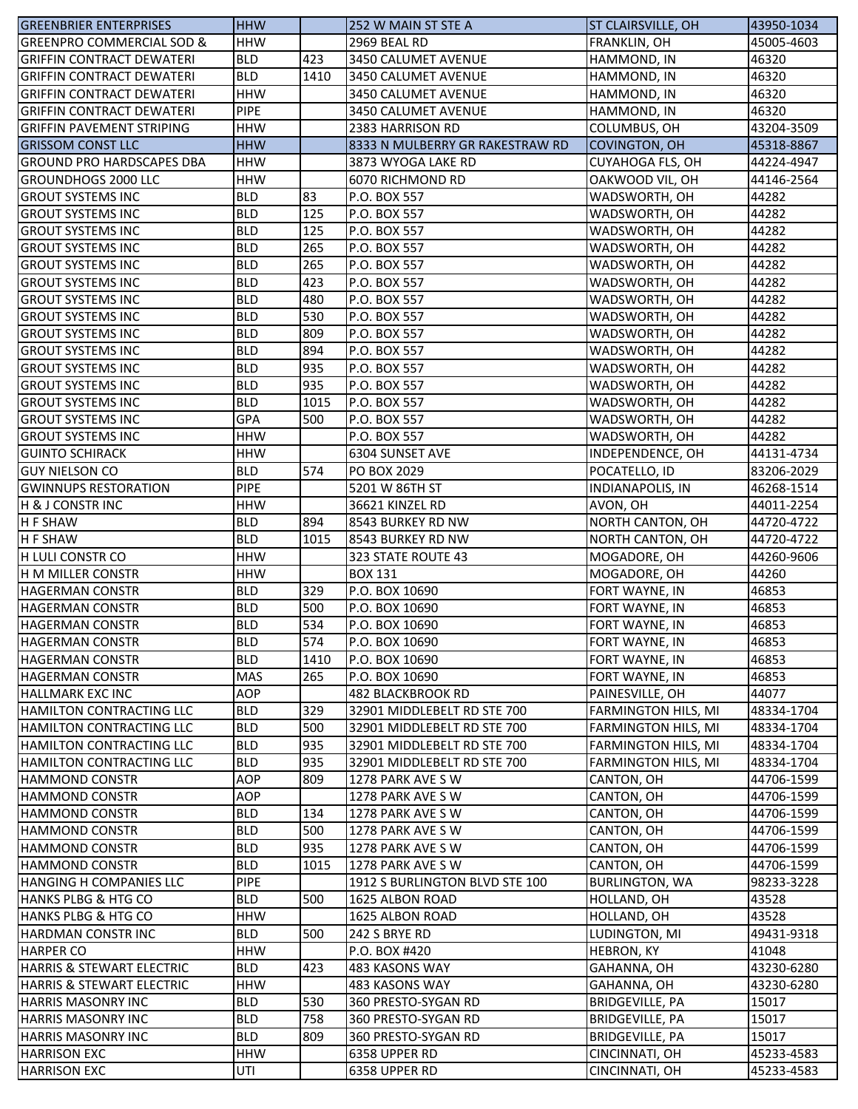| IGREENBRIER ENTERPRISES                           | <b>HHW</b>               |            | 252 W MAIN ST STE A                             | <b>ST CLAIRSVILLE, OH</b>                                | 43950-1034 |
|---------------------------------------------------|--------------------------|------------|-------------------------------------------------|----------------------------------------------------------|------------|
| <b>GREENPRO COMMERCIAL SOD &amp;</b>              | <b>HHW</b>               |            | 2969 BEAL RD                                    | FRANKLIN, OH                                             | 45005-4603 |
| <b>IGRIFFIN CONTRACT DEWATERI</b>                 | <b>BLD</b>               | 423        | 3450 CALUMET AVENUE                             | HAMMOND, IN                                              | 46320      |
| <b>GRIFFIN CONTRACT DEWATERI</b>                  | <b>BLD</b>               | 1410       | 3450 CALUMET AVENUE                             | HAMMOND, IN                                              | 46320      |
| <b>GRIFFIN CONTRACT DEWATERI</b>                  | <b>HHW</b>               |            | 3450 CALUMET AVENUE                             | HAMMOND, IN                                              | 46320      |
| <b>GRIFFIN CONTRACT DEWATERI</b>                  | <b>PIPE</b>              |            | 3450 CALUMET AVENUE                             | HAMMOND, IN                                              | 46320      |
| <b>GRIFFIN PAVEMENT STRIPING</b>                  | <b>HHW</b>               |            | 2383 HARRISON RD                                | COLUMBUS, OH                                             | 43204-3509 |
| <b>GRISSOM CONST LLC</b>                          | <b>HHW</b>               |            | 8333 N MULBERRY GR RAKESTRAW RD                 | <b>COVINGTON, OH</b>                                     | 45318-8867 |
| <b>GROUND PRO HARDSCAPES DBA</b>                  | <b>HHW</b>               |            | 3873 WYOGA LAKE RD                              | <b>CUYAHOGA FLS, OH</b>                                  | 44224-4947 |
| <b>I</b> GROUNDHOGS 2000 LLC                      | <b>HHW</b>               |            | 6070 RICHMOND RD                                | OAKWOOD VIL, OH                                          | 44146-2564 |
| <b>GROUT SYSTEMS INC</b>                          | <b>BLD</b>               | 83         | P.O. BOX 557                                    | WADSWORTH, OH                                            | 44282      |
| <b>GROUT SYSTEMS INC</b>                          | <b>BLD</b>               | 125        | P.O. BOX 557                                    | WADSWORTH, OH                                            | 44282      |
| <b>GROUT SYSTEMS INC</b>                          | <b>BLD</b>               | 125        | P.O. BOX 557                                    | WADSWORTH, OH                                            | 44282      |
| <b>GROUT SYSTEMS INC</b>                          | <b>BLD</b>               | 265        | P.O. BOX 557                                    | WADSWORTH, OH                                            | 44282      |
| <b>GROUT SYSTEMS INC</b>                          | <b>BLD</b>               | 265        | P.O. BOX 557                                    | WADSWORTH, OH                                            | 44282      |
| <b>GROUT SYSTEMS INC</b>                          | <b>BLD</b>               | 423        | P.O. BOX 557                                    | WADSWORTH, OH                                            | 44282      |
| <b>GROUT SYSTEMS INC</b>                          | <b>BLD</b>               | 480        | P.O. BOX 557                                    | WADSWORTH, OH                                            | 44282      |
| <b>GROUT SYSTEMS INC</b>                          | <b>BLD</b>               | 530        | P.O. BOX 557                                    | WADSWORTH, OH                                            | 44282      |
| <b>GROUT SYSTEMS INC</b>                          | <b>BLD</b>               | 809        | P.O. BOX 557                                    | WADSWORTH, OH                                            | 44282      |
| <b>GROUT SYSTEMS INC</b>                          | <b>BLD</b>               | 894        | P.O. BOX 557                                    | WADSWORTH, OH                                            | 44282      |
| <b>GROUT SYSTEMS INC</b>                          | <b>BLD</b>               | 935        | P.O. BOX 557                                    | WADSWORTH, OH                                            | 44282      |
| <b>GROUT SYSTEMS INC</b>                          | <b>BLD</b>               | 935        | P.O. BOX 557                                    | WADSWORTH, OH                                            | 44282      |
| <b>GROUT SYSTEMS INC</b>                          | <b>BLD</b>               | 1015       | P.O. BOX 557                                    | WADSWORTH, OH                                            | 44282      |
| <b>GROUT SYSTEMS INC</b>                          | <b>GPA</b>               | 500        | P.O. BOX 557                                    | WADSWORTH, OH                                            | 44282      |
| <b>GROUT SYSTEMS INC</b>                          | <b>HHW</b>               |            | P.O. BOX 557                                    | WADSWORTH, OH                                            | 44282      |
| <b>GUINTO SCHIRACK</b>                            | <b>HHW</b>               |            | 6304 SUNSET AVE                                 | INDEPENDENCE, OH                                         | 44131-4734 |
| <b>GUY NIELSON CO</b>                             | <b>BLD</b>               | 574        | PO BOX 2029                                     | POCATELLO, ID                                            | 83206-2029 |
| <b>GWINNUPS RESTORATION</b>                       | <b>PIPE</b>              |            | 5201 W 86TH ST                                  | INDIANAPOLIS, IN                                         | 46268-1514 |
| <b>H &amp; J CONSTR INC</b>                       | <b>HHW</b>               |            | 36621 KINZEL RD                                 | AVON, OH                                                 | 44011-2254 |
| <b>H F SHAW</b>                                   | <b>BLD</b>               | 894        | 8543 BURKEY RD NW                               | NORTH CANTON, OH                                         | 44720-4722 |
| <b>H F SHAW</b>                                   | <b>BLD</b>               | 1015       | 8543 BURKEY RD NW                               | NORTH CANTON, OH                                         | 44720-4722 |
| <b>H LULI CONSTR CO</b>                           | <b>HHW</b>               |            | 323 STATE ROUTE 43                              | MOGADORE, OH                                             | 44260-9606 |
| <b>IH M MILLER CONSTR</b>                         | <b>HHW</b>               |            | <b>BOX 131</b>                                  | MOGADORE, OH                                             | 44260      |
| <b>HAGERMAN CONSTR</b>                            | <b>BLD</b>               | 329        | P.O. BOX 10690                                  | FORT WAYNE, IN                                           | 46853      |
| <b>HAGERMAN CONSTR</b>                            | <b>BLD</b>               | 500        | P.O. BOX 10690                                  | FORT WAYNE, IN                                           | 46853      |
| <b>HAGERMAN CONSTR</b>                            | <b>BLD</b>               | 534        | P.O. BOX 10690                                  | FORT WAYNE, IN                                           | 46853      |
| <b>HAGERMAN CONSTR</b>                            | <b>BLD</b>               | 574        | P.O. BOX 10690                                  | <b>FORT WAYNE, IN</b>                                    | 46853      |
| <b>HAGERMAN CONSTR</b>                            | <b>BLD</b>               | 1410       | P.O. BOX 10690                                  | FORT WAYNE, IN                                           | 46853      |
| <b>HAGERMAN CONSTR</b>                            | <b>MAS</b>               | 265        | P.O. BOX 10690                                  | FORT WAYNE, IN                                           | 46853      |
| <b>HALLMARK EXC INC</b>                           | <b>AOP</b>               |            | 482 BLACKBROOK RD                               | PAINESVILLE, OH                                          | 44077      |
| <b>HAMILTON CONTRACTING LLC</b>                   | <b>BLD</b>               | 329        | 32901 MIDDLEBELT RD STE 700                     | <b>FARMINGTON HILS, MI</b>                               | 48334-1704 |
| HAMILTON CONTRACTING LLC                          | <b>BLD</b>               | 500        | 32901 MIDDLEBELT RD STE 700                     |                                                          | 48334-1704 |
| HAMILTON CONTRACTING LLC                          | <b>BLD</b>               | 935        | 32901 MIDDLEBELT RD STE 700                     | <b>FARMINGTON HILS, MI</b><br><b>FARMINGTON HILS, MI</b> | 48334-1704 |
|                                                   |                          |            |                                                 |                                                          |            |
| HAMILTON CONTRACTING LLC<br><b>HAMMOND CONSTR</b> | <b>BLD</b><br><b>AOP</b> | 935<br>809 | 32901 MIDDLEBELT RD STE 700<br>1278 PARK AVE SW | <b>FARMINGTON HILS, MI</b><br>CANTON, OH                 | 48334-1704 |
| <b>HAMMOND CONSTR</b>                             | <b>AOP</b>               |            |                                                 |                                                          | 44706-1599 |
| <b>HAMMOND CONSTR</b>                             | <b>BLD</b>               | 134        | 1278 PARK AVE SW<br>1278 PARK AVE SW            | CANTON, OH<br>CANTON, OH                                 | 44706-1599 |
|                                                   |                          |            |                                                 |                                                          | 44706-1599 |
| <b>HAMMOND CONSTR</b>                             | <b>BLD</b>               | 500        | 1278 PARK AVE SW                                | CANTON, OH                                               | 44706-1599 |
| <b>HAMMOND CONSTR</b>                             | <b>BLD</b>               | 935        | 1278 PARK AVE SW                                | CANTON, OH                                               | 44706-1599 |
| <b>HAMMOND CONSTR</b>                             | <b>BLD</b>               | 1015       | 1278 PARK AVE SW                                | CANTON, OH                                               | 44706-1599 |
| <b>HANGING H COMPANIES LLC</b>                    | <b>PIPE</b>              |            | 1912 S BURLINGTON BLVD STE 100                  | <b>BURLINGTON, WA</b>                                    | 98233-3228 |
| <b>HANKS PLBG &amp; HTG CO</b>                    | <b>BLD</b>               | 500        | 1625 ALBON ROAD                                 | HOLLAND, OH                                              | 43528      |
| <b>HANKS PLBG &amp; HTG CO</b>                    | <b>HHW</b>               |            | 1625 ALBON ROAD                                 | HOLLAND, OH                                              | 43528      |
| <b>HARDMAN CONSTRINC</b>                          | <b>BLD</b>               | 500        | 242 S BRYE RD                                   | LUDINGTON, MI                                            | 49431-9318 |
| <b>HARPER CO</b>                                  | <b>HHW</b>               |            | P.O. BOX #420                                   | <b>HEBRON, KY</b>                                        | 41048      |
| <b>HARRIS &amp; STEWART ELECTRIC</b>              | <b>BLD</b>               | 423        | 483 KASONS WAY                                  | GAHANNA, OH                                              | 43230-6280 |
| HARRIS & STEWART ELECTRIC                         | <b>HHW</b>               |            | 483 KASONS WAY                                  | GAHANNA, OH                                              | 43230-6280 |
| <b>HARRIS MASONRY INC</b>                         | <b>BLD</b>               | 530        | 360 PRESTO-SYGAN RD                             | <b>BRIDGEVILLE, PA</b>                                   | 15017      |
| <b>HARRIS MASONRY INC</b>                         | <b>BLD</b>               | 758        | 360 PRESTO-SYGAN RD                             | <b>BRIDGEVILLE, PA</b>                                   | 15017      |
| <b>HARRIS MASONRY INC</b>                         | <b>BLD</b>               | 809        | 360 PRESTO-SYGAN RD                             | <b>BRIDGEVILLE, PA</b>                                   | 15017      |
| <b>HARRISON EXC</b>                               | <b>HHW</b>               |            | 6358 UPPER RD                                   | CINCINNATI, OH                                           | 45233-4583 |
| <b>HARRISON EXC</b>                               | UTI                      |            | 6358 UPPER RD                                   | CINCINNATI, OH                                           | 45233-4583 |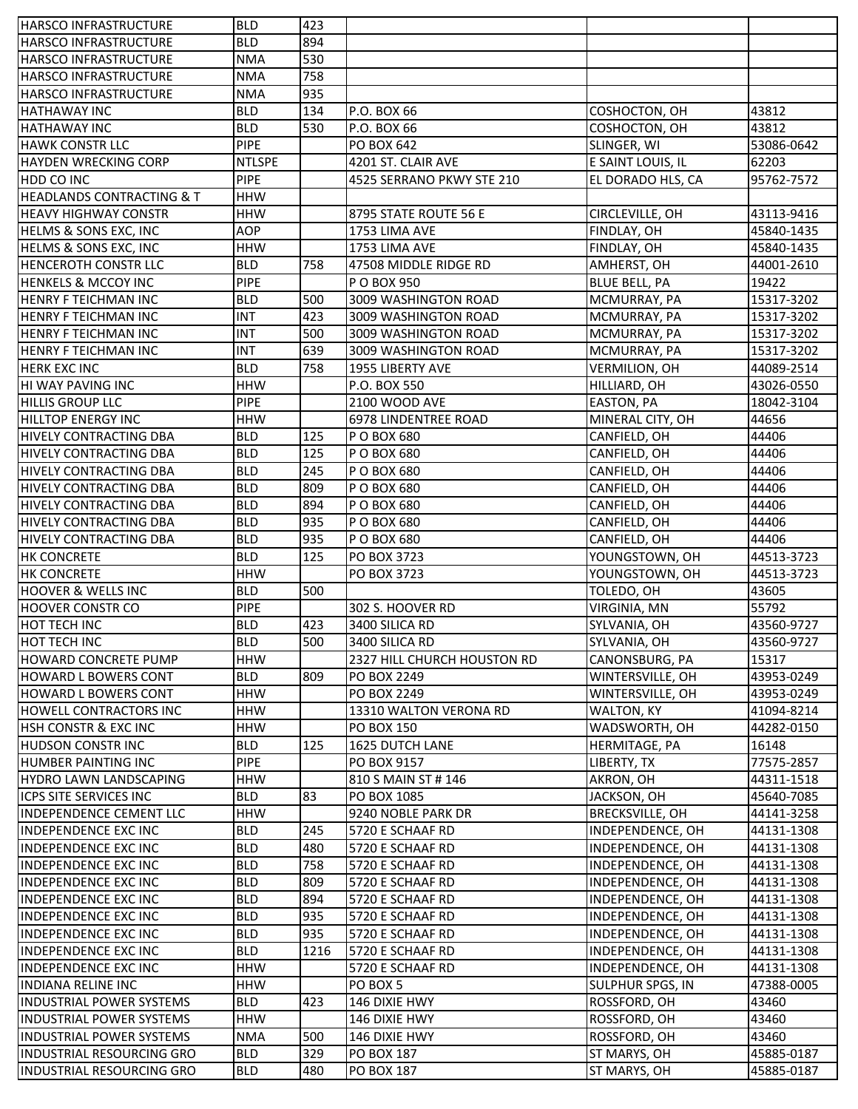| <b>HARSCO INFRASTRUCTURE</b>         | <b>BLD</b>    | 423  |                             |                         |            |
|--------------------------------------|---------------|------|-----------------------------|-------------------------|------------|
| <b>HARSCO INFRASTRUCTURE</b>         | <b>BLD</b>    | 894  |                             |                         |            |
| <b>HARSCO INFRASTRUCTURE</b>         | <b>NMA</b>    | 530  |                             |                         |            |
| HARSCO INFRASTRUCTURE                | <b>NMA</b>    | 758  |                             |                         |            |
| HARSCO INFRASTRUCTURE                | <b>NMA</b>    | 935  |                             |                         |            |
| <b>HATHAWAY INC</b>                  | <b>BLD</b>    | 134  | P.O. BOX 66                 | COSHOCTON, OH           | 43812      |
| <b>HATHAWAY INC</b>                  | <b>BLD</b>    | 530  | P.O. BOX 66                 | COSHOCTON, OH           | 43812      |
| <b>HAWK CONSTR LLC</b>               | <b>PIPE</b>   |      | PO BOX 642                  | SLINGER, WI             | 53086-0642 |
| <b>HAYDEN WRECKING CORP</b>          | <b>NTLSPE</b> |      | 4201 ST. CLAIR AVE          | E SAINT LOUIS, IL       | 62203      |
| HDD CO INC                           | PIPE          |      | 4525 SERRANO PKWY STE 210   | EL DORADO HLS, CA       | 95762-7572 |
| <b>HEADLANDS CONTRACTING &amp; T</b> | <b>HHW</b>    |      |                             |                         |            |
| <b>HEAVY HIGHWAY CONSTR</b>          | <b>HHW</b>    |      | 8795 STATE ROUTE 56 E       | CIRCLEVILLE, OH         | 43113-9416 |
| HELMS & SONS EXC, INC                | <b>AOP</b>    |      | 1753 LIMA AVE               | FINDLAY, OH             | 45840-1435 |
| HELMS & SONS EXC, INC                | <b>HHW</b>    |      | 1753 LIMA AVE               | FINDLAY, OH             | 45840-1435 |
| <b>HENCEROTH CONSTR LLC</b>          | <b>BLD</b>    | 758  | 47508 MIDDLE RIDGE RD       | AMHERST, OH             | 44001-2610 |
| <b>HENKELS &amp; MCCOY INC</b>       | <b>PIPE</b>   |      | P O BOX 950                 | <b>BLUE BELL, PA</b>    | 19422      |
| <b>HENRY F TEICHMAN INC</b>          | <b>BLD</b>    | 500  | 3009 WASHINGTON ROAD        | MCMURRAY, PA            | 15317-3202 |
| <b>HENRY F TEICHMAN INC</b>          | <b>INT</b>    | 423  | 3009 WASHINGTON ROAD        | MCMURRAY, PA            | 15317-3202 |
| <b>HENRY F TEICHMAN INC</b>          | <b>INT</b>    | 500  | 3009 WASHINGTON ROAD        | MCMURRAY, PA            | 15317-3202 |
| <b>HENRY F TEICHMAN INC</b>          | <b>INT</b>    | 639  | 3009 WASHINGTON ROAD        | MCMURRAY, PA            | 15317-3202 |
| <b>HERK EXC INC</b>                  | <b>BLD</b>    | 758  | 1955 LIBERTY AVE            | <b>VERMILION, OH</b>    | 44089-2514 |
| <b>HI WAY PAVING INC</b>             | <b>HHW</b>    |      | P.O. BOX 550                | HILLIARD, OH            | 43026-0550 |
| <b>HILLIS GROUP LLC</b>              | <b>PIPE</b>   |      | 2100 WOOD AVE               | EASTON, PA              | 18042-3104 |
| <b>HILLTOP ENERGY INC</b>            | <b>HHW</b>    |      | <b>6978 LINDENTREE ROAD</b> | MINERAL CITY, OH        | 44656      |
| <b>HIVELY CONTRACTING DBA</b>        | <b>BLD</b>    | 125  | P O BOX 680                 | CANFIELD, OH            | 44406      |
| HIVELY CONTRACTING DBA               | <b>BLD</b>    | 125  | P O BOX 680                 | CANFIELD, OH            | 44406      |
| HIVELY CONTRACTING DBA               | <b>BLD</b>    | 245  | P O BOX 680                 | CANFIELD, OH            | 44406      |
| HIVELY CONTRACTING DBA               | <b>BLD</b>    | 809  | P O BOX 680                 | CANFIELD, OH            | 44406      |
| HIVELY CONTRACTING DBA               | <b>BLD</b>    | 894  | P O BOX 680                 | CANFIELD, OH            | 44406      |
| HIVELY CONTRACTING DBA               | <b>BLD</b>    | 935  | P O BOX 680                 | CANFIELD, OH            | 44406      |
| <b>HIVELY CONTRACTING DBA</b>        | <b>BLD</b>    | 935  | P O BOX 680                 | CANFIELD, OH            | 44406      |
| <b>HK CONCRETE</b>                   | <b>BLD</b>    | 125  | PO BOX 3723                 | YOUNGSTOWN, OH          | 44513-3723 |
| <b>HK CONCRETE</b>                   | <b>HHW</b>    |      | PO BOX 3723                 | YOUNGSTOWN, OH          | 44513-3723 |
| <b>HOOVER &amp; WELLS INC</b>        | <b>BLD</b>    | 500  |                             | TOLEDO, OH              | 43605      |
| <b>HOOVER CONSTR CO</b>              | PIPE          |      | 302 S. HOOVER RD            | <b>VIRGINIA, MN</b>     | 55792      |
| HOT TECH INC                         | <b>BLD</b>    | 423  | 3400 SILICA RD              | SYLVANIA, OH            | 43560-9727 |
| <b>HOT TECH INC</b>                  | <b>BLD</b>    | 500  | 3400 SILICA RD              | SYLVANIA, OH            | 43560-9727 |
| <b>HOWARD CONCRETE PUMP</b>          | <b>HHW</b>    |      | 2327 HILL CHURCH HOUSTON RD | CANONSBURG, PA          | 15317      |
| <b>HOWARD L BOWERS CONT</b>          | <b>BLD</b>    | 809  | PO BOX 2249                 | WINTERSVILLE, OH        | 43953-0249 |
| <b>HOWARD L BOWERS CONT</b>          | <b>HHW</b>    |      | PO BOX 2249                 | WINTERSVILLE, OH        | 43953-0249 |
| HOWELL CONTRACTORS INC               | <b>HHW</b>    |      | 13310 WALTON VERONA RD      | WALTON, KY              | 41094-8214 |
| <b>HSH CONSTR &amp; EXC INC</b>      | <b>HHW</b>    |      | <b>PO BOX 150</b>           | WADSWORTH, OH           | 44282-0150 |
| <b>HUDSON CONSTRINC</b>              | <b>BLD</b>    | 125  | <b>1625 DUTCH LANE</b>      | <b>HERMITAGE, PA</b>    | 16148      |
| <b>HUMBER PAINTING INC</b>           | <b>PIPE</b>   |      | PO BOX 9157                 | LIBERTY, TX             | 77575-2857 |
| <b>HYDRO LAWN LANDSCAPING</b>        | <b>HHW</b>    |      | 810 S MAIN ST # 146         | AKRON, OH               | 44311-1518 |
| ICPS SITE SERVICES INC               | <b>BLD</b>    | 83   | PO BOX 1085                 | JACKSON, OH             | 45640-7085 |
| INDEPENDENCE CEMENT LLC              | <b>HHW</b>    |      | 9240 NOBLE PARK DR          | <b>BRECKSVILLE, OH</b>  | 44141-3258 |
| <b>INDEPENDENCE EXC INC</b>          | <b>BLD</b>    | 245  | 5720 E SCHAAF RD            | INDEPENDENCE, OH        | 44131-1308 |
| INDEPENDENCE EXC INC                 | <b>BLD</b>    | 480  | 5720 E SCHAAF RD            | INDEPENDENCE, OH        | 44131-1308 |
| <b>INDEPENDENCE EXC INC</b>          | <b>BLD</b>    | 758  | 5720 E SCHAAF RD            | INDEPENDENCE, OH        | 44131-1308 |
| <b>INDEPENDENCE EXC INC</b>          | <b>BLD</b>    | 809  | 5720 E SCHAAF RD            | INDEPENDENCE, OH        | 44131-1308 |
| <b>INDEPENDENCE EXC INC</b>          | <b>BLD</b>    | 894  | 5720 E SCHAAF RD            | INDEPENDENCE, OH        | 44131-1308 |
| <b>INDEPENDENCE EXC INC</b>          | <b>BLD</b>    | 935  | 5720 E SCHAAF RD            | INDEPENDENCE, OH        | 44131-1308 |
| <b>INDEPENDENCE EXC INC</b>          | <b>BLD</b>    | 935  | 5720 E SCHAAF RD            | INDEPENDENCE, OH        | 44131-1308 |
| <b>INDEPENDENCE EXC INC</b>          | <b>BLD</b>    | 1216 | 5720 E SCHAAF RD            | INDEPENDENCE, OH        | 44131-1308 |
| <b>INDEPENDENCE EXC INC</b>          | <b>HHW</b>    |      | 5720 E SCHAAF RD            | INDEPENDENCE, OH        | 44131-1308 |
| <b>INDIANA RELINE INC</b>            | <b>HHW</b>    |      | PO BOX 5                    | <b>SULPHUR SPGS, IN</b> | 47388-0005 |
| <b>INDUSTRIAL POWER SYSTEMS</b>      | <b>BLD</b>    | 423  | 146 DIXIE HWY               | ROSSFORD, OH            | 43460      |
| <b>INDUSTRIAL POWER SYSTEMS</b>      | <b>HHW</b>    |      | 146 DIXIE HWY               | ROSSFORD, OH            | 43460      |
| <b>INDUSTRIAL POWER SYSTEMS</b>      | <b>NMA</b>    | 500  | 146 DIXIE HWY               | ROSSFORD, OH            | 43460      |
| INDUSTRIAL RESOURCING GRO            | <b>BLD</b>    | 329  | PO BOX 187                  | ST MARYS, OH            | 45885-0187 |
| INDUSTRIAL RESOURCING GRO            | <b>BLD</b>    | 480  | PO BOX 187                  | ST MARYS, OH            | 45885-0187 |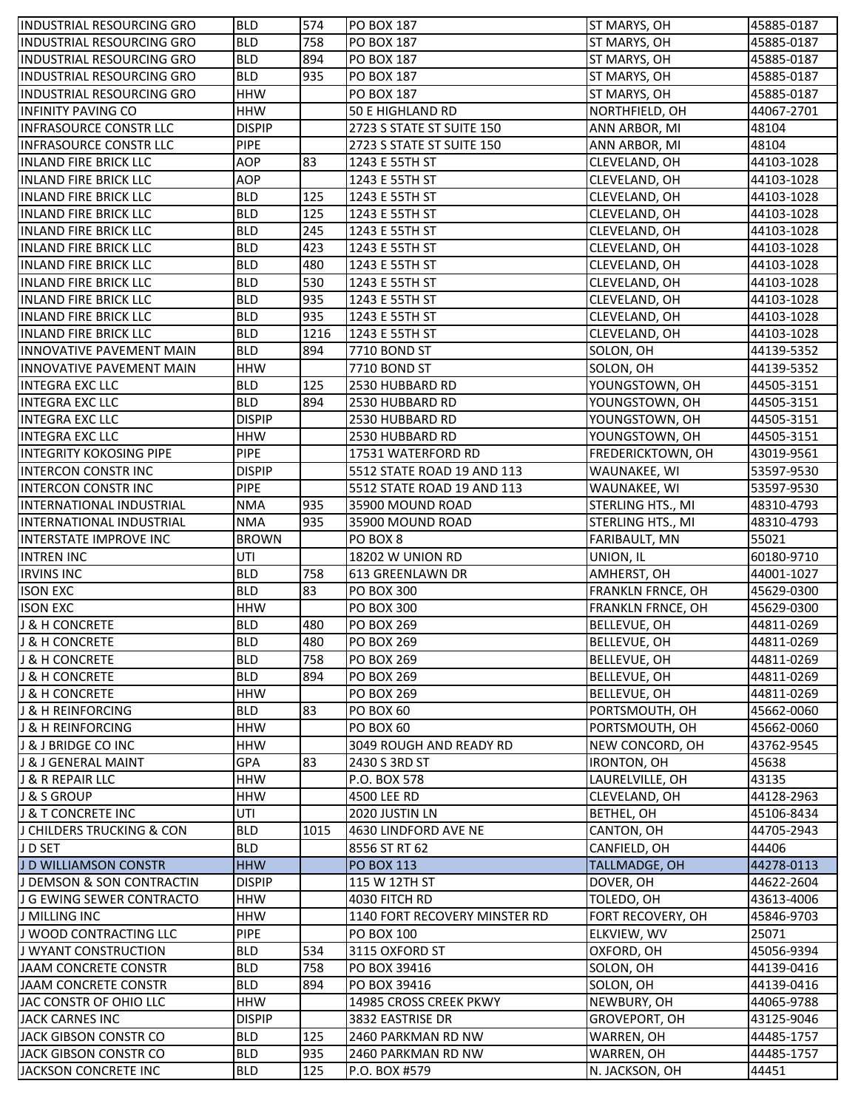| <b>INDUSTRIAL RESOURCING GRO</b> | <b>BLD</b>    | 574  | <b>PO BOX 187</b>             | ST MARYS, OH                     | 45885-0187 |
|----------------------------------|---------------|------|-------------------------------|----------------------------------|------------|
| <b>INDUSTRIAL RESOURCING GRO</b> | <b>BLD</b>    | 758  | PO BOX 187                    | ST MARYS, OH                     | 45885-0187 |
| <b>INDUSTRIAL RESOURCING GRO</b> | <b>BLD</b>    | 894  | PO BOX 187                    | ST MARYS, OH                     | 45885-0187 |
| INDUSTRIAL RESOURCING GRO        | <b>BLD</b>    | 935  | PO BOX 187                    | ST MARYS, OH                     | 45885-0187 |
| <b>INDUSTRIAL RESOURCING GRO</b> | <b>HHW</b>    |      | PO BOX 187                    | ST MARYS, OH                     | 45885-0187 |
| <b>INFINITY PAVING CO</b>        | <b>HHW</b>    |      | 50 E HIGHLAND RD              | NORTHFIELD, OH                   | 44067-2701 |
| <b>INFRASOURCE CONSTR LLC</b>    | <b>DISPIP</b> |      | 2723 S STATE ST SUITE 150     | ANN ARBOR, MI                    | 48104      |
| <b>INFRASOURCE CONSTR LLC</b>    | <b>PIPE</b>   |      | 2723 S STATE ST SUITE 150     | ANN ARBOR, MI                    | 48104      |
| <b>INLAND FIRE BRICK LLC</b>     | <b>AOP</b>    | 83   | 1243 E 55TH ST                | CLEVELAND, OH                    | 44103-1028 |
| <b>INLAND FIRE BRICK LLC</b>     | <b>AOP</b>    |      | 1243 E 55TH ST                | CLEVELAND, OH                    | 44103-1028 |
| <b>INLAND FIRE BRICK LLC</b>     | <b>BLD</b>    | 125  | 1243 E 55TH ST                | CLEVELAND, OH                    | 44103-1028 |
| <b>INLAND FIRE BRICK LLC</b>     | <b>BLD</b>    | 125  | 1243 E 55TH ST                | CLEVELAND, OH                    | 44103-1028 |
| <b>INLAND FIRE BRICK LLC</b>     | <b>BLD</b>    | 245  | 1243 E 55TH ST                | CLEVELAND, OH                    | 44103-1028 |
| <b>INLAND FIRE BRICK LLC</b>     | <b>BLD</b>    | 423  | 1243 E 55TH ST                | CLEVELAND, OH                    | 44103-1028 |
| <b>INLAND FIRE BRICK LLC</b>     | <b>BLD</b>    | 480  | 1243 E 55TH ST                | CLEVELAND, OH                    | 44103-1028 |
| <b>INLAND FIRE BRICK LLC</b>     | <b>BLD</b>    | 530  | 1243 E 55TH ST                | CLEVELAND, OH                    | 44103-1028 |
| <b>INLAND FIRE BRICK LLC</b>     | <b>BLD</b>    | 935  | 1243 E 55TH ST                | CLEVELAND, OH                    | 44103-1028 |
| <b>INLAND FIRE BRICK LLC</b>     | <b>BLD</b>    | 935  | 1243 E 55TH ST                | CLEVELAND, OH                    | 44103-1028 |
| <b>INLAND FIRE BRICK LLC</b>     | <b>BLD</b>    | 1216 | 1243 E 55TH ST                | CLEVELAND, OH                    | 44103-1028 |
| INNOVATIVE PAVEMENT MAIN         | <b>BLD</b>    | 894  | 7710 BOND ST                  | SOLON, OH                        | 44139-5352 |
| <b>INNOVATIVE PAVEMENT MAIN</b>  | <b>HHW</b>    |      | 7710 BOND ST                  | SOLON, OH                        | 44139-5352 |
| <b>INTEGRA EXC LLC</b>           | <b>BLD</b>    | 125  | 2530 HUBBARD RD               |                                  | 44505-3151 |
| <b>INTEGRA EXC LLC</b>           | <b>BLD</b>    | 894  | 2530 HUBBARD RD               | YOUNGSTOWN, OH<br>YOUNGSTOWN, OH | 44505-3151 |
|                                  |               |      |                               |                                  |            |
| <b>INTEGRA EXC LLC</b>           | <b>DISPIP</b> |      | 2530 HUBBARD RD               | YOUNGSTOWN, OH                   | 44505-3151 |
| <b>INTEGRA EXC LLC</b>           | <b>HHW</b>    |      | 2530 HUBBARD RD               | YOUNGSTOWN, OH                   | 44505-3151 |
| INTEGRITY KOKOSING PIPE          | <b>PIPE</b>   |      | 17531 WATERFORD RD            | FREDERICKTOWN, OH                | 43019-9561 |
| <b>INTERCON CONSTR INC</b>       | <b>DISPIP</b> |      | 5512 STATE ROAD 19 AND 113    | WAUNAKEE, WI                     | 53597-9530 |
| <b>INTERCON CONSTR INC</b>       | <b>PIPE</b>   |      | 5512 STATE ROAD 19 AND 113    | WAUNAKEE, WI                     | 53597-9530 |
| INTERNATIONAL INDUSTRIAL         | <b>NMA</b>    | 935  | 35900 MOUND ROAD              | STERLING HTS., MI                | 48310-4793 |
| <b>INTERNATIONAL INDUSTRIAL</b>  | <b>NMA</b>    | 935  | 35900 MOUND ROAD              | STERLING HTS., MI                | 48310-4793 |
| <b>INTERSTATE IMPROVE INC</b>    | <b>BROWN</b>  |      | PO BOX 8                      | FARIBAULT, MN                    | 55021      |
| <b>INTREN INC</b>                | UTI           |      | <b>18202 W UNION RD</b>       | UNION, IL                        | 60180-9710 |
| <b>IRVINS INC</b>                | <b>BLD</b>    | 758  | 613 GREENLAWN DR              | AMHERST, OH                      | 44001-1027 |
| <b>ISON EXC</b>                  | <b>BLD</b>    | 83   | <b>PO BOX 300</b>             | FRANKLN FRNCE, OH                | 45629-0300 |
| <b>ISON EXC</b>                  | <b>HHW</b>    |      | PO BOX 300                    | <b>FRANKLN FRNCE, OH</b>         | 45629-0300 |
| <b>J &amp; H CONCRETE</b>        | <b>BLD</b>    | 480  | PO BOX 269                    | <b>BELLEVUE, OH</b>              | 44811-0269 |
| J & H CONCRETE                   | <b>BLD</b>    | 480  | <b>PO BOX 269</b>             | <b>BELLEVUE, OH</b>              | 44811-0269 |
| <b>J &amp; H CONCRETE</b>        | <b>BLD</b>    | 758  | <b>PO BOX 269</b>             | <b>BELLEVUE, OH</b>              | 44811-0269 |
| <b>J &amp; H CONCRETE</b>        | <b>BLD</b>    | 894  | PO BOX 269                    | <b>BELLEVUE, OH</b>              | 44811-0269 |
| <b>J &amp; H CONCRETE</b>        | <b>HHW</b>    |      | PO BOX 269                    | <b>BELLEVUE, OH</b>              | 44811-0269 |
| <b>J &amp; H REINFORCING</b>     | <b>BLD</b>    | 83   | PO BOX 60                     | PORTSMOUTH, OH                   | 45662-0060 |
| <b>J &amp; H REINFORCING</b>     | <b>HHW</b>    |      | <b>PO BOX 60</b>              | PORTSMOUTH, OH                   | 45662-0060 |
| J & J BRIDGE CO INC              | <b>HHW</b>    |      | 3049 ROUGH AND READY RD       | NEW CONCORD, OH                  | 43762-9545 |
| J & J GENERAL MAINT              | GPA           | 83   | 2430 S 3RD ST                 | IRONTON, OH                      | 45638      |
| J & R REPAIR LLC                 | <b>HHW</b>    |      | P.O. BOX 578                  | LAURELVILLE, OH                  | 43135      |
| J & S GROUP                      | <b>HHW</b>    |      | 4500 LEE RD                   | CLEVELAND, OH                    | 44128-2963 |
| J & T CONCRETE INC               | UTI           |      | 2020 JUSTIN LN                | BETHEL, OH                       | 45106-8434 |
| J CHILDERS TRUCKING & CON        | <b>BLD</b>    | 1015 | 4630 LINDFORD AVE NE          | CANTON, OH                       | 44705-2943 |
| J D SET                          | <b>BLD</b>    |      | 8556 ST RT 62                 | CANFIELD, OH                     | 44406      |
| J D WILLIAMSON CONSTR            | <b>HHW</b>    |      | PO BOX 113                    | TALLMADGE, OH                    | 44278-0113 |
| J DEMSON & SON CONTRACTIN        | <b>DISPIP</b> |      | 115 W 12TH ST                 | DOVER, OH                        | 44622-2604 |
| J G EWING SEWER CONTRACTO        | <b>HHW</b>    |      | 4030 FITCH RD                 | TOLEDO, OH                       | 43613-4006 |
| J MILLING INC                    | <b>HHW</b>    |      | 1140 FORT RECOVERY MINSTER RD | FORT RECOVERY, OH                | 45846-9703 |
| J WOOD CONTRACTING LLC           | <b>PIPE</b>   |      | PO BOX 100                    | ELKVIEW, WV                      | 25071      |
| J WYANT CONSTRUCTION             | <b>BLD</b>    | 534  | 3115 OXFORD ST                | OXFORD, OH                       | 45056-9394 |
| JAAM CONCRETE CONSTR             | <b>BLD</b>    | 758  | PO BOX 39416                  | SOLON, OH                        | 44139-0416 |
| JAAM CONCRETE CONSTR             | <b>BLD</b>    | 894  | PO BOX 39416                  | SOLON, OH                        | 44139-0416 |
| JAC CONSTR OF OHIO LLC           | <b>HHW</b>    |      | 14985 CROSS CREEK PKWY        | NEWBURY, OH                      | 44065-9788 |
| JACK CARNES INC                  | <b>DISPIP</b> |      | 3832 EASTRISE DR              | GROVEPORT, OH                    | 43125-9046 |
| JACK GIBSON CONSTR CO            | <b>BLD</b>    | 125  | 2460 PARKMAN RD NW            | WARREN, OH                       | 44485-1757 |
| JACK GIBSON CONSTR CO            | <b>BLD</b>    | 935  | 2460 PARKMAN RD NW            | WARREN, OH                       | 44485-1757 |
| JACKSON CONCRETE INC             | <b>BLD</b>    | 125  | P.O. BOX #579                 | N. JACKSON, OH                   | 44451      |
|                                  |               |      |                               |                                  |            |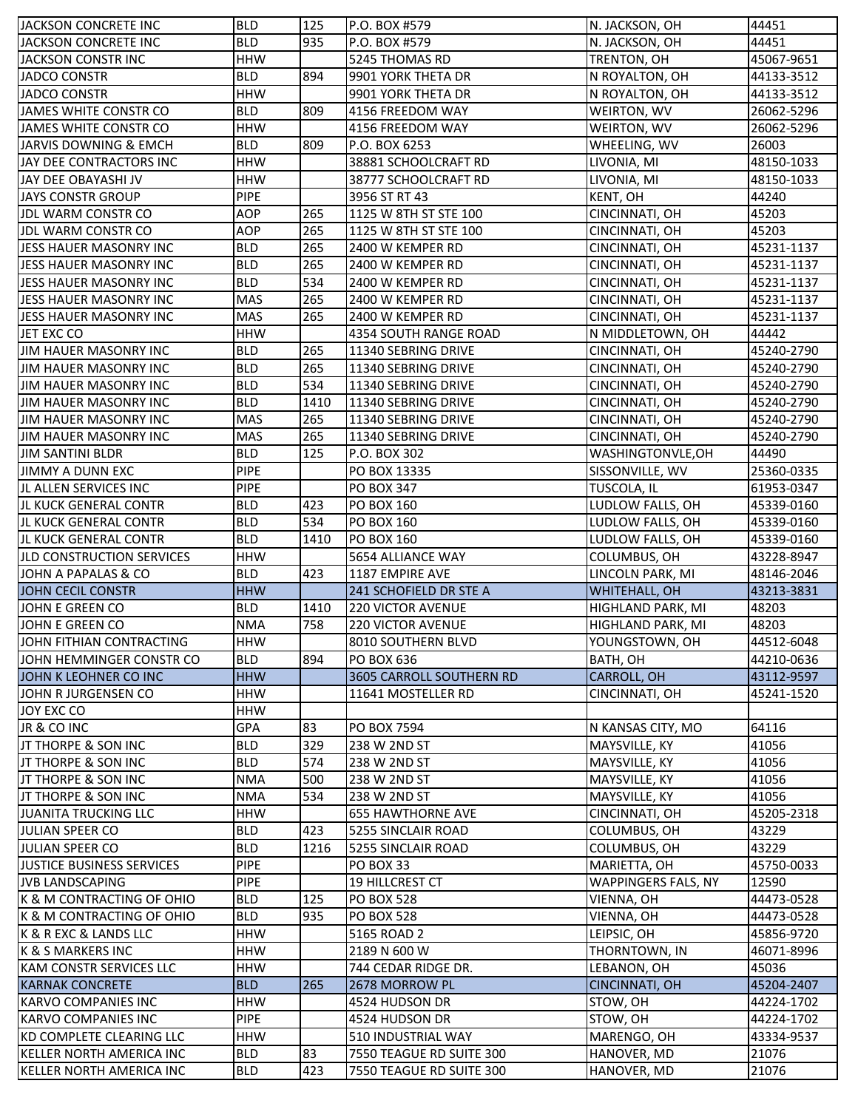| JACKSON CONCRETE INC             | <b>BLD</b>  | 125  | P.O. BOX #579            | N. JACKSON, OH             | 44451      |
|----------------------------------|-------------|------|--------------------------|----------------------------|------------|
| JACKSON CONCRETE INC             | <b>BLD</b>  | 935  | P.O. BOX #579            | N. JACKSON, OH             | 44451      |
| JACKSON CONSTR INC               | <b>HHW</b>  |      | 5245 THOMAS RD           | TRENTON, OH                | 45067-9651 |
| JADCO CONSTR                     | <b>BLD</b>  | 894  | 9901 YORK THETA DR       | N ROYALTON, OH             | 44133-3512 |
| <b>JADCO CONSTR</b>              | <b>HHW</b>  |      | 9901 YORK THETA DR       | N ROYALTON, OH             | 44133-3512 |
| JAMES WHITE CONSTR CO            | <b>BLD</b>  | 809  | 4156 FREEDOM WAY         | WEIRTON, WV                | 26062-5296 |
| JAMES WHITE CONSTR CO            | <b>HHW</b>  |      | 4156 FREEDOM WAY         | WEIRTON, WV                | 26062-5296 |
| JARVIS DOWNING & EMCH            | <b>BLD</b>  | 809  | P.O. BOX 6253            | WHEELING, WV               | 26003      |
| JAY DEE CONTRACTORS INC          | <b>HHW</b>  |      | 38881 SCHOOLCRAFT RD     | LIVONIA, MI                | 48150-1033 |
| JAY DEE OBAYASHI JV              | <b>HHW</b>  |      | 38777 SCHOOLCRAFT RD     | LIVONIA, MI                | 48150-1033 |
| <b>JAYS CONSTR GROUP</b>         | <b>PIPE</b> |      | 3956 ST RT 43            | KENT, OH                   | 44240      |
| JDL WARM CONSTR CO               | <b>AOP</b>  | 265  | 1125 W 8TH ST STE 100    | CINCINNATI, OH             | 45203      |
| JDL WARM CONSTR CO               | <b>AOP</b>  | 265  | 1125 W 8TH ST STE 100    | CINCINNATI, OH             | 45203      |
| JESS HAUER MASONRY INC           | <b>BLD</b>  | 265  | 2400 W KEMPER RD         | CINCINNATI, OH             | 45231-1137 |
| JESS HAUER MASONRY INC           | <b>BLD</b>  | 265  | 2400 W KEMPER RD         | CINCINNATI, OH             | 45231-1137 |
|                                  |             |      |                          |                            |            |
| JESS HAUER MASONRY INC           | <b>BLD</b>  | 534  | 2400 W KEMPER RD         | CINCINNATI, OH             | 45231-1137 |
| JESS HAUER MASONRY INC           | <b>MAS</b>  | 265  | 2400 W KEMPER RD         | CINCINNATI, OH             | 45231-1137 |
| JESS HAUER MASONRY INC           | MAS         | 265  | 2400 W KEMPER RD         | CINCINNATI, OH             | 45231-1137 |
| JET EXC CO                       | <b>HHW</b>  |      | 4354 SOUTH RANGE ROAD    | N MIDDLETOWN, OH           | 44442      |
| JIM HAUER MASONRY INC            | <b>BLD</b>  | 265  | 11340 SEBRING DRIVE      | CINCINNATI, OH             | 45240-2790 |
| <b>JIM HAUER MASONRY INC</b>     | <b>BLD</b>  | 265  | 11340 SEBRING DRIVE      | CINCINNATI, OH             | 45240-2790 |
| JIM HAUER MASONRY INC            | <b>BLD</b>  | 534  | 11340 SEBRING DRIVE      | CINCINNATI, OH             | 45240-2790 |
| JIM HAUER MASONRY INC            | <b>BLD</b>  | 1410 | 11340 SEBRING DRIVE      | CINCINNATI, OH             | 45240-2790 |
| <b>JIM HAUER MASONRY INC</b>     | MAS         | 265  | 11340 SEBRING DRIVE      | CINCINNATI, OH             | 45240-2790 |
| JIM HAUER MASONRY INC            | <b>MAS</b>  | 265  | 11340 SEBRING DRIVE      | CINCINNATI, OH             | 45240-2790 |
| <b>JIM SANTINI BLDR</b>          | <b>BLD</b>  | 125  | P.O. BOX 302             | WASHINGTONVLE, OH          | 44490      |
| <b>JIMMY A DUNN EXC</b>          | PIPE        |      | PO BOX 13335             | SISSONVILLE, WV            | 25360-0335 |
| JL ALLEN SERVICES INC            | <b>PIPE</b> |      | <b>PO BOX 347</b>        | TUSCOLA, IL                | 61953-0347 |
| JL KUCK GENERAL CONTR            | <b>BLD</b>  | 423  | PO BOX 160               | LUDLOW FALLS, OH           | 45339-0160 |
| JL KUCK GENERAL CONTR            | <b>BLD</b>  | 534  | PO BOX 160               | LUDLOW FALLS, OH           | 45339-0160 |
| JL KUCK GENERAL CONTR            | <b>BLD</b>  | 1410 | <b>PO BOX 160</b>        | LUDLOW FALLS, OH           | 45339-0160 |
| <b>JLD CONSTRUCTION SERVICES</b> | <b>HHW</b>  |      | 5654 ALLIANCE WAY        | COLUMBUS, OH               | 43228-8947 |
| JOHN A PAPALAS & CO              | <b>BLD</b>  | 423  | 1187 EMPIRE AVE          | LINCOLN PARK, MI           | 48146-2046 |
| JOHN CECIL CONSTR                | <b>HHW</b>  |      | 241 SCHOFIELD DR STE A   | WHITEHALL, OH              | 43213-3831 |
| JOHN E GREEN CO                  | <b>BLD</b>  | 1410 | <b>220 VICTOR AVENUE</b> | HIGHLAND PARK, MI          | 48203      |
| JOHN E GREEN CO                  | <b>NMA</b>  | 758  | <b>220 VICTOR AVENUE</b> | HIGHLAND PARK, MI          | 48203      |
| JOHN FITHIAN CONTRACTING         | <b>HHW</b>  |      | 8010 SOUTHERN BLVD       | YOUNGSTOWN, OH             | 44512-6048 |
| JOHN HEMMINGER CONSTR CO         | <b>BLD</b>  | 894  | <b>PO BOX 636</b>        | BATH, OH                   | 44210-0636 |
| JOHN K LEOHNER CO INC            | <b>HHW</b>  |      | 3605 CARROLL SOUTHERN RD | <b>CARROLL, OH</b>         | 43112-9597 |
| JOHN R JURGENSEN CO              | <b>HHW</b>  |      | 11641 MOSTELLER RD       | CINCINNATI, OH             | 45241-1520 |
| JOY EXC CO                       | <b>HHW</b>  |      |                          |                            |            |
| JR & CO INC                      | GPA         | 83   | PO BOX 7594              | N KANSAS CITY, MO          | 64116      |
| JT THORPE & SON INC              | <b>BLD</b>  | 329  | 238 W 2ND ST             | MAYSVILLE, KY              | 41056      |
| JT THORPE & SON INC              | <b>BLD</b>  | 574  | 238 W 2ND ST             | MAYSVILLE, KY              | 41056      |
| JT THORPE & SON INC              | <b>NMA</b>  | 500  | 238 W 2ND ST             | MAYSVILLE, KY              | 41056      |
| JT THORPE & SON INC              | <b>NMA</b>  | 534  | 238 W 2ND ST             | MAYSVILLE, KY              | 41056      |
| <b>JUANITA TRUCKING LLC</b>      | <b>HHW</b>  |      | <b>655 HAWTHORNE AVE</b> | CINCINNATI, OH             | 45205-2318 |
|                                  |             |      |                          |                            |            |
| JULIAN SPEER CO                  | <b>BLD</b>  | 423  | 5255 SINCLAIR ROAD       | COLUMBUS, OH               | 43229      |
| JULIAN SPEER CO                  | <b>BLD</b>  | 1216 | 5255 SINCLAIR ROAD       | COLUMBUS, OH               | 43229      |
| JUSTICE BUSINESS SERVICES        | <b>PIPE</b> |      | PO BOX 33                | MARIETTA, OH               | 45750-0033 |
| <b>JVB LANDSCAPING</b>           | PIPE        |      | 19 HILLCREST CT          | <b>WAPPINGERS FALS, NY</b> | 12590      |
| K & M CONTRACTING OF OHIO        | <b>BLD</b>  | 125  | <b>PO BOX 528</b>        | VIENNA, OH                 | 44473-0528 |
| K & M CONTRACTING OF OHIO        | <b>BLD</b>  | 935  | <b>PO BOX 528</b>        | VIENNA, OH                 | 44473-0528 |
| K & R EXC & LANDS LLC            | <b>HHW</b>  |      | 5165 ROAD 2              | LEIPSIC, OH                | 45856-9720 |
| K & S MARKERS INC                | <b>HHW</b>  |      | 2189 N 600 W             | THORNTOWN, IN              | 46071-8996 |
| <b>KAM CONSTR SERVICES LLC</b>   | <b>HHW</b>  |      | 744 CEDAR RIDGE DR.      | LEBANON, OH                | 45036      |
| <b>KARNAK CONCRETE</b>           | <b>BLD</b>  | 265  | 2678 MORROW PL           | <b>CINCINNATI, OH</b>      | 45204-2407 |
| KARVO COMPANIES INC              | <b>HHW</b>  |      | 4524 HUDSON DR           | STOW, OH                   | 44224-1702 |
| <b>KARVO COMPANIES INC</b>       | <b>PIPE</b> |      | 4524 HUDSON DR           | STOW, OH                   | 44224-1702 |
| KD COMPLETE CLEARING LLC         | <b>HHW</b>  |      | 510 INDUSTRIAL WAY       | MARENGO, OH                | 43334-9537 |
| KELLER NORTH AMERICA INC         | <b>BLD</b>  | 83   | 7550 TEAGUE RD SUITE 300 | HANOVER, MD                | 21076      |
| KELLER NORTH AMERICA INC         | <b>BLD</b>  | 423  | 7550 TEAGUE RD SUITE 300 | HANOVER, MD                | 21076      |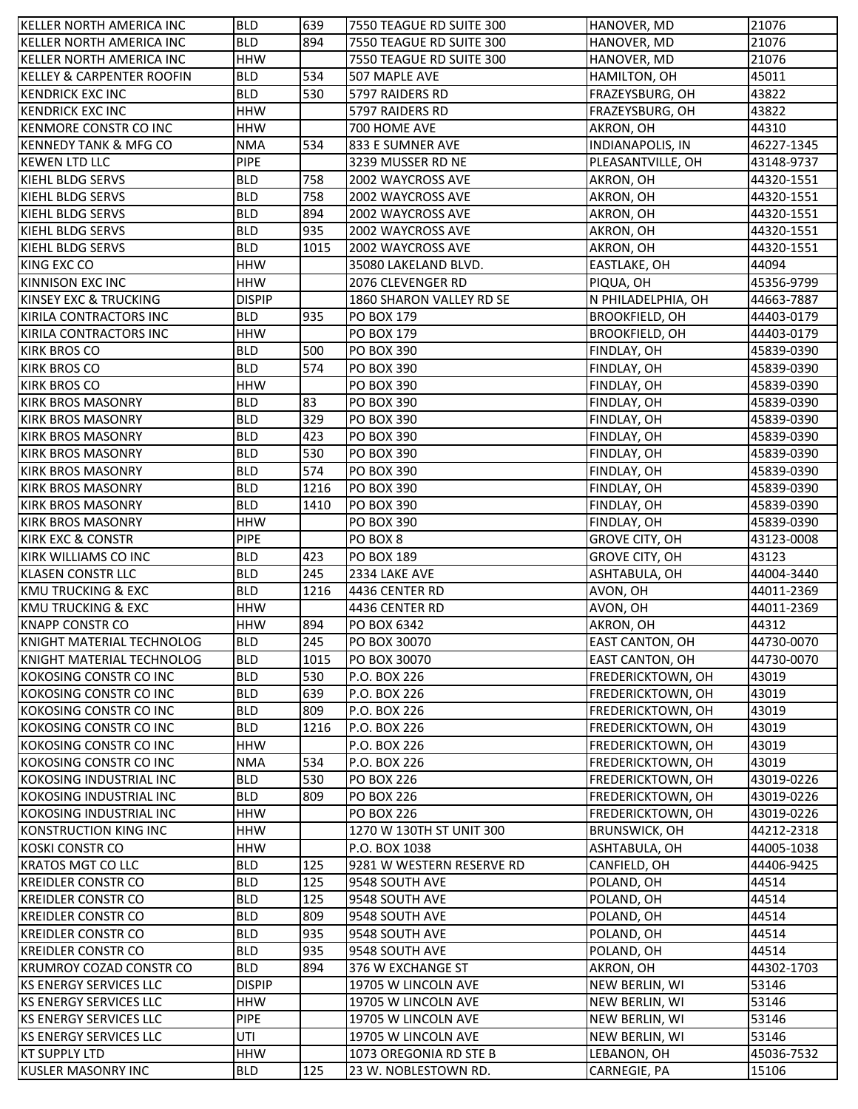| KELLER NORTH AMERICA INC             | <b>BLD</b>    | 639  | 7550 TEAGUE RD SUITE 300  | HANOVER, MD             | 21076      |
|--------------------------------------|---------------|------|---------------------------|-------------------------|------------|
| <b>KELLER NORTH AMERICA INC</b>      | <b>BLD</b>    | 894  | 7550 TEAGUE RD SUITE 300  | HANOVER, MD             | 21076      |
| KELLER NORTH AMERICA INC             | <b>HHW</b>    |      | 7550 TEAGUE RD SUITE 300  | HANOVER, MD             | 21076      |
| <b>KELLEY &amp; CARPENTER ROOFIN</b> | <b>BLD</b>    | 534  | 507 MAPLE AVE             | HAMILTON, OH            | 45011      |
| <b>KENDRICK EXC INC</b>              | <b>BLD</b>    | 530  | 5797 RAIDERS RD           | FRAZEYSBURG, OH         | 43822      |
| <b>KENDRICK EXC INC</b>              | <b>HHW</b>    |      | 5797 RAIDERS RD           | FRAZEYSBURG, OH         | 43822      |
| <b>KENMORE CONSTR CO INC</b>         | <b>HHW</b>    |      | 700 HOME AVE              | AKRON, OH               | 44310      |
| <b>KENNEDY TANK &amp; MFG CO</b>     | <b>NMA</b>    | 534  | 833 E SUMNER AVE          | <b>INDIANAPOLIS, IN</b> | 46227-1345 |
| <b>KEWEN LTD LLC</b>                 | <b>PIPE</b>   |      | 3239 MUSSER RD NE         | PLEASANTVILLE, OH       | 43148-9737 |
| KIEHL BLDG SERVS                     | <b>BLD</b>    | 758  | 2002 WAYCROSS AVE         | AKRON, OH               | 44320-1551 |
| KIEHL BLDG SERVS                     | <b>BLD</b>    | 758  | 2002 WAYCROSS AVE         | AKRON, OH               | 44320-1551 |
| KIEHL BLDG SERVS                     | <b>BLD</b>    | 894  | 2002 WAYCROSS AVE         | AKRON, OH               | 44320-1551 |
| KIEHL BLDG SERVS                     | <b>BLD</b>    | 935  | 2002 WAYCROSS AVE         | AKRON, OH               | 44320-1551 |
| KIEHL BLDG SERVS                     | <b>BLD</b>    | 1015 | 2002 WAYCROSS AVE         | AKRON, OH               | 44320-1551 |
| KING EXC CO                          | <b>HHW</b>    |      | 35080 LAKELAND BLVD.      | EASTLAKE, OH            | 44094      |
| KINNISON EXC INC                     | <b>HHW</b>    |      | 2076 CLEVENGER RD         | PIQUA, OH               | 45356-9799 |
| KINSEY EXC & TRUCKING                | <b>DISPIP</b> |      | 1860 SHARON VALLEY RD SE  | N PHILADELPHIA, OH      | 44663-7887 |
| KIRILA CONTRACTORS INC               | <b>BLD</b>    | 935  | PO BOX 179                | <b>BROOKFIELD, OH</b>   | 44403-0179 |
| <b>IKIRILA CONTRACTORS INC</b>       | <b>HHW</b>    |      | PO BOX 179                | <b>BROOKFIELD, OH</b>   | 44403-0179 |
| <b>KIRK BROS CO</b>                  | <b>BLD</b>    | 500  | PO BOX 390                | FINDLAY, OH             | 45839-0390 |
| <b>KIRK BROS CO</b>                  | <b>BLD</b>    | 574  | PO BOX 390                | FINDLAY, OH             | 45839-0390 |
| <b>KIRK BROS CO</b>                  | <b>HHW</b>    |      | PO BOX 390                | FINDLAY, OH             | 45839-0390 |
| <b>KIRK BROS MASONRY</b>             | <b>BLD</b>    | 83   | PO BOX 390                | FINDLAY, OH             | 45839-0390 |
| <b>KIRK BROS MASONRY</b>             | <b>BLD</b>    | 329  | PO BOX 390                | FINDLAY, OH             | 45839-0390 |
| <b>KIRK BROS MASONRY</b>             | <b>BLD</b>    | 423  | PO BOX 390                | FINDLAY, OH             | 45839-0390 |
| <b>KIRK BROS MASONRY</b>             | <b>BLD</b>    | 530  | PO BOX 390                | FINDLAY, OH             | 45839-0390 |
| KIRK BROS MASONRY                    | <b>BLD</b>    | 574  | <b>PO BOX 390</b>         | FINDLAY, OH             | 45839-0390 |
| <b>KIRK BROS MASONRY</b>             | <b>BLD</b>    | 1216 | <b>PO BOX 390</b>         | FINDLAY, OH             | 45839-0390 |
| <b>KIRK BROS MASONRY</b>             | <b>BLD</b>    | 1410 | PO BOX 390                | FINDLAY, OH             | 45839-0390 |
| <b>KIRK BROS MASONRY</b>             | <b>HHW</b>    |      | PO BOX 390                | FINDLAY, OH             | 45839-0390 |
| <b>KIRK EXC &amp; CONSTR</b>         | <b>PIPE</b>   |      | PO BOX 8                  | <b>GROVE CITY, OH</b>   | 43123-0008 |
| <b>KIRK WILLIAMS CO INC</b>          | <b>BLD</b>    | 423  | PO BOX 189                | <b>GROVE CITY, OH</b>   | 43123      |
| <b>KLASEN CONSTR LLC</b>             | <b>BLD</b>    | 245  | 2334 LAKE AVE             | ASHTABULA, OH           | 44004-3440 |
| <b>KMU TRUCKING &amp; EXC</b>        | <b>BLD</b>    | 1216 | 4436 CENTER RD            | AVON, OH                | 44011-2369 |
| <b>KMU TRUCKING &amp; EXC</b>        | <b>HHW</b>    |      | 4436 CENTER RD            | AVON, OH                | 44011-2369 |
| <b>KNAPP CONSTR CO</b>               | <b>HHW</b>    | 894  | PO BOX 6342               | AKRON, OH               | 44312      |
| KNIGHT MATERIAL TECHNOLOG            | <b>BLD</b>    | 245  | PO BOX 30070              | EAST CANTON, OH         | 44730-0070 |
| KNIGHT MATERIAL TECHNOLOG            | <b>BLD</b>    | 1015 | PO BOX 30070              | EAST CANTON, OH         | 44730-0070 |
| KOKOSING CONSTR CO INC               | <b>BLD</b>    | 530  | P.O. BOX 226              | FREDERICKTOWN, OH       | 43019      |
| KOKOSING CONSTR CO INC               | <b>BLD</b>    | 639  | P.O. BOX 226              | FREDERICKTOWN, OH       | 43019      |
| KOKOSING CONSTR CO INC               | <b>BLD</b>    | 809  | P.O. BOX 226              | FREDERICKTOWN, OH       | 43019      |
| KOKOSING CONSTR CO INC               | <b>BLD</b>    | 1216 | P.O. BOX 226              | FREDERICKTOWN, OH       | 43019      |
| KOKOSING CONSTR CO INC               | <b>HHW</b>    |      | P.O. BOX 226              | FREDERICKTOWN, OH       | 43019      |
| KOKOSING CONSTR CO INC               | <b>NMA</b>    | 534  | P.O. BOX 226              | FREDERICKTOWN, OH       | 43019      |
| KOKOSING INDUSTRIAL INC              | <b>BLD</b>    | 530  | <b>PO BOX 226</b>         | FREDERICKTOWN, OH       | 43019-0226 |
| KOKOSING INDUSTRIAL INC              | <b>BLD</b>    | 809  | <b>PO BOX 226</b>         | FREDERICKTOWN, OH       | 43019-0226 |
| KOKOSING INDUSTRIAL INC              | <b>HHW</b>    |      | <b>PO BOX 226</b>         | FREDERICKTOWN, OH       | 43019-0226 |
| <b>KONSTRUCTION KING INC</b>         | <b>HHW</b>    |      | 1270 W 130TH ST UNIT 300  | <b>BRUNSWICK, OH</b>    | 44212-2318 |
| KOSKI CONSTR CO                      | <b>HHW</b>    |      | P.O. BOX 1038             | ASHTABULA, OH           | 44005-1038 |
| <b>KRATOS MGT CO LLC</b>             | <b>BLD</b>    | 125  | 9281 W WESTERN RESERVE RD | CANFIELD, OH            | 44406-9425 |
| <b>KREIDLER CONSTR CO</b>            | <b>BLD</b>    | 125  | 9548 SOUTH AVE            | POLAND, OH              | 44514      |
| <b>KREIDLER CONSTR CO</b>            | <b>BLD</b>    | 125  | 9548 SOUTH AVE            | POLAND, OH              | 44514      |
| <b>KREIDLER CONSTR CO</b>            | <b>BLD</b>    | 809  | 9548 SOUTH AVE            | POLAND, OH              | 44514      |
| <b>KREIDLER CONSTR CO</b>            | <b>BLD</b>    | 935  | 9548 SOUTH AVE            | POLAND, OH              | 44514      |
| <b>KREIDLER CONSTR CO</b>            | <b>BLD</b>    | 935  | 9548 SOUTH AVE            | POLAND, OH              | 44514      |
| <b>KRUMROY COZAD CONSTR CO</b>       | <b>BLD</b>    | 894  | 376 W EXCHANGE ST         | AKRON, OH               | 44302-1703 |
| <b>KS ENERGY SERVICES LLC</b>        | <b>DISPIP</b> |      | 19705 W LINCOLN AVE       | NEW BERLIN, WI          | 53146      |
| KS ENERGY SERVICES LLC               | <b>HHW</b>    |      | 19705 W LINCOLN AVE       | NEW BERLIN, WI          | 53146      |
| <b>KS ENERGY SERVICES LLC</b>        | <b>PIPE</b>   |      | 19705 W LINCOLN AVE       | NEW BERLIN, WI          | 53146      |
|                                      | UTI           |      |                           |                         |            |
| <b>KS ENERGY SERVICES LLC</b>        |               |      | 19705 W LINCOLN AVE       | NEW BERLIN, WI          | 53146      |
| <b>KT SUPPLY LTD</b>                 | <b>HHW</b>    |      | 1073 OREGONIA RD STE B    | LEBANON, OH             | 45036-7532 |
| <b>KUSLER MASONRY INC</b>            | <b>BLD</b>    | 125  | 23 W. NOBLESTOWN RD.      | CARNEGIE, PA            | 15106      |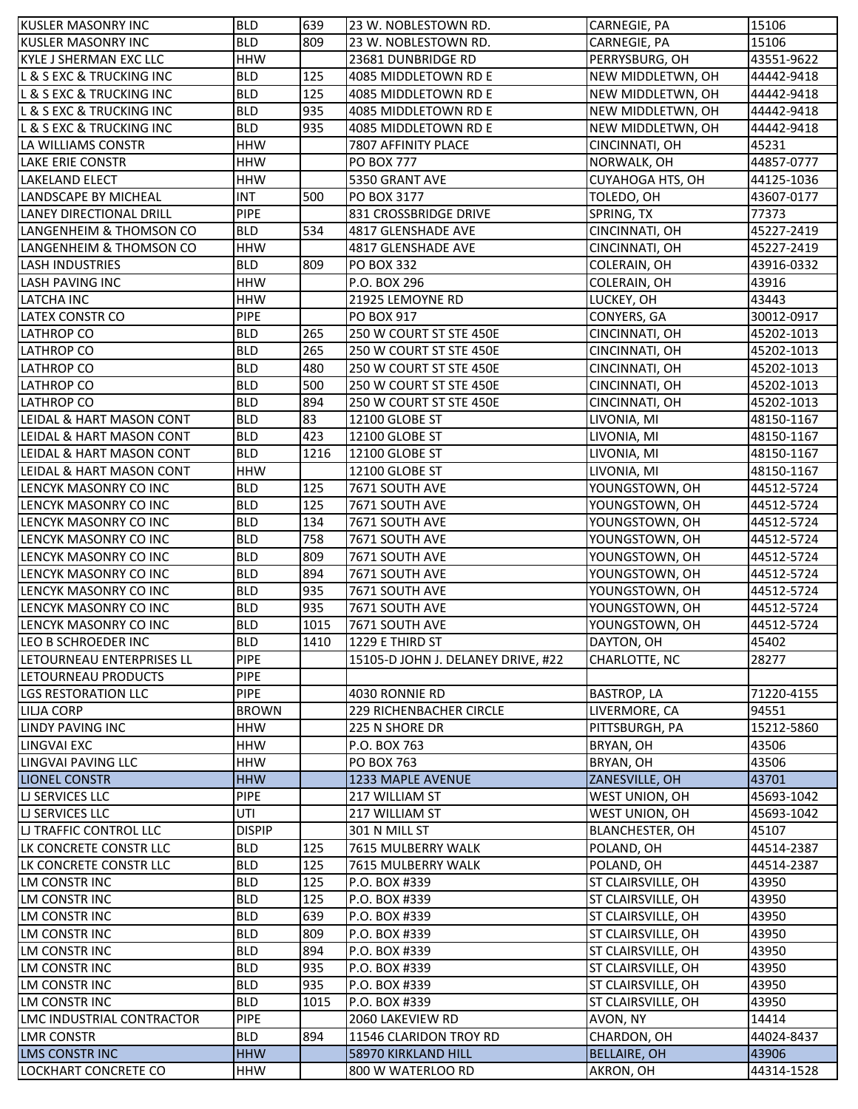| <b>KUSLER MASONRY INC</b>                    | <b>BLD</b>               | 639  | 23 W. NOBLESTOWN RD.                     | CARNEGIE, PA                     | 15106               |
|----------------------------------------------|--------------------------|------|------------------------------------------|----------------------------------|---------------------|
| <b>KUSLER MASONRY INC</b>                    | <b>BLD</b>               | 809  | 23 W. NOBLESTOWN RD.                     | CARNEGIE, PA                     | 15106               |
| <b>KYLE J SHERMAN EXC LLC</b>                | <b>HHW</b>               |      | 23681 DUNBRIDGE RD                       | PERRYSBURG, OH                   | 43551-9622          |
| <b>L &amp; S EXC &amp; TRUCKING INC</b>      | <b>BLD</b>               | 125  | 4085 MIDDLETOWN RD E                     | NEW MIDDLETWN, OH                | 44442-9418          |
| <b>L &amp; S EXC &amp; TRUCKING INC</b>      | <b>BLD</b>               | 125  | 4085 MIDDLETOWN RD E                     | NEW MIDDLETWN, OH                | 44442-9418          |
| <b>L &amp; S EXC &amp; TRUCKING INC</b>      | <b>BLD</b>               | 935  | 4085 MIDDLETOWN RD E                     | NEW MIDDLETWN, OH                | 44442-9418          |
| <b>L &amp; S EXC &amp; TRUCKING INC</b>      | <b>BLD</b>               | 935  | 4085 MIDDLETOWN RD E                     | NEW MIDDLETWN, OH                | 44442-9418          |
| LA WILLIAMS CONSTR                           | <b>HHW</b>               |      | 7807 AFFINITY PLACE                      | CINCINNATI, OH                   | 45231               |
| <b>LAKE ERIE CONSTR</b>                      | <b>HHW</b>               |      | <b>PO BOX 777</b>                        | NORWALK, OH                      | 44857-0777          |
| <b>LAKELAND ELECT</b>                        | <b>HHW</b>               |      | 5350 GRANT AVE                           | <b>CUYAHOGA HTS, OH</b>          | 44125-1036          |
| <b>LANDSCAPE BY MICHEAL</b>                  | <b>INT</b>               | 500  | PO BOX 3177                              | TOLEDO, OH                       | 43607-0177          |
| <b>LANEY DIRECTIONAL DRILL</b>               | <b>PIPE</b>              |      | 831 CROSSBRIDGE DRIVE                    | SPRING, TX                       | 77373               |
| LANGENHEIM & THOMSON CO                      | <b>BLD</b>               | 534  | 4817 GLENSHADE AVE                       | CINCINNATI, OH                   | 45227-2419          |
| LANGENHEIM & THOMSON CO                      | <b>HHW</b>               |      | 4817 GLENSHADE AVE                       | CINCINNATI, OH                   | 45227-2419          |
| <b>LASH INDUSTRIES</b>                       | <b>BLD</b>               | 809  | <b>PO BOX 332</b>                        | <b>COLERAIN, OH</b>              | 43916-0332          |
| <b>LASH PAVING INC</b>                       | <b>HHW</b>               |      | P.O. BOX 296                             | COLERAIN, OH                     | 43916               |
| <b>LATCHA INC</b>                            | <b>HHW</b>               |      | 21925 LEMOYNE RD                         | LUCKEY, OH                       | 43443               |
| <b>LATEX CONSTR CO</b>                       | <b>PIPE</b>              |      | <b>PO BOX 917</b>                        | CONYERS, GA                      | 30012-0917          |
| <b>LATHROP CO</b>                            | <b>BLD</b>               | 265  | 250 W COURT ST STE 450E                  | CINCINNATI, OH                   | 45202-1013          |
| <b>LATHROP CO</b>                            | <b>BLD</b>               | 265  | 250 W COURT ST STE 450E                  | CINCINNATI, OH                   | 45202-1013          |
|                                              |                          |      |                                          |                                  |                     |
| <b>LATHROP CO</b>                            | <b>BLD</b>               | 480  | 250 W COURT ST STE 450E                  | CINCINNATI, OH                   | 45202-1013          |
| <b>LATHROP CO</b>                            | <b>BLD</b>               | 500  | 250 W COURT ST STE 450E                  | CINCINNATI, OH                   | 45202-1013          |
| <b>LATHROP CO</b>                            | <b>BLD</b>               | 894  | 250 W COURT ST STE 450E                  | CINCINNATI, OH                   | 45202-1013          |
| LEIDAL & HART MASON CONT                     | <b>BLD</b>               | 83   | 12100 GLOBE ST                           | LIVONIA, MI                      | 48150-1167          |
| LEIDAL & HART MASON CONT                     | <b>BLD</b>               | 423  | 12100 GLOBE ST                           | LIVONIA, MI                      | 48150-1167          |
| LEIDAL & HART MASON CONT                     | <b>BLD</b>               | 1216 | 12100 GLOBE ST                           | LIVONIA, MI                      | 48150-1167          |
| LEIDAL & HART MASON CONT                     | <b>HHW</b>               |      | 12100 GLOBE ST                           | LIVONIA, MI                      | 48150-1167          |
| LENCYK MASONRY CO INC                        | <b>BLD</b>               | 125  | 7671 SOUTH AVE                           | YOUNGSTOWN, OH                   | 44512-5724          |
| LENCYK MASONRY CO INC                        | <b>BLD</b>               | 125  | 7671 SOUTH AVE                           | YOUNGSTOWN, OH                   | 44512-5724          |
| LENCYK MASONRY CO INC                        | <b>BLD</b>               | 134  | 7671 SOUTH AVE                           | YOUNGSTOWN, OH                   | 44512-5724          |
| LENCYK MASONRY CO INC                        | <b>BLD</b>               | 758  | 7671 SOUTH AVE                           | YOUNGSTOWN, OH                   | 44512-5724          |
| LENCYK MASONRY CO INC                        | <b>BLD</b>               | 809  | 7671 SOUTH AVE                           | YOUNGSTOWN, OH                   | 44512-5724          |
| LENCYK MASONRY CO INC                        | <b>BLD</b>               | 894  | 7671 SOUTH AVE                           | YOUNGSTOWN, OH                   | 44512-5724          |
| LENCYK MASONRY CO INC                        | <b>BLD</b>               | 935  | 7671 SOUTH AVE                           | YOUNGSTOWN, OH                   | 44512-5724          |
| LENCYK MASONRY CO INC                        | <b>BLD</b>               | 935  | 7671 SOUTH AVE                           | YOUNGSTOWN, OH                   | 44512-5724          |
| LENCYK MASONRY CO INC                        | <b>BLD</b>               | 1015 | 7671 SOUTH AVE                           | YOUNGSTOWN, OH                   | 44512-5724          |
| LEO B SCHROEDER INC                          | <b>BLD</b>               | 1410 | 1229 E THIRD ST                          | DAYTON, OH                       | 45402               |
| LETOURNEAU ENTERPRISES LL                    | <b>PIPE</b>              |      | 15105-D JOHN J. DELANEY DRIVE, #22       | CHARLOTTE, NC                    | 28277               |
| LETOURNEAU PRODUCTS                          | <b>PIPE</b>              |      |                                          |                                  |                     |
| <b>LGS RESTORATION LLC</b>                   | <b>PIPE</b>              |      | 4030 RONNIE RD                           | <b>BASTROP, LA</b>               | 71220-4155          |
| <b>LILJA CORP</b>                            | <b>BROWN</b>             |      | <b>229 RICHENBACHER CIRCLE</b>           | LIVERMORE, CA                    | 94551               |
| <b>LINDY PAVING INC</b>                      | HHW                      |      | 225 N SHORE DR                           | PITTSBURGH, PA                   | 15212-5860          |
| <b>LINGVAI EXC</b>                           | HHW                      |      | P.O. BOX 763                             | BRYAN, OH                        | 43506               |
| LINGVAI PAVING LLC                           | HHW                      |      | PO BOX 763                               | BRYAN, OH                        | 43506               |
| <b>LIONEL CONSTR</b>                         | <b>HHW</b>               |      | 1233 MAPLE AVENUE                        | ZANESVILLE, OH                   | 43701               |
| <b>LI SERVICES LLC</b>                       | <b>PIPE</b>              |      | 217 WILLIAM ST                           | WEST UNION, OH                   | 45693-1042          |
| <b>LI SERVICES LLC</b>                       | UTI                      |      | 217 WILLIAM ST                           | WEST UNION, OH                   | 45693-1042          |
| <b>LI TRAFFIC CONTROL LLC</b>                | <b>DISPIP</b>            |      | 301 N MILL ST                            | <b>BLANCHESTER, OH</b>           | 45107               |
| LK CONCRETE CONSTR LLC                       | <b>BLD</b>               | 125  | 7615 MULBERRY WALK                       | POLAND, OH                       | 44514-2387          |
| LK CONCRETE CONSTR LLC                       | <b>BLD</b>               | 125  | 7615 MULBERRY WALK                       | POLAND, OH                       | 44514-2387          |
| LM CONSTR INC                                | <b>BLD</b>               | 125  | P.O. BOX #339                            | ST CLAIRSVILLE, OH               | 43950               |
| LM CONSTR INC                                | <b>BLD</b>               | 125  | P.O. BOX #339                            | ST CLAIRSVILLE, OH               | 43950               |
| LM CONSTR INC                                | <b>BLD</b>               | 639  | P.O. BOX #339                            | ST CLAIRSVILLE, OH               | 43950               |
| LM CONSTR INC                                | <b>BLD</b>               | 809  | P.O. BOX #339                            | ST CLAIRSVILLE, OH               | 43950               |
| LM CONSTR INC                                | <b>BLD</b>               | 894  | P.O. BOX #339                            | ST CLAIRSVILLE, OH               | 43950               |
| <b>LM CONSTR INC</b>                         | <b>BLD</b>               | 935  | P.O. BOX #339                            | ST CLAIRSVILLE, OH               | 43950               |
| <b>LM CONSTR INC</b>                         | <b>BLD</b>               | 935  | P.O. BOX #339                            | ST CLAIRSVILLE, OH               | 43950               |
| LM CONSTR INC                                |                          |      |                                          |                                  |                     |
|                                              |                          |      |                                          |                                  |                     |
|                                              | <b>BLD</b>               | 1015 | P.O. BOX #339                            | ST CLAIRSVILLE, OH               | 43950<br>14414      |
| LMC INDUSTRIAL CONTRACTOR                    | <b>PIPE</b>              |      | 2060 LAKEVIEW RD                         | AVON, NY                         |                     |
| <b>LMR CONSTR</b>                            | <b>BLD</b>               | 894  | 11546 CLARIDON TROY RD                   | CHARDON, OH                      | 44024-8437          |
| <b>LMS CONSTRING</b><br>LOCKHART CONCRETE CO | <b>HHW</b><br><b>HHW</b> |      | 58970 KIRKLAND HILL<br>800 W WATERLOO RD | <b>BELLAIRE, OH</b><br>AKRON, OH | 43906<br>44314-1528 |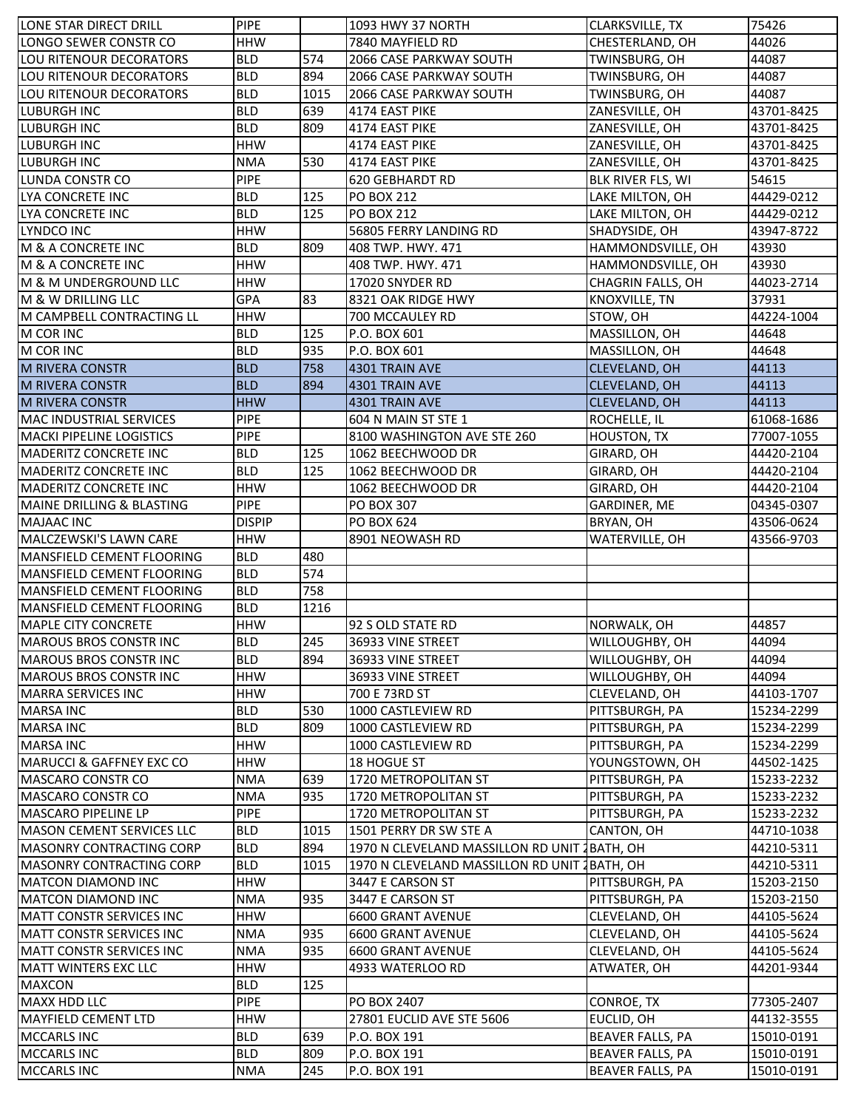| LONE STAR DIRECT DRILL               | <b>PIPE</b>   |      | 1093 HWY 37 NORTH                             | <b>CLARKSVILLE, TX</b>  | 75426      |
|--------------------------------------|---------------|------|-----------------------------------------------|-------------------------|------------|
| LONGO SEWER CONSTR CO                | <b>HHW</b>    |      | 7840 MAYFIELD RD                              | CHESTERLAND, OH         | 44026      |
| LOU RITENOUR DECORATORS              | <b>BLD</b>    | 574  | 2066 CASE PARKWAY SOUTH                       | TWINSBURG, OH           | 44087      |
| LOU RITENOUR DECORATORS              | <b>BLD</b>    | 894  | <b>2066 CASE PARKWAY SOUTH</b>                | TWINSBURG, OH           | 44087      |
| <b>LOU RITENOUR DECORATORS</b>       | <b>BLD</b>    | 1015 | 2066 CASE PARKWAY SOUTH                       | TWINSBURG, OH           | 44087      |
| LUBURGH INC                          | <b>BLD</b>    | 639  | 4174 EAST PIKE                                | ZANESVILLE, OH          | 43701-8425 |
| LUBURGH INC                          | <b>BLD</b>    | 809  | 4174 EAST PIKE                                | ZANESVILLE, OH          | 43701-8425 |
| <b>LUBURGH INC</b>                   | <b>HHW</b>    |      | 4174 EAST PIKE                                | ZANESVILLE, OH          | 43701-8425 |
| <b>LUBURGH INC</b>                   | <b>NMA</b>    | 530  | 4174 EAST PIKE                                | ZANESVILLE, OH          | 43701-8425 |
| LUNDA CONSTR CO                      | <b>PIPE</b>   |      | <b>620 GEBHARDT RD</b>                        | BLK RIVER FLS, WI       | 54615      |
| LYA CONCRETE INC                     | <b>BLD</b>    | 125  | PO BOX 212                                    | LAKE MILTON, OH         | 44429-0212 |
| LYA CONCRETE INC                     | <b>BLD</b>    | 125  | PO BOX 212                                    | LAKE MILTON, OH         | 44429-0212 |
| LYNDCO INC                           | <b>HHW</b>    |      | 56805 FERRY LANDING RD                        | SHADYSIDE, OH           | 43947-8722 |
| M & A CONCRETE INC                   | <b>BLD</b>    | 809  | 408 TWP. HWY. 471                             | HAMMONDSVILLE, OH       | 43930      |
| M & A CONCRETE INC                   | <b>HHW</b>    |      | 408 TWP. HWY. 471                             | HAMMONDSVILLE, OH       | 43930      |
| M & M UNDERGROUND LLC                | <b>HHW</b>    |      | 17020 SNYDER RD                               | CHAGRIN FALLS, OH       | 44023-2714 |
| M & W DRILLING LLC                   | <b>GPA</b>    | 83   | 8321 OAK RIDGE HWY                            | KNOXVILLE, TN           | 37931      |
| M CAMPBELL CONTRACTING LL            | <b>HHW</b>    |      | 700 MCCAULEY RD                               | STOW, OH                | 44224-1004 |
| M COR INC                            | <b>BLD</b>    | 125  | P.O. BOX 601                                  | MASSILLON, OH           | 44648      |
| M COR INC                            | <b>BLD</b>    | 935  | P.O. BOX 601                                  | MASSILLON, OH           | 44648      |
| <b>M RIVERA CONSTR</b>               | <b>BLD</b>    | 758  | 4301 TRAIN AVE                                | <b>CLEVELAND, OH</b>    | 44113      |
| <b>M RIVERA CONSTR</b>               | <b>BLD</b>    | 894  | 4301 TRAIN AVE                                | CLEVELAND, OH           | 44113      |
| <b>M RIVERA CONSTR</b>               | <b>HHW</b>    |      | 4301 TRAIN AVE                                | CLEVELAND, OH           | 44113      |
| <b>MAC INDUSTRIAL SERVICES</b>       | <b>PIPE</b>   |      | 604 N MAIN ST STE 1                           | ROCHELLE, IL            | 61068-1686 |
| <b>MACKI PIPELINE LOGISTICS</b>      | <b>PIPE</b>   |      | 8100 WASHINGTON AVE STE 260                   | HOUSTON, TX             | 77007-1055 |
| <b>MADERITZ CONCRETE INC</b>         | <b>BLD</b>    | 125  | 1062 BEECHWOOD DR                             | GIRARD, OH              | 44420-2104 |
| <b>MADERITZ CONCRETE INC</b>         | <b>BLD</b>    | 125  | 1062 BEECHWOOD DR                             | GIRARD, OH              | 44420-2104 |
| <b>MADERITZ CONCRETE INC</b>         | <b>HHW</b>    |      | 1062 BEECHWOOD DR                             | GIRARD, OH              | 44420-2104 |
| <b>MAINE DRILLING &amp; BLASTING</b> | <b>PIPE</b>   |      | <b>PO BOX 307</b>                             | GARDINER, ME            | 04345-0307 |
| <b>MAJAAC INC</b>                    | <b>DISPIP</b> |      | PO BOX 624                                    | BRYAN, OH               | 43506-0624 |
| MALCZEWSKI'S LAWN CARE               | <b>HHW</b>    |      | 8901 NEOWASH RD                               | WATERVILLE, OH          | 43566-9703 |
| <b>MANSFIELD CEMENT FLOORING</b>     | <b>BLD</b>    | 480  |                                               |                         |            |
| MANSFIELD CEMENT FLOORING            | <b>BLD</b>    | 574  |                                               |                         |            |
| MANSFIELD CEMENT FLOORING            | <b>BLD</b>    | 758  |                                               |                         |            |
| MANSFIELD CEMENT FLOORING            | <b>BLD</b>    | 1216 |                                               |                         |            |
| <b>MAPLE CITY CONCRETE</b>           | <b>HHW</b>    |      | 92 S OLD STATE RD                             | NORWALK, OH             | 44857      |
| MAROUS BROS CONSTR INC               | <b>BLD</b>    | 245  | 36933 VINE STREET                             | WILLOUGHBY, OH          | 44094      |
| <b>MAROUS BROS CONSTR INC</b>        | <b>BLD</b>    | 894  | 36933 VINE STREET                             | WILLOUGHBY, OH          | 44094      |
| <b>MAROUS BROS CONSTR INC</b>        | <b>HHW</b>    |      | 36933 VINE STREET                             | WILLOUGHBY, OH          | 44094      |
| <b>MARRA SERVICES INC</b>            | <b>HHW</b>    |      | 700 E 73RD ST                                 | CLEVELAND, OH           | 44103-1707 |
| <b>MARSA INC</b>                     | <b>BLD</b>    | 530  | 1000 CASTLEVIEW RD                            | PITTSBURGH, PA          | 15234-2299 |
| <b>MARSA INC</b>                     | <b>BLD</b>    | 809  | 1000 CASTLEVIEW RD                            | PITTSBURGH, PA          | 15234-2299 |
| <b>MARSA INC</b>                     | <b>HHW</b>    |      | 1000 CASTLEVIEW RD                            | PITTSBURGH, PA          | 15234-2299 |
| <b>MARUCCI &amp; GAFFNEY EXC CO</b>  | <b>HHW</b>    |      | 18 HOGUE ST                                   | YOUNGSTOWN, OH          | 44502-1425 |
| <b>MASCARO CONSTR CO</b>             | <b>NMA</b>    | 639  | 1720 METROPOLITAN ST                          | PITTSBURGH, PA          | 15233-2232 |
| <b>MASCARO CONSTR CO</b>             | <b>NMA</b>    | 935  | 1720 METROPOLITAN ST                          | PITTSBURGH, PA          | 15233-2232 |
| MASCARO PIPELINE LP                  | <b>PIPE</b>   |      | 1720 METROPOLITAN ST                          | PITTSBURGH, PA          | 15233-2232 |
| <b>MASON CEMENT SERVICES LLC</b>     | <b>BLD</b>    | 1015 | 1501 PERRY DR SW STE A                        | CANTON, OH              | 44710-1038 |
| <b>MASONRY CONTRACTING CORP</b>      | <b>BLD</b>    | 894  | 1970 N CLEVELAND MASSILLON RD UNIT 1 BATH, OH |                         | 44210-5311 |
| <b>MASONRY CONTRACTING CORP</b>      | <b>BLD</b>    | 1015 | 1970 N CLEVELAND MASSILLON RD UNIT 1 BATH, OH |                         | 44210-5311 |
| <b>MATCON DIAMOND INC</b>            | <b>HHW</b>    |      | 3447 E CARSON ST                              | PITTSBURGH, PA          | 15203-2150 |
| <b>MATCON DIAMOND INC</b>            | <b>NMA</b>    | 935  | 3447 E CARSON ST                              | PITTSBURGH, PA          | 15203-2150 |
| <b>MATT CONSTR SERVICES INC</b>      | <b>HHW</b>    |      | <b>6600 GRANT AVENUE</b>                      | CLEVELAND, OH           | 44105-5624 |
| <b>MATT CONSTR SERVICES INC</b>      | <b>NMA</b>    | 935  | 6600 GRANT AVENUE                             | CLEVELAND, OH           | 44105-5624 |
| <b>MATT CONSTR SERVICES INC</b>      | <b>NMA</b>    | 935  | 6600 GRANT AVENUE                             | CLEVELAND, OH           | 44105-5624 |
| <b>MATT WINTERS EXC LLC</b>          | <b>HHW</b>    |      | 4933 WATERLOO RD                              | ATWATER, OH             | 44201-9344 |
| <b>MAXCON</b>                        | <b>BLD</b>    | 125  |                                               |                         |            |
| <b>MAXX HDD LLC</b>                  | <b>PIPE</b>   |      | PO BOX 2407                                   | CONROE, TX              | 77305-2407 |
| <b>MAYFIELD CEMENT LTD</b>           | <b>HHW</b>    |      | 27801 EUCLID AVE STE 5606                     | EUCLID, OH              | 44132-3555 |
| <b>MCCARLS INC</b>                   | <b>BLD</b>    | 639  | P.O. BOX 191                                  | <b>BEAVER FALLS, PA</b> | 15010-0191 |
| <b>MCCARLS INC</b>                   | <b>BLD</b>    | 809  | P.O. BOX 191                                  | <b>BEAVER FALLS, PA</b> | 15010-0191 |
| <b>MCCARLS INC</b>                   | <b>NMA</b>    | 245  | P.O. BOX 191                                  | <b>BEAVER FALLS, PA</b> | 15010-0191 |
|                                      |               |      |                                               |                         |            |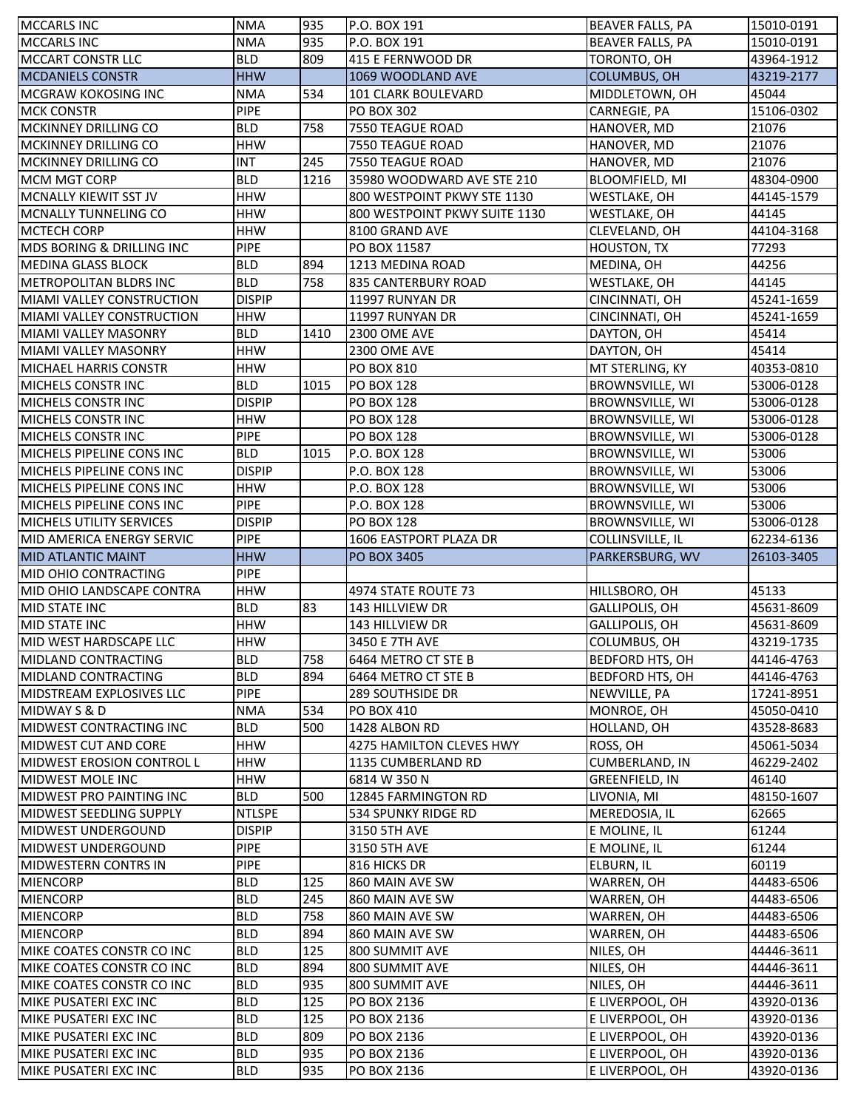| <b>MCCARLS INC</b>                             | <b>NMA</b>               | 935        | P.O. BOX 191                  | <b>BEAVER FALLS, PA</b>            | 15010-0191               |
|------------------------------------------------|--------------------------|------------|-------------------------------|------------------------------------|--------------------------|
| <b>MCCARLS INC</b>                             | <b>NMA</b>               | 935        | P.O. BOX 191                  | <b>BEAVER FALLS, PA</b>            | 15010-0191               |
| <b>MCCART CONSTR LLC</b>                       | <b>BLD</b>               | 809        | 415 E FERNWOOD DR             | TORONTO, OH                        | 43964-1912               |
| <b>MCDANIELS CONSTR</b>                        | <b>HHW</b>               |            | 1069 WOODLAND AVE             | <b>COLUMBUS, OH</b>                | 43219-2177               |
| <b>MCGRAW KOKOSING INC</b>                     | <b>NMA</b>               | 534        | 101 CLARK BOULEVARD           | MIDDLETOWN, OH                     | 45044                    |
| <b>MCK CONSTR</b>                              | <b>PIPE</b>              |            | PO BOX 302                    | CARNEGIE, PA                       | 15106-0302               |
| MCKINNEY DRILLING CO                           | <b>BLD</b>               | 758        | 7550 TEAGUE ROAD              | HANOVER, MD                        | 21076                    |
| MCKINNEY DRILLING CO                           | <b>HHW</b>               |            | 7550 TEAGUE ROAD              | HANOVER, MD                        | 21076                    |
| MCKINNEY DRILLING CO                           | <b>INT</b>               | 245        | 7550 TEAGUE ROAD              | HANOVER, MD                        | 21076                    |
| <b>MCM MGT CORP</b>                            | <b>BLD</b>               | 1216       | 35980 WOODWARD AVE STE 210    | <b>BLOOMFIELD, MI</b>              | 48304-0900               |
| MCNALLY KIEWIT SST JV                          | <b>HHW</b>               |            | 800 WESTPOINT PKWY STE 1130   | WESTLAKE, OH                       | 44145-1579               |
| MCNALLY TUNNELING CO                           | <b>HHW</b>               |            | 800 WESTPOINT PKWY SUITE 1130 | WESTLAKE, OH                       | 44145                    |
| <b>MCTECH CORP</b>                             | <b>HHW</b>               |            | 8100 GRAND AVE                | CLEVELAND, OH                      | 44104-3168               |
| MDS BORING & DRILLING INC                      | <b>PIPE</b>              |            | PO BOX 11587                  | <b>HOUSTON, TX</b>                 | 77293                    |
| MEDINA GLASS BLOCK                             | <b>BLD</b>               | 894        | 1213 MEDINA ROAD              | MEDINA, OH                         | 44256                    |
| <b>METROPOLITAN BLDRS INC</b>                  | <b>BLD</b>               | 758        | 835 CANTERBURY ROAD           | <b>WESTLAKE, OH</b>                | 44145                    |
| MIAMI VALLEY CONSTRUCTION                      | <b>DISPIP</b>            |            | 11997 RUNYAN DR               | CINCINNATI, OH                     | 45241-1659               |
| <b>MIAMI VALLEY CONSTRUCTION</b>               | <b>HHW</b>               |            | 11997 RUNYAN DR               | CINCINNATI, OH                     | 45241-1659               |
| <b>MIAMI VALLEY MASONRY</b>                    | <b>BLD</b>               | 1410       | 2300 OME AVE                  | DAYTON, OH                         | 45414                    |
| MIAMI VALLEY MASONRY                           | <b>HHW</b>               |            | <b>2300 OME AVE</b>           | DAYTON, OH                         | 45414                    |
| <b>MICHAEL HARRIS CONSTR</b>                   | <b>HHW</b>               |            | <b>PO BOX 810</b>             | MT STERLING, KY                    | 40353-0810               |
| <b>MICHELS CONSTRINC</b>                       | <b>BLD</b>               | 1015       | <b>PO BOX 128</b>             | <b>BROWNSVILLE, WI</b>             | 53006-0128               |
| <b>MICHELS CONSTRINC</b>                       | <b>DISPIP</b>            |            | PO BOX 128                    | <b>BROWNSVILLE, WI</b>             | 53006-0128               |
| MICHELS CONSTR INC                             | <b>HHW</b>               |            | PO BOX 128                    | <b>BROWNSVILLE, WI</b>             | 53006-0128               |
| MICHELS CONSTR INC                             | <b>PIPE</b>              |            | PO BOX 128                    | <b>BROWNSVILLE, WI</b>             | 53006-0128               |
| MICHELS PIPELINE CONS INC                      | <b>BLD</b>               | 1015       | P.O. BOX 128                  | <b>BROWNSVILLE, WI</b>             | 53006                    |
| <b>MICHELS PIPELINE CONS INC</b>               | <b>DISPIP</b>            |            | P.O. BOX 128                  | <b>BROWNSVILLE, WI</b>             | 53006                    |
| MICHELS PIPELINE CONS INC                      | <b>HHW</b>               |            | P.O. BOX 128                  | <b>BROWNSVILLE, WI</b>             | 53006                    |
| MICHELS PIPELINE CONS INC                      | <b>PIPE</b>              |            | P.O. BOX 128                  | <b>BROWNSVILLE, WI</b>             | 53006                    |
| <b>MICHELS UTILITY SERVICES</b>                | <b>DISPIP</b>            |            | <b>PO BOX 128</b>             | BROWNSVILLE, WI                    | 53006-0128               |
| MID AMERICA ENERGY SERVIC                      | <b>PIPE</b>              |            | 1606 EASTPORT PLAZA DR        | COLLINSVILLE, IL                   | 62234-6136               |
|                                                |                          |            |                               |                                    |                          |
|                                                |                          |            |                               |                                    |                          |
| <b>MID ATLANTIC MAINT</b>                      | <b>HHW</b>               |            | <b>PO BOX 3405</b>            | PARKERSBURG, WV                    | 26103-3405               |
| MID OHIO CONTRACTING                           | <b>PIPE</b>              |            |                               |                                    |                          |
| MID OHIO LANDSCAPE CONTRA                      | <b>HHW</b>               |            | 4974 STATE ROUTE 73           | HILLSBORO, OH                      | 45133                    |
| <b>MID STATE INC</b>                           | <b>BLD</b>               | 83         | 143 HILLVIEW DR               | GALLIPOLIS, OH                     | 45631-8609               |
| MID STATE INC                                  | <b>HHW</b>               |            | 143 HILLVIEW DR               | GALLIPOLIS, OH                     | 45631-8609               |
| MID WEST HARDSCAPE LLC                         | HHW                      |            | 3450 E 7TH AVE                | COLUMBUS, OH                       | 43219-1735               |
| MIDLAND CONTRACTING                            | <b>BLD</b>               | 758        | 6464 METRO CT STE B           | <b>BEDFORD HTS, OH</b>             | 44146-4763               |
| MIDLAND CONTRACTING                            | <b>BLD</b>               | 894        | 6464 METRO CT STE B           | <b>BEDFORD HTS, OH</b>             | 44146-4763               |
| MIDSTREAM EXPLOSIVES LLC                       | <b>PIPE</b>              |            | <b>289 SOUTHSIDE DR</b>       | NEWVILLE, PA                       | 17241-8951               |
| MIDWAY S & D                                   | <b>NMA</b>               | 534        | <b>PO BOX 410</b>             | MONROE, OH                         | 45050-0410               |
| MIDWEST CONTRACTING INC                        | <b>BLD</b>               | 500        | 1428 ALBON RD                 | HOLLAND, OH                        | 43528-8683               |
| MIDWEST CUT AND CORE                           | <b>HHW</b>               |            | 4275 HAMILTON CLEVES HWY      | ROSS, OH                           | 45061-5034               |
| <b>MIDWEST EROSION CONTROL L</b>               | <b>HHW</b>               |            | 1135 CUMBERLAND RD            | <b>CUMBERLAND, IN</b>              | 46229-2402               |
| <b>MIDWEST MOLE INC</b>                        | <b>HHW</b>               |            | 6814 W 350 N                  | <b>GREENFIELD, IN</b>              | 46140                    |
| <b>MIDWEST PRO PAINTING INC</b>                | <b>BLD</b>               | 500        | 12845 FARMINGTON RD           | LIVONIA, MI                        | 48150-1607               |
| MIDWEST SEEDLING SUPPLY                        | <b>NTLSPE</b>            |            | 534 SPUNKY RIDGE RD           | MEREDOSIA, IL                      | 62665                    |
| <b>MIDWEST UNDERGOUND</b>                      | <b>DISPIP</b>            |            | 3150 5TH AVE                  | E MOLINE, IL                       | 61244                    |
| MIDWEST UNDERGOUND                             | <b>PIPE</b>              |            | 3150 5TH AVE                  | E MOLINE, IL                       | 61244                    |
| <b>MIDWESTERN CONTRS IN</b>                    | <b>PIPE</b>              |            | 816 HICKS DR                  | ELBURN, IL                         | 60119                    |
| <b>MIENCORP</b>                                | <b>BLD</b>               | 125        | 860 MAIN AVE SW               | WARREN, OH                         | 44483-6506               |
| <b>MIENCORP</b>                                | <b>BLD</b>               | 245        | 860 MAIN AVE SW               | WARREN, OH                         | 44483-6506               |
| <b>MIENCORP</b>                                | <b>BLD</b>               | 758        | 860 MAIN AVE SW               | WARREN, OH                         | 44483-6506               |
| <b>MIENCORP</b>                                | <b>BLD</b>               | 894        | 860 MAIN AVE SW               | WARREN, OH                         | 44483-6506               |
| MIKE COATES CONSTR CO INC                      | <b>BLD</b>               | 125        | 800 SUMMIT AVE                | NILES, OH                          | 44446-3611               |
| MIKE COATES CONSTR CO INC                      | <b>BLD</b>               | 894        | 800 SUMMIT AVE                | NILES, OH                          | 44446-3611               |
| MIKE COATES CONSTR CO INC                      | <b>BLD</b>               | 935        | 800 SUMMIT AVE                | NILES, OH                          | 44446-3611               |
| MIKE PUSATERI EXC INC                          | <b>BLD</b>               | 125        | PO BOX 2136                   | E LIVERPOOL, OH                    | 43920-0136               |
| MIKE PUSATERI EXC INC                          | <b>BLD</b>               | 125        | PO BOX 2136                   | E LIVERPOOL, OH                    | 43920-0136               |
| MIKE PUSATERI EXC INC                          | <b>BLD</b>               | 809        | PO BOX 2136                   | E LIVERPOOL, OH                    | 43920-0136               |
| MIKE PUSATERI EXC INC<br>MIKE PUSATERI EXC INC | <b>BLD</b><br><b>BLD</b> | 935<br>935 | PO BOX 2136<br>PO BOX 2136    | E LIVERPOOL, OH<br>E LIVERPOOL, OH | 43920-0136<br>43920-0136 |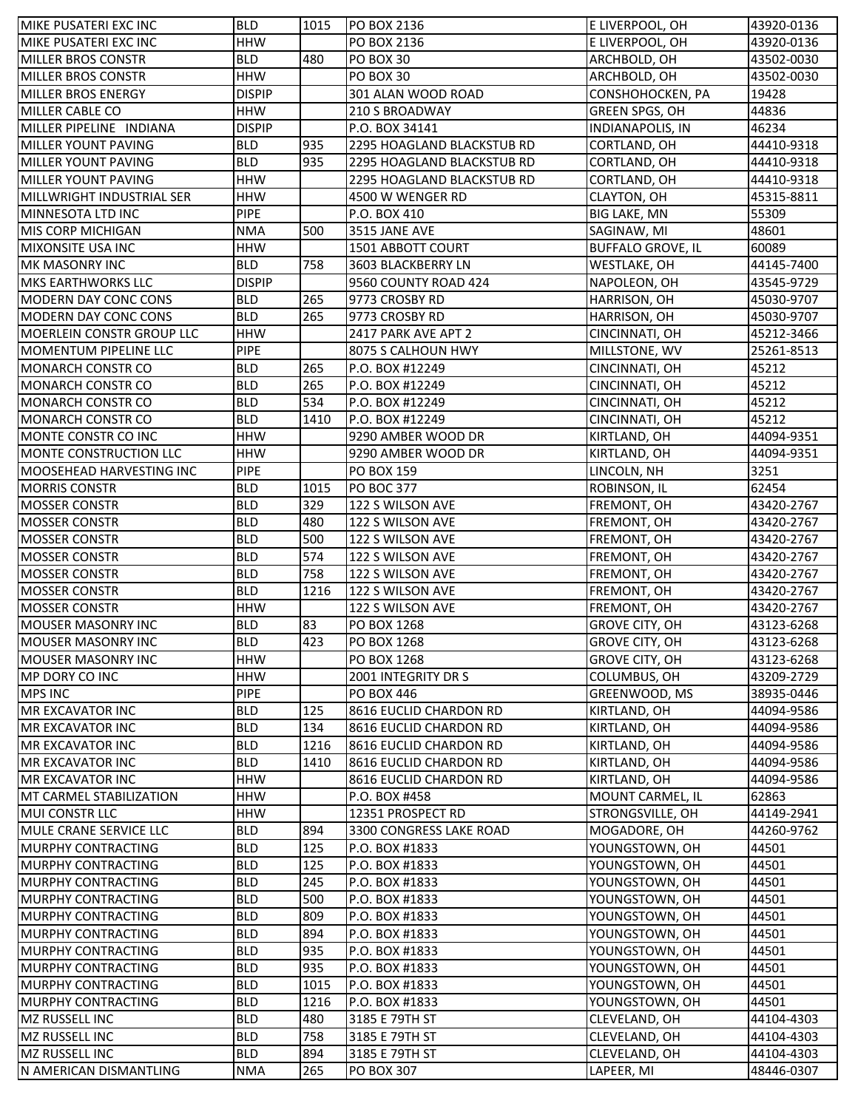| MIKE PUSATERI EXC INC                             | <b>BLD</b>               | 1015 | <b>PO BOX 2136</b>                          | E LIVERPOOL, OH          | 43920-0136               |
|---------------------------------------------------|--------------------------|------|---------------------------------------------|--------------------------|--------------------------|
| MIKE PUSATERI EXC INC                             | <b>HHW</b>               |      | PO BOX 2136                                 | E LIVERPOOL, OH          | 43920-0136               |
| <b>MILLER BROS CONSTR</b>                         | <b>BLD</b>               | 480  | PO BOX 30                                   | ARCHBOLD, OH             | 43502-0030               |
| <b>MILLER BROS CONSTR</b>                         | <b>HHW</b>               |      | PO BOX 30                                   | ARCHBOLD, OH             | 43502-0030               |
| <b>MILLER BROS ENERGY</b>                         | <b>DISPIP</b>            |      | 301 ALAN WOOD ROAD                          | CONSHOHOCKEN, PA         | 19428                    |
| MILLER CABLE CO                                   | <b>HHW</b>               |      | <b>210 S BROADWAY</b>                       | GREEN SPGS, OH           | 44836                    |
| MILLER PIPELINE INDIANA                           | <b>DISPIP</b>            |      | P.O. BOX 34141                              | <b>INDIANAPOLIS, IN</b>  | 46234                    |
| MILLER YOUNT PAVING                               | <b>BLD</b>               | 935  | 2295 HOAGLAND BLACKSTUB RD                  | CORTLAND, OH             | 44410-9318               |
| <b>MILLER YOUNT PAVING</b>                        | <b>BLD</b>               | 935  | 2295 HOAGLAND BLACKSTUB RD                  | CORTLAND, OH             | 44410-9318               |
| <b>MILLER YOUNT PAVING</b>                        | <b>HHW</b>               |      | 2295 HOAGLAND BLACKSTUB RD                  | CORTLAND, OH             | 44410-9318               |
| MILLWRIGHT INDUSTRIAL SER                         | <b>HHW</b>               |      | 4500 W WENGER RD                            | CLAYTON, OH              | 45315-8811               |
| MINNESOTA LTD INC                                 | <b>PIPE</b>              |      | P.O. BOX 410                                | <b>BIG LAKE, MN</b>      | 55309                    |
| MIS CORP MICHIGAN                                 | <b>NMA</b>               | 500  | 3515 JANE AVE                               | SAGINAW, MI              | 48601                    |
| <b>MIXONSITE USA INC</b>                          | <b>HHW</b>               |      | 1501 ABBOTT COURT                           | <b>BUFFALO GROVE, IL</b> | 60089                    |
| MK MASONRY INC                                    | <b>BLD</b>               | 758  | 3603 BLACKBERRY LN                          | <b>WESTLAKE, OH</b>      | 44145-7400               |
| <b>MKS EARTHWORKS LLC</b>                         | <b>DISPIP</b>            |      | 9560 COUNTY ROAD 424                        | NAPOLEON, OH             | 43545-9729               |
| MODERN DAY CONC CONS                              | <b>BLD</b>               | 265  | 9773 CROSBY RD                              | <b>HARRISON, OH</b>      | 45030-9707               |
| MODERN DAY CONC CONS                              | <b>BLD</b>               | 265  | 9773 CROSBY RD                              | HARRISON, OH             | 45030-9707               |
| <b>MOERLEIN CONSTR GROUP LLC</b>                  | <b>HHW</b>               |      | 2417 PARK AVE APT 2                         | CINCINNATI, OH           | 45212-3466               |
| <b>MOMENTUM PIPELINE LLC</b>                      | <b>PIPE</b>              |      | 8075 S CALHOUN HWY                          | MILLSTONE, WV            | 25261-8513               |
| <b>MONARCH CONSTR CO</b>                          | <b>BLD</b>               | 265  | P.O. BOX #12249                             | CINCINNATI, OH           | 45212                    |
| <b>MONARCH CONSTR CO</b>                          | <b>BLD</b>               | 265  | P.O. BOX #12249                             | CINCINNATI, OH           | 45212                    |
| <b>MONARCH CONSTR CO</b>                          | <b>BLD</b>               | 534  | P.O. BOX #12249                             | CINCINNATI, OH           | 45212                    |
| MONARCH CONSTR CO                                 | <b>BLD</b>               | 1410 | P.O. BOX #12249                             | CINCINNATI, OH           | 45212                    |
| MONTE CONSTR CO INC                               | <b>HHW</b>               |      | 9290 AMBER WOOD DR                          | KIRTLAND, OH             | 44094-9351               |
| MONTE CONSTRUCTION LLC                            | <b>HHW</b>               |      | 9290 AMBER WOOD DR                          | KIRTLAND, OH             | 44094-9351               |
| MOOSEHEAD HARVESTING INC                          | <b>PIPE</b>              |      | <b>PO BOX 159</b>                           | LINCOLN, NH              | 3251                     |
| <b>MORRIS CONSTR</b>                              | <b>BLD</b>               | 1015 | <b>PO BOC 377</b>                           | ROBINSON, IL             | 62454                    |
| <b>MOSSER CONSTR</b>                              | <b>BLD</b>               | 329  | 122 S WILSON AVE                            | FREMONT, OH              | 43420-2767               |
| <b>MOSSER CONSTR</b>                              | <b>BLD</b>               | 480  | 122 S WILSON AVE                            |                          |                          |
| <b>MOSSER CONSTR</b>                              | <b>BLD</b>               | 500  |                                             | FREMONT, OH              | 43420-2767<br>43420-2767 |
| <b>MOSSER CONSTR</b>                              | <b>BLD</b>               | 574  | 122 S WILSON AVE<br>122 S WILSON AVE        | FREMONT, OH              | 43420-2767               |
| <b>MOSSER CONSTR</b>                              | <b>BLD</b>               | 758  | 122 S WILSON AVE                            | FREMONT, OH              | 43420-2767               |
|                                                   | <b>BLD</b>               | 1216 |                                             | FREMONT, OH              |                          |
| <b>MOSSER CONSTR</b>                              | <b>HHW</b>               |      | 122 S WILSON AVE<br>122 S WILSON AVE        | FREMONT, OH              | 43420-2767<br>43420-2767 |
| <b>MOSSER CONSTR</b><br><b>MOUSER MASONRY INC</b> |                          |      |                                             | FREMONT, OH              |                          |
|                                                   | <b>BLD</b>               | 83   | PO BOX 1268                                 | <b>GROVE CITY, OH</b>    | 43123-6268               |
| MOUSER MASONRY INC                                | <b>BLD</b><br><b>HHW</b> | 423  | PO BOX 1268<br><b>PO BOX 1268</b>           | <b>GROVE CITY, OH</b>    | 43123-6268               |
| <b>MOUSER MASONRY INC</b><br>MP DORY CO INC       | <b>HHW</b>               |      |                                             | <b>GROVE CITY, OH</b>    | 43123-6268               |
|                                                   |                          |      | 2001 INTEGRITY DR S                         | COLUMBUS, OH             | 43209-2729               |
| <b>MPS INC</b>                                    | <b>PIPE</b>              |      | <b>PO BOX 446</b><br>8616 EUCLID CHARDON RD | GREENWOOD, MS            | 38935-0446               |
| MR EXCAVATOR INC                                  | <b>BLD</b>               | 125  |                                             | KIRTLAND, OH             | 44094-9586               |
| <b>MR EXCAVATOR INC</b>                           | <b>BLD</b>               | 134  | 8616 EUCLID CHARDON RD                      | KIRTLAND, OH             | 44094-9586               |
| <b>MR EXCAVATOR INC</b>                           | <b>BLD</b>               | 1216 | 8616 EUCLID CHARDON RD                      | KIRTLAND, OH             | 44094-9586               |
| <b>MR EXCAVATOR INC</b>                           | <b>BLD</b>               | 1410 | <b>8616 EUCLID CHARDON RD</b>               | KIRTLAND, OH             | 44094-9586               |
| <b>MR EXCAVATOR INC</b>                           | <b>HHW</b>               |      | 8616 EUCLID CHARDON RD                      | KIRTLAND, OH             | 44094-9586               |
| <b>MT CARMEL STABILIZATION</b>                    | HHW                      |      | P.O. BOX #458                               | MOUNT CARMEL, IL         | 62863                    |
| MUI CONSTR LLC                                    | <b>HHW</b>               |      | 12351 PROSPECT RD                           | STRONGSVILLE, OH         | 44149-2941               |
| MULE CRANE SERVICE LLC                            | <b>BLD</b>               | 894  | 3300 CONGRESS LAKE ROAD                     | MOGADORE, OH             | 44260-9762               |
| <b>MURPHY CONTRACTING</b>                         | <b>BLD</b>               | 125  | P.O. BOX #1833                              | YOUNGSTOWN, OH           | 44501                    |
| <b>MURPHY CONTRACTING</b>                         | <b>BLD</b>               | 125  | P.O. BOX #1833                              | YOUNGSTOWN, OH           | 44501                    |
| <b>MURPHY CONTRACTING</b>                         | <b>BLD</b>               | 245  | P.O. BOX #1833                              | YOUNGSTOWN, OH           | 44501                    |
| <b>MURPHY CONTRACTING</b>                         | <b>BLD</b>               | 500  | P.O. BOX #1833                              | YOUNGSTOWN, OH           | 44501                    |
| <b>MURPHY CONTRACTING</b>                         | <b>BLD</b>               | 809  | P.O. BOX #1833                              | YOUNGSTOWN, OH           | 44501                    |
| <b>MURPHY CONTRACTING</b>                         | <b>BLD</b>               | 894  | P.O. BOX #1833                              | YOUNGSTOWN, OH           | 44501                    |
| <b>MURPHY CONTRACTING</b>                         | <b>BLD</b>               | 935  | P.O. BOX #1833                              | YOUNGSTOWN, OH           | 44501                    |
| <b>MURPHY CONTRACTING</b>                         | <b>BLD</b>               | 935  | P.O. BOX #1833                              | YOUNGSTOWN, OH           | 44501                    |
| <b>MURPHY CONTRACTING</b>                         | <b>BLD</b>               | 1015 | P.O. BOX #1833                              | YOUNGSTOWN, OH           | 44501                    |
| <b>MURPHY CONTRACTING</b>                         | <b>BLD</b>               | 1216 | P.O. BOX #1833                              | YOUNGSTOWN, OH           | 44501                    |
| MZ RUSSELL INC                                    | <b>BLD</b>               | 480  | 3185 E 79TH ST                              | CLEVELAND, OH            | 44104-4303               |
| <b>MZ RUSSELL INC</b>                             | <b>BLD</b>               | 758  | 3185 E 79TH ST                              | CLEVELAND, OH            | 44104-4303               |
| MZ RUSSELL INC                                    | <b>BLD</b>               | 894  | 3185 E 79TH ST                              | CLEVELAND, OH            | 44104-4303               |
| N AMERICAN DISMANTLING                            | <b>NMA</b>               | 265  | <b>PO BOX 307</b>                           | LAPEER, MI               | 48446-0307               |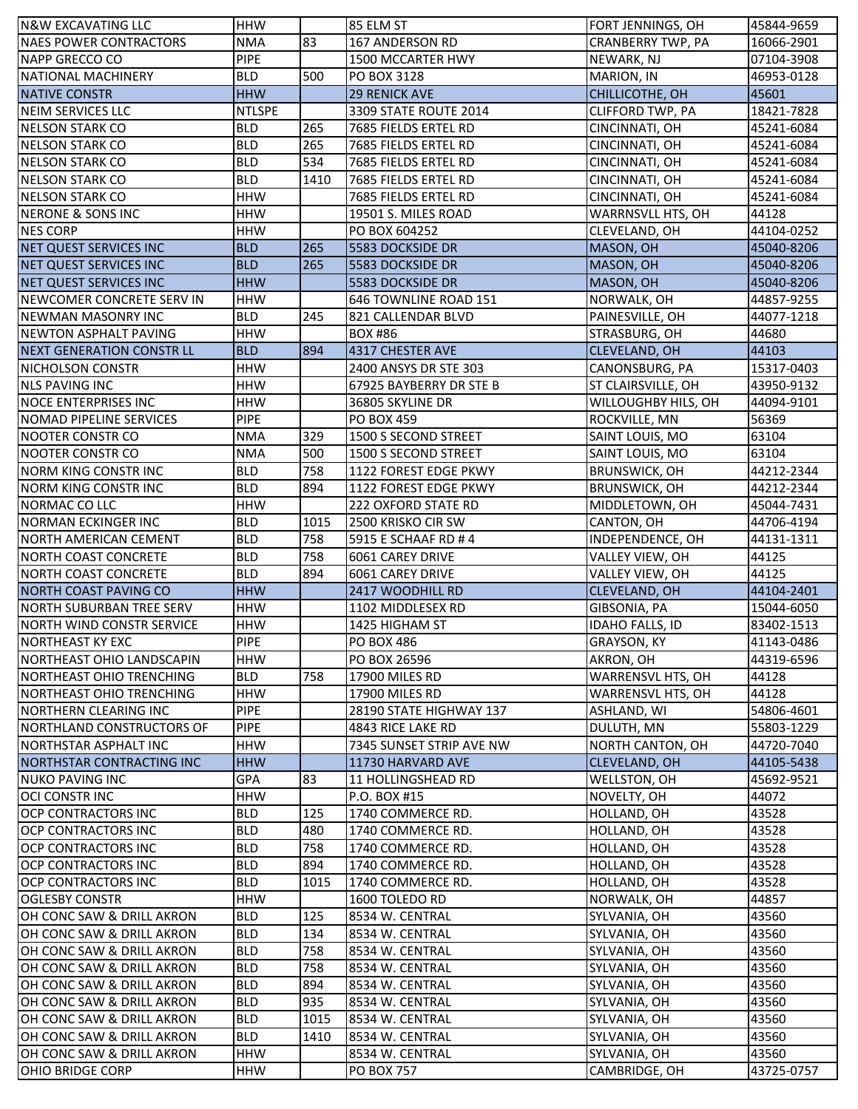| N&W EXCAVATING LLC               | <b>HHW</b>    |      | 85 ELM ST                  | FORT JENNINGS, OH        | 45844-9659 |
|----------------------------------|---------------|------|----------------------------|--------------------------|------------|
| <b>NAES POWER CONTRACTORS</b>    | <b>NMA</b>    | 83   | 167 ANDERSON RD            | <b>CRANBERRY TWP, PA</b> | 16066-2901 |
| <b>NAPP GRECCO CO</b>            | <b>PIPE</b>   |      | 1500 MCCARTER HWY          | NEWARK, NJ               | 07104-3908 |
| NATIONAL MACHINERY               | <b>BLD</b>    | 500  | PO BOX 3128                | MARION, IN               | 46953-0128 |
| <b>NATIVE CONSTR</b>             | <b>HHW</b>    |      | <b>29 RENICK AVE</b>       | CHILLICOTHE, OH          | 45601      |
| NEIM SERVICES LLC                | <b>NTLSPE</b> |      | 3309 STATE ROUTE 2014      | CLIFFORD TWP, PA         | 18421-7828 |
| <b>NELSON STARK CO</b>           | BLD           | 265  | 7685 FIELDS ERTEL RD       | CINCINNATI, OH           | 45241-6084 |
| <b>NELSON STARK CO</b>           | <b>BLD</b>    | 265  | 7685 FIELDS ERTEL RD       | CINCINNATI, OH           | 45241-6084 |
| <b>NELSON STARK CO</b>           | <b>BLD</b>    | 534  | 7685 FIELDS ERTEL RD       | CINCINNATI, OH           | 45241-6084 |
| <b>NELSON STARK CO</b>           | <b>BLD</b>    | 1410 | 7685 FIELDS ERTEL RD       | CINCINNATI, OH           | 45241-6084 |
| <b>NELSON STARK CO</b>           | <b>HHW</b>    |      | 7685 FIELDS ERTEL RD       | CINCINNATI, OH           | 45241-6084 |
| <b>NERONE &amp; SONS INC</b>     | <b>HHW</b>    |      | 19501 S. MILES ROAD        | WARRNSVLL HTS, OH        | 44128      |
| <b>NES CORP</b>                  | <b>HHW</b>    |      | PO BOX 604252              | CLEVELAND, OH            | 44104-0252 |
| NET QUEST SERVICES INC           | <b>BLD</b>    | 265  | <b>5583 DOCKSIDE DR</b>    | MASON, OH                | 45040-8206 |
| NET QUEST SERVICES INC           | <b>BLD</b>    | 265  | 5583 DOCKSIDE DR           | MASON, OH                | 45040-8206 |
| <b>NET QUEST SERVICES INC</b>    | <b>HHW</b>    |      | 5583 DOCKSIDE DR           | MASON, OH                | 45040-8206 |
| INEWCOMER CONCRETE SERV IN       | <b>HHW</b>    |      | 646 TOWNLINE ROAD 151      | NORWALK, OH              | 44857-9255 |
| <b>NEWMAN MASONRY INC</b>        | <b>BLD</b>    | 245  | 821 CALLENDAR BLVD         | PAINESVILLE, OH          | 44077-1218 |
| <b>NEWTON ASPHALT PAVING</b>     | <b>HHW</b>    |      | <b>BOX #86</b>             | STRASBURG, OH            | 44680      |
| <b>NEXT GENERATION CONSTR LL</b> | <b>BLD</b>    | 894  | 4317 CHESTER AVE           | CLEVELAND, OH            | 44103      |
| <b>NICHOLSON CONSTR</b>          | <b>HHW</b>    |      | 2400 ANSYS DR STE 303      | CANONSBURG, PA           | 15317-0403 |
| <b>NLS PAVING INC</b>            | <b>HHW</b>    |      | 67925 BAYBERRY DR STE B    | ST CLAIRSVILLE, OH       | 43950-9132 |
| <b>NOCE ENTERPRISES INC</b>      | <b>HHW</b>    |      | 36805 SKYLINE DR           | WILLOUGHBY HILS, OH      | 44094-9101 |
| NOMAD PIPELINE SERVICES          | <b>PIPE</b>   |      | <b>PO BOX 459</b>          | ROCKVILLE, MN            | 56369      |
| <b>NOOTER CONSTR CO</b>          | <b>NMA</b>    | 329  | 1500 S SECOND STREET       | SAINT LOUIS, MO          | 63104      |
| NOOTER CONSTR CO                 | <b>NMA</b>    | 500  | 1500 S SECOND STREET       | SAINT LOUIS, MO          | 63104      |
| <b>NORM KING CONSTR INC</b>      | <b>BLD</b>    | 758  | 1122 FOREST EDGE PKWY      | <b>BRUNSWICK, OH</b>     | 44212-2344 |
| <b>NORM KING CONSTR INC</b>      | <b>BLD</b>    | 894  | 1122 FOREST EDGE PKWY      | <b>BRUNSWICK, OH</b>     | 44212-2344 |
| NORMAC CO LLC                    | <b>HHW</b>    |      | <b>222 OXFORD STATE RD</b> | MIDDLETOWN, OH           | 45044-7431 |
| <b>NORMAN ECKINGER INC</b>       | <b>BLD</b>    | 1015 | 2500 KRISKO CIR SW         | CANTON, OH               | 44706-4194 |
| <b>NORTH AMERICAN CEMENT</b>     | <b>BLD</b>    | 758  | 5915 E SCHAAF RD #4        | INDEPENDENCE, OH         | 44131-1311 |
| <b>NORTH COAST CONCRETE</b>      | <b>BLD</b>    | 758  | 6061 CAREY DRIVE           | VALLEY VIEW, OH          | 44125      |
| <b>NORTH COAST CONCRETE</b>      | <b>BLD</b>    | 894  | 6061 CAREY DRIVE           | VALLEY VIEW, OH          | 44125      |
| <b>NORTH COAST PAVING CO</b>     | <b>HHW</b>    |      | 2417 WOODHILL RD           | CLEVELAND, OH            | 44104-2401 |
| <b>NORTH SUBURBAN TREE SERV</b>  | <b>HHW</b>    |      | 1102 MIDDLESEX RD          | GIBSONIA, PA             | 15044-6050 |
| <b>NORTH WIND CONSTR SERVICE</b> | <b>HHW</b>    |      | 1425 HIGHAM ST             | IDAHO FALLS, ID          | 83402-1513 |
| NORTHEAST KY EXC                 | <b>PIPE</b>   |      | <b>PO BOX 486</b>          | GRAYSON, KY              | 41143-0486 |
| NORTHEAST OHIO LANDSCAPIN        | <b>HHW</b>    |      | PO BOX 26596               | AKRON, OH                | 44319-6596 |
| <b>NORTHEAST OHIO TRENCHING</b>  | <b>BLD</b>    | 758  | 17900 MILES RD             | WARRENSVL HTS, OH        | 44128      |
| NORTHEAST OHIO TRENCHING         | <b>HHW</b>    |      | 17900 MILES RD             | WARRENSVL HTS, OH        | 44128      |
| <b>NORTHERN CLEARING INC</b>     | <b>PIPE</b>   |      | 28190 STATE HIGHWAY 137    | ASHLAND, WI              | 54806-4601 |
| INORTHLAND CONSTRUCTORS OF       | <b>PIPE</b>   |      | 4843 RICE LAKE RD          | DULUTH, MN               | 55803-1229 |
| <b>NORTHSTAR ASPHALT INC</b>     | <b>HHW</b>    |      | 7345 SUNSET STRIP AVE NW   | <b>NORTH CANTON, OH</b>  | 44720-7040 |
| <b>NORTHSTAR CONTRACTING INC</b> | <b>HHW</b>    |      | 11730 HARVARD AVE          | <b>CLEVELAND, OH</b>     | 44105-5438 |
| <b>NUKO PAVING INC</b>           | <b>GPA</b>    | 83   | 11 HOLLINGSHEAD RD         | WELLSTON, OH             | 45692-9521 |
| OCI CONSTRINC                    | <b>HHW</b>    |      | P.O. BOX #15               | NOVELTY, OH              | 44072      |
| <b>OCP CONTRACTORS INC</b>       | <b>BLD</b>    | 125  | 1740 COMMERCE RD.          | HOLLAND, OH              | 43528      |
| <b>OCP CONTRACTORS INC</b>       | <b>BLD</b>    | 480  | 1740 COMMERCE RD.          | HOLLAND, OH              | 43528      |
| <b>OCP CONTRACTORS INC</b>       | <b>BLD</b>    | 758  | 1740 COMMERCE RD.          | HOLLAND, OH              | 43528      |
| <b>OCP CONTRACTORS INC</b>       | <b>BLD</b>    | 894  | 1740 COMMERCE RD.          | HOLLAND, OH              | 43528      |
| <b>OCP CONTRACTORS INC</b>       | <b>BLD</b>    | 1015 | 1740 COMMERCE RD.          | HOLLAND, OH              | 43528      |
| <b>OGLESBY CONSTR</b>            | <b>HHW</b>    |      | 1600 TOLEDO RD             | NORWALK, OH              | 44857      |
| OH CONC SAW & DRILL AKRON        | <b>BLD</b>    | 125  | 8534 W. CENTRAL            | SYLVANIA, OH             | 43560      |
| OH CONC SAW & DRILL AKRON        | <b>BLD</b>    | 134  | 8534 W. CENTRAL            | SYLVANIA, OH             | 43560      |
| OH CONC SAW & DRILL AKRON        | <b>BLD</b>    | 758  | 8534 W. CENTRAL            | SYLVANIA, OH             | 43560      |
| OH CONC SAW & DRILL AKRON        | <b>BLD</b>    | 758  | 8534 W. CENTRAL            | SYLVANIA, OH             | 43560      |
| OH CONC SAW & DRILL AKRON        | <b>BLD</b>    | 894  | 8534 W. CENTRAL            | SYLVANIA, OH             | 43560      |
| OH CONC SAW & DRILL AKRON        | <b>BLD</b>    | 935  | 8534 W. CENTRAL            | SYLVANIA, OH             | 43560      |
| OH CONC SAW & DRILL AKRON        | <b>BLD</b>    | 1015 | 8534 W. CENTRAL            | SYLVANIA, OH             | 43560      |
| OH CONC SAW & DRILL AKRON        | <b>BLD</b>    | 1410 | 8534 W. CENTRAL            | SYLVANIA, OH             | 43560      |
| OH CONC SAW & DRILL AKRON        | <b>HHW</b>    |      | 8534 W. CENTRAL            | SYLVANIA, OH             | 43560      |
| OHIO BRIDGE CORP                 | <b>HHW</b>    |      | <b>PO BOX 757</b>          | CAMBRIDGE, OH            | 43725-0757 |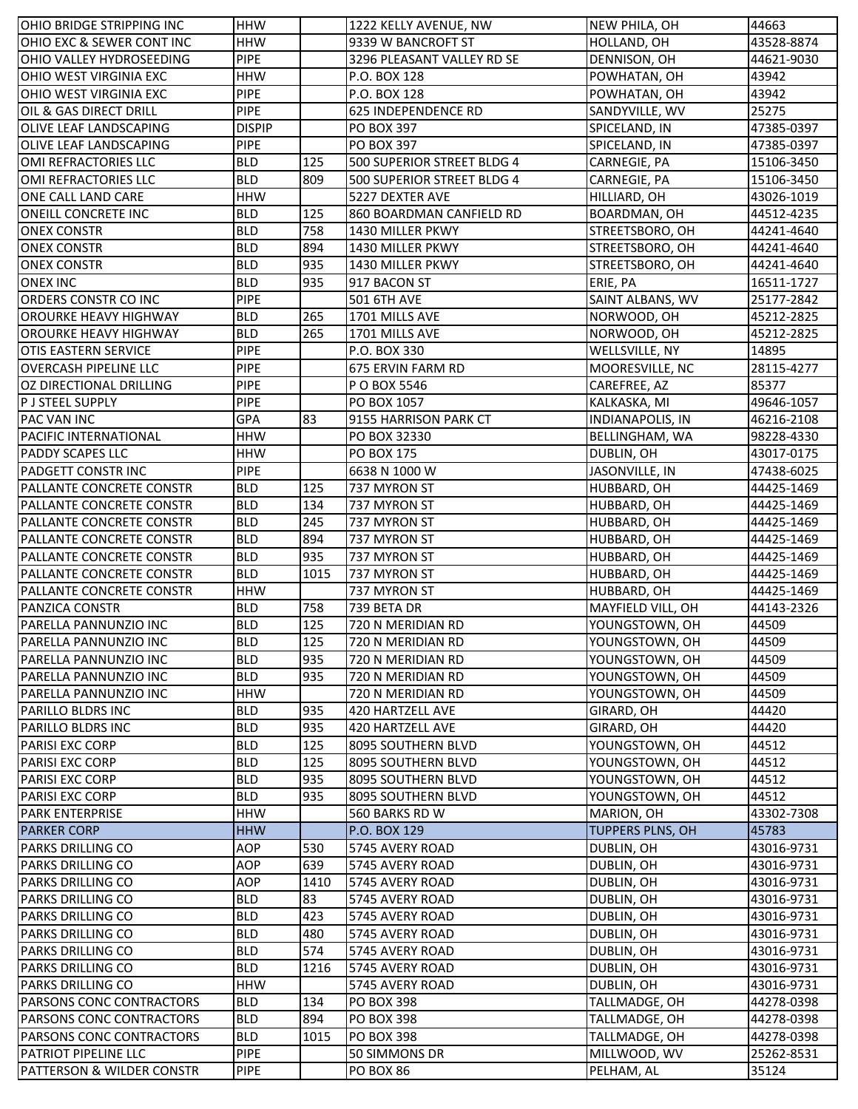| OHIO BRIDGE STRIPPING INC                        | <b>HHW</b>        |             | 1222 KELLY AVENUE, NW                  | NEW PHILA, OH                         | 44663      |
|--------------------------------------------------|-------------------|-------------|----------------------------------------|---------------------------------------|------------|
| OHIO EXC & SEWER CONT INC                        | <b>HHW</b>        |             | 9339 W BANCROFT ST                     | HOLLAND, OH                           | 43528-8874 |
| OHIO VALLEY HYDROSEEDING                         | <b>PIPE</b>       |             | 3296 PLEASANT VALLEY RD SE             | DENNISON, OH                          | 44621-9030 |
| <b>OHIO WEST VIRGINIA EXC</b>                    | <b>HHW</b>        |             | P.O. BOX 128                           | POWHATAN, OH                          | 43942      |
| <b>OHIO WEST VIRGINIA EXC</b>                    | <b>PIPE</b>       |             | P.O. BOX 128                           | POWHATAN, OH                          | 43942      |
| OIL & GAS DIRECT DRILL                           | <b>PIPE</b>       |             | 625 INDEPENDENCE RD                    | SANDYVILLE, WV                        | 25275      |
| <b>OLIVE LEAF LANDSCAPING</b>                    | <b>DISPIP</b>     |             | <b>PO BOX 397</b>                      | SPICELAND, IN                         | 47385-0397 |
| <b>OLIVE LEAF LANDSCAPING</b>                    | <b>PIPE</b>       |             | <b>PO BOX 397</b>                      | SPICELAND, IN                         | 47385-0397 |
| OMI REFRACTORIES LLC                             | <b>BLD</b>        | 125         | 500 SUPERIOR STREET BLDG 4             | CARNEGIE, PA                          | 15106-3450 |
| OMI REFRACTORIES LLC                             | <b>BLD</b>        | 809         | 500 SUPERIOR STREET BLDG 4             | CARNEGIE, PA                          | 15106-3450 |
| ONE CALL LAND CARE                               | <b>HHW</b>        |             | 5227 DEXTER AVE                        | HILLIARD, OH                          | 43026-1019 |
| <b>ONEILL CONCRETE INC</b>                       | <b>BLD</b>        | 125         | 860 BOARDMAN CANFIELD RD               | BOARDMAN, OH                          | 44512-4235 |
| <b>ONEX CONSTR</b>                               | <b>BLD</b>        | 758         | 1430 MILLER PKWY                       | STREETSBORO, OH                       | 44241-4640 |
| <b>ONEX CONSTR</b>                               | <b>BLD</b>        | 894         | 1430 MILLER PKWY                       | STREETSBORO, OH                       | 44241-4640 |
| <b>ONEX CONSTR</b>                               | <b>BLD</b>        | 935         | 1430 MILLER PKWY                       | STREETSBORO, OH                       | 44241-4640 |
| <b>ONEX INC</b>                                  | <b>BLD</b>        | 935         | 917 BACON ST                           | ERIE, PA                              | 16511-1727 |
| ORDERS CONSTR CO INC                             | <b>PIPE</b>       |             | <b>501 6TH AVE</b>                     | SAINT ALBANS, WV                      | 25177-2842 |
| <b>OROURKE HEAVY HIGHWAY</b>                     | <b>BLD</b>        | 265         | 1701 MILLS AVE                         | NORWOOD, OH                           | 45212-2825 |
| <b>OROURKE HEAVY HIGHWAY</b>                     | <b>BLD</b>        | 265         | 1701 MILLS AVE                         | NORWOOD, OH                           | 45212-2825 |
| <b>OTIS EASTERN SERVICE</b>                      | PIPE              |             | P.O. BOX 330                           | WELLSVILLE, NY                        | 14895      |
| <b>OVERCASH PIPELINE LLC</b>                     | <b>PIPE</b>       |             | 675 ERVIN FARM RD                      | MOORESVILLE, NC                       | 28115-4277 |
| <b>OZ DIRECTIONAL DRILLING</b>                   | PIPE              |             | P O BOX 5546                           | CAREFREE, AZ                          | 85377      |
| <b>P J STEEL SUPPLY</b>                          | <b>PIPE</b>       |             | PO BOX 1057                            | KALKASKA, MI                          | 49646-1057 |
| <b>PAC VAN INC</b>                               | <b>GPA</b>        | 83          | 9155 HARRISON PARK CT                  | <b>INDIANAPOLIS, IN</b>               | 46216-2108 |
| <b>PACIFIC INTERNATIONAL</b>                     | <b>HHW</b>        |             | PO BOX 32330                           | <b>BELLINGHAM, WA</b>                 | 98228-4330 |
| <b>PADDY SCAPES LLC</b>                          | <b>HHW</b>        |             | <b>PO BOX 175</b>                      | DUBLIN, OH                            | 43017-0175 |
| <b>PADGETT CONSTR INC</b>                        | <b>PIPE</b>       |             | 6638 N 1000 W                          | JASONVILLE, IN                        | 47438-6025 |
| <b>PALLANTE CONCRETE CONSTR</b>                  | <b>BLD</b>        | 125         | 737 MYRON ST                           | HUBBARD, OH                           | 44425-1469 |
| PALLANTE CONCRETE CONSTR                         | <b>BLD</b>        | 134         | 737 MYRON ST                           | HUBBARD, OH                           | 44425-1469 |
| <b>PALLANTE CONCRETE CONSTR</b>                  | <b>BLD</b>        | 245         | 737 MYRON ST                           | HUBBARD, OH                           | 44425-1469 |
| PALLANTE CONCRETE CONSTR                         | <b>BLD</b>        | 894         | 737 MYRON ST                           | HUBBARD, OH                           | 44425-1469 |
| PALLANTE CONCRETE CONSTR                         | <b>BLD</b>        | 935         | 737 MYRON ST                           | HUBBARD, OH                           | 44425-1469 |
| PALLANTE CONCRETE CONSTR                         | <b>BLD</b>        | 1015        | 737 MYRON ST                           | HUBBARD, OH                           | 44425-1469 |
| PALLANTE CONCRETE CONSTR                         | <b>HHW</b>        |             | 737 MYRON ST                           | HUBBARD, OH                           | 44425-1469 |
| <b>PANZICA CONSTR</b>                            | <b>BLD</b>        | 758         | 739 BETA DR                            | MAYFIELD VILL, OH                     | 44143-2326 |
| PARELLA PANNUNZIO INC                            | <b>BLD</b>        | 125         | 720 N MERIDIAN RD                      | YOUNGSTOWN, OH                        | 44509      |
| PARELLA PANNUNZIO INC                            | <b>BLD</b>        | 125         | 720 N MERIDIAN RD                      | YOUNGSTOWN, OH                        | 44509      |
| PARELLA PANNUNZIO INC                            | <b>BLD</b>        | 935         | 720 N MERIDIAN RD                      | YOUNGSTOWN, OH                        | 44509      |
| PARELLA PANNUNZIO INC                            | <b>BLD</b>        | 935         | 720 N MERIDIAN RD                      | YOUNGSTOWN, OH                        | 44509      |
| PARELLA PANNUNZIO INC                            | <b>HHW</b>        |             | 720 N MERIDIAN RD                      | YOUNGSTOWN, OH                        | 44509      |
| <b>PARILLO BLDRS INC</b>                         | <b>BLD</b>        | 935         | 420 HARTZELL AVE                       | GIRARD, OH                            | 44420      |
| <b>PARILLO BLDRS INC</b>                         | <b>BLD</b>        | 935         |                                        | GIRARD, OH                            | 44420      |
| PARISI EXC CORP                                  | <b>BLD</b>        | 125         | 420 HARTZELL AVE<br>8095 SOUTHERN BLVD | YOUNGSTOWN, OH                        | 44512      |
| PARISI EXC CORP                                  | <b>BLD</b>        | 125         | 8095 SOUTHERN BLVD                     | YOUNGSTOWN, OH                        | 44512      |
| <b>PARISI EXC CORP</b>                           | <b>BLD</b>        | 935         |                                        |                                       | 44512      |
|                                                  | <b>BLD</b>        | 935         | 8095 SOUTHERN BLVD                     | YOUNGSTOWN, OH<br>YOUNGSTOWN, OH      |            |
| <b>PARISI EXC CORP</b><br><b>PARK ENTERPRISE</b> | <b>HHW</b>        |             | 8095 SOUTHERN BLVD<br>560 BARKS RD W   |                                       | 44512      |
|                                                  |                   |             |                                        | MARION, OH<br><b>TUPPERS PLNS, OH</b> | 43302-7308 |
| <b>PARKER CORP</b>                               | <b>HHW</b><br>AOP |             | P.O. BOX 129                           |                                       | 45783      |
| <b>PARKS DRILLING CO</b>                         |                   | 530         | 5745 AVERY ROAD                        | DUBLIN, OH                            | 43016-9731 |
| PARKS DRILLING CO<br><b>PARKS DRILLING CO</b>    | AOP<br>AOP        | 639<br>1410 | 5745 AVERY ROAD                        | DUBLIN, OH                            | 43016-9731 |
|                                                  |                   |             | 5745 AVERY ROAD                        | DUBLIN, OH                            | 43016-9731 |
| <b>PARKS DRILLING CO</b>                         | <b>BLD</b>        | 83          | 5745 AVERY ROAD                        | DUBLIN, OH                            | 43016-9731 |
| <b>PARKS DRILLING CO</b>                         | <b>BLD</b>        | 423         | 5745 AVERY ROAD                        | DUBLIN, OH                            | 43016-9731 |
| <b>PARKS DRILLING CO</b>                         | <b>BLD</b>        | 480         | 5745 AVERY ROAD                        | DUBLIN, OH                            | 43016-9731 |
| <b>PARKS DRILLING CO</b>                         | <b>BLD</b>        | 574         | 5745 AVERY ROAD                        | DUBLIN, OH                            | 43016-9731 |
| <b>PARKS DRILLING CO</b>                         | <b>BLD</b>        | 1216        | 5745 AVERY ROAD                        | DUBLIN, OH                            | 43016-9731 |
| <b>PARKS DRILLING CO</b>                         | <b>HHW</b>        |             | 5745 AVERY ROAD                        | DUBLIN, OH                            | 43016-9731 |
| <b>PARSONS CONC CONTRACTORS</b>                  | <b>BLD</b>        | 134         | <b>PO BOX 398</b>                      | TALLMADGE, OH                         | 44278-0398 |
| PARSONS CONC CONTRACTORS                         | <b>BLD</b>        | 894         | <b>PO BOX 398</b>                      | TALLMADGE, OH                         | 44278-0398 |
| PARSONS CONC CONTRACTORS                         | <b>BLD</b>        | 1015        | <b>PO BOX 398</b>                      | TALLMADGE, OH                         | 44278-0398 |
| <b>PATRIOT PIPELINE LLC</b>                      | <b>PIPE</b>       |             | 50 SIMMONS DR                          | MILLWOOD, WV                          | 25262-8531 |
| PATTERSON & WILDER CONSTR                        | <b>PIPE</b>       |             | PO BOX 86                              | PELHAM, AL                            | 35124      |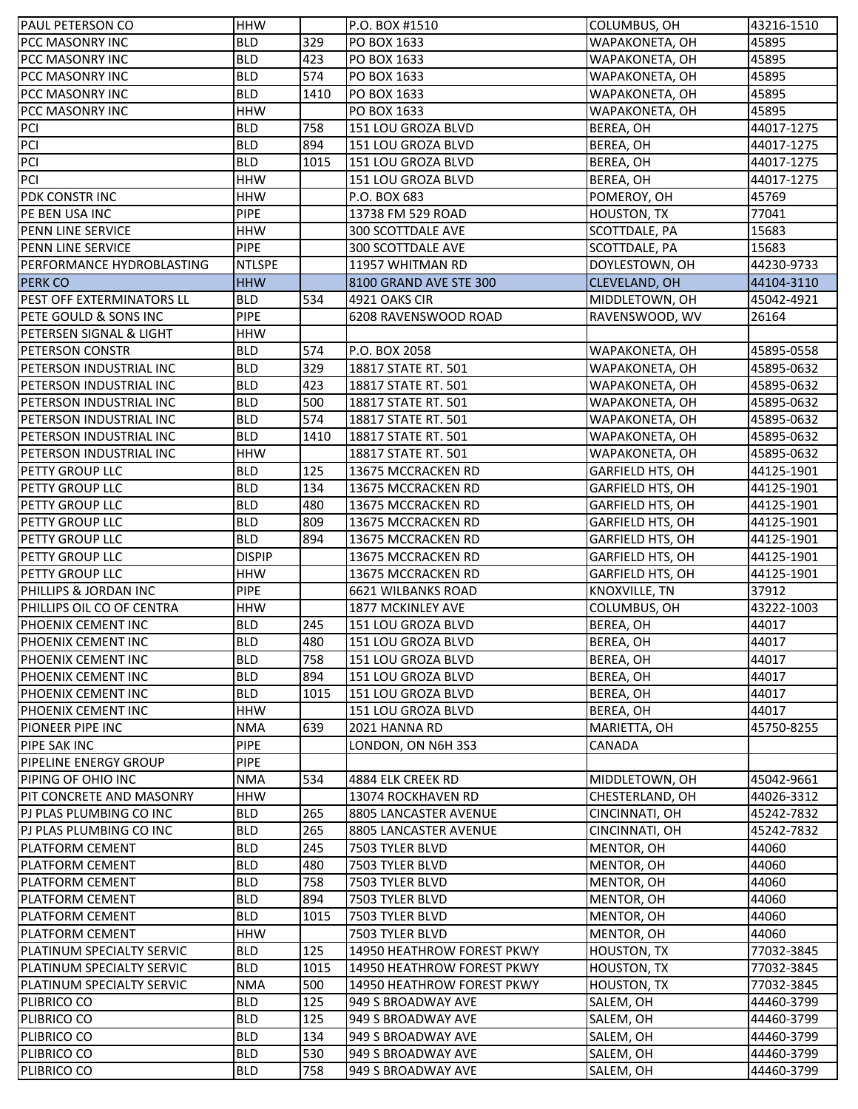| <b>PAUL PETERSON CO</b>                            | <b>HHW</b>    |      | P.O. BOX #1510             | COLUMBUS, OH                     | 43216-1510 |
|----------------------------------------------------|---------------|------|----------------------------|----------------------------------|------------|
| PCC MASONRY INC                                    | <b>BLD</b>    | 329  | PO BOX 1633                | WAPAKONETA, OH                   | 45895      |
| PCC MASONRY INC                                    | <b>BLD</b>    | 423  | PO BOX 1633                | WAPAKONETA, OH                   | 45895      |
| PCC MASONRY INC                                    | <b>BLD</b>    | 574  | PO BOX 1633                | WAPAKONETA, OH                   | 45895      |
| <b>PCC MASONRY INC</b>                             | <b>BLD</b>    | 1410 | PO BOX 1633                | WAPAKONETA, OH                   | 45895      |
| PCC MASONRY INC                                    | <b>HHW</b>    |      | PO BOX 1633                | WAPAKONETA, OH                   | 45895      |
| <b>PCI</b>                                         | <b>BLD</b>    | 758  | 151 LOU GROZA BLVD         | BEREA, OH                        | 44017-1275 |
| PCI                                                | <b>BLD</b>    | 894  | 151 LOU GROZA BLVD         | BEREA, OH                        | 44017-1275 |
| PCI                                                | <b>BLD</b>    | 1015 | 151 LOU GROZA BLVD         | BEREA, OH                        | 44017-1275 |
| PCI                                                | <b>HHW</b>    |      | 151 LOU GROZA BLVD         | BEREA, OH                        | 44017-1275 |
| PDK CONSTR INC                                     | <b>HHW</b>    |      | P.O. BOX 683               | POMEROY, OH                      | 45769      |
| PE BEN USA INC                                     | <b>PIPE</b>   |      | 13738 FM 529 ROAD          | <b>HOUSTON, TX</b>               | 77041      |
| PENN LINE SERVICE                                  | <b>HHW</b>    |      | 300 SCOTTDALE AVE          | SCOTTDALE, PA                    | 15683      |
| PENN LINE SERVICE                                  | <b>PIPE</b>   |      | 300 SCOTTDALE AVE          | SCOTTDALE, PA                    | 15683      |
| PERFORMANCE HYDROBLASTING                          | <b>NTLSPE</b> |      | 11957 WHITMAN RD           | DOYLESTOWN, OH                   | 44230-9733 |
|                                                    |               |      |                            |                                  |            |
| <b>PERK CO</b>                                     | <b>HHW</b>    |      | 8100 GRAND AVE STE 300     | <b>CLEVELAND, OH</b>             | 44104-3110 |
| PEST OFF EXTERMINATORS LL                          | <b>BLD</b>    | 534  | 4921 OAKS CIR              | MIDDLETOWN, OH                   | 45042-4921 |
| PETE GOULD & SONS INC                              | <b>PIPE</b>   |      | 6208 RAVENSWOOD ROAD       | RAVENSWOOD, WV                   | 26164      |
| PETERSEN SIGNAL & LIGHT                            | <b>HHW</b>    |      |                            |                                  |            |
| <b>PETERSON CONSTR</b>                             | <b>BLD</b>    | 574  | P.O. BOX 2058              | WAPAKONETA, OH                   | 45895-0558 |
| PETERSON INDUSTRIAL INC                            | <b>BLD</b>    | 329  | 18817 STATE RT. 501        | WAPAKONETA, OH                   | 45895-0632 |
| PETERSON INDUSTRIAL INC                            | <b>BLD</b>    | 423  | 18817 STATE RT. 501        | WAPAKONETA, OH                   | 45895-0632 |
| PETERSON INDUSTRIAL INC                            | <b>BLD</b>    | 500  | 18817 STATE RT. 501        | WAPAKONETA, OH                   | 45895-0632 |
| PETERSON INDUSTRIAL INC                            | <b>BLD</b>    | 574  | 18817 STATE RT. 501        | WAPAKONETA, OH                   | 45895-0632 |
| PETERSON INDUSTRIAL INC                            | <b>BLD</b>    | 1410 | 18817 STATE RT. 501        | WAPAKONETA, OH                   | 45895-0632 |
| PETERSON INDUSTRIAL INC                            | <b>HHW</b>    |      | 18817 STATE RT. 501        | WAPAKONETA, OH                   | 45895-0632 |
| <b>PETTY GROUP LLC</b>                             | <b>BLD</b>    | 125  | 13675 MCCRACKEN RD         | <b>GARFIELD HTS, OH</b>          | 44125-1901 |
| PETTY GROUP LLC                                    | <b>BLD</b>    | 134  | 13675 MCCRACKEN RD         | <b>GARFIELD HTS, OH</b>          | 44125-1901 |
| PETTY GROUP LLC                                    | <b>BLD</b>    | 480  | 13675 MCCRACKEN RD         | GARFIELD HTS, OH                 | 44125-1901 |
| PETTY GROUP LLC                                    | <b>BLD</b>    | 809  | 13675 MCCRACKEN RD         | <b>GARFIELD HTS, OH</b>          | 44125-1901 |
| PETTY GROUP LLC                                    | <b>BLD</b>    | 894  | 13675 MCCRACKEN RD         | <b>GARFIELD HTS, OH</b>          | 44125-1901 |
| PETTY GROUP LLC                                    | <b>DISPIP</b> |      | 13675 MCCRACKEN RD         | <b>GARFIELD HTS, OH</b>          | 44125-1901 |
| <b>PETTY GROUP LLC</b>                             | <b>HHW</b>    |      | 13675 MCCRACKEN RD         | <b>GARFIELD HTS, OH</b>          | 44125-1901 |
| PHILLIPS & JORDAN INC                              | <b>PIPE</b>   |      | 6621 WILBANKS ROAD         | KNOXVILLE, TN                    | 37912      |
| PHILLIPS OIL CO OF CENTRA                          | <b>HHW</b>    |      | 1877 MCKINLEY AVE          | COLUMBUS, OH                     | 43222-1003 |
| PHOENIX CEMENT INC                                 | <b>BLD</b>    | 245  | 151 LOU GROZA BLVD         | BEREA, OH                        | 44017      |
| PHOENIX CEMENT INC                                 | <b>BLD</b>    | 480  | 151 LOU GROZA BLVD         | BEREA, OH                        | 44017      |
| PHOENIX CEMENT INC                                 | <b>BLD</b>    | 758  | 151 LOU GROZA BLVD         | BEREA, OH                        | 44017      |
| PHOENIX CEMENT INC                                 | <b>BLD</b>    | 894  | 151 LOU GROZA BLVD         | BEREA, OH                        | 44017      |
| PHOENIX CEMENT INC                                 | <b>BLD</b>    | 1015 | 151 LOU GROZA BLVD         | BEREA, OH                        | 44017      |
| PHOENIX CEMENT INC                                 | <b>HHW</b>    |      | 151 LOU GROZA BLVD         | BEREA, OH                        | 44017      |
| PIONEER PIPE INC                                   | <b>NMA</b>    | 639  | 2021 HANNA RD              | MARIETTA, OH                     | 45750-8255 |
| PIPE SAK INC                                       | <b>PIPE</b>   |      | LONDON, ON N6H 3S3         | <b>CANADA</b>                    |            |
| <b>PIPELINE ENERGY GROUP</b>                       | <b>PIPE</b>   |      |                            |                                  |            |
| PIPING OF OHIO INC                                 | <b>NMA</b>    | 534  | 4884 ELK CREEK RD          | MIDDLETOWN, OH                   | 45042-9661 |
| PIT CONCRETE AND MASONRY                           | <b>HHW</b>    |      | 13074 ROCKHAVEN RD         | CHESTERLAND, OH                  | 44026-3312 |
|                                                    | <b>BLD</b>    | 265  | 8805 LANCASTER AVENUE      |                                  |            |
| PJ PLAS PLUMBING CO INC<br>PJ PLAS PLUMBING CO INC | <b>BLD</b>    | 265  | 8805 LANCASTER AVENUE      | CINCINNATI, OH<br>CINCINNATI, OH | 45242-7832 |
|                                                    |               |      |                            |                                  | 45242-7832 |
| PLATFORM CEMENT                                    | <b>BLD</b>    | 245  | 7503 TYLER BLVD            | MENTOR, OH                       | 44060      |
| PLATFORM CEMENT                                    | <b>BLD</b>    | 480  | 7503 TYLER BLVD            | MENTOR, OH                       | 44060      |
| PLATFORM CEMENT                                    | <b>BLD</b>    | 758  | 7503 TYLER BLVD            | MENTOR, OH                       | 44060      |
| PLATFORM CEMENT                                    | <b>BLD</b>    | 894  | 7503 TYLER BLVD            | MENTOR, OH                       | 44060      |
| PLATFORM CEMENT                                    | <b>BLD</b>    | 1015 | 7503 TYLER BLVD            | MENTOR, OH                       | 44060      |
| PLATFORM CEMENT                                    | <b>HHW</b>    |      | 7503 TYLER BLVD            | MENTOR, OH                       | 44060      |
| PLATINUM SPECIALTY SERVIC                          | <b>BLD</b>    | 125  | 14950 HEATHROW FOREST PKWY | <b>HOUSTON, TX</b>               | 77032-3845 |
| PLATINUM SPECIALTY SERVIC                          | <b>BLD</b>    | 1015 | 14950 HEATHROW FOREST PKWY | <b>HOUSTON, TX</b>               | 77032-3845 |
| PLATINUM SPECIALTY SERVIC                          | <b>NMA</b>    | 500  | 14950 HEATHROW FOREST PKWY | <b>HOUSTON, TX</b>               | 77032-3845 |
| PLIBRICO CO                                        | <b>BLD</b>    | 125  | 949 S BROADWAY AVE         | SALEM, OH                        | 44460-3799 |
| PLIBRICO CO                                        | <b>BLD</b>    | 125  | 949 S BROADWAY AVE         | SALEM, OH                        | 44460-3799 |
| PLIBRICO CO                                        | <b>BLD</b>    | 134  | 949 S BROADWAY AVE         | SALEM, OH                        | 44460-3799 |
| PLIBRICO CO                                        | <b>BLD</b>    | 530  | 949 S BROADWAY AVE         | SALEM, OH                        | 44460-3799 |
| PLIBRICO CO                                        | <b>BLD</b>    | 758  | 949 S BROADWAY AVE         | SALEM, OH                        | 44460-3799 |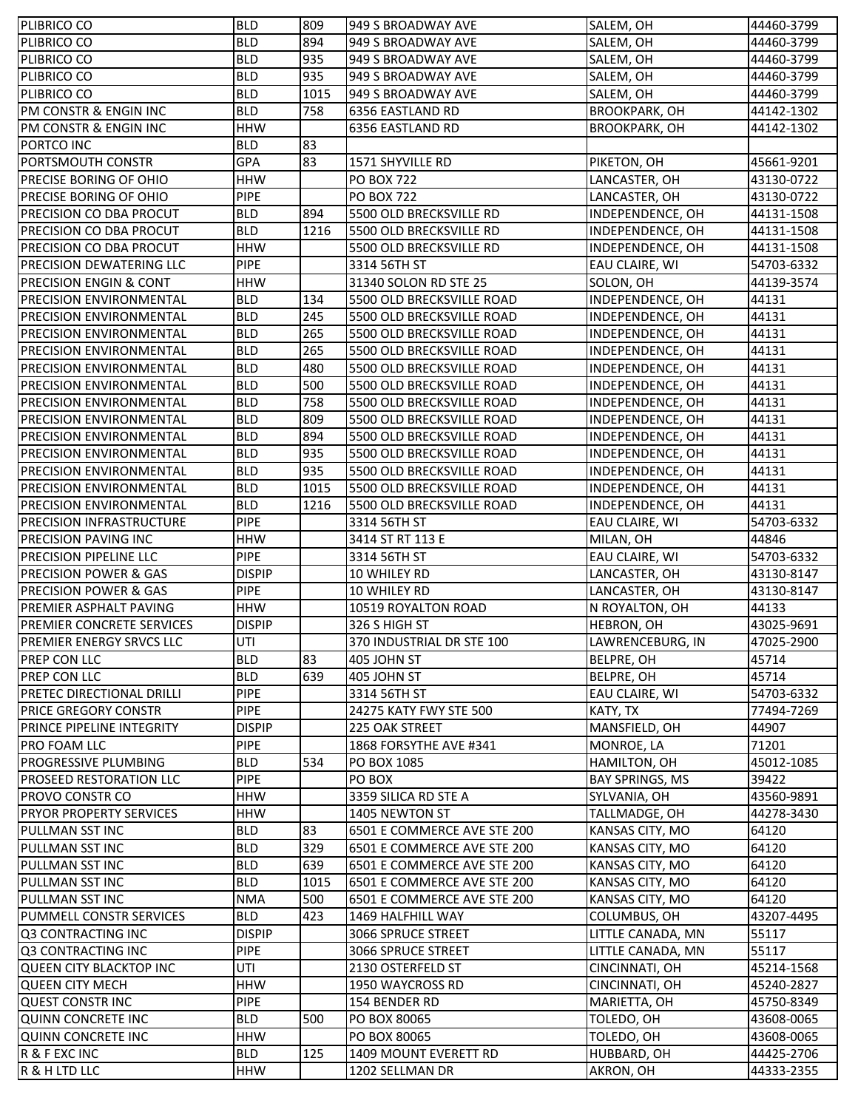| PLIBRICO CO                                                       | <b>BLD</b>                | 809  | 949 S BROADWAY AVE                       | SALEM, OH                              | 44460-3799               |
|-------------------------------------------------------------------|---------------------------|------|------------------------------------------|----------------------------------------|--------------------------|
| PLIBRICO CO                                                       | <b>BLD</b>                | 894  | 949 S BROADWAY AVE                       | SALEM, OH                              | 44460-3799               |
| PLIBRICO CO                                                       | <b>BLD</b>                | 935  | 949 S BROADWAY AVE                       | SALEM, OH                              | 44460-3799               |
| PLIBRICO CO                                                       | <b>BLD</b>                | 935  | 949 S BROADWAY AVE                       | SALEM, OH                              | 44460-3799               |
| PLIBRICO CO                                                       | <b>BLD</b>                | 1015 | 949 S BROADWAY AVE                       | SALEM, OH                              | 44460-3799               |
| PM CONSTR & ENGIN INC                                             | <b>BLD</b>                | 758  | 6356 EASTLAND RD                         | <b>BROOKPARK, OH</b>                   | 44142-1302               |
| PM CONSTR & ENGIN INC                                             | <b>HHW</b>                |      | 6356 EASTLAND RD                         | <b>BROOKPARK, OH</b>                   | 44142-1302               |
| PORTCO INC                                                        | <b>BLD</b>                | 83   |                                          |                                        |                          |
| PORTSMOUTH CONSTR                                                 | GPA                       | 83   | 1571 SHYVILLE RD                         | PIKETON, OH                            | 45661-9201               |
| PRECISE BORING OF OHIO                                            | <b>HHW</b>                |      | <b>PO BOX 722</b>                        | LANCASTER, OH                          | 43130-0722               |
| PRECISE BORING OF OHIO                                            | <b>PIPE</b>               |      | <b>PO BOX 722</b>                        | LANCASTER, OH                          | 43130-0722               |
| PRECISION CO DBA PROCUT                                           | <b>BLD</b>                | 894  | 5500 OLD BRECKSVILLE RD                  | INDEPENDENCE, OH                       | 44131-1508               |
| PRECISION CO DBA PROCUT                                           | <b>BLD</b>                | 1216 | 5500 OLD BRECKSVILLE RD                  | INDEPENDENCE, OH                       | 44131-1508               |
| PRECISION CO DBA PROCUT                                           | <b>HHW</b>                |      | 5500 OLD BRECKSVILLE RD                  | INDEPENDENCE, OH                       | 44131-1508               |
| <b>PRECISION DEWATERING LLC</b>                                   | <b>PIPE</b>               |      | 3314 56TH ST                             | EAU CLAIRE, WI                         | 54703-6332               |
| <b>PRECISION ENGIN &amp; CONT</b>                                 | <b>HHW</b>                |      | 31340 SOLON RD STE 25                    | SOLON, OH                              | 44139-3574               |
| <b>PRECISION ENVIRONMENTAL</b>                                    | <b>BLD</b>                | 134  | 5500 OLD BRECKSVILLE ROAD                | INDEPENDENCE, OH                       | 44131                    |
| <b>PRECISION ENVIRONMENTAL</b>                                    | <b>BLD</b>                | 245  | 5500 OLD BRECKSVILLE ROAD                | INDEPENDENCE, OH                       | 44131                    |
| <b>PRECISION ENVIRONMENTAL</b>                                    | <b>BLD</b>                | 265  | 5500 OLD BRECKSVILLE ROAD                | INDEPENDENCE, OH                       | 44131                    |
| PRECISION ENVIRONMENTAL                                           | <b>BLD</b>                | 265  | 5500 OLD BRECKSVILLE ROAD                | INDEPENDENCE, OH                       | 44131                    |
| <b>PRECISION ENVIRONMENTAL</b>                                    | <b>BLD</b>                | 480  | 5500 OLD BRECKSVILLE ROAD                | INDEPENDENCE, OH                       | 44131                    |
| <b>PRECISION ENVIRONMENTAL</b>                                    | <b>BLD</b>                | 500  | 5500 OLD BRECKSVILLE ROAD                | INDEPENDENCE, OH                       | 44131                    |
| <b>PRECISION ENVIRONMENTAL</b>                                    | <b>BLD</b>                | 758  | 5500 OLD BRECKSVILLE ROAD                | INDEPENDENCE, OH                       | 44131                    |
| PRECISION ENVIRONMENTAL                                           | <b>BLD</b>                | 809  | 5500 OLD BRECKSVILLE ROAD                | INDEPENDENCE, OH                       | 44131                    |
| <b>PRECISION ENVIRONMENTAL</b>                                    | <b>BLD</b>                | 894  | 5500 OLD BRECKSVILLE ROAD                | INDEPENDENCE, OH                       | 44131                    |
| <b>PRECISION ENVIRONMENTAL</b>                                    | <b>BLD</b>                | 935  | 5500 OLD BRECKSVILLE ROAD                | INDEPENDENCE, OH                       | 44131                    |
| <b>PRECISION ENVIRONMENTAL</b>                                    | <b>BLD</b>                | 935  | 5500 OLD BRECKSVILLE ROAD                | INDEPENDENCE, OH                       | 44131                    |
| <b>PRECISION ENVIRONMENTAL</b>                                    | <b>BLD</b>                | 1015 | 5500 OLD BRECKSVILLE ROAD                | INDEPENDENCE, OH                       | 44131                    |
| <b>PRECISION ENVIRONMENTAL</b>                                    | <b>BLD</b>                | 1216 | 5500 OLD BRECKSVILLE ROAD                | INDEPENDENCE, OH                       | 44131                    |
| <b>PRECISION INFRASTRUCTURE</b>                                   | <b>PIPE</b>               |      | 3314 56TH ST                             | EAU CLAIRE, WI                         | 54703-6332               |
| PRECISION PAVING INC                                              | <b>HHW</b>                |      | 3414 ST RT 113 E                         | MILAN, OH                              |                          |
|                                                                   |                           |      |                                          |                                        |                          |
|                                                                   |                           |      |                                          |                                        | 44846                    |
| PRECISION PIPELINE LLC                                            | <b>PIPE</b>               |      | 3314 56TH ST                             | EAU CLAIRE, WI                         | 54703-6332               |
| <b>PRECISION POWER &amp; GAS</b>                                  | <b>DISPIP</b>             |      | 10 WHILEY RD                             | LANCASTER, OH                          | 43130-8147               |
| <b>PRECISION POWER &amp; GAS</b><br><b>PREMIER ASPHALT PAVING</b> | <b>PIPE</b><br><b>HHW</b> |      | 10 WHILEY RD                             | LANCASTER, OH                          | 43130-8147<br>44133      |
|                                                                   |                           |      | 10519 ROYALTON ROAD                      | N ROYALTON, OH                         |                          |
| PREMIER CONCRETE SERVICES                                         | <b>DISPIP</b>             |      | 326 S HIGH ST                            | <b>HEBRON, OH</b>                      | 43025-9691               |
| PREMIER ENERGY SRVCS LLC                                          | UTI<br><b>BLD</b>         |      | 370 INDUSTRIAL DR STE 100                | LAWRENCEBURG, IN                       | 47025-2900               |
| <b>PREP CON LLC</b><br><b>PREP CON LLC</b>                        |                           | 83   | 405 JOHN ST                              | <b>BELPRE, OH</b>                      | 45714                    |
|                                                                   | <b>BLD</b>                | 639  | 405 JOHN ST                              | <b>BELPRE, OH</b>                      | 45714                    |
| <b>PRETEC DIRECTIONAL DRILLI</b><br><b>PRICE GREGORY CONSTR</b>   | <b>PIPE</b>               |      | 3314 56TH ST                             | EAU CLAIRE, WI                         | 54703-6332               |
|                                                                   | <b>PIPE</b>               |      | 24275 KATY FWY STE 500<br>225 OAK STREET | KATY, TX                               | 77494-7269               |
| <b>PRINCE PIPELINE INTEGRITY</b>                                  | <b>DISPIP</b>             |      |                                          | MANSFIELD, OH                          | 44907                    |
| <b>PRO FOAM LLC</b>                                               | <b>PIPE</b>               |      | 1868 FORSYTHE AVE #341                   | MONROE, LA                             | 71201                    |
| <b>PROGRESSIVE PLUMBING</b><br><b>PROSEED RESTORATION LLC</b>     | <b>BLD</b><br><b>PIPE</b> | 534  | PO BOX 1085<br>PO BOX                    | HAMILTON, OH<br><b>BAY SPRINGS, MS</b> | 45012-1085<br>39422      |
| PROVO CONSTR CO                                                   | <b>HHW</b>                |      | 3359 SILICA RD STE A                     | SYLVANIA, OH                           | 43560-9891               |
| <b>PRYOR PROPERTY SERVICES</b>                                    | <b>HHW</b>                |      | 1405 NEWTON ST                           | TALLMADGE, OH                          | 44278-3430               |
| PULLMAN SST INC                                                   | <b>BLD</b>                | 83   | 6501 E COMMERCE AVE STE 200              | KANSAS CITY, MO                        | 64120                    |
| PULLMAN SST INC                                                   | <b>BLD</b>                | 329  | 6501 E COMMERCE AVE STE 200              | KANSAS CITY, MO                        | 64120                    |
| PULLMAN SST INC                                                   | <b>BLD</b>                | 639  | 6501 E COMMERCE AVE STE 200              | KANSAS CITY, MO                        | 64120                    |
| PULLMAN SST INC                                                   | <b>BLD</b>                | 1015 | 6501 E COMMERCE AVE STE 200              | KANSAS CITY, MO                        | 64120                    |
| PULLMAN SST INC                                                   | <b>NMA</b>                | 500  | 6501 E COMMERCE AVE STE 200              | KANSAS CITY, MO                        | 64120                    |
| PUMMELL CONSTR SERVICES                                           | <b>BLD</b>                | 423  | 1469 HALFHILL WAY                        | COLUMBUS, OH                           | 43207-4495               |
| Q3 CONTRACTING INC                                                | <b>DISPIP</b>             |      | 3066 SPRUCE STREET                       | LITTLE CANADA, MN                      | 55117                    |
|                                                                   | <b>PIPE</b>               |      |                                          |                                        | 55117                    |
| Q3 CONTRACTING INC                                                |                           |      | 3066 SPRUCE STREET<br>2130 OSTERFELD ST  | LITTLE CANADA, MN                      |                          |
| QUEEN CITY BLACKTOP INC                                           | UTI                       |      |                                          | CINCINNATI, OH                         | 45214-1568               |
| <b>QUEEN CITY MECH</b>                                            | <b>HHW</b>                |      | 1950 WAYCROSS RD<br>154 BENDER RD        | CINCINNATI, OH                         | 45240-2827               |
| <b>QUEST CONSTRINC</b>                                            | <b>PIPE</b><br><b>BLD</b> |      |                                          | MARIETTA, OH                           | 45750-8349               |
| QUINN CONCRETE INC                                                |                           | 500  | PO BOX 80065                             | TOLEDO, OH                             | 43608-0065               |
| <b>QUINN CONCRETE INC</b><br>R & F EXC INC                        | <b>HHW</b><br><b>BLD</b>  | 125  | PO BOX 80065<br>1409 MOUNT EVERETT RD    | TOLEDO, OH<br>HUBBARD, OH              | 43608-0065<br>44425-2706 |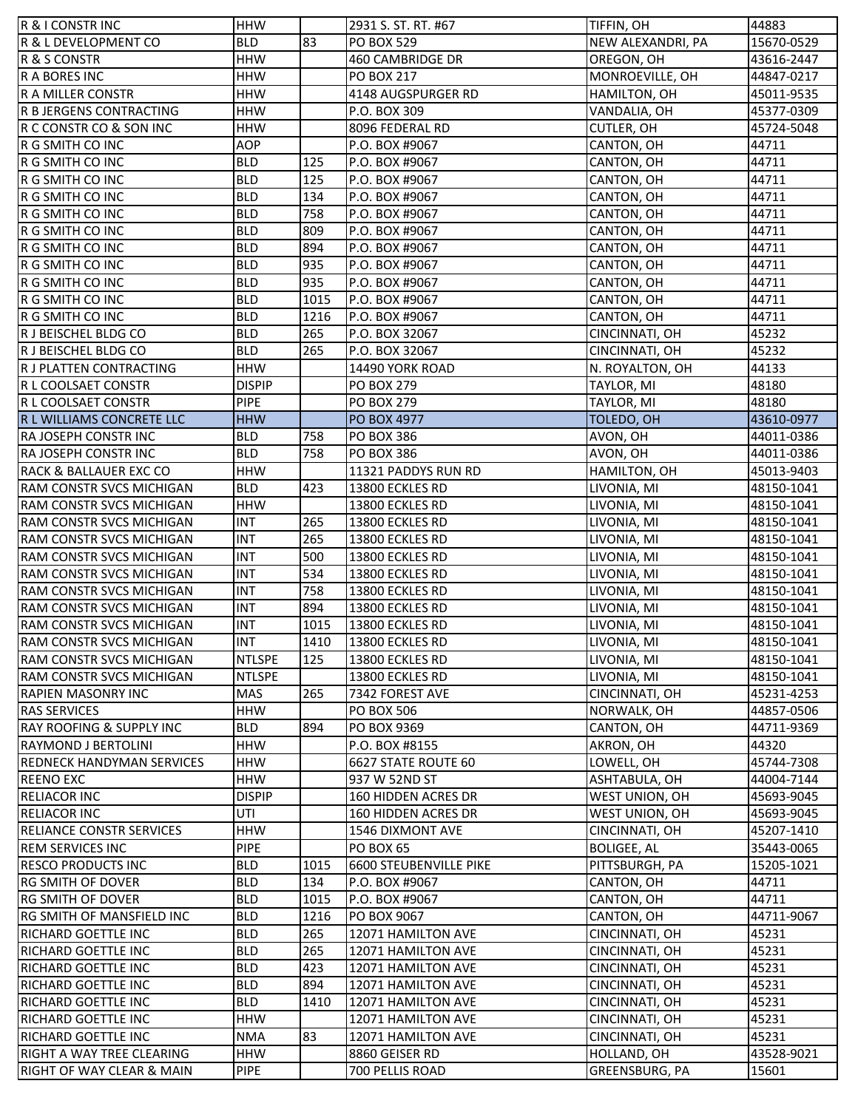| <b>R &amp; I CONSTR INC</b>      | <b>HHW</b>    |      | 2931 S. ST. RT. #67        | TIFFIN, OH         | 44883      |
|----------------------------------|---------------|------|----------------------------|--------------------|------------|
| R & L DEVELOPMENT CO             | <b>BLD</b>    | 83   | <b>PO BOX 529</b>          | NEW ALEXANDRI, PA  | 15670-0529 |
| R & S CONSTR                     | <b>HHW</b>    |      | 460 CAMBRIDGE DR           | OREGON, OH         | 43616-2447 |
| R A BORES INC                    | <b>HHW</b>    |      | PO BOX 217                 | MONROEVILLE, OH    | 44847-0217 |
| R A MILLER CONSTR                | <b>HHW</b>    |      | 4148 AUGSPURGER RD         | HAMILTON, OH       | 45011-9535 |
| R B JERGENS CONTRACTING          | <b>HHW</b>    |      | P.O. BOX 309               | VANDALIA, OH       | 45377-0309 |
| IR C CONSTR CO & SON INC         | <b>HHW</b>    |      | 8096 FEDERAL RD            | <b>CUTLER, OH</b>  | 45724-5048 |
| R G SMITH CO INC                 | <b>AOP</b>    |      | P.O. BOX #9067             | CANTON, OH         | 44711      |
| R G SMITH CO INC                 | <b>BLD</b>    | 125  | P.O. BOX #9067             | CANTON, OH         | 44711      |
| R G SMITH CO INC                 | <b>BLD</b>    | 125  | P.O. BOX #9067             | CANTON, OH         | 44711      |
| R G SMITH CO INC                 | <b>BLD</b>    | 134  | P.O. BOX #9067             | CANTON, OH         | 44711      |
| R G SMITH CO INC                 | <b>BLD</b>    | 758  | P.O. BOX #9067             | CANTON, OH         | 44711      |
| R G SMITH CO INC                 | <b>BLD</b>    | 809  | P.O. BOX #9067             | CANTON, OH         | 44711      |
| R G SMITH CO INC                 | <b>BLD</b>    | 894  | P.O. BOX #9067             | CANTON, OH         | 44711      |
| R G SMITH CO INC                 | <b>BLD</b>    | 935  | P.O. BOX #9067             | CANTON, OH         | 44711      |
| R G SMITH CO INC                 | <b>BLD</b>    | 935  | P.O. BOX #9067             | CANTON, OH         | 44711      |
| R G SMITH CO INC                 | <b>BLD</b>    | 1015 | P.O. BOX #9067             | CANTON, OH         | 44711      |
| R G SMITH CO INC                 | <b>BLD</b>    | 1216 | P.O. BOX #9067             | CANTON, OH         | 44711      |
| IR J BEISCHEL BLDG CO            | <b>BLD</b>    | 265  | P.O. BOX 32067             | CINCINNATI, OH     | 45232      |
| R J BEISCHEL BLDG CO             | <b>BLD</b>    | 265  | P.O. BOX 32067             | CINCINNATI, OH     | 45232      |
| R J PLATTEN CONTRACTING          | <b>HHW</b>    |      | 14490 YORK ROAD            | N. ROYALTON, OH    | 44133      |
|                                  | <b>DISPIP</b> |      | <b>PO BOX 279</b>          |                    |            |
| IR L COOLSAET CONSTR             | <b>PIPE</b>   |      |                            | TAYLOR, MI         | 48180      |
| R L COOLSAET CONSTR              |               |      | PO BOX 279                 | TAYLOR, MI         | 48180      |
| R L WILLIAMS CONCRETE LLC        | <b>HHW</b>    |      | <b>PO BOX 4977</b>         | TOLEDO, OH         | 43610-0977 |
| <b>RA JOSEPH CONSTR INC</b>      | <b>BLD</b>    | 758  | <b>PO BOX 386</b>          | AVON, OH           | 44011-0386 |
| RA JOSEPH CONSTR INC             | <b>BLD</b>    | 758  | PO BOX 386                 | AVON, OH           | 44011-0386 |
| RACK & BALLAUER EXC CO           | <b>HHW</b>    |      | 11321 PADDYS RUN RD        | HAMILTON, OH       | 45013-9403 |
| <b>RAM CONSTR SVCS MICHIGAN</b>  | <b>BLD</b>    | 423  | 13800 ECKLES RD            | LIVONIA, MI        | 48150-1041 |
| RAM CONSTR SVCS MICHIGAN         | <b>HHW</b>    |      | 13800 ECKLES RD            | LIVONIA, MI        | 48150-1041 |
| <b>RAM CONSTR SVCS MICHIGAN</b>  | <b>INT</b>    | 265  | 13800 ECKLES RD            | LIVONIA, MI        | 48150-1041 |
| <b>RAM CONSTR SVCS MICHIGAN</b>  | <b>INT</b>    | 265  | 13800 ECKLES RD            | LIVONIA, MI        | 48150-1041 |
| RAM CONSTR SVCS MICHIGAN         | <b>INT</b>    | 500  | 13800 ECKLES RD            | LIVONIA, MI        | 48150-1041 |
| <b>RAM CONSTR SVCS MICHIGAN</b>  | <b>INT</b>    | 534  | 13800 ECKLES RD            | LIVONIA, MI        | 48150-1041 |
| RAM CONSTR SVCS MICHIGAN         | <b>INT</b>    | 758  | 13800 ECKLES RD            | LIVONIA, MI        | 48150-1041 |
| RAM CONSTR SVCS MICHIGAN         | <b>INT</b>    | 894  | 13800 ECKLES RD            | LIVONIA, MI        | 48150-1041 |
| <b>RAM CONSTR SVCS MICHIGAN</b>  | <b>INT</b>    | 1015 | 13800 ECKLES RD            | LIVONIA, MI        | 48150-1041 |
| RAM CONSTR SVCS MICHIGAN         | <b>INT</b>    | 1410 | 13800 ECKLES RD            | LIVONIA, MI        | 48150-1041 |
| RAM CONSTR SVCS MICHIGAN         | <b>NTLSPE</b> | 125  | 13800 ECKLES RD            | LIVONIA, MI        | 48150-1041 |
| <b>RAM CONSTR SVCS MICHIGAN</b>  | <b>NTLSPE</b> |      | 13800 ECKLES RD            | LIVONIA, MI        | 48150-1041 |
| <b>RAPIEN MASONRY INC</b>        | MAS           | 265  | 7342 FOREST AVE            | CINCINNATI, OH     | 45231-4253 |
| <b>RAS SERVICES</b>              | <b>HHW</b>    |      | <b>PO BOX 506</b>          | NORWALK, OH        | 44857-0506 |
| RAY ROOFING & SUPPLY INC         | <b>BLD</b>    | 894  | PO BOX 9369                | CANTON, OH         | 44711-9369 |
| <b>RAYMOND J BERTOLINI</b>       | <b>HHW</b>    |      | P.O. BOX #8155             | AKRON, OH          | 44320      |
| <b>REDNECK HANDYMAN SERVICES</b> | <b>HHW</b>    |      | 6627 STATE ROUTE 60        | LOWELL, OH         | 45744-7308 |
| <b>REENO EXC</b>                 | <b>HHW</b>    |      | 937 W 52ND ST              | ASHTABULA, OH      | 44004-7144 |
| <b>RELIACOR INC</b>              | <b>DISPIP</b> |      | <b>160 HIDDEN ACRES DR</b> | WEST UNION, OH     | 45693-9045 |
| <b>RELIACOR INC</b>              | UTI           |      | <b>160 HIDDEN ACRES DR</b> | WEST UNION, OH     | 45693-9045 |
| <b>RELIANCE CONSTR SERVICES</b>  | <b>HHW</b>    |      | <b>1546 DIXMONT AVE</b>    | CINCINNATI, OH     | 45207-1410 |
| <b>REM SERVICES INC</b>          | <b>PIPE</b>   |      | <b>PO BOX 65</b>           | <b>BOLIGEE, AL</b> | 35443-0065 |
| <b>RESCO PRODUCTS INC</b>        | <b>BLD</b>    | 1015 | 6600 STEUBENVILLE PIKE     | PITTSBURGH, PA     | 15205-1021 |
| <b>RG SMITH OF DOVER</b>         | <b>BLD</b>    | 134  | P.O. BOX #9067             | CANTON, OH         | 44711      |
| <b>RG SMITH OF DOVER</b>         | <b>BLD</b>    | 1015 | P.O. BOX #9067             | CANTON, OH         | 44711      |
| <b>RG SMITH OF MANSFIELD INC</b> | <b>BLD</b>    | 1216 | PO BOX 9067                | CANTON, OH         | 44711-9067 |
| <b>RICHARD GOETTLE INC</b>       | <b>BLD</b>    | 265  | 12071 HAMILTON AVE         | CINCINNATI, OH     | 45231      |
| <b>RICHARD GOETTLE INC</b>       | <b>BLD</b>    | 265  | 12071 HAMILTON AVE         | CINCINNATI, OH     | 45231      |
| <b>RICHARD GOETTLE INC</b>       | <b>BLD</b>    | 423  | 12071 HAMILTON AVE         | CINCINNATI, OH     | 45231      |
| <b>RICHARD GOETTLE INC</b>       | <b>BLD</b>    | 894  | 12071 HAMILTON AVE         | CINCINNATI, OH     | 45231      |
| <b>RICHARD GOETTLE INC</b>       | <b>BLD</b>    | 1410 | 12071 HAMILTON AVE         | CINCINNATI, OH     | 45231      |
| <b>RICHARD GOETTLE INC</b>       | <b>HHW</b>    |      | 12071 HAMILTON AVE         | CINCINNATI, OH     | 45231      |
| <b>RICHARD GOETTLE INC</b>       | <b>NMA</b>    | 83   | 12071 HAMILTON AVE         | CINCINNATI, OH     | 45231      |
| RIGHT A WAY TREE CLEARING        | <b>HHW</b>    |      | 8860 GEISER RD             | HOLLAND, OH        | 43528-9021 |
| RIGHT OF WAY CLEAR & MAIN        | <b>PIPE</b>   |      | 700 PELLIS ROAD            | GREENSBURG, PA     | 15601      |
|                                  |               |      |                            |                    |            |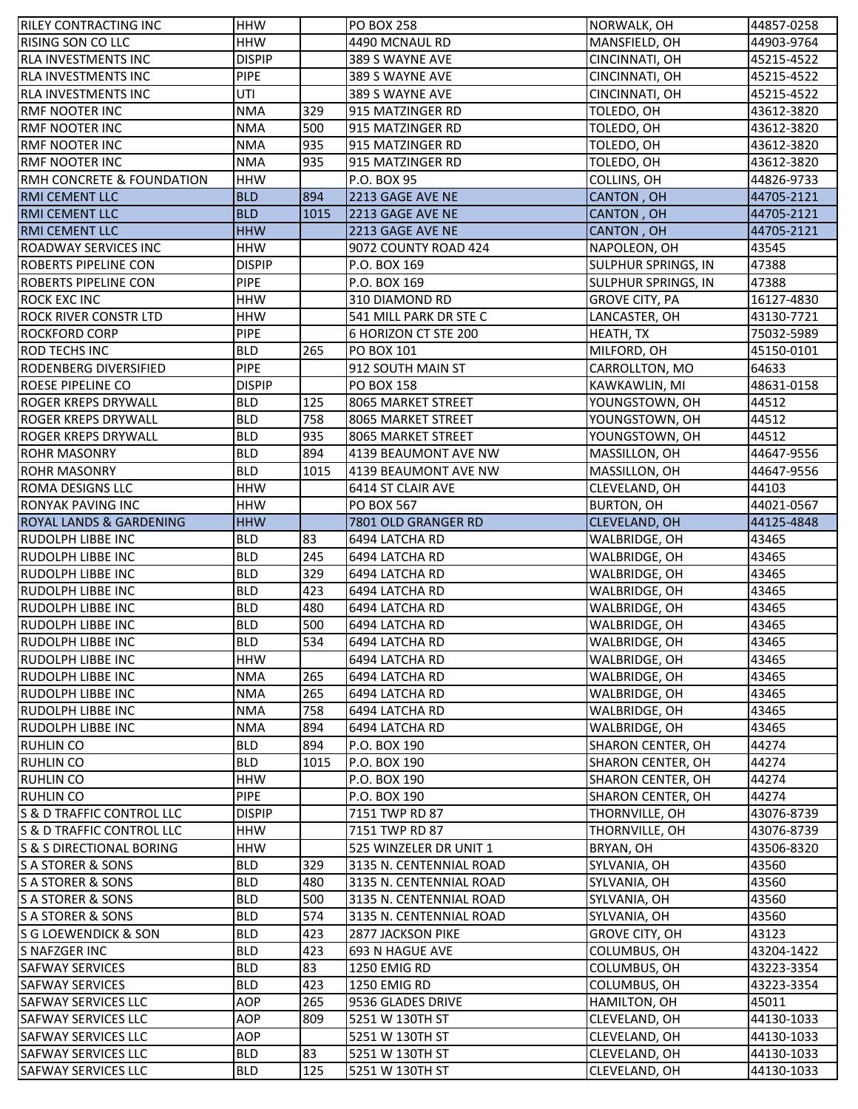| <b>RILEY CONTRACTING INC</b>       | <b>HHW</b>    |      | <b>PO BOX 258</b>       | NORWALK, OH                | 44857-0258 |
|------------------------------------|---------------|------|-------------------------|----------------------------|------------|
| <b>RISING SON CO LLC</b>           | HHW           |      | 4490 MCNAUL RD          | MANSFIELD, OH              | 44903-9764 |
| <b>RLA INVESTMENTS INC</b>         | <b>DISPIP</b> |      | 389 S WAYNE AVE         | CINCINNATI, OH             | 45215-4522 |
| <b>RLA INVESTMENTS INC</b>         | <b>PIPE</b>   |      | 389 S WAYNE AVE         | CINCINNATI, OH             | 45215-4522 |
| <b>RLA INVESTMENTS INC</b>         | UTI           |      | 389 S WAYNE AVE         | CINCINNATI, OH             | 45215-4522 |
| <b>RMF NOOTER INC</b>              | <b>NMA</b>    | 329  | 915 MATZINGER RD        | TOLEDO, OH                 | 43612-3820 |
| <b>RMF NOOTER INC</b>              | <b>NMA</b>    | 500  | 915 MATZINGER RD        | TOLEDO, OH                 | 43612-3820 |
| RMF NOOTER INC                     | <b>NMA</b>    | 935  | 915 MATZINGER RD        | TOLEDO, OH                 | 43612-3820 |
| <b>RMF NOOTER INC</b>              | <b>NMA</b>    | 935  | 915 MATZINGER RD        | TOLEDO, OH                 | 43612-3820 |
| RMH CONCRETE & FOUNDATION          | <b>HHW</b>    |      | P.O. BOX 95             | COLLINS, OH                | 44826-9733 |
| <b>RMI CEMENT LLC</b>              | <b>BLD</b>    | 894  | 2213 GAGE AVE NE        | <b>CANTON, OH</b>          | 44705-2121 |
| <b>RMI CEMENT LLC</b>              | <b>BLD</b>    | 1015 | 2213 GAGE AVE NE        | <b>CANTON, OH</b>          | 44705-2121 |
| <b>RMI CEMENT LLC</b>              | <b>HHW</b>    |      | 2213 GAGE AVE NE        | <b>CANTON, OH</b>          | 44705-2121 |
| <b>ROADWAY SERVICES INC</b>        | <b>HHW</b>    |      | 9072 COUNTY ROAD 424    | NAPOLEON, OH               | 43545      |
| <b>ROBERTS PIPELINE CON</b>        | <b>DISPIP</b> |      | P.O. BOX 169            | SULPHUR SPRINGS, IN        | 47388      |
| <b>ROBERTS PIPELINE CON</b>        | <b>PIPE</b>   |      | P.O. BOX 169            | <b>SULPHUR SPRINGS, IN</b> | 47388      |
| ROCK EXC INC                       | <b>HHW</b>    |      | 310 DIAMOND RD          | <b>GROVE CITY, PA</b>      | 16127-4830 |
| <b>ROCK RIVER CONSTR LTD</b>       | <b>HHW</b>    |      | 541 MILL PARK DR STE C  | LANCASTER, OH              | 43130-7721 |
| <b>ROCKFORD CORP</b>               | <b>PIPE</b>   |      | 6 HORIZON CT STE 200    | HEATH, TX                  | 75032-5989 |
| <b>ROD TECHS INC</b>               | <b>BLD</b>    | 265  | <b>PO BOX 101</b>       | MILFORD, OH                | 45150-0101 |
| RODENBERG DIVERSIFIED              | <b>PIPE</b>   |      | 912 SOUTH MAIN ST       | CARROLLTON, MO             | 64633      |
| ROESE PIPELINE CO                  | <b>DISPIP</b> |      | <b>PO BOX 158</b>       | KAWKAWLIN, MI              | 48631-0158 |
| <b>ROGER KREPS DRYWALL</b>         | <b>BLD</b>    | 125  | 8065 MARKET STREET      | YOUNGSTOWN, OH             | 44512      |
| <b>ROGER KREPS DRYWALL</b>         | <b>BLD</b>    | 758  | 8065 MARKET STREET      | YOUNGSTOWN, OH             | 44512      |
| <b>ROGER KREPS DRYWALL</b>         | <b>BLD</b>    | 935  | 8065 MARKET STREET      | YOUNGSTOWN, OH             | 44512      |
| <b>ROHR MASONRY</b>                | <b>BLD</b>    | 894  | 4139 BEAUMONT AVE NW    | MASSILLON, OH              | 44647-9556 |
| <b>ROHR MASONRY</b>                | <b>BLD</b>    | 1015 | 4139 BEAUMONT AVE NW    | MASSILLON, OH              | 44647-9556 |
| <b>ROMA DESIGNS LLC</b>            | HHW           |      | 6414 ST CLAIR AVE       | CLEVELAND, OH              | 44103      |
| <b>RONYAK PAVING INC</b>           | <b>HHW</b>    |      | PO BOX 567              | <b>BURTON, OH</b>          | 44021-0567 |
| <b>ROYAL LANDS &amp; GARDENING</b> | <b>HHW</b>    |      | 7801 OLD GRANGER RD     | <b>CLEVELAND, OH</b>       | 44125-4848 |
| <b>RUDOLPH LIBBE INC</b>           | <b>BLD</b>    | 83   | 6494 LATCHA RD          | WALBRIDGE, OH              | 43465      |
| <b>RUDOLPH LIBBE INC</b>           | <b>BLD</b>    | 245  | 6494 LATCHA RD          | WALBRIDGE, OH              | 43465      |
| <b>RUDOLPH LIBBE INC</b>           | <b>BLD</b>    | 329  | 6494 LATCHA RD          | WALBRIDGE, OH              | 43465      |
| <b>RUDOLPH LIBBE INC</b>           | <b>BLD</b>    | 423  | 6494 LATCHA RD          | WALBRIDGE, OH              | 43465      |
| <b>RUDOLPH LIBBE INC</b>           | <b>BLD</b>    | 480  | 6494 LATCHA RD          | WALBRIDGE, OH              | 43465      |
| RUDOLPH LIBBE INC                  | <b>BLD</b>    | 500  | 6494 LATCHA RD          | WALBRIDGE, OH              | 43465      |
| RUDOLPH LIBBE INC                  | <b>BLD</b>    | 534  | 6494 LATCHA RD          | WALBRIDGE, OH              | 43465      |
| <b>RUDOLPH LIBBE INC</b>           | <b>HHW</b>    |      | 6494 LATCHA RD          | WALBRIDGE, OH              | 43465      |
| <b>RUDOLPH LIBBE INC</b>           | <b>NMA</b>    | 265  | 6494 LATCHA RD          | WALBRIDGE, OH              | 43465      |
| <b>RUDOLPH LIBBE INC</b>           | <b>NMA</b>    | 265  | 6494 LATCHA RD          | WALBRIDGE, OH              | 43465      |
| <b>RUDOLPH LIBBE INC</b>           | <b>NMA</b>    | 758  | 6494 LATCHA RD          | WALBRIDGE, OH              | 43465      |
| <b>RUDOLPH LIBBE INC</b>           | NMA           | 894  | 6494 LATCHA RD          | WALBRIDGE, OH              | 43465      |
| <b>RUHLIN CO</b>                   | <b>BLD</b>    | 894  | P.O. BOX 190            | SHARON CENTER, OH          | 44274      |
| <b>RUHLIN CO</b>                   | <b>BLD</b>    | 1015 | P.O. BOX 190            | <b>SHARON CENTER, OH</b>   | 44274      |
| <b>RUHLIN CO</b>                   | <b>HHW</b>    |      | P.O. BOX 190            | SHARON CENTER, OH          | 44274      |
| <b>RUHLIN CO</b>                   | <b>PIPE</b>   |      | P.O. BOX 190            | SHARON CENTER, OH          | 44274      |
| S & D TRAFFIC CONTROL LLC          | <b>DISPIP</b> |      | 7151 TWP RD 87          | THORNVILLE, OH             | 43076-8739 |
| S & D TRAFFIC CONTROL LLC          | HHW           |      | 7151 TWP RD 87          | THORNVILLE, OH             | 43076-8739 |
| S & S DIRECTIONAL BORING           | <b>HHW</b>    |      | 525 WINZELER DR UNIT 1  | BRYAN, OH                  | 43506-8320 |
| S A STORER & SONS                  | <b>BLD</b>    | 329  | 3135 N. CENTENNIAL ROAD | SYLVANIA, OH               | 43560      |
| S A STORER & SONS                  | <b>BLD</b>    | 480  | 3135 N. CENTENNIAL ROAD | SYLVANIA, OH               | 43560      |
| S A STORER & SONS                  | <b>BLD</b>    | 500  | 3135 N. CENTENNIAL ROAD | SYLVANIA, OH               | 43560      |
| S A STORER & SONS                  | <b>BLD</b>    | 574  | 3135 N. CENTENNIAL ROAD | SYLVANIA, OH               | 43560      |
| S G LOEWENDICK & SON               | <b>BLD</b>    | 423  | 2877 JACKSON PIKE       | <b>GROVE CITY, OH</b>      | 43123      |
| S NAFZGER INC                      | <b>BLD</b>    | 423  | 693 N HAGUE AVE         | COLUMBUS, OH               | 43204-1422 |
| <b>SAFWAY SERVICES</b>             | <b>BLD</b>    | 83   | 1250 EMIG RD            | COLUMBUS, OH               | 43223-3354 |
| SAFWAY SERVICES                    | <b>BLD</b>    | 423  | 1250 EMIG RD            | COLUMBUS, OH               | 43223-3354 |
| <b>SAFWAY SERVICES LLC</b>         | <b>AOP</b>    | 265  | 9536 GLADES DRIVE       | HAMILTON, OH               | 45011      |
| <b>SAFWAY SERVICES LLC</b>         | <b>AOP</b>    | 809  | 5251 W 130TH ST         | CLEVELAND, OH              | 44130-1033 |
| <b>SAFWAY SERVICES LLC</b>         | AOP           |      | 5251 W 130TH ST         | CLEVELAND, OH              | 44130-1033 |
| <b>SAFWAY SERVICES LLC</b>         | <b>BLD</b>    | 83   | 5251 W 130TH ST         | CLEVELAND, OH              | 44130-1033 |
| <b>SAFWAY SERVICES LLC</b>         | <b>BLD</b>    | 125  | 5251 W 130TH ST         | CLEVELAND, OH              | 44130-1033 |
|                                    |               |      |                         |                            |            |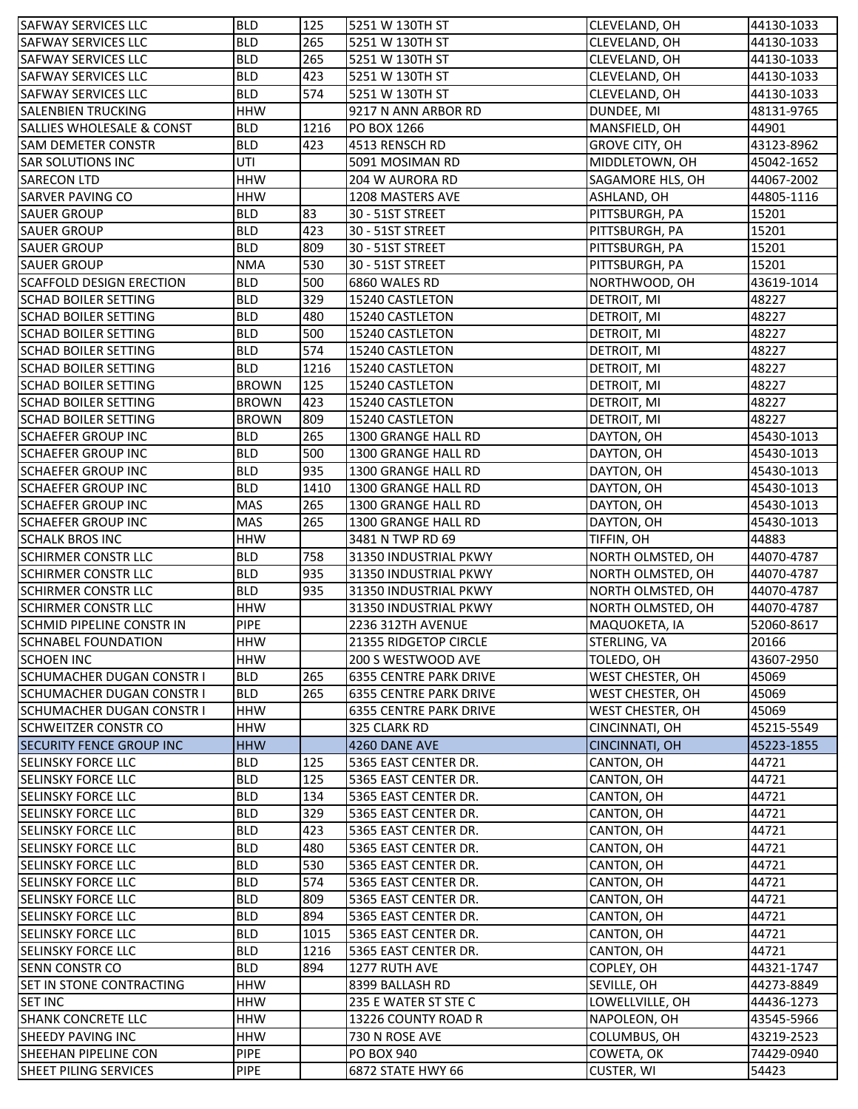| <b>SAFWAY SERVICES LLC</b>           | <b>BLD</b>   | 125  | 5251 W 130TH ST               | CLEVELAND, OH           | 44130-1033 |
|--------------------------------------|--------------|------|-------------------------------|-------------------------|------------|
| ISAFWAY SERVICES LLC                 | <b>BLD</b>   | 265  | 5251 W 130TH ST               | CLEVELAND, OH           | 44130-1033 |
| <b>SAFWAY SERVICES LLC</b>           | <b>BLD</b>   | 265  | 5251 W 130TH ST               | CLEVELAND, OH           | 44130-1033 |
| <b>SAFWAY SERVICES LLC</b>           | <b>BLD</b>   | 423  | 5251 W 130TH ST               | CLEVELAND, OH           | 44130-1033 |
| <b>SAFWAY SERVICES LLC</b>           | <b>BLD</b>   | 574  | 5251 W 130TH ST               | CLEVELAND, OH           | 44130-1033 |
| <b>SALENBIEN TRUCKING</b>            | <b>HHW</b>   |      | 9217 N ANN ARBOR RD           | DUNDEE, MI              | 48131-9765 |
| <b>SALLIES WHOLESALE &amp; CONST</b> | <b>BLD</b>   | 1216 | PO BOX 1266                   | MANSFIELD, OH           | 44901      |
| <b>SAM DEMETER CONSTR</b>            | <b>BLD</b>   | 423  | 4513 RENSCH RD                | <b>GROVE CITY, OH</b>   | 43123-8962 |
| <b>SAR SOLUTIONS INC</b>             | UTI          |      | 5091 MOSIMAN RD               | MIDDLETOWN, OH          | 45042-1652 |
| <b>SARECON LTD</b>                   | <b>HHW</b>   |      | 204 W AURORA RD               | SAGAMORE HLS, OH        | 44067-2002 |
| <b>SARVER PAVING CO</b>              | <b>HHW</b>   |      | 1208 MASTERS AVE              | ASHLAND, OH             | 44805-1116 |
| <b>SAUER GROUP</b>                   | <b>BLD</b>   | 83   | 30 - 51ST STREET              | PITTSBURGH, PA          | 15201      |
| <b>SAUER GROUP</b>                   | <b>BLD</b>   | 423  | 30 - 51ST STREET              | PITTSBURGH, PA          | 15201      |
| <b>SAUER GROUP</b>                   | <b>BLD</b>   | 809  | 30 - 51ST STREET              | PITTSBURGH, PA          | 15201      |
| <b>SAUER GROUP</b>                   | <b>NMA</b>   | 530  | 30 - 51ST STREET              | PITTSBURGH, PA          | 15201      |
| <b>SCAFFOLD DESIGN ERECTION</b>      | <b>BLD</b>   | 500  | 6860 WALES RD                 | NORTHWOOD, OH           | 43619-1014 |
| <b>SCHAD BOILER SETTING</b>          | <b>BLD</b>   | 329  | 15240 CASTLETON               | DETROIT, MI             | 48227      |
| <b>SCHAD BOILER SETTING</b>          | <b>BLD</b>   | 480  | 15240 CASTLETON               | DETROIT, MI             | 48227      |
| <b>SCHAD BOILER SETTING</b>          | <b>BLD</b>   | 500  | 15240 CASTLETON               | DETROIT, MI             | 48227      |
| <b>SCHAD BOILER SETTING</b>          | <b>BLD</b>   | 574  | 15240 CASTLETON               | DETROIT, MI             | 48227      |
| <b>SCHAD BOILER SETTING</b>          | <b>BLD</b>   | 1216 | 15240 CASTLETON               | DETROIT, MI             | 48227      |
| <b>SCHAD BOILER SETTING</b>          | <b>BROWN</b> | 125  | 15240 CASTLETON               | DETROIT, MI             | 48227      |
| <b>SCHAD BOILER SETTING</b>          | <b>BROWN</b> | 423  | 15240 CASTLETON               | DETROIT, MI             | 48227      |
| <b>SCHAD BOILER SETTING</b>          | <b>BROWN</b> | 809  | 15240 CASTLETON               | DETROIT, MI             | 48227      |
| <b>SCHAEFER GROUP INC</b>            | <b>BLD</b>   | 265  | 1300 GRANGE HALL RD           | DAYTON, OH              | 45430-1013 |
| <b>SCHAEFER GROUP INC</b>            | <b>BLD</b>   | 500  | 1300 GRANGE HALL RD           | DAYTON, OH              | 45430-1013 |
| <b>SCHAEFER GROUP INC</b>            | <b>BLD</b>   | 935  | 1300 GRANGE HALL RD           | DAYTON, OH              | 45430-1013 |
| <b>SCHAEFER GROUP INC</b>            | <b>BLD</b>   | 1410 | 1300 GRANGE HALL RD           | DAYTON, OH              | 45430-1013 |
| <b>SCHAEFER GROUP INC</b>            | <b>MAS</b>   | 265  | 1300 GRANGE HALL RD           | DAYTON, OH              | 45430-1013 |
| <b>SCHAEFER GROUP INC</b>            | MAS          | 265  | 1300 GRANGE HALL RD           | DAYTON, OH              | 45430-1013 |
| <b>SCHALK BROS INC</b>               | <b>HHW</b>   |      | 3481 N TWP RD 69              | TIFFIN, OH              | 44883      |
| <b>SCHIRMER CONSTR LLC</b>           | <b>BLD</b>   | 758  | 31350 INDUSTRIAL PKWY         | NORTH OLMSTED, OH       | 44070-4787 |
| <b>SCHIRMER CONSTR LLC</b>           | <b>BLD</b>   | 935  | 31350 INDUSTRIAL PKWY         | NORTH OLMSTED, OH       | 44070-4787 |
| <b>SCHIRMER CONSTR LLC</b>           | <b>BLD</b>   | 935  | 31350 INDUSTRIAL PKWY         | NORTH OLMSTED, OH       | 44070-4787 |
| <b>SCHIRMER CONSTR LLC</b>           | <b>HHW</b>   |      | 31350 INDUSTRIAL PKWY         | NORTH OLMSTED, OH       | 44070-4787 |
| <b>SCHMID PIPELINE CONSTR IN</b>     | PIPE         |      | 2236 312TH AVENUE             | MAQUOKETA, IA           | 52060-8617 |
| <b>SCHNABEL FOUNDATION</b>           | <b>HHW</b>   |      | 21355 RIDGETOP CIRCLE         | STERLING, VA            | 20166      |
| <b>SCHOEN INC</b>                    | <b>HHW</b>   |      | 200 S WESTWOOD AVE            | TOLEDO, OH              | 43607-2950 |
| <b>SCHUMACHER DUGAN CONSTR I</b>     | <b>BLD</b>   | 265  | 6355 CENTRE PARK DRIVE        | <b>WEST CHESTER, OH</b> | 45069      |
| <b>SCHUMACHER DUGAN CONSTR I</b>     | <b>BLD</b>   | 265  | 6355 CENTRE PARK DRIVE        | <b>WEST CHESTER, OH</b> | 45069      |
| <b>SCHUMACHER DUGAN CONSTR I</b>     | <b>HHW</b>   |      | <b>6355 CENTRE PARK DRIVE</b> | <b>WEST CHESTER, OH</b> | 45069      |
| <b>SCHWEITZER CONSTR CO</b>          | <b>HHW</b>   |      | 325 CLARK RD                  | CINCINNATI, OH          | 45215-5549 |
| <b>SECURITY FENCE GROUP INC</b>      | <b>HHW</b>   |      | 4260 DANE AVE                 | CINCINNATI, OH          | 45223-1855 |
| <b>ISELINSKY FORCE LLC</b>           | <b>BLD</b>   | 125  | 5365 EAST CENTER DR.          | CANTON, OH              | 44721      |
| <b>SELINSKY FORCE LLC</b>            | <b>BLD</b>   | 125  | 5365 EAST CENTER DR.          | CANTON, OH              | 44721      |
| <b>ISELINSKY FORCE LLC</b>           | <b>BLD</b>   | 134  | <b>5365 EAST CENTER DR.</b>   | CANTON, OH              | 44721      |
| <b>SELINSKY FORCE LLC</b>            | <b>BLD</b>   | 329  | 5365 EAST CENTER DR.          | CANTON, OH              | 44721      |
| <b>SELINSKY FORCE LLC</b>            | <b>BLD</b>   | 423  | 5365 EAST CENTER DR.          | CANTON, OH              | 44721      |
| <b>SELINSKY FORCE LLC</b>            | <b>BLD</b>   | 480  | 5365 EAST CENTER DR.          | CANTON, OH              | 44721      |
| <b>SELINSKY FORCE LLC</b>            | <b>BLD</b>   | 530  | 5365 EAST CENTER DR.          | CANTON, OH              | 44721      |
| <b>SELINSKY FORCE LLC</b>            | <b>BLD</b>   | 574  | 5365 EAST CENTER DR.          | CANTON, OH              | 44721      |
| <b>SELINSKY FORCE LLC</b>            | <b>BLD</b>   | 809  | 5365 EAST CENTER DR.          | CANTON, OH              | 44721      |
| <b>SELINSKY FORCE LLC</b>            | <b>BLD</b>   | 894  | 5365 EAST CENTER DR.          | CANTON, OH              | 44721      |
| <b>SELINSKY FORCE LLC</b>            | <b>BLD</b>   | 1015 | 5365 EAST CENTER DR.          | CANTON, OH              | 44721      |
| <b>SELINSKY FORCE LLC</b>            |              | 1216 | 5365 EAST CENTER DR.          | CANTON, OH              | 44721      |
| <b>SENN CONSTR CO</b>                | <b>BLD</b>   |      |                               |                         |            |
|                                      | <b>BLD</b>   | 894  | 1277 RUTH AVE                 | COPLEY, OH              | 44321-1747 |
| <b>SET IN STONE CONTRACTING</b>      | <b>HHW</b>   |      | 8399 BALLASH RD               | SEVILLE, OH             | 44273-8849 |
| <b>SET INC</b>                       | HHW          |      | 235 E WATER ST STE C          | LOWELLVILLE, OH         | 44436-1273 |
| <b>SHANK CONCRETE LLC</b>            | <b>HHW</b>   |      | 13226 COUNTY ROAD R           | NAPOLEON, OH            | 43545-5966 |
| <b>SHEEDY PAVING INC</b>             | <b>HHW</b>   |      | 730 N ROSE AVE                | COLUMBUS, OH            | 43219-2523 |
| SHEEHAN PIPELINE CON                 | <b>PIPE</b>  |      | <b>PO BOX 940</b>             | COWETA, OK              | 74429-0940 |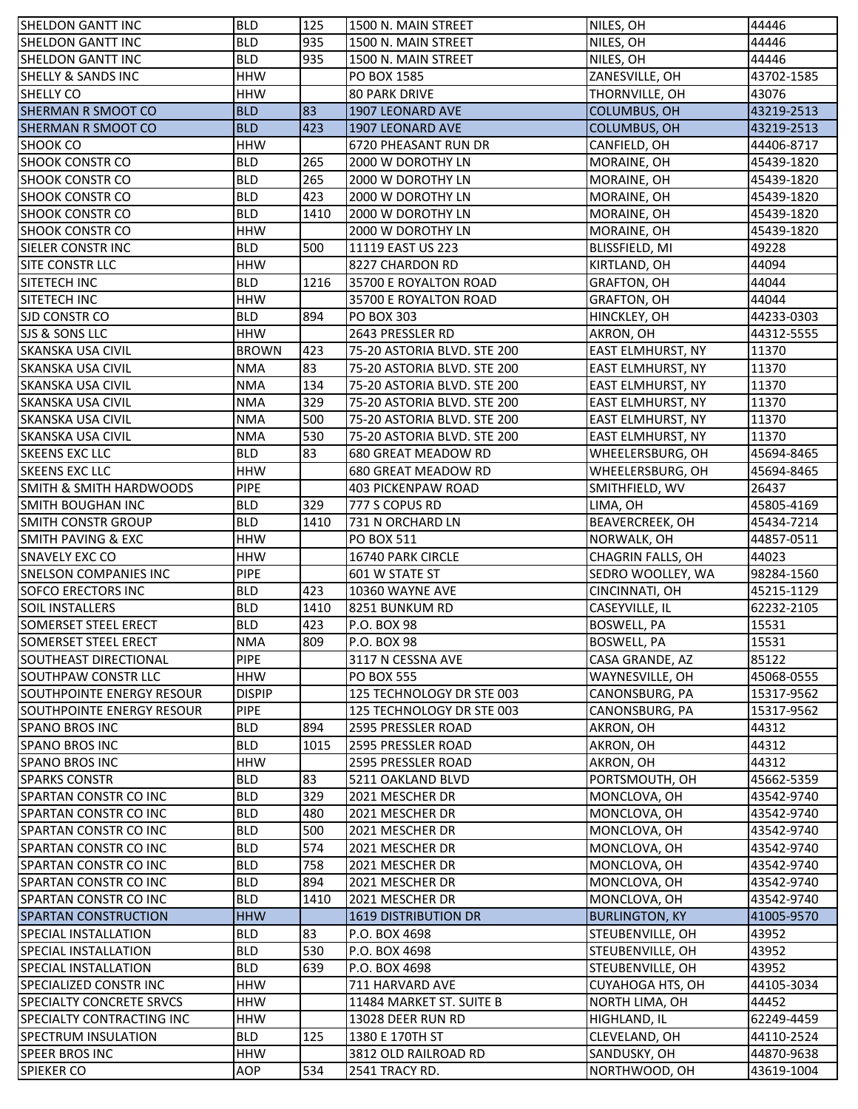| <b>ISHELDON GANTT INC</b>          | <b>BLD</b>    | 125  | 1500 N. MAIN STREET         | NILES, OH                | 44446      |
|------------------------------------|---------------|------|-----------------------------|--------------------------|------------|
| <b>SHELDON GANTT INC</b>           | <b>BLD</b>    | 935  | 1500 N. MAIN STREET         | NILES, OH                | 44446      |
| <b>SHELDON GANTT INC</b>           | <b>BLD</b>    | 935  | 1500 N. MAIN STREET         | NILES, OH                | 44446      |
| <b>SHELLY &amp; SANDS INC</b>      | <b>HHW</b>    |      | PO BOX 1585                 | ZANESVILLE, OH           | 43702-1585 |
| SHELLY CO                          | <b>HHW</b>    |      | <b>80 PARK DRIVE</b>        | THORNVILLE, OH           | 43076      |
| <b>SHERMAN R SMOOT CO</b>          | <b>BLD</b>    | 83   | 1907 LEONARD AVE            | COLUMBUS, OH             | 43219-2513 |
| <b>SHERMAN R SMOOT CO</b>          | <b>BLD</b>    | 423  | 1907 LEONARD AVE            | <b>COLUMBUS, OH</b>      | 43219-2513 |
| <b>SHOOK CO</b>                    | <b>HHW</b>    |      | 6720 PHEASANT RUN DR        | CANFIELD, OH             | 44406-8717 |
| <b>SHOOK CONSTR CO</b>             | <b>BLD</b>    | 265  | 2000 W DOROTHY LN           | MORAINE, OH              | 45439-1820 |
| <b>SHOOK CONSTR CO</b>             | <b>BLD</b>    | 265  | 2000 W DOROTHY LN           | MORAINE, OH              | 45439-1820 |
| <b>SHOOK CONSTR CO</b>             | <b>BLD</b>    | 423  | 2000 W DOROTHY LN           | MORAINE, OH              | 45439-1820 |
| <b>SHOOK CONSTR CO</b>             | <b>BLD</b>    | 1410 | 2000 W DOROTHY LN           | MORAINE, OH              | 45439-1820 |
| <b>SHOOK CONSTR CO</b>             | <b>HHW</b>    |      | 2000 W DOROTHY LN           | MORAINE, OH              | 45439-1820 |
| SIELER CONSTRINC                   | <b>BLD</b>    | 500  | 11119 EAST US 223           | BLISSFIELD, MI           | 49228      |
| SITE CONSTR LLC                    | <b>HHW</b>    |      | 8227 CHARDON RD             | KIRTLAND, OH             | 44094      |
| SITETECH INC                       | <b>BLD</b>    | 1216 | 35700 E ROYALTON ROAD       | <b>GRAFTON, OH</b>       | 44044      |
| SITETECH INC                       | <b>HHW</b>    |      | 35700 E ROYALTON ROAD       | <b>GRAFTON, OH</b>       | 44044      |
| SJD CONSTR CO                      | <b>BLD</b>    | 894  | <b>PO BOX 303</b>           | HINCKLEY, OH             | 44233-0303 |
| <b>SJS &amp; SONS LLC</b>          | <b>HHW</b>    |      | 2643 PRESSLER RD            | AKRON, OH                | 44312-5555 |
| <b>SKANSKA USA CIVIL</b>           | <b>BROWN</b>  | 423  | 75-20 ASTORIA BLVD. STE 200 | <b>EAST ELMHURST, NY</b> | 11370      |
| <b>SKANSKA USA CIVIL</b>           | <b>NMA</b>    | 83   | 75-20 ASTORIA BLVD. STE 200 | <b>EAST ELMHURST, NY</b> | 11370      |
| <b>SKANSKA USA CIVIL</b>           | <b>NMA</b>    | 134  | 75-20 ASTORIA BLVD. STE 200 | <b>EAST ELMHURST, NY</b> | 11370      |
| <b>SKANSKA USA CIVIL</b>           | <b>NMA</b>    | 329  | 75-20 ASTORIA BLVD. STE 200 | <b>EAST ELMHURST, NY</b> | 11370      |
| <b>SKANSKA USA CIVIL</b>           | <b>NMA</b>    | 500  | 75-20 ASTORIA BLVD. STE 200 | <b>EAST ELMHURST, NY</b> | 11370      |
| <b>SKANSKA USA CIVIL</b>           | <b>NMA</b>    | 530  | 75-20 ASTORIA BLVD. STE 200 | <b>EAST ELMHURST, NY</b> | 11370      |
| <b>SKEENS EXC LLC</b>              | <b>BLD</b>    | 83   | 680 GREAT MEADOW RD         | WHEELERSBURG, OH         | 45694-8465 |
| <b>SKEENS EXC LLC</b>              | <b>HHW</b>    |      | 680 GREAT MEADOW RD         | WHEELERSBURG, OH         | 45694-8465 |
| <b>SMITH &amp; SMITH HARDWOODS</b> | <b>PIPE</b>   |      | <b>403 PICKENPAW ROAD</b>   | SMITHFIELD, WV           | 26437      |
| SMITH BOUGHAN INC                  | <b>BLD</b>    | 329  | 777 S COPUS RD              | LIMA, OH                 | 45805-4169 |
| SMITH CONSTR GROUP                 | <b>BLD</b>    | 1410 | 731 N ORCHARD LN            | <b>BEAVERCREEK, OH</b>   | 45434-7214 |
| SMITH PAVING & EXC                 | <b>HHW</b>    |      | PO BOX 511                  | NORWALK, OH              | 44857-0511 |
| <b>SNAVELY EXC CO</b>              | <b>HHW</b>    |      | 16740 PARK CIRCLE           | CHAGRIN FALLS, OH        | 44023      |
| <b>SNELSON COMPANIES INC</b>       | <b>PIPE</b>   |      | 601 W STATE ST              | SEDRO WOOLLEY, WA        | 98284-1560 |
| <b>SOFCO ERECTORS INC</b>          | <b>BLD</b>    | 423  | 10360 WAYNE AVE             | CINCINNATI, OH           | 45215-1129 |
| <b>SOIL INSTALLERS</b>             | <b>BLD</b>    | 1410 | 8251 BUNKUM RD              | CASEYVILLE, IL           | 62232-2105 |
| <b>SOMERSET STEEL ERECT</b>        | <b>BLD</b>    | 423  | P.O. BOX 98                 | <b>BOSWELL, PA</b>       | 15531      |
| SOMERSET STEEL ERECT               | <b>NMA</b>    | 809  | P.O. BOX 98                 | <b>BOSWELL, PA</b>       | 15531      |
| SOUTHEAST DIRECTIONAL              | <b>PIPE</b>   |      | 3117 N CESSNA AVE           | CASA GRANDE, AZ          | 85122      |
| <b>SOUTHPAW CONSTR LLC</b>         | <b>HHW</b>    |      | <b>PO BOX 555</b>           | WAYNESVILLE, OH          | 45068-0555 |
| SOUTHPOINTE ENERGY RESOUR          | <b>DISPIP</b> |      | 125 TECHNOLOGY DR STE 003   | CANONSBURG, PA           | 15317-9562 |
| SOUTHPOINTE ENERGY RESOUR          | <b>PIPE</b>   |      | 125 TECHNOLOGY DR STE 003   | CANONSBURG, PA           | 15317-9562 |
| <b>SPANO BROS INC</b>              | <b>BLD</b>    | 894  | 2595 PRESSLER ROAD          | AKRON, OH                | 44312      |
| <b>SPANO BROS INC</b>              | <b>BLD</b>    | 1015 | 2595 PRESSLER ROAD          | AKRON, OH                | 44312      |
| <b>SPANO BROS INC</b>              | <b>HHW</b>    |      | 2595 PRESSLER ROAD          | AKRON, OH                | 44312      |
| <b>SPARKS CONSTR</b>               | <b>BLD</b>    | 83   | 5211 OAKLAND BLVD           | PORTSMOUTH, OH           | 45662-5359 |
| <b>SPARTAN CONSTR CO INC</b>       | <b>BLD</b>    | 329  | 2021 MESCHER DR             | MONCLOVA, OH             | 43542-9740 |
| <b>SPARTAN CONSTR CO INC</b>       | <b>BLD</b>    | 480  | 2021 MESCHER DR             | MONCLOVA, OH             | 43542-9740 |
| <b>SPARTAN CONSTR CO INC</b>       | <b>BLD</b>    | 500  | 2021 MESCHER DR             | MONCLOVA, OH             | 43542-9740 |
| SPARTAN CONSTR CO INC              | <b>BLD</b>    | 574  | 2021 MESCHER DR             | MONCLOVA, OH             | 43542-9740 |
| SPARTAN CONSTR CO INC              | <b>BLD</b>    | 758  | 2021 MESCHER DR             | MONCLOVA, OH             | 43542-9740 |
| SPARTAN CONSTR CO INC              | <b>BLD</b>    | 894  | 2021 MESCHER DR             | MONCLOVA, OH             | 43542-9740 |
| SPARTAN CONSTR CO INC              | <b>BLD</b>    | 1410 | 2021 MESCHER DR             | MONCLOVA, OH             | 43542-9740 |
| <b>SPARTAN CONSTRUCTION</b>        | <b>HHW</b>    |      | <b>1619 DISTRIBUTION DR</b> | <b>BURLINGTON, KY</b>    | 41005-9570 |
| <b>SPECIAL INSTALLATION</b>        | <b>BLD</b>    | 83   | P.O. BOX 4698               | STEUBENVILLE, OH         | 43952      |
| <b>SPECIAL INSTALLATION</b>        | <b>BLD</b>    | 530  | P.O. BOX 4698               | STEUBENVILLE, OH         | 43952      |
| <b>SPECIAL INSTALLATION</b>        | <b>BLD</b>    | 639  | P.O. BOX 4698               | STEUBENVILLE, OH         | 43952      |
| <b>SPECIALIZED CONSTRINC</b>       | <b>HHW</b>    |      | 711 HARVARD AVE             | <b>CUYAHOGA HTS, OH</b>  | 44105-3034 |
| <b>SPECIALTY CONCRETE SRVCS</b>    | <b>HHW</b>    |      | 11484 MARKET ST. SUITE B    | NORTH LIMA, OH           | 44452      |
| <b>SPECIALTY CONTRACTING INC</b>   | <b>HHW</b>    |      | 13028 DEER RUN RD           | HIGHLAND, IL             | 62249-4459 |
| SPECTRUM INSULATION                | <b>BLD</b>    | 125  | 1380 E 170TH ST             | CLEVELAND, OH            | 44110-2524 |
| <b>SPEER BROS INC</b>              | <b>HHW</b>    |      | 3812 OLD RAILROAD RD        | SANDUSKY, OH             | 44870-9638 |
| <b>SPIEKER CO</b>                  | AOP           | 534  | 2541 TRACY RD.              | NORTHWOOD, OH            | 43619-1004 |
|                                    |               |      |                             |                          |            |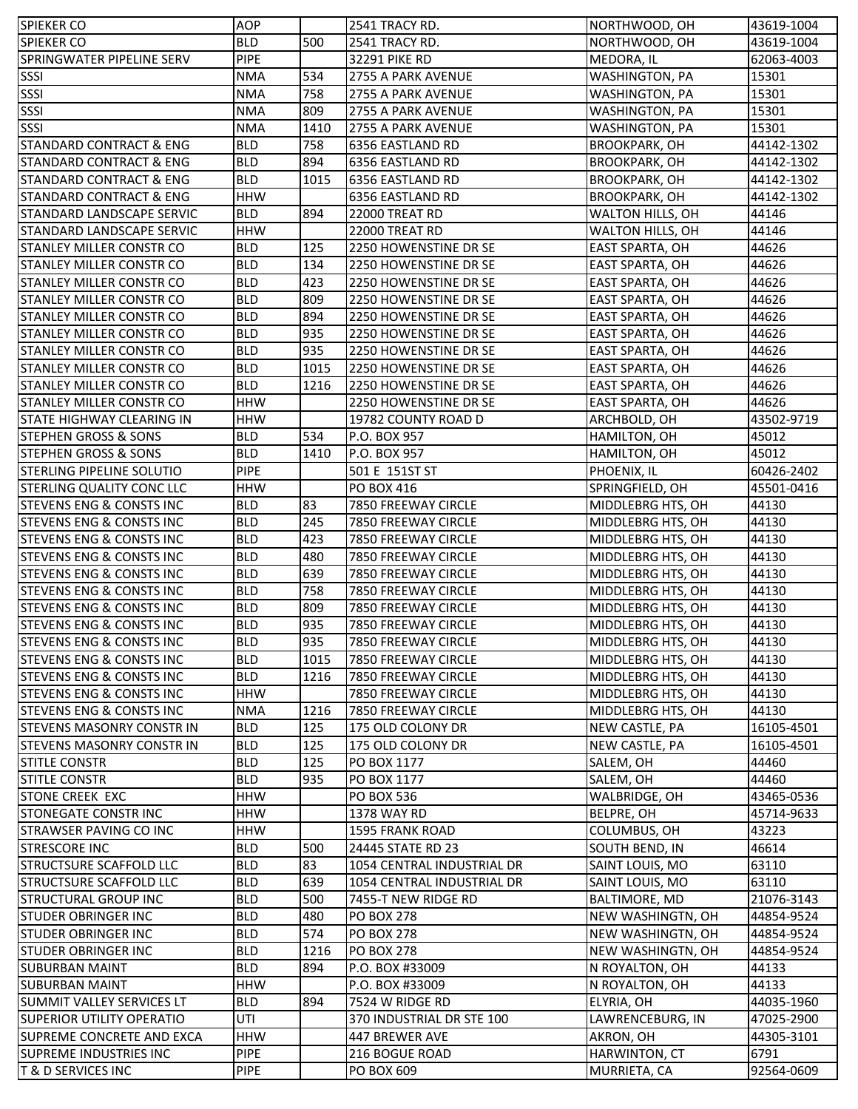| <b>SPIEKER CO</b>                                              | <b>AOP</b>                 |      | 2541 TRACY RD.               | NORTHWOOD, OH                 | 43619-1004         |
|----------------------------------------------------------------|----------------------------|------|------------------------------|-------------------------------|--------------------|
| <b>SPIEKER CO</b>                                              | <b>BLD</b>                 | 500  | 2541 TRACY RD.               | NORTHWOOD, OH                 | 43619-1004         |
| SPRINGWATER PIPELINE SERV                                      | <b>PIPE</b>                |      | <b>32291 PIKE RD</b>         | MEDORA, IL                    | 62063-4003         |
| SSSI                                                           | <b>NMA</b>                 | 534  | 2755 A PARK AVENUE           | <b>WASHINGTON, PA</b>         | 15301              |
| SSSI                                                           | <b>NMA</b>                 | 758  | 2755 A PARK AVENUE           | WASHINGTON, PA                | 15301              |
| SSSI                                                           | <b>NMA</b>                 | 809  | 2755 A PARK AVENUE           | WASHINGTON, PA                | 15301              |
| SSSI                                                           | <b>NMA</b>                 | 1410 | 2755 A PARK AVENUE           | WASHINGTON, PA                | 15301              |
| <b>STANDARD CONTRACT &amp; ENG</b>                             | <b>BLD</b>                 | 758  | 6356 EASTLAND RD             | <b>BROOKPARK, OH</b>          | 44142-1302         |
| <b>STANDARD CONTRACT &amp; ENG</b>                             | <b>BLD</b>                 | 894  | 6356 EASTLAND RD             | <b>BROOKPARK, OH</b>          | 44142-1302         |
| <b>STANDARD CONTRACT &amp; ENG</b>                             | <b>BLD</b>                 | 1015 | 6356 EASTLAND RD             | <b>BROOKPARK, OH</b>          | 44142-1302         |
| <b>STANDARD CONTRACT &amp; ENG</b>                             | <b>HHW</b>                 |      | 6356 EASTLAND RD             | <b>BROOKPARK, OH</b>          | 44142-1302         |
| <b>STANDARD LANDSCAPE SERVIC</b>                               | <b>BLD</b>                 | 894  | 22000 TREAT RD               | WALTON HILLS, OH              | 44146              |
| STANDARD LANDSCAPE SERVIC                                      | <b>HHW</b>                 |      | 22000 TREAT RD               | WALTON HILLS, OH              | 44146              |
| <b>STANLEY MILLER CONSTR CO</b>                                | <b>BLD</b>                 | 125  | 2250 HOWENSTINE DR SE        | EAST SPARTA, OH               | 44626              |
| STANLEY MILLER CONSTR CO                                       | <b>BLD</b>                 | 134  | 2250 HOWENSTINE DR SE        | EAST SPARTA, OH               | 44626              |
| <b>STANLEY MILLER CONSTR CO</b>                                | <b>BLD</b>                 | 423  | 2250 HOWENSTINE DR SE        | <b>EAST SPARTA, OH</b>        | 44626              |
| <b>STANLEY MILLER CONSTR CO</b>                                | <b>BLD</b>                 | 809  | 2250 HOWENSTINE DR SE        | <b>EAST SPARTA, OH</b>        | 44626              |
| STANLEY MILLER CONSTR CO                                       | <b>BLD</b>                 | 894  | 2250 HOWENSTINE DR SE        | <b>EAST SPARTA, OH</b>        | 44626              |
| <b>STANLEY MILLER CONSTR CO</b>                                | <b>BLD</b>                 | 935  | 2250 HOWENSTINE DR SE        | <b>EAST SPARTA, OH</b>        | 44626              |
| <b>STANLEY MILLER CONSTR CO</b>                                | <b>BLD</b>                 | 935  | 2250 HOWENSTINE DR SE        | <b>EAST SPARTA, OH</b>        | 44626              |
| <b>STANLEY MILLER CONSTR CO</b>                                | <b>BLD</b>                 | 1015 | 2250 HOWENSTINE DR SE        | <b>EAST SPARTA, OH</b>        | 44626              |
| <b>ISTANLEY MILLER CONSTR CO</b>                               | <b>BLD</b>                 | 1216 | 2250 HOWENSTINE DR SE        | <b>EAST SPARTA, OH</b>        | 44626              |
| <b>ISTANLEY MILLER CONSTR CO</b>                               | <b>HHW</b>                 |      | 2250 HOWENSTINE DR SE        | <b>EAST SPARTA, OH</b>        | 44626              |
| ISTATE HIGHWAY CLEARING IN                                     | <b>HHW</b>                 |      | 19782 COUNTY ROAD D          | ARCHBOLD, OH                  | 43502-9719         |
| <b>STEPHEN GROSS &amp; SONS</b>                                | <b>BLD</b>                 | 534  | P.O. BOX 957                 | HAMILTON, OH                  | 45012              |
| <b>STEPHEN GROSS &amp; SONS</b>                                | <b>BLD</b>                 | 1410 | P.O. BOX 957                 | HAMILTON, OH                  | 45012              |
| <b>STERLING PIPELINE SOLUTIO</b>                               | <b>PIPE</b>                |      | 501 E 151ST ST               | PHOENIX, IL                   | 60426-2402         |
| <b>STERLING QUALITY CONC LLC</b>                               | <b>HHW</b>                 |      | PO BOX 416                   | SPRINGFIELD, OH               | 45501-0416         |
| <b>STEVENS ENG &amp; CONSTS INC</b>                            | <b>BLD</b>                 | 83   | 7850 FREEWAY CIRCLE          | MIDDLEBRG HTS, OH             | 44130              |
| <b>STEVENS ENG &amp; CONSTS INC</b>                            | <b>BLD</b>                 | 245  | 7850 FREEWAY CIRCLE          | MIDDLEBRG HTS, OH             | 44130              |
| <b>STEVENS ENG &amp; CONSTS INC</b>                            | <b>BLD</b>                 | 423  | 7850 FREEWAY CIRCLE          | MIDDLEBRG HTS, OH             | 44130              |
|                                                                |                            |      |                              |                               |                    |
|                                                                |                            |      |                              |                               |                    |
| <b>STEVENS ENG &amp; CONSTS INC</b>                            | <b>BLD</b>                 | 480  | 7850 FREEWAY CIRCLE          | MIDDLEBRG HTS, OH             | 44130              |
| <b>STEVENS ENG &amp; CONSTS INC</b>                            | <b>BLD</b>                 | 639  | 7850 FREEWAY CIRCLE          | MIDDLEBRG HTS, OH             | 44130              |
| <b>STEVENS ENG &amp; CONSTS INC</b>                            | <b>BLD</b>                 | 758  | 7850 FREEWAY CIRCLE          | MIDDLEBRG HTS, OH             | 44130              |
| <b>STEVENS ENG &amp; CONSTS INC</b>                            | <b>BLD</b>                 | 809  | 7850 FREEWAY CIRCLE          | MIDDLEBRG HTS, OH             | 44130              |
| <b>STEVENS ENG &amp; CONSTS INC</b>                            | <b>BLD</b>                 | 935  | 7850 FREEWAY CIRCLE          | MIDDLEBRG HTS, OH             | 44130              |
| <b>STEVENS ENG &amp; CONSTS INC</b>                            | <b>BLD</b>                 | 935  | 7850 FREEWAY CIRCLE          | MIDDLEBRG HTS, OH             | 44130              |
| <b>STEVENS ENG &amp; CONSTS INC</b>                            | <b>BLD</b>                 | 1015 | 7850 FREEWAY CIRCLE          | MIDDLEBRG HTS, OH             | 44130              |
| <b>STEVENS ENG &amp; CONSTS INC</b>                            | <b>BLD</b>                 | 1216 | 7850 FREEWAY CIRCLE          | MIDDLEBRG HTS, OH             | 44130              |
| <b>STEVENS ENG &amp; CONSTS INC</b>                            | <b>HHW</b>                 |      | 7850 FREEWAY CIRCLE          | MIDDLEBRG HTS, OH             | 44130              |
| <b>STEVENS ENG &amp; CONSTS INC</b>                            | <b>NMA</b>                 | 1216 | 7850 FREEWAY CIRCLE          | MIDDLEBRG HTS, OH             | 44130              |
| <b>STEVENS MASONRY CONSTR IN</b>                               | <b>BLD</b>                 | 125  | 175 OLD COLONY DR            | NEW CASTLE, PA                | 16105-4501         |
| ISTEVENS MASONRY CONSTR IN                                     | <b>BLD</b>                 | 125  | 175 OLD COLONY DR            | NEW CASTLE, PA                | 16105-4501         |
| <b>STITLE CONSTR</b>                                           | <b>BLD</b>                 | 125  | PO BOX 1177                  | SALEM, OH                     | 44460              |
| <b>STITLE CONSTR</b>                                           | <b>BLD</b>                 | 935  | PO BOX 1177                  | SALEM, OH                     | 44460              |
| <b>STONE CREEK EXC</b>                                         | <b>HHW</b>                 |      | <b>PO BOX 536</b>            | WALBRIDGE, OH                 | 43465-0536         |
| <b>STONEGATE CONSTR INC</b>                                    | <b>HHW</b>                 |      | 1378 WAY RD                  | <b>BELPRE, OH</b>             | 45714-9633         |
| <b>STRAWSER PAVING CO INC</b>                                  | <b>HHW</b>                 |      | <b>1595 FRANK ROAD</b>       | COLUMBUS, OH                  | 43223              |
| <b>STRESCORE INC</b>                                           | <b>BLD</b>                 | 500  | 24445 STATE RD 23            | <b>SOUTH BEND, IN</b>         | 46614              |
| <b>STRUCTSURE SCAFFOLD LLC</b>                                 | <b>BLD</b>                 | 83   | 1054 CENTRAL INDUSTRIAL DR   | SAINT LOUIS, MO               | 63110              |
| <b>STRUCTSURE SCAFFOLD LLC</b>                                 | <b>BLD</b>                 | 639  | 1054 CENTRAL INDUSTRIAL DR   | SAINT LOUIS, MO               | 63110              |
| <b>STRUCTURAL GROUP INC</b>                                    | <b>BLD</b>                 | 500  | 7455-T NEW RIDGE RD          | BALTIMORE, MD                 | 21076-3143         |
| <b>STUDER OBRINGER INC</b>                                     | <b>BLD</b>                 | 480  | <b>PO BOX 278</b>            | NEW WASHINGTN, OH             | 44854-9524         |
| <b>STUDER OBRINGER INC</b>                                     | <b>BLD</b>                 | 574  | <b>PO BOX 278</b>            | NEW WASHINGTN, OH             | 44854-9524         |
| <b>STUDER OBRINGER INC</b>                                     | <b>BLD</b>                 | 1216 | <b>PO BOX 278</b>            | NEW WASHINGTN, OH             | 44854-9524         |
| <b>SUBURBAN MAINT</b>                                          | <b>BLD</b>                 | 894  | P.O. BOX #33009              | N ROYALTON, OH                | 44133              |
| <b>SUBURBAN MAINT</b>                                          | <b>HHW</b>                 |      | P.O. BOX #33009              | N ROYALTON, OH                | 44133              |
| <b>SUMMIT VALLEY SERVICES LT</b>                               | <b>BLD</b>                 | 894  | 7524 W RIDGE RD              | ELYRIA, OH                    | 44035-1960         |
| <b>SUPERIOR UTILITY OPERATIO</b>                               | UTI                        |      | 370 INDUSTRIAL DR STE 100    | LAWRENCEBURG, IN              | 47025-2900         |
| SUPREME CONCRETE AND EXCA                                      | <b>HHW</b>                 |      | 447 BREWER AVE               | AKRON, OH                     | 44305-3101         |
| <b>SUPREME INDUSTRIES INC</b><br><b>T &amp; D SERVICES INC</b> | <b>PIPE</b><br><b>PIPE</b> |      | 216 BOGUE ROAD<br>PO BOX 609 | HARWINTON, CT<br>MURRIETA, CA | 6791<br>92564-0609 |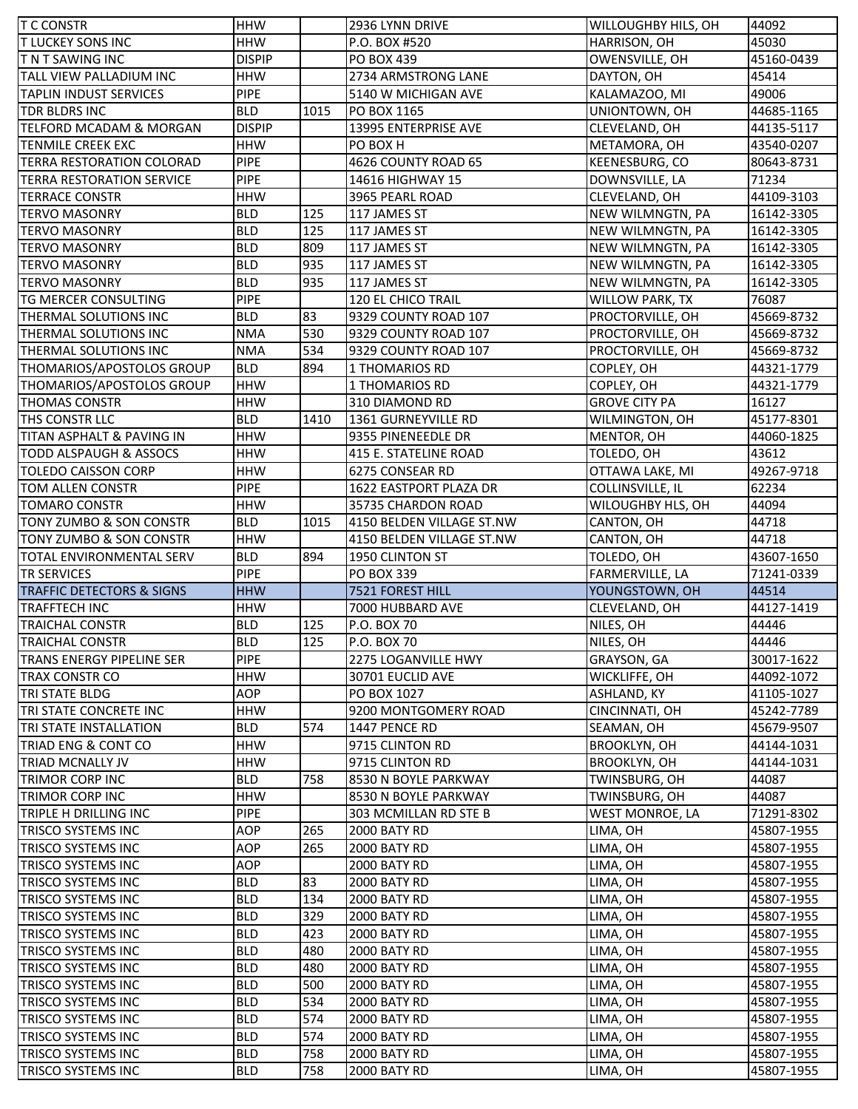| <b>T C CONSTR</b>                              | <b>HHW</b>                |           | 2936 LYNN DRIVE                         | WILLOUGHBY HILS, OH                  | 44092                    |
|------------------------------------------------|---------------------------|-----------|-----------------------------------------|--------------------------------------|--------------------------|
| <b>TLUCKEY SONS INC</b>                        | <b>HHW</b>                |           | P.O. BOX #520                           | HARRISON, OH                         | 45030                    |
| <b>TNT SAWING INC</b>                          | <b>DISPIP</b>             |           | PO BOX 439                              | OWENSVILLE, OH                       | 45160-0439               |
| TALL VIEW PALLADIUM INC                        | <b>HHW</b>                |           | 2734 ARMSTRONG LANE                     | DAYTON, OH                           | 45414                    |
| <b>TAPLIN INDUST SERVICES</b>                  | <b>PIPE</b>               |           | 5140 W MICHIGAN AVE                     | KALAMAZOO, MI                        | 49006                    |
| TDR BLDRS INC                                  | <b>BLD</b>                | 1015      | PO BOX 1165                             | UNIONTOWN, OH                        | 44685-1165               |
| TELFORD MCADAM & MORGAN                        | <b>DISPIP</b>             |           | 13995 ENTERPRISE AVE                    | CLEVELAND, OH                        | 44135-5117               |
| <b>TENMILE CREEK EXC</b>                       | <b>HHW</b>                |           | PO BOX H                                | METAMORA, OH                         | 43540-0207               |
| TERRA RESTORATION COLORAD                      | <b>PIPE</b>               |           | 4626 COUNTY ROAD 65                     | KEENESBURG, CO                       | 80643-8731               |
| <b>TERRA RESTORATION SERVICE</b>               | <b>PIPE</b>               |           | 14616 HIGHWAY 15                        | DOWNSVILLE, LA                       | 71234                    |
| <b>TERRACE CONSTR</b>                          | <b>HHW</b>                |           | 3965 PEARL ROAD                         | CLEVELAND, OH                        | 44109-3103               |
| <b>TERVO MASONRY</b>                           | <b>BLD</b>                | 125       | 117 JAMES ST                            | NEW WILMNGTN, PA                     | 16142-3305               |
| <b>TERVO MASONRY</b>                           | <b>BLD</b>                | 125       | 117 JAMES ST                            | NEW WILMNGTN, PA                     | 16142-3305               |
| <b>TERVO MASONRY</b>                           | <b>BLD</b>                | 809       | 117 JAMES ST                            | NEW WILMNGTN, PA                     | 16142-3305               |
| <b>TERVO MASONRY</b>                           | <b>BLD</b>                | 935       | 117 JAMES ST                            | NEW WILMNGTN, PA                     | 16142-3305               |
| <b>TERVO MASONRY</b>                           | <b>BLD</b>                | 935       | 117 JAMES ST                            | NEW WILMNGTN, PA                     | 16142-3305               |
| <b>TG MERCER CONSULTING</b>                    | <b>PIPE</b>               |           | 120 EL CHICO TRAIL                      | <b>WILLOW PARK, TX</b>               | 76087                    |
| THERMAL SOLUTIONS INC                          | <b>BLD</b>                | 83        | 9329 COUNTY ROAD 107                    | PROCTORVILLE, OH                     | 45669-8732               |
| THERMAL SOLUTIONS INC                          | <b>NMA</b>                | 530       | 9329 COUNTY ROAD 107                    | PROCTORVILLE, OH                     | 45669-8732               |
| THERMAL SOLUTIONS INC                          | <b>NMA</b>                | 534       | 9329 COUNTY ROAD 107                    | PROCTORVILLE, OH                     | 45669-8732               |
| THOMARIOS/APOSTOLOS GROUP                      | <b>BLD</b>                | 894       | 1 THOMARIOS RD                          | COPLEY, OH                           | 44321-1779               |
| THOMARIOS/APOSTOLOS GROUP                      | <b>HHW</b>                |           | <b>1 THOMARIOS RD</b>                   | COPLEY, OH                           | 44321-1779               |
| <b>THOMAS CONSTR</b>                           | <b>HHW</b>                |           | 310 DIAMOND RD                          | <b>GROVE CITY PA</b>                 | 16127                    |
| THS CONSTR LLC                                 | <b>BLD</b>                | 1410      | 1361 GURNEYVILLE RD                     | WILMINGTON, OH                       | 45177-8301               |
| TITAN ASPHALT & PAVING IN                      | <b>HHW</b>                |           | 9355 PINENEEDLE DR                      | MENTOR, OH                           | 44060-1825               |
| <b>TODD ALSPAUGH &amp; ASSOCS</b>              | <b>HHW</b>                |           | 415 E. STATELINE ROAD                   | TOLEDO, OH                           | 43612                    |
| <b>TOLEDO CAISSON CORP</b>                     | <b>HHW</b>                |           | 6275 CONSEAR RD                         | OTTAWA LAKE, MI                      | 49267-9718               |
| <b>TOM ALLEN CONSTR</b>                        | <b>PIPE</b>               |           | 1622 EASTPORT PLAZA DR                  | COLLINSVILLE, IL                     | 62234                    |
| <b>TOMARO CONSTR</b>                           | <b>HHW</b>                |           | 35735 CHARDON ROAD                      | WILOUGHBY HLS, OH                    | 44094                    |
| TONY ZUMBO & SON CONSTR                        | <b>BLD</b>                | 1015      | 4150 BELDEN VILLAGE ST.NW               | CANTON, OH                           | 44718                    |
| TONY ZUMBO & SON CONSTR                        | <b>HHW</b>                |           | 4150 BELDEN VILLAGE ST.NW               | CANTON, OH                           | 44718                    |
|                                                |                           |           |                                         |                                      |                          |
| TOTAL ENVIRONMENTAL SERV                       | <b>BLD</b>                | 894       | 1950 CLINTON ST                         |                                      | 43607-1650               |
|                                                |                           |           | <b>PO BOX 339</b>                       | TOLEDO, OH                           | 71241-0339               |
| <b>TR SERVICES</b>                             | <b>PIPE</b>               |           |                                         | FARMERVILLE, LA                      | 44514                    |
| <b>TRAFFIC DETECTORS &amp; SIGNS</b>           | <b>HHW</b>                |           | 7521 FOREST HILL                        | YOUNGSTOWN, OH                       |                          |
| <b>TRAFFTECH INC</b><br><b>TRAICHAL CONSTR</b> | <b>HHW</b><br><b>BLD</b>  | 125       | 7000 HUBBARD AVE<br>P.O. BOX 70         | CLEVELAND, OH                        | 44127-1419<br>44446      |
|                                                |                           |           |                                         | NILES, OH                            |                          |
| <b>TRAICHAL CONSTR</b>                         | <b>BLD</b><br><b>PIPE</b> | 125       | P.O. BOX 70<br>2275 LOGANVILLE HWY      | NILES, OH                            | 44446<br>30017-1622      |
| TRANS ENERGY PIPELINE SER                      | <b>HHW</b>                |           | 30701 EUCLID AVE                        | GRAYSON, GA<br>WICKLIFFE, OH         |                          |
| TRAX CONSTR CO                                 |                           |           |                                         |                                      | 44092-1072               |
| TRI STATE BLDG<br>TRI STATE CONCRETE INC       | AOP<br><b>HHW</b>         |           | PO BOX 1027                             | ASHLAND, KY<br>CINCINNATI, OH        | 41105-1027               |
| TRI STATE INSTALLATION                         |                           |           | 9200 MONTGOMERY ROAD<br>1447 PENCE RD   |                                      | 45242-7789               |
| TRIAD ENG & CONT CO                            | <b>BLD</b><br>HHW         | 574       |                                         | SEAMAN, OH                           | 45679-9507               |
| TRIAD MCNALLY JV                               |                           |           | 9715 CLINTON RD                         | <b>BROOKLYN, OH</b>                  | 44144-1031<br>44144-1031 |
| TRIMOR CORP INC                                | HHW<br><b>BLD</b>         | 758       | 9715 CLINTON RD<br>8530 N BOYLE PARKWAY | <b>BROOKLYN, OH</b><br>TWINSBURG, OH | 44087                    |
| TRIMOR CORP INC                                | <b>HHW</b>                |           | 8530 N BOYLE PARKWAY                    | TWINSBURG, OH                        | 44087                    |
| TRIPLE H DRILLING INC                          | <b>PIPE</b>               |           | 303 MCMILLAN RD STE B                   | <b>WEST MONROE, LA</b>               | 71291-8302               |
| <b>TRISCO SYSTEMS INC</b>                      | AOP                       | 265       | 2000 BATY RD                            |                                      |                          |
|                                                | AOP                       | 265       |                                         | LIMA, OH                             | 45807-1955               |
| TRISCO SYSTEMS INC                             |                           |           | 2000 BATY RD                            | LIMA, OH                             | 45807-1955               |
| TRISCO SYSTEMS INC                             | AOP                       |           | 2000 BATY RD                            | LIMA, OH                             | 45807-1955               |
| TRISCO SYSTEMS INC<br>TRISCO SYSTEMS INC       | <b>BLD</b><br><b>BLD</b>  | 83<br>134 | 2000 BATY RD<br>2000 BATY RD            | LIMA, OH<br>LIMA, OH                 | 45807-1955<br>45807-1955 |
| TRISCO SYSTEMS INC                             | <b>BLD</b>                | 329       | 2000 BATY RD                            | LIMA, OH                             | 45807-1955               |
| TRISCO SYSTEMS INC                             | <b>BLD</b>                | 423       | 2000 BATY RD                            |                                      | 45807-1955               |
| TRISCO SYSTEMS INC                             | <b>BLD</b>                | 480       | 2000 BATY RD                            | LIMA, OH                             | 45807-1955               |
| TRISCO SYSTEMS INC                             | <b>BLD</b>                | 480       | 2000 BATY RD                            | LIMA, OH                             | 45807-1955               |
| TRISCO SYSTEMS INC                             | <b>BLD</b>                | 500       | 2000 BATY RD                            | LIMA, OH<br>LIMA, OH                 | 45807-1955               |
| TRISCO SYSTEMS INC                             | <b>BLD</b>                | 534       | 2000 BATY RD                            | LIMA, OH                             | 45807-1955               |
| TRISCO SYSTEMS INC                             | <b>BLD</b>                | 574       | 2000 BATY RD                            | LIMA, OH                             | 45807-1955               |
| <b>TRISCO SYSTEMS INC</b>                      | <b>BLD</b>                | 574       | 2000 BATY RD                            | LIMA, OH                             | 45807-1955               |
| <b>TRISCO SYSTEMS INC</b>                      | <b>BLD</b>                | 758       | 2000 BATY RD                            | LIMA, OH                             | 45807-1955               |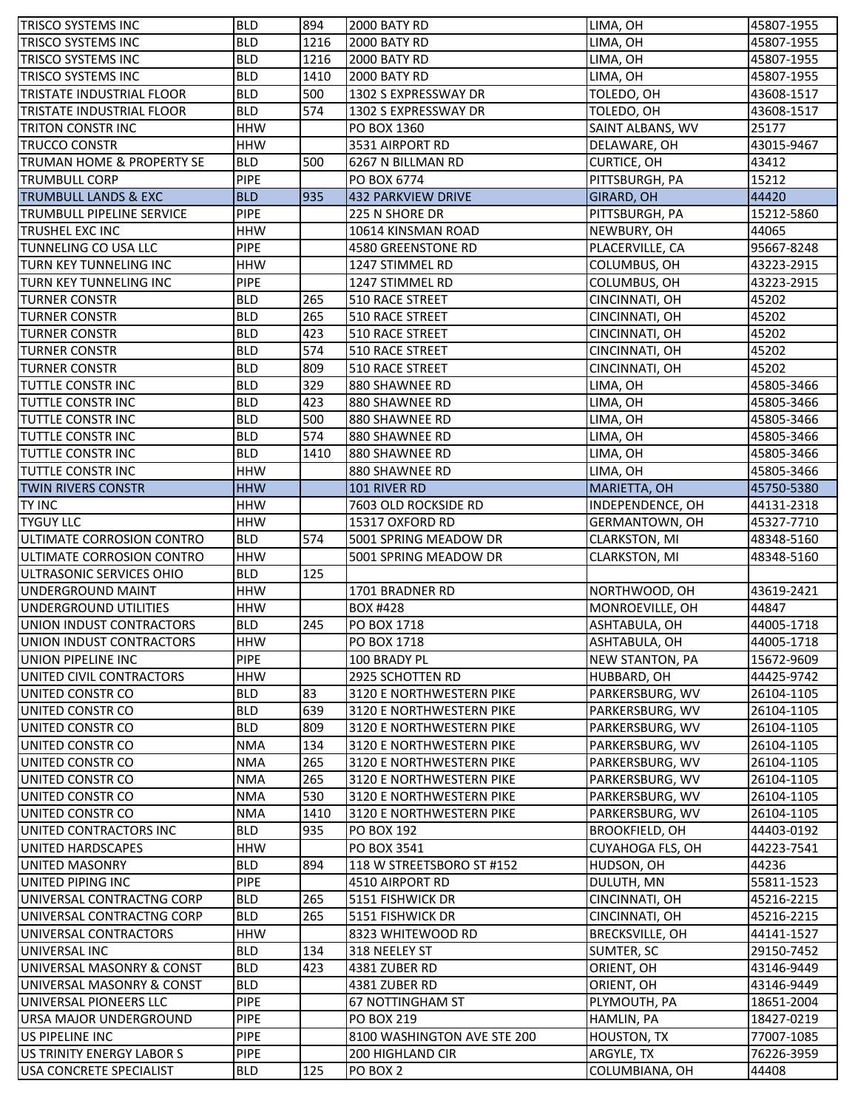| <b>TRISCO SYSTEMS INC</b>        | <b>BLD</b>               | 894  | 2000 BATY RD                    | LIMA, OH                | 45807-1955               |
|----------------------------------|--------------------------|------|---------------------------------|-------------------------|--------------------------|
| <b>TRISCO SYSTEMS INC</b>        | <b>BLD</b>               | 1216 | 2000 BATY RD                    | LIMA, OH                | 45807-1955               |
| TRISCO SYSTEMS INC               | <b>BLD</b>               | 1216 | 2000 BATY RD                    | LIMA, OH                | 45807-1955               |
| TRISCO SYSTEMS INC               | <b>BLD</b>               | 1410 | 2000 BATY RD                    | LIMA, OH                | 45807-1955               |
| TRISTATE INDUSTRIAL FLOOR        | <b>BLD</b>               | 500  | 1302 S EXPRESSWAY DR            | TOLEDO, OH              | 43608-1517               |
| TRISTATE INDUSTRIAL FLOOR        | <b>BLD</b>               | 574  | 1302 S EXPRESSWAY DR            | TOLEDO, OH              | 43608-1517               |
| <b>TRITON CONSTRINC</b>          | <b>HHW</b>               |      | PO BOX 1360                     | SAINT ALBANS, WV        | 25177                    |
| <b>TRUCCO CONSTR</b>             | <b>HHW</b>               |      | 3531 AIRPORT RD                 | DELAWARE, OH            | 43015-9467               |
| TRUMAN HOME & PROPERTY SE        | <b>BLD</b>               | 500  | 6267 N BILLMAN RD               | <b>CURTICE, OH</b>      | 43412                    |
| <b>TRUMBULL CORP</b>             | <b>PIPE</b>              |      | PO BOX 6774                     | PITTSBURGH, PA          | 15212                    |
| <b>TRUMBULL LANDS &amp; EXC</b>  | <b>BLD</b>               | 935  | 432 PARKVIEW DRIVE              | <b>GIRARD, OH</b>       | 44420                    |
| <b>TRUMBULL PIPELINE SERVICE</b> | <b>PIPE</b>              |      | 225 N SHORE DR                  | PITTSBURGH, PA          | 15212-5860               |
| TRUSHEL EXC INC                  | <b>HHW</b>               |      | 10614 KINSMAN ROAD              | NEWBURY, OH             | 44065                    |
| TUNNELING CO USA LLC             | <b>PIPE</b>              |      | 4580 GREENSTONE RD              | PLACERVILLE, CA         | 95667-8248               |
| TURN KEY TUNNELING INC           | <b>HHW</b>               |      | 1247 STIMMEL RD                 | COLUMBUS, OH            | 43223-2915               |
| TURN KEY TUNNELING INC           | <b>PIPE</b>              |      | 1247 STIMMEL RD                 | COLUMBUS, OH            | 43223-2915               |
| <b>TURNER CONSTR</b>             | <b>BLD</b>               | 265  | 510 RACE STREET                 | CINCINNATI, OH          | 45202                    |
| <b>TURNER CONSTR</b>             | <b>BLD</b>               | 265  | 510 RACE STREET                 | CINCINNATI, OH          | 45202                    |
| <b>TURNER CONSTR</b>             | <b>BLD</b>               | 423  | <b>510 RACE STREET</b>          | CINCINNATI, OH          | 45202                    |
| <b>TURNER CONSTR</b>             | <b>BLD</b>               | 574  | 510 RACE STREET                 | CINCINNATI, OH          | 45202                    |
| <b>TURNER CONSTR</b>             | <b>BLD</b>               | 809  | 510 RACE STREET                 | CINCINNATI, OH          | 45202                    |
| TUTTLE CONSTR INC                | <b>BLD</b>               | 329  | 880 SHAWNEE RD                  | LIMA, OH                | 45805-3466               |
| <b>TUTTLE CONSTRINC</b>          | <b>BLD</b>               | 423  | 880 SHAWNEE RD                  | LIMA, OH                | 45805-3466               |
| TUTTLE CONSTR INC                | <b>BLD</b>               | 500  | 880 SHAWNEE RD                  | LIMA, OH                | 45805-3466               |
| TUTTLE CONSTR INC                | <b>BLD</b>               | 574  | 880 SHAWNEE RD                  | LIMA, OH                | 45805-3466               |
| TUTTLE CONSTR INC                | <b>BLD</b>               | 1410 | 880 SHAWNEE RD                  | LIMA, OH                | 45805-3466               |
| TUTTLE CONSTR INC                | <b>HHW</b>               |      | 880 SHAWNEE RD                  | LIMA, OH                | 45805-3466               |
| <b>TWIN RIVERS CONSTR</b>        | <b>HHW</b>               |      | 101 RIVER RD                    |                         |                          |
| <b>TY INC</b>                    | <b>HHW</b>               |      | 7603 OLD ROCKSIDE RD            | MARIETTA, OH            | 45750-5380               |
| <b>TYGUY LLC</b>                 | <b>HHW</b>               |      | 15317 OXFORD RD                 | INDEPENDENCE, OH        | 44131-2318<br>45327-7710 |
|                                  |                          |      |                                 | GERMANTOWN, OH          |                          |
| ULTIMATE CORROSION CONTRO        | <b>BLD</b>               | 574  | 5001 SPRING MEADOW DR           | CLARKSTON, MI           | 48348-5160               |
| ULTIMATE CORROSION CONTRO        | <b>HHW</b><br><b>BLD</b> |      | 5001 SPRING MEADOW DR           | CLARKSTON, MI           | 48348-5160               |
| ULTRASONIC SERVICES OHIO         |                          | 125  |                                 |                         |                          |
| UNDERGROUND MAINT                | <b>HHW</b>               |      | 1701 BRADNER RD                 | NORTHWOOD, OH           | 43619-2421               |
| UNDERGROUND UTILITIES            | <b>HHW</b>               |      | BOX #428                        | MONROEVILLE, OH         | 44847                    |
| UNION INDUST CONTRACTORS         | <b>BLD</b>               | 245  | PO BOX 1718                     | ASHTABULA, OH           | 44005-1718               |
| UNION INDUST CONTRACTORS         | HHW                      |      | PO BOX 1718                     | ASHTABULA, OH           | 44005-1718               |
| UNION PIPELINE INC               | <b>PIPE</b>              |      | 100 BRADY PL                    | <b>NEW STANTON, PA</b>  | 15672-9609               |
| UNITED CIVIL CONTRACTORS         | <b>HHW</b>               |      | 2925 SCHOTTEN RD                | HUBBARD, OH             | 44425-9742               |
| UNITED CONSTR CO                 | <b>BLD</b>               | 83   | <b>3120 E NORTHWESTERN PIKE</b> | PARKERSBURG, WV         | 26104-1105               |
| UNITED CONSTR CO                 | <b>BLD</b>               | 639  | 3120 E NORTHWESTERN PIKE        | PARKERSBURG, WV         | 26104-1105               |
| UNITED CONSTR CO                 | <b>BLD</b>               | 809  | 3120 E NORTHWESTERN PIKE        | PARKERSBURG, WV         | 26104-1105               |
| UNITED CONSTR CO                 | <b>NMA</b>               | 134  | 3120 E NORTHWESTERN PIKE        | PARKERSBURG, WV         | 26104-1105               |
| UNITED CONSTR CO                 | <b>NMA</b>               | 265  | 3120 E NORTHWESTERN PIKE        | PARKERSBURG, WV         | 26104-1105               |
| UNITED CONSTR CO                 | <b>NMA</b>               | 265  | 3120 E NORTHWESTERN PIKE        | PARKERSBURG, WV         | 26104-1105               |
| UNITED CONSTR CO                 | <b>NMA</b>               | 530  | 3120 E NORTHWESTERN PIKE        | PARKERSBURG, WV         | 26104-1105               |
| UNITED CONSTR CO                 | <b>NMA</b>               | 1410 | 3120 E NORTHWESTERN PIKE        | PARKERSBURG, WV         | 26104-1105               |
| UNITED CONTRACTORS INC           | <b>BLD</b>               | 935  | PO BOX 192                      | <b>BROOKFIELD, OH</b>   | 44403-0192               |
| <b>UNITED HARDSCAPES</b>         | <b>HHW</b>               |      | PO BOX 3541                     | <b>CUYAHOGA FLS, OH</b> | 44223-7541               |
| UNITED MASONRY                   | <b>BLD</b>               | 894  | 118 W STREETSBORO ST #152       | HUDSON, OH              | 44236                    |
| UNITED PIPING INC                | <b>PIPE</b>              |      | 4510 AIRPORT RD                 | DULUTH, MN              | 55811-1523               |
| UNIVERSAL CONTRACTNG CORP        | <b>BLD</b>               | 265  | 5151 FISHWICK DR                | CINCINNATI, OH          | 45216-2215               |
| UNIVERSAL CONTRACTNG CORP        | <b>BLD</b>               | 265  | 5151 FISHWICK DR                | CINCINNATI, OH          | 45216-2215               |
| UNIVERSAL CONTRACTORS            | <b>HHW</b>               |      | 8323 WHITEWOOD RD               | <b>BRECKSVILLE, OH</b>  | 44141-1527               |
| UNIVERSAL INC                    | <b>BLD</b>               | 134  | 318 NEELEY ST                   | SUMTER, SC              | 29150-7452               |
| UNIVERSAL MASONRY & CONST        | <b>BLD</b>               | 423  | 4381 ZUBER RD                   | ORIENT, OH              | 43146-9449               |
| UNIVERSAL MASONRY & CONST        | <b>BLD</b>               |      | 4381 ZUBER RD                   | ORIENT, OH              | 43146-9449               |
| UNIVERSAL PIONEERS LLC           | <b>PIPE</b>              |      | 67 NOTTINGHAM ST                | PLYMOUTH, PA            | 18651-2004               |
| URSA MAJOR UNDERGROUND           | <b>PIPE</b>              |      | PO BOX 219                      | HAMLIN, PA              | 18427-0219               |
| US PIPELINE INC                  | <b>PIPE</b>              |      | 8100 WASHINGTON AVE STE 200     | <b>HOUSTON, TX</b>      | 77007-1085               |
| US TRINITY ENERGY LABOR S        | <b>PIPE</b>              |      | 200 HIGHLAND CIR                | ARGYLE, TX              | 76226-3959               |
| USA CONCRETE SPECIALIST          | <b>BLD</b>               | 125  | PO BOX 2                        | COLUMBIANA, OH          | 44408                    |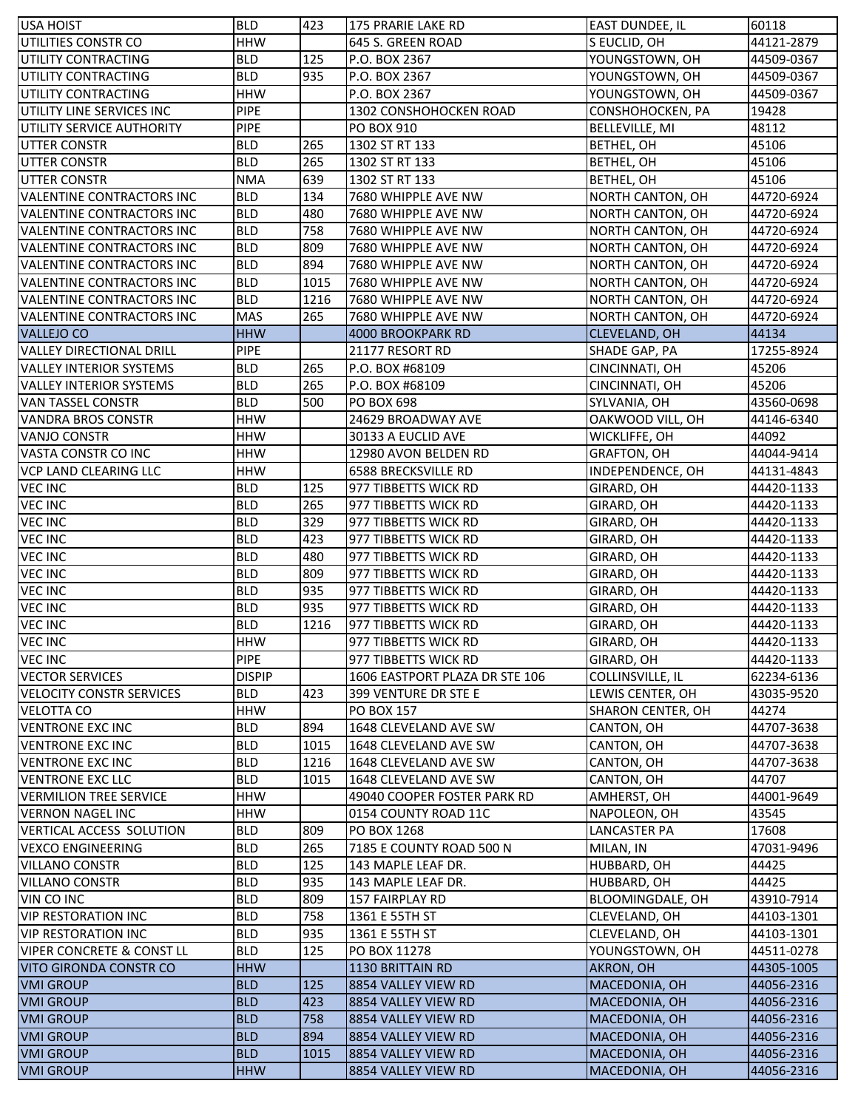| <b>USA HOIST</b>                     | <b>BLD</b>    | 423  | 175 PRARIE LAKE RD             | <b>EAST DUNDEE, IL</b>  | 60118      |
|--------------------------------------|---------------|------|--------------------------------|-------------------------|------------|
| UTILITIES CONSTR CO                  | <b>HHW</b>    |      | 645 S. GREEN ROAD              | S EUCLID, OH            | 44121-2879 |
| UTILITY CONTRACTING                  | <b>BLD</b>    | 125  | P.O. BOX 2367                  | YOUNGSTOWN, OH          | 44509-0367 |
| UTILITY CONTRACTING                  | <b>BLD</b>    | 935  | P.O. BOX 2367                  | YOUNGSTOWN, OH          | 44509-0367 |
| UTILITY CONTRACTING                  | <b>HHW</b>    |      | P.O. BOX 2367                  | YOUNGSTOWN, OH          | 44509-0367 |
| UTILITY LINE SERVICES INC            | <b>PIPE</b>   |      | 1302 CONSHOHOCKEN ROAD         | CONSHOHOCKEN, PA        | 19428      |
| UTILITY SERVICE AUTHORITY            | <b>PIPE</b>   |      | PO BOX 910                     | <b>BELLEVILLE, MI</b>   | 48112      |
| <b>UTTER CONSTR</b>                  | <b>BLD</b>    | 265  | 1302 ST RT 133                 | BETHEL, OH              | 45106      |
| <b>UTTER CONSTR</b>                  | <b>BLD</b>    | 265  | 1302 ST RT 133                 | BETHEL, OH              | 45106      |
| <b>UTTER CONSTR</b>                  | <b>NMA</b>    | 639  | 1302 ST RT 133                 | BETHEL, OH              | 45106      |
| VALENTINE CONTRACTORS INC            | <b>BLD</b>    | 134  | 7680 WHIPPLE AVE NW            | <b>NORTH CANTON, OH</b> | 44720-6924 |
| VALENTINE CONTRACTORS INC            | <b>BLD</b>    | 480  | 7680 WHIPPLE AVE NW            | NORTH CANTON, OH        | 44720-6924 |
| <b>VALENTINE CONTRACTORS INC</b>     | <b>BLD</b>    | 758  | 7680 WHIPPLE AVE NW            | NORTH CANTON, OH        | 44720-6924 |
| VALENTINE CONTRACTORS INC            | <b>BLD</b>    | 809  | 7680 WHIPPLE AVE NW            | <b>NORTH CANTON, OH</b> | 44720-6924 |
| VALENTINE CONTRACTORS INC            | <b>BLD</b>    | 894  | 7680 WHIPPLE AVE NW            | <b>NORTH CANTON, OH</b> | 44720-6924 |
| VALENTINE CONTRACTORS INC            | <b>BLD</b>    | 1015 | 7680 WHIPPLE AVE NW            | <b>NORTH CANTON, OH</b> | 44720-6924 |
| VALENTINE CONTRACTORS INC            | <b>BLD</b>    | 1216 | 7680 WHIPPLE AVE NW            | <b>NORTH CANTON, OH</b> | 44720-6924 |
| VALENTINE CONTRACTORS INC            | <b>MAS</b>    | 265  | 7680 WHIPPLE AVE NW            | NORTH CANTON, OH        | 44720-6924 |
| <b>VALLEJO CO</b>                    | <b>HHW</b>    |      | 4000 BROOKPARK RD              | <b>CLEVELAND, OH</b>    | 44134      |
| <b>VALLEY DIRECTIONAL DRILL</b>      | <b>PIPE</b>   |      | 21177 RESORT RD                | SHADE GAP, PA           | 17255-8924 |
| <b>VALLEY INTERIOR SYSTEMS</b>       | <b>BLD</b>    | 265  | P.O. BOX #68109                | CINCINNATI, OH          | 45206      |
| <b>VALLEY INTERIOR SYSTEMS</b>       | <b>BLD</b>    | 265  | P.O. BOX #68109                | CINCINNATI, OH          | 45206      |
| <b>VAN TASSEL CONSTR</b>             | <b>BLD</b>    | 500  | PO BOX 698                     | SYLVANIA, OH            | 43560-0698 |
| <b>VANDRA BROS CONSTR</b>            | <b>HHW</b>    |      | 24629 BROADWAY AVE             | OAKWOOD VILL, OH        | 44146-6340 |
| <b>VANJO CONSTR</b>                  | <b>HHW</b>    |      | 30133 A EUCLID AVE             | WICKLIFFE, OH           | 44092      |
| VASTA CONSTR CO INC                  | <b>HHW</b>    |      | 12980 AVON BELDEN RD           | <b>GRAFTON, OH</b>      | 44044-9414 |
| <b>VCP LAND CLEARING LLC</b>         | <b>HHW</b>    |      | 6588 BRECKSVILLE RD            | INDEPENDENCE, OH        | 44131-4843 |
| <b>VEC INC</b>                       | <b>BLD</b>    | 125  | 977 TIBBETTS WICK RD           | GIRARD, OH              | 44420-1133 |
| <b>VEC INC</b>                       | <b>BLD</b>    | 265  | 977 TIBBETTS WICK RD           | GIRARD, OH              | 44420-1133 |
| <b>VEC INC</b>                       | <b>BLD</b>    | 329  | 977 TIBBETTS WICK RD           | GIRARD, OH              | 44420-1133 |
| <b>VEC INC</b>                       | <b>BLD</b>    | 423  | 977 TIBBETTS WICK RD           | GIRARD, OH              | 44420-1133 |
| <b>VEC INC</b>                       | <b>BLD</b>    | 480  | 977 TIBBETTS WICK RD           | GIRARD, OH              | 44420-1133 |
| <b>VEC INC</b>                       | <b>BLD</b>    | 809  | 977 TIBBETTS WICK RD           | GIRARD, OH              | 44420-1133 |
| <b>VEC INC</b>                       | <b>BLD</b>    | 935  | 977 TIBBETTS WICK RD           | GIRARD, OH              | 44420-1133 |
| <b>VEC INC</b>                       | <b>BLD</b>    | 935  | 977 TIBBETTS WICK RD           | GIRARD, OH              | 44420-1133 |
| <b>VEC INC</b>                       | <b>BLD</b>    | 1216 | 977 TIBBETTS WICK RD           | GIRARD, OH              | 44420-1133 |
| <b>VEC INC</b>                       | <b>HHW</b>    |      | 977 TIBBETTS WICK RD           | GIRARD, OH              | 44420-1133 |
| <b>VEC INC</b>                       | <b>PIPE</b>   |      | 977 TIBBETTS WICK RD           | GIRARD, OH              | 44420-1133 |
| <b>VECTOR SERVICES</b>               | <b>DISPIP</b> |      | 1606 EASTPORT PLAZA DR STE 106 | COLLINSVILLE, IL        | 62234-6136 |
| <b>VELOCITY CONSTR SERVICES</b>      | <b>BLD</b>    | 423  | 399 VENTURE DR STE E           | LEWIS CENTER, OH        | 43035-9520 |
| <b>VELOTTA CO</b>                    | <b>HHW</b>    |      | PO BOX 157                     | SHARON CENTER, OH       | 44274      |
| <b>VENTRONE EXC INC</b>              | <b>BLD</b>    | 894  | 1648 CLEVELAND AVE SW          | CANTON, OH              | 44707-3638 |
| <b>VENTRONE EXC INC</b>              | <b>BLD</b>    | 1015 | 1648 CLEVELAND AVE SW          | CANTON, OH              | 44707-3638 |
| <b>VENTRONE EXC INC</b>              | <b>BLD</b>    | 1216 | 1648 CLEVELAND AVE SW          | CANTON, OH              | 44707-3638 |
| <b>VENTRONE EXC LLC</b>              | <b>BLD</b>    | 1015 | 1648 CLEVELAND AVE SW          | CANTON, OH              | 44707      |
| VERMILION TREE SERVICE               | <b>HHW</b>    |      | 49040 COOPER FOSTER PARK RD    | AMHERST, OH             | 44001-9649 |
| <b>VERNON NAGEL INC</b>              | <b>HHW</b>    |      | 0154 COUNTY ROAD 11C           | NAPOLEON, OH            | 43545      |
| <b>VERTICAL ACCESS SOLUTION</b>      | <b>BLD</b>    | 809  | PO BOX 1268                    | LANCASTER PA            | 17608      |
| <b>VEXCO ENGINEERING</b>             | <b>BLD</b>    | 265  | 7185 E COUNTY ROAD 500 N       | MILAN, IN               | 47031-9496 |
| <b>VILLANO CONSTR</b>                | <b>BLD</b>    | 125  | 143 MAPLE LEAF DR.             | HUBBARD, OH             | 44425      |
| <b>VILLANO CONSTR</b>                | <b>BLD</b>    | 935  | 143 MAPLE LEAF DR.             | HUBBARD, OH             | 44425      |
| VIN CO INC                           | <b>BLD</b>    | 809  | 157 FAIRPLAY RD                | <b>BLOOMINGDALE, OH</b> | 43910-7914 |
| <b>VIP RESTORATION INC</b>           | <b>BLD</b>    | 758  | 1361 E 55TH ST                 | <b>CLEVELAND, OH</b>    | 44103-1301 |
| <b>VIP RESTORATION INC</b>           | <b>BLD</b>    | 935  | 1361 E 55TH ST                 | <b>CLEVELAND, OH</b>    | 44103-1301 |
| <b>VIPER CONCRETE &amp; CONST LL</b> | <b>BLD</b>    | 125  | PO BOX 11278                   | YOUNGSTOWN, OH          | 44511-0278 |
| VITO GIRONDA CONSTR CO               | <b>HHW</b>    |      | 1130 BRITTAIN RD               | AKRON, OH               | 44305-1005 |
| <b>VMI GROUP</b>                     | <b>BLD</b>    | 125  | 8854 VALLEY VIEW RD            | MACEDONIA, OH           | 44056-2316 |
| <b>VMI GROUP</b>                     | <b>BLD</b>    | 423  | 8854 VALLEY VIEW RD            | MACEDONIA, OH           | 44056-2316 |
| <b>VMI GROUP</b>                     | <b>BLD</b>    | 758  | 8854 VALLEY VIEW RD            | MACEDONIA, OH           | 44056-2316 |
| <b>VMI GROUP</b>                     | <b>BLD</b>    | 894  | 8854 VALLEY VIEW RD            | MACEDONIA, OH           | 44056-2316 |
| <b>VMI GROUP</b>                     | <b>BLD</b>    | 1015 | 8854 VALLEY VIEW RD            | MACEDONIA, OH           | 44056-2316 |
| <b>VMI GROUP</b>                     | <b>HHW</b>    |      | 8854 VALLEY VIEW RD            | MACEDONIA, OH           | 44056-2316 |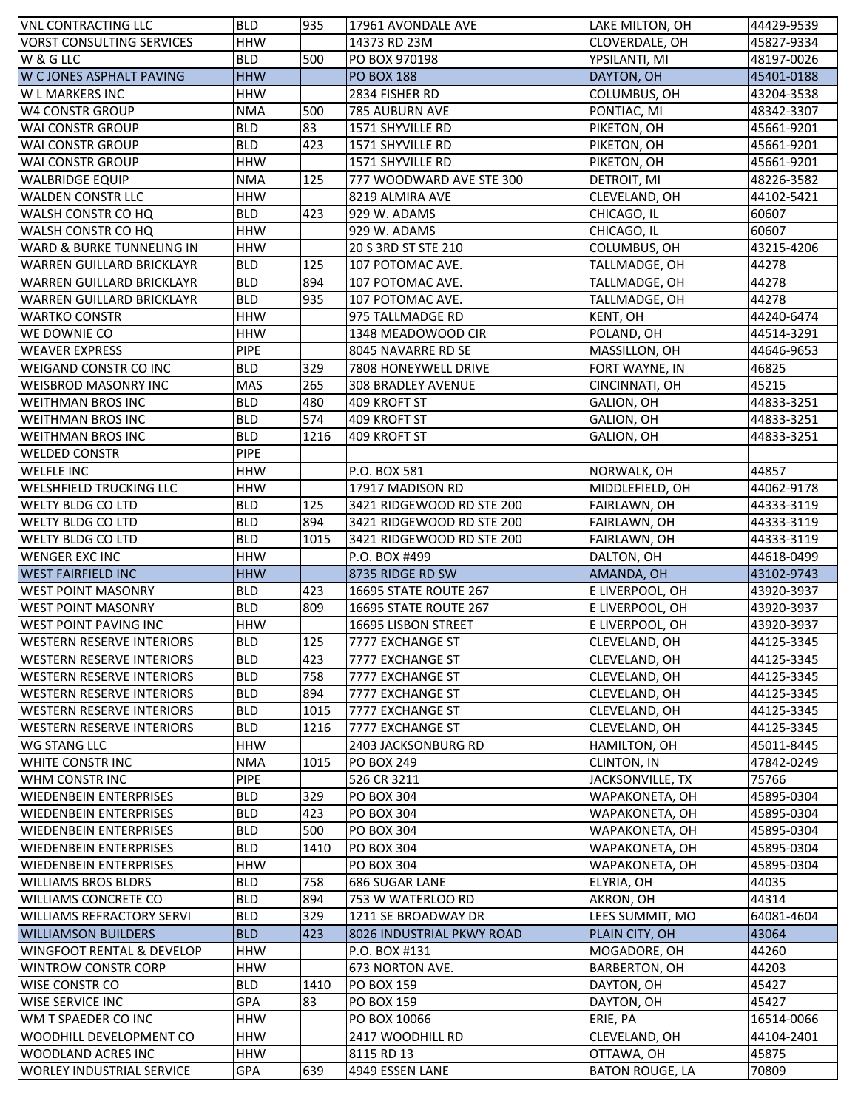| <b>VNL CONTRACTING LLC</b>                                    | <b>BLD</b>               | 935  | 17961 AVONDALE AVE            | LAKE MILTON, OH                      | 44429-9539     |
|---------------------------------------------------------------|--------------------------|------|-------------------------------|--------------------------------------|----------------|
| <b>VORST CONSULTING SERVICES</b>                              | <b>HHW</b>               |      | 14373 RD 23M                  | CLOVERDALE, OH                       | 45827-9334     |
| W & G LLC                                                     | <b>BLD</b>               | 500  | PO BOX 970198                 | YPSILANTI, MI                        | 48197-0026     |
| W C JONES ASPHALT PAVING                                      | <b>HHW</b>               |      | <b>PO BOX 188</b>             | DAYTON, OH                           | 45401-0188     |
| <b>WL MARKERS INC</b>                                         | <b>HHW</b>               |      | 2834 FISHER RD                | COLUMBUS, OH                         | 43204-3538     |
| <b>W4 CONSTR GROUP</b>                                        | <b>NMA</b>               | 500  | 785 AUBURN AVE                | PONTIAC, MI                          | 48342-3307     |
| <b>WAI CONSTR GROUP</b>                                       | <b>BLD</b>               | 83   | 1571 SHYVILLE RD              | PIKETON, OH                          | 45661-9201     |
| WAI CONSTR GROUP                                              | <b>BLD</b>               | 423  | 1571 SHYVILLE RD              | PIKETON, OH                          | 45661-9201     |
| <b>WAI CONSTR GROUP</b>                                       | <b>HHW</b>               |      | 1571 SHYVILLE RD              | PIKETON, OH                          | 45661-9201     |
| <b>WALBRIDGE EQUIP</b>                                        | <b>NMA</b>               | 125  | 777 WOODWARD AVE STE 300      | DETROIT, MI                          | 48226-3582     |
| <b>WALDEN CONSTR LLC</b>                                      | <b>HHW</b>               |      | 8219 ALMIRA AVE               | CLEVELAND, OH                        | 44102-5421     |
| WALSH CONSTR CO HQ                                            | <b>BLD</b>               | 423  | 929 W. ADAMS                  | CHICAGO, IL                          | 60607          |
| WALSH CONSTR CO HQ                                            | <b>HHW</b>               |      | 929 W. ADAMS                  | CHICAGO, IL                          | 60607          |
| WARD & BURKE TUNNELING IN                                     | <b>HHW</b>               |      | 20 S 3RD ST STE 210           | COLUMBUS, OH                         | 43215-4206     |
| <b>WARREN GUILLARD BRICKLAYR</b>                              | <b>BLD</b>               | 125  | 107 POTOMAC AVE.              | TALLMADGE, OH                        | 44278          |
| <b>WARREN GUILLARD BRICKLAYR</b>                              | <b>BLD</b>               | 894  | 107 POTOMAC AVE.              | TALLMADGE, OH                        | 44278          |
| <b>WARREN GUILLARD BRICKLAYR</b>                              | <b>BLD</b>               | 935  | 107 POTOMAC AVE.              | TALLMADGE, OH                        | 44278          |
| <b>WARTKO CONSTR</b>                                          | <b>HHW</b>               |      | 975 TALLMADGE RD              | KENT, OH                             | 44240-6474     |
| WE DOWNIE CO                                                  | <b>HHW</b>               |      | 1348 MEADOWOOD CIR            | POLAND, OH                           | 44514-3291     |
| <b>WEAVER EXPRESS</b>                                         | <b>PIPE</b>              |      | 8045 NAVARRE RD SE            | MASSILLON, OH                        | 44646-9653     |
| <b>WEIGAND CONSTR CO INC</b>                                  | <b>BLD</b>               | 329  | 7808 HONEYWELL DRIVE          | FORT WAYNE, IN                       | 46825          |
| <b>WEISBROD MASONRY INC</b>                                   | <b>MAS</b>               | 265  | <b>308 BRADLEY AVENUE</b>     | CINCINNATI, OH                       | 45215          |
| <b>WEITHMAN BROS INC</b>                                      | <b>BLD</b>               | 480  | 409 KROFT ST                  | GALION, OH                           | 44833-3251     |
| <b>WEITHMAN BROS INC</b>                                      | <b>BLD</b>               | 574  | 409 KROFT ST                  | GALION, OH                           | 44833-3251     |
| <b>WEITHMAN BROS INC</b>                                      | <b>BLD</b>               | 1216 | 409 KROFT ST                  | GALION, OH                           | 44833-3251     |
| <b>WELDED CONSTR</b>                                          | <b>PIPE</b>              |      |                               |                                      |                |
| <b>WELFLE INC</b>                                             | <b>HHW</b>               |      | P.O. BOX 581                  | NORWALK, OH                          | 44857          |
| <b>WELSHFIELD TRUCKING LLC</b>                                | <b>HHW</b>               |      | 17917 MADISON RD              | MIDDLEFIELD, OH                      | 44062-9178     |
| <b>WELTY BLDG CO LTD</b>                                      | <b>BLD</b>               | 125  | 3421 RIDGEWOOD RD STE 200     | FAIRLAWN, OH                         | 44333-3119     |
| <b>WELTY BLDG CO LTD</b>                                      | <b>BLD</b>               | 894  | 3421 RIDGEWOOD RD STE 200     | FAIRLAWN, OH                         | 44333-3119     |
| <b>WELTY BLDG CO LTD</b>                                      | <b>BLD</b>               | 1015 | 3421 RIDGEWOOD RD STE 200     | FAIRLAWN, OH                         | 44333-3119     |
|                                                               |                          |      |                               |                                      |                |
|                                                               |                          |      |                               |                                      |                |
| <b>WENGER EXC INC</b>                                         | <b>HHW</b>               |      | P.O. BOX #499                 | DALTON, OH                           | 44618-0499     |
| <b>WEST FAIRFIELD INC</b>                                     | <b>HHW</b>               |      | 8735 RIDGE RD SW              | AMANDA, OH                           | 43102-9743     |
| <b>WEST POINT MASONRY</b>                                     | <b>BLD</b>               | 423  | 16695 STATE ROUTE 267         | E LIVERPOOL, OH                      | 43920-3937     |
| <b>WEST POINT MASONRY</b>                                     | <b>BLD</b>               | 809  | <b>16695 STATE ROUTE 267</b>  | E LIVERPOOL, OH                      | 43920-3937     |
| <b>WEST POINT PAVING INC</b>                                  | <b>HHW</b>               |      | 16695 LISBON STREET           | E LIVERPOOL, OH                      | 43920-3937     |
| <b>WESTERN RESERVE INTERIORS</b>                              | <b>BLD</b>               | 125  | 7777 EXCHANGE ST              | CLEVELAND, OH                        | 44125-3345     |
| <b>WESTERN RESERVE INTERIORS</b>                              | <b>BLD</b>               | 423  | 7777 EXCHANGE ST              | <b>CLEVELAND, OH</b>                 | 44125-3345     |
| <b>WESTERN RESERVE INTERIORS</b>                              | <b>BLD</b>               | 758  | 7777 EXCHANGE ST              | CLEVELAND, OH                        | 44125-3345     |
| <b>WESTERN RESERVE INTERIORS</b>                              | <b>BLD</b>               | 894  | 7777 EXCHANGE ST              | CLEVELAND, OH                        | 44125-3345     |
| <b>WESTERN RESERVE INTERIORS</b>                              | <b>BLD</b>               | 1015 | 7777 EXCHANGE ST              | CLEVELAND, OH                        | 44125-3345     |
| <b>WESTERN RESERVE INTERIORS</b>                              | <b>BLD</b>               | 1216 | 7777 EXCHANGE ST              | <b>CLEVELAND, OH</b>                 | 44125-3345     |
| <b>WG STANG LLC</b>                                           | <b>HHW</b>               |      | 2403 JACKSONBURG RD           | HAMILTON, OH                         | 45011-8445     |
| <b>WHITE CONSTR INC</b>                                       | <b>NMA</b>               | 1015 | <b>PO BOX 249</b>             | <b>CLINTON, IN</b>                   | 47842-0249     |
| WHM CONSTR INC                                                | <b>PIPE</b>              |      | 526 CR 3211                   | JACKSONVILLE, TX                     | 75766          |
| <b>WIEDENBEIN ENTERPRISES</b>                                 | <b>BLD</b>               | 329  | PO BOX 304                    | WAPAKONETA, OH                       | 45895-0304     |
| <b>WIEDENBEIN ENTERPRISES</b>                                 | <b>BLD</b>               | 423  | PO BOX 304                    | WAPAKONETA, OH                       | 45895-0304     |
| <b>WIEDENBEIN ENTERPRISES</b>                                 | <b>BLD</b>               | 500  | <b>PO BOX 304</b>             | WAPAKONETA, OH                       | 45895-0304     |
| <b>WIEDENBEIN ENTERPRISES</b>                                 | <b>BLD</b>               | 1410 | <b>PO BOX 304</b>             | WAPAKONETA, OH                       | 45895-0304     |
| <b>WIEDENBEIN ENTERPRISES</b>                                 | <b>HHW</b>               |      | PO BOX 304                    | WAPAKONETA, OH                       | 45895-0304     |
| <b>WILLIAMS BROS BLDRS</b>                                    | <b>BLD</b>               | 758  | <b>686 SUGAR LANE</b>         | ELYRIA, OH                           | 44035          |
| <b>WILLIAMS CONCRETE CO</b>                                   | <b>BLD</b>               | 894  | 753 W WATERLOO RD             | AKRON, OH                            | 44314          |
| <b>WILLIAMS REFRACTORY SERVI</b>                              | <b>BLD</b>               | 329  | 1211 SE BROADWAY DR           | LEES SUMMIT, MO                      | 64081-4604     |
| <b>WILLIAMSON BUILDERS</b>                                    | <b>BLD</b>               | 423  | 8026 INDUSTRIAL PKWY ROAD     | PLAIN CITY, OH                       | 43064          |
| <b>WINGFOOT RENTAL &amp; DEVELOP</b>                          | <b>HHW</b>               |      | P.O. BOX #131                 | MOGADORE, OH                         | 44260          |
| <b>WINTROW CONSTR CORP</b>                                    | <b>HHW</b>               |      | 673 NORTON AVE.               | BARBERTON, OH                        | 44203          |
| WISE CONSTR CO                                                | <b>BLD</b>               | 1410 | <b>PO BOX 159</b>             | DAYTON, OH                           | 45427          |
| <b>WISE SERVICE INC</b>                                       | <b>GPA</b>               | 83   | PO BOX 159                    | DAYTON, OH                           | 45427          |
| WM T SPAEDER CO INC                                           | <b>HHW</b>               |      | PO BOX 10066                  | ERIE, PA                             | 16514-0066     |
| <b>WOODHILL DEVELOPMENT CO</b>                                | <b>HHW</b>               |      | 2417 WOODHILL RD              | CLEVELAND, OH                        | 44104-2401     |
| <b>WOODLAND ACRES INC</b><br><b>WORLEY INDUSTRIAL SERVICE</b> | <b>HHW</b><br><b>GPA</b> | 639  | 8115 RD 13<br>4949 ESSEN LANE | OTTAWA, OH<br><b>BATON ROUGE, LA</b> | 45875<br>70809 |